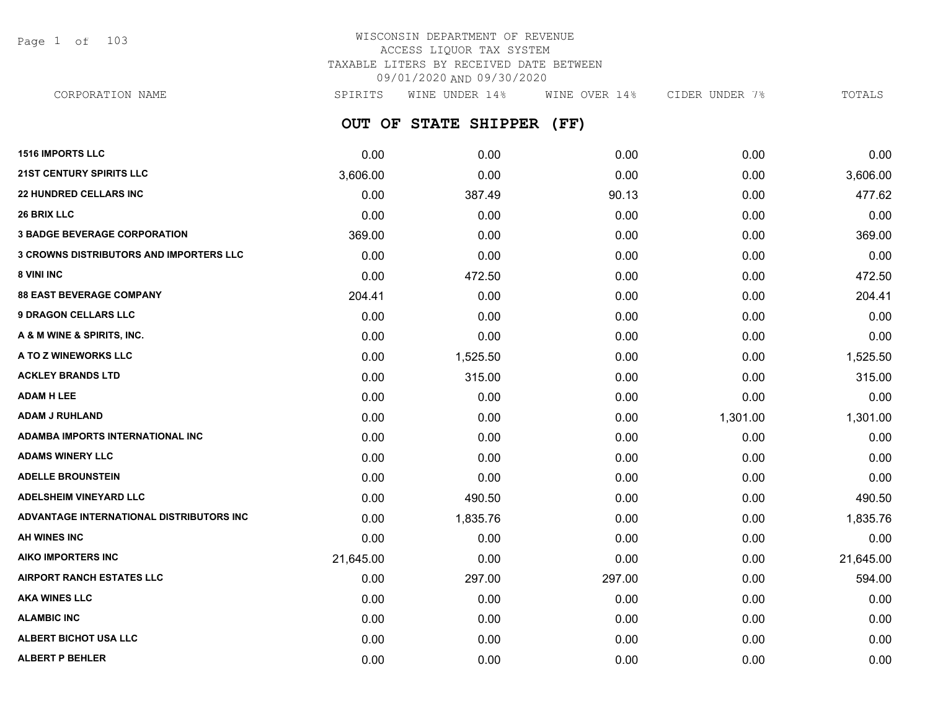Page 1 of 103

# WISCONSIN DEPARTMENT OF REVENUE ACCESS LIQUOR TAX SYSTEM TAXABLE LITERS BY RECEIVED DATE BETWEEN 09/01/2020 AND 09/30/2020

**OUT OF STATE SHIPPER (FF)** CORPORATION NAME SPIRITS WINE UNDER 14% WINE OVER 14% CIDER UNDER 7% TOTALS

| <b>1516 IMPORTS LLC</b>                        | 0.00      | 0.00     | 0.00   | 0.00     | 0.00      |
|------------------------------------------------|-----------|----------|--------|----------|-----------|
| <b>21ST CENTURY SPIRITS LLC</b>                | 3,606.00  | 0.00     | 0.00   | 0.00     | 3,606.00  |
| <b>22 HUNDRED CELLARS INC</b>                  | 0.00      | 387.49   | 90.13  | 0.00     | 477.62    |
| <b>26 BRIX LLC</b>                             | 0.00      | 0.00     | 0.00   | 0.00     | 0.00      |
| <b>3 BADGE BEVERAGE CORPORATION</b>            | 369.00    | 0.00     | 0.00   | 0.00     | 369.00    |
| <b>3 CROWNS DISTRIBUTORS AND IMPORTERS LLC</b> | 0.00      | 0.00     | 0.00   | 0.00     | 0.00      |
| 8 VINI INC                                     | 0.00      | 472.50   | 0.00   | 0.00     | 472.50    |
| <b>88 EAST BEVERAGE COMPANY</b>                | 204.41    | 0.00     | 0.00   | 0.00     | 204.41    |
| <b>9 DRAGON CELLARS LLC</b>                    | 0.00      | 0.00     | 0.00   | 0.00     | 0.00      |
| A & M WINE & SPIRITS, INC.                     | 0.00      | 0.00     | 0.00   | 0.00     | 0.00      |
| A TO Z WINEWORKS LLC                           | 0.00      | 1,525.50 | 0.00   | 0.00     | 1,525.50  |
| <b>ACKLEY BRANDS LTD</b>                       | 0.00      | 315.00   | 0.00   | 0.00     | 315.00    |
| <b>ADAM H LEE</b>                              | 0.00      | 0.00     | 0.00   | 0.00     | 0.00      |
| <b>ADAM J RUHLAND</b>                          | 0.00      | 0.00     | 0.00   | 1,301.00 | 1,301.00  |
| ADAMBA IMPORTS INTERNATIONAL INC               | 0.00      | 0.00     | 0.00   | 0.00     | 0.00      |
| <b>ADAMS WINERY LLC</b>                        | 0.00      | 0.00     | 0.00   | 0.00     | 0.00      |
| <b>ADELLE BROUNSTEIN</b>                       | 0.00      | 0.00     | 0.00   | 0.00     | 0.00      |
| <b>ADELSHEIM VINEYARD LLC</b>                  | 0.00      | 490.50   | 0.00   | 0.00     | 490.50    |
| ADVANTAGE INTERNATIONAL DISTRIBUTORS INC       | 0.00      | 1,835.76 | 0.00   | 0.00     | 1,835.76  |
| AH WINES INC                                   | 0.00      | 0.00     | 0.00   | 0.00     | 0.00      |
| AIKO IMPORTERS INC                             | 21,645.00 | 0.00     | 0.00   | 0.00     | 21,645.00 |
| <b>AIRPORT RANCH ESTATES LLC</b>               | 0.00      | 297.00   | 297.00 | 0.00     | 594.00    |
| <b>AKA WINES LLC</b>                           | 0.00      | 0.00     | 0.00   | 0.00     | 0.00      |
| <b>ALAMBIC INC</b>                             | 0.00      | 0.00     | 0.00   | 0.00     | 0.00      |
| <b>ALBERT BICHOT USA LLC</b>                   | 0.00      | 0.00     | 0.00   | 0.00     | 0.00      |
| <b>ALBERT P BEHLER</b>                         | 0.00      | 0.00     | 0.00   | 0.00     | 0.00      |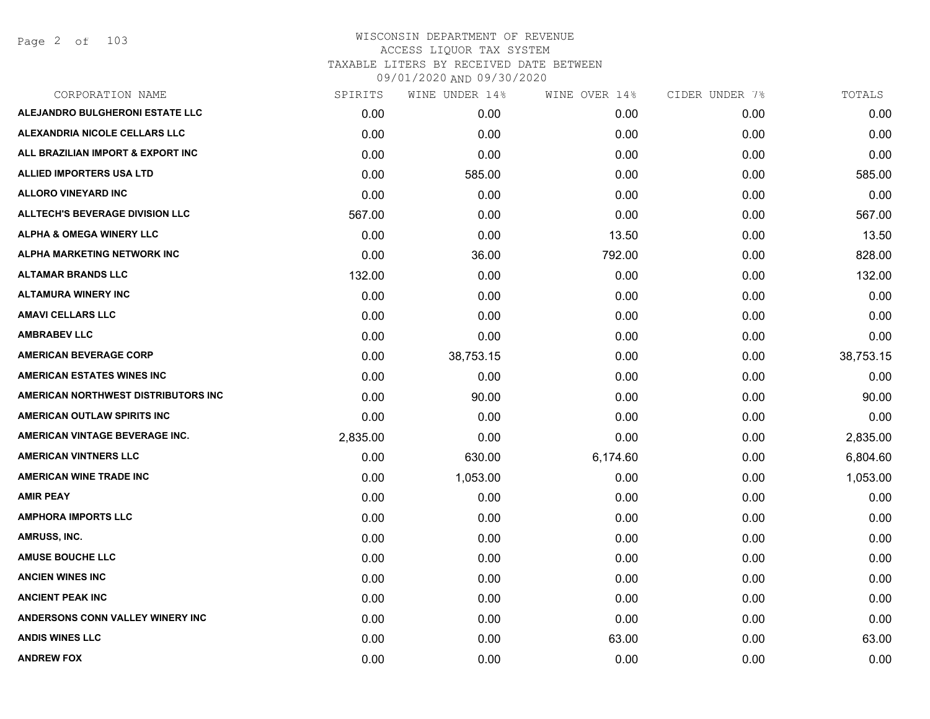Page 2 of 103

| CORPORATION NAME                       | SPIRITS  | WINE UNDER 14% | WINE OVER 14% | CIDER UNDER 7% | TOTALS    |
|----------------------------------------|----------|----------------|---------------|----------------|-----------|
| <b>ALEJANDRO BULGHERONI ESTATE LLC</b> | 0.00     | 0.00           | 0.00          | 0.00           | 0.00      |
| ALEXANDRIA NICOLE CELLARS LLC          | 0.00     | 0.00           | 0.00          | 0.00           | 0.00      |
| ALL BRAZILIAN IMPORT & EXPORT INC      | 0.00     | 0.00           | 0.00          | 0.00           | 0.00      |
| ALLIED IMPORTERS USA LTD               | 0.00     | 585.00         | 0.00          | 0.00           | 585.00    |
| <b>ALLORO VINEYARD INC</b>             | 0.00     | 0.00           | 0.00          | 0.00           | 0.00      |
| <b>ALLTECH'S BEVERAGE DIVISION LLC</b> | 567.00   | 0.00           | 0.00          | 0.00           | 567.00    |
| <b>ALPHA &amp; OMEGA WINERY LLC</b>    | 0.00     | 0.00           | 13.50         | 0.00           | 13.50     |
| ALPHA MARKETING NETWORK INC            | 0.00     | 36.00          | 792.00        | 0.00           | 828.00    |
| <b>ALTAMAR BRANDS LLC</b>              | 132.00   | 0.00           | 0.00          | 0.00           | 132.00    |
| <b>ALTAMURA WINERY INC</b>             | 0.00     | 0.00           | 0.00          | 0.00           | 0.00      |
| <b>AMAVI CELLARS LLC</b>               | 0.00     | 0.00           | 0.00          | 0.00           | 0.00      |
| <b>AMBRABEV LLC</b>                    | 0.00     | 0.00           | 0.00          | 0.00           | 0.00      |
| <b>AMERICAN BEVERAGE CORP</b>          | 0.00     | 38,753.15      | 0.00          | 0.00           | 38,753.15 |
| <b>AMERICAN ESTATES WINES INC</b>      | 0.00     | 0.00           | 0.00          | 0.00           | 0.00      |
| AMERICAN NORTHWEST DISTRIBUTORS INC    | 0.00     | 90.00          | 0.00          | 0.00           | 90.00     |
| AMERICAN OUTLAW SPIRITS INC            | 0.00     | 0.00           | 0.00          | 0.00           | 0.00      |
| AMERICAN VINTAGE BEVERAGE INC.         | 2,835.00 | 0.00           | 0.00          | 0.00           | 2,835.00  |
| <b>AMERICAN VINTNERS LLC</b>           | 0.00     | 630.00         | 6,174.60      | 0.00           | 6,804.60  |
| <b>AMERICAN WINE TRADE INC</b>         | 0.00     | 1,053.00       | 0.00          | 0.00           | 1,053.00  |
| <b>AMIR PEAY</b>                       | 0.00     | 0.00           | 0.00          | 0.00           | 0.00      |
| <b>AMPHORA IMPORTS LLC</b>             | 0.00     | 0.00           | 0.00          | 0.00           | 0.00      |
| AMRUSS, INC.                           | 0.00     | 0.00           | 0.00          | 0.00           | 0.00      |
| <b>AMUSE BOUCHE LLC</b>                | 0.00     | 0.00           | 0.00          | 0.00           | 0.00      |
| <b>ANCIEN WINES INC</b>                | 0.00     | 0.00           | 0.00          | 0.00           | 0.00      |
| <b>ANCIENT PEAK INC</b>                | 0.00     | 0.00           | 0.00          | 0.00           | 0.00      |
| ANDERSONS CONN VALLEY WINERY INC       | 0.00     | 0.00           | 0.00          | 0.00           | 0.00      |
| <b>ANDIS WINES LLC</b>                 | 0.00     | 0.00           | 63.00         | 0.00           | 63.00     |
| <b>ANDREW FOX</b>                      | 0.00     | 0.00           | 0.00          | 0.00           | 0.00      |
|                                        |          |                |               |                |           |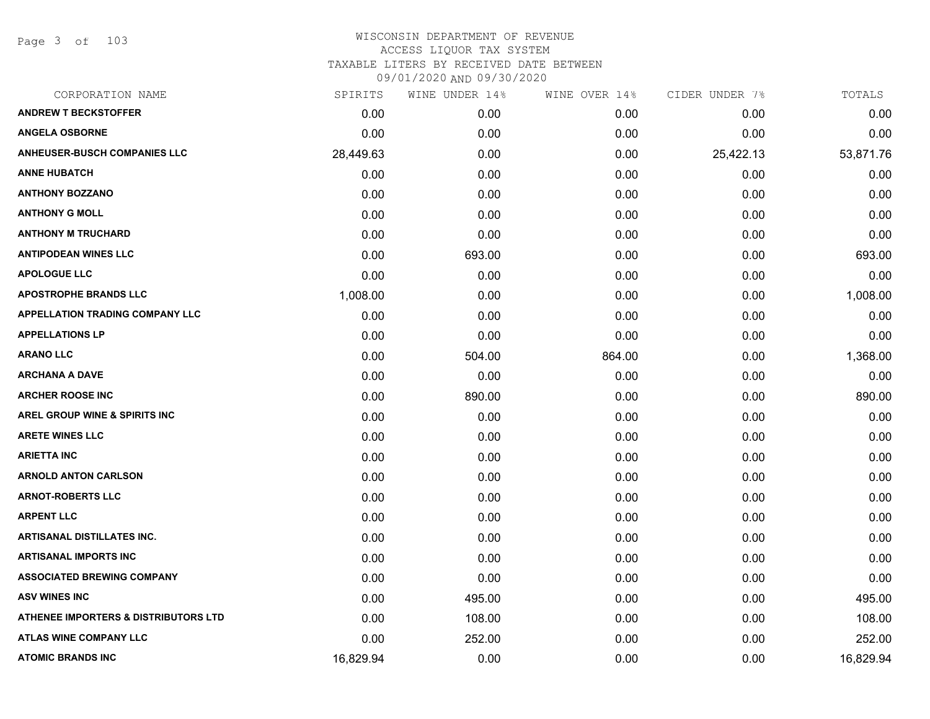Page 3 of 103

| CORPORATION NAME                         | SPIRITS   | WINE UNDER 14% | WINE OVER 14% | CIDER UNDER 7% | TOTALS    |
|------------------------------------------|-----------|----------------|---------------|----------------|-----------|
| <b>ANDREW T BECKSTOFFER</b>              | 0.00      | 0.00           | 0.00          | 0.00           | 0.00      |
| <b>ANGELA OSBORNE</b>                    | 0.00      | 0.00           | 0.00          | 0.00           | 0.00      |
| <b>ANHEUSER-BUSCH COMPANIES LLC</b>      | 28,449.63 | 0.00           | 0.00          | 25,422.13      | 53,871.76 |
| <b>ANNE HUBATCH</b>                      | 0.00      | 0.00           | 0.00          | 0.00           | 0.00      |
| <b>ANTHONY BOZZANO</b>                   | 0.00      | 0.00           | 0.00          | 0.00           | 0.00      |
| <b>ANTHONY G MOLL</b>                    | 0.00      | 0.00           | 0.00          | 0.00           | 0.00      |
| <b>ANTHONY M TRUCHARD</b>                | 0.00      | 0.00           | 0.00          | 0.00           | 0.00      |
| <b>ANTIPODEAN WINES LLC</b>              | 0.00      | 693.00         | 0.00          | 0.00           | 693.00    |
| <b>APOLOGUE LLC</b>                      | 0.00      | 0.00           | 0.00          | 0.00           | 0.00      |
| <b>APOSTROPHE BRANDS LLC</b>             | 1,008.00  | 0.00           | 0.00          | 0.00           | 1,008.00  |
| <b>APPELLATION TRADING COMPANY LLC</b>   | 0.00      | 0.00           | 0.00          | 0.00           | 0.00      |
| <b>APPELLATIONS LP</b>                   | 0.00      | 0.00           | 0.00          | 0.00           | 0.00      |
| <b>ARANO LLC</b>                         | 0.00      | 504.00         | 864.00        | 0.00           | 1,368.00  |
| <b>ARCHANA A DAVE</b>                    | 0.00      | 0.00           | 0.00          | 0.00           | 0.00      |
| <b>ARCHER ROOSE INC</b>                  | 0.00      | 890.00         | 0.00          | 0.00           | 890.00    |
| <b>AREL GROUP WINE &amp; SPIRITS INC</b> | 0.00      | 0.00           | 0.00          | 0.00           | 0.00      |
| <b>ARETE WINES LLC</b>                   | 0.00      | 0.00           | 0.00          | 0.00           | 0.00      |
| <b>ARIETTA INC</b>                       | 0.00      | 0.00           | 0.00          | 0.00           | 0.00      |
| <b>ARNOLD ANTON CARLSON</b>              | 0.00      | 0.00           | 0.00          | 0.00           | 0.00      |
| <b>ARNOT-ROBERTS LLC</b>                 | 0.00      | 0.00           | 0.00          | 0.00           | 0.00      |
| <b>ARPENT LLC</b>                        | 0.00      | 0.00           | 0.00          | 0.00           | 0.00      |
| <b>ARTISANAL DISTILLATES INC.</b>        | 0.00      | 0.00           | 0.00          | 0.00           | 0.00      |
| <b>ARTISANAL IMPORTS INC</b>             | 0.00      | 0.00           | 0.00          | 0.00           | 0.00      |
| <b>ASSOCIATED BREWING COMPANY</b>        | 0.00      | 0.00           | 0.00          | 0.00           | 0.00      |
| <b>ASV WINES INC</b>                     | 0.00      | 495.00         | 0.00          | 0.00           | 495.00    |
| ATHENEE IMPORTERS & DISTRIBUTORS LTD     | 0.00      | 108.00         | 0.00          | 0.00           | 108.00    |
| <b>ATLAS WINE COMPANY LLC</b>            | 0.00      | 252.00         | 0.00          | 0.00           | 252.00    |
| <b>ATOMIC BRANDS INC</b>                 | 16,829.94 | 0.00           | 0.00          | 0.00           | 16,829.94 |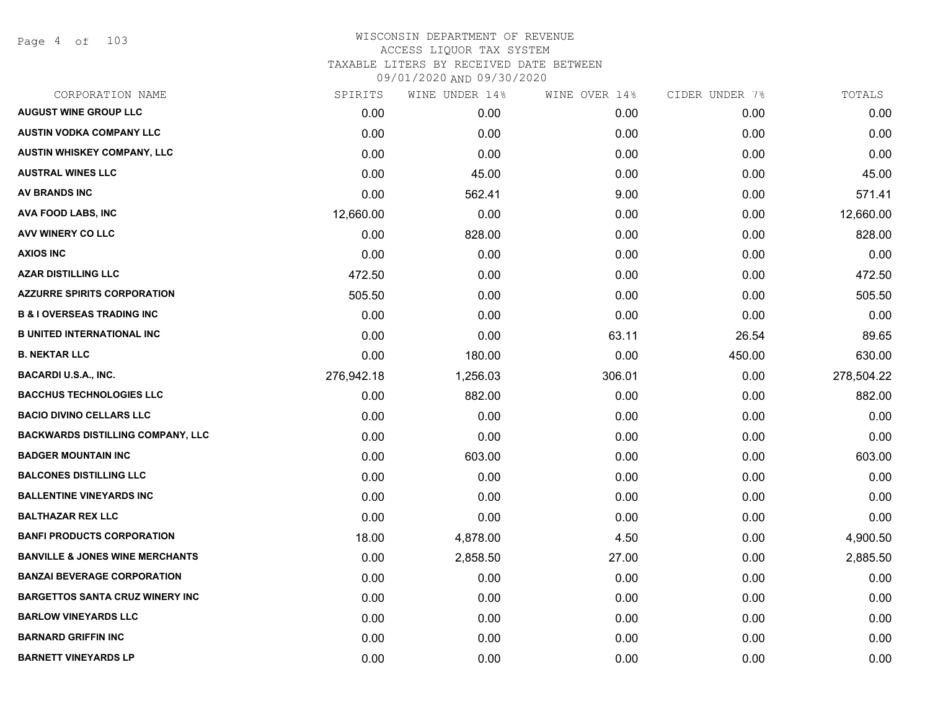Page 4 of 103

| CORPORATION NAME                           | SPIRITS    | WINE UNDER 14% | WINE OVER 14% | CIDER UNDER 7% | TOTALS     |
|--------------------------------------------|------------|----------------|---------------|----------------|------------|
| <b>AUGUST WINE GROUP LLC</b>               | 0.00       | 0.00           | 0.00          | 0.00           | 0.00       |
| <b>AUSTIN VODKA COMPANY LLC</b>            | 0.00       | 0.00           | 0.00          | 0.00           | 0.00       |
| AUSTIN WHISKEY COMPANY, LLC                | 0.00       | 0.00           | 0.00          | 0.00           | 0.00       |
| <b>AUSTRAL WINES LLC</b>                   | 0.00       | 45.00          | 0.00          | 0.00           | 45.00      |
| AV BRANDS INC                              | 0.00       | 562.41         | 9.00          | 0.00           | 571.41     |
| AVA FOOD LABS, INC                         | 12,660.00  | 0.00           | 0.00          | 0.00           | 12,660.00  |
| AVV WINERY CO LLC                          | 0.00       | 828.00         | 0.00          | 0.00           | 828.00     |
| <b>AXIOS INC</b>                           | 0.00       | 0.00           | 0.00          | 0.00           | 0.00       |
| <b>AZAR DISTILLING LLC</b>                 | 472.50     | 0.00           | 0.00          | 0.00           | 472.50     |
| <b>AZZURRE SPIRITS CORPORATION</b>         | 505.50     | 0.00           | 0.00          | 0.00           | 505.50     |
| <b>B &amp; I OVERSEAS TRADING INC</b>      | 0.00       | 0.00           | 0.00          | 0.00           | 0.00       |
| <b>B UNITED INTERNATIONAL INC</b>          | 0.00       | 0.00           | 63.11         | 26.54          | 89.65      |
| <b>B. NEKTAR LLC</b>                       | 0.00       | 180.00         | 0.00          | 450.00         | 630.00     |
| <b>BACARDI U.S.A., INC.</b>                | 276,942.18 | 1,256.03       | 306.01        | 0.00           | 278,504.22 |
| <b>BACCHUS TECHNOLOGIES LLC</b>            | 0.00       | 882.00         | 0.00          | 0.00           | 882.00     |
| <b>BACIO DIVINO CELLARS LLC</b>            | 0.00       | 0.00           | 0.00          | 0.00           | 0.00       |
| <b>BACKWARDS DISTILLING COMPANY, LLC</b>   | 0.00       | 0.00           | 0.00          | 0.00           | 0.00       |
| <b>BADGER MOUNTAIN INC</b>                 | 0.00       | 603.00         | 0.00          | 0.00           | 603.00     |
| <b>BALCONES DISTILLING LLC</b>             | 0.00       | 0.00           | 0.00          | 0.00           | 0.00       |
| <b>BALLENTINE VINEYARDS INC</b>            | 0.00       | 0.00           | 0.00          | 0.00           | 0.00       |
| <b>BALTHAZAR REX LLC</b>                   | 0.00       | 0.00           | 0.00          | 0.00           | 0.00       |
| <b>BANFI PRODUCTS CORPORATION</b>          | 18.00      | 4,878.00       | 4.50          | 0.00           | 4,900.50   |
| <b>BANVILLE &amp; JONES WINE MERCHANTS</b> | 0.00       | 2,858.50       | 27.00         | 0.00           | 2,885.50   |
| <b>BANZAI BEVERAGE CORPORATION</b>         | 0.00       | 0.00           | 0.00          | 0.00           | 0.00       |
| <b>BARGETTOS SANTA CRUZ WINERY INC</b>     | 0.00       | 0.00           | 0.00          | 0.00           | 0.00       |
| <b>BARLOW VINEYARDS LLC</b>                | 0.00       | 0.00           | 0.00          | 0.00           | 0.00       |
| <b>BARNARD GRIFFIN INC</b>                 | 0.00       | 0.00           | 0.00          | 0.00           | 0.00       |
| <b>BARNETT VINEYARDS LP</b>                | 0.00       | 0.00           | 0.00          | 0.00           | 0.00       |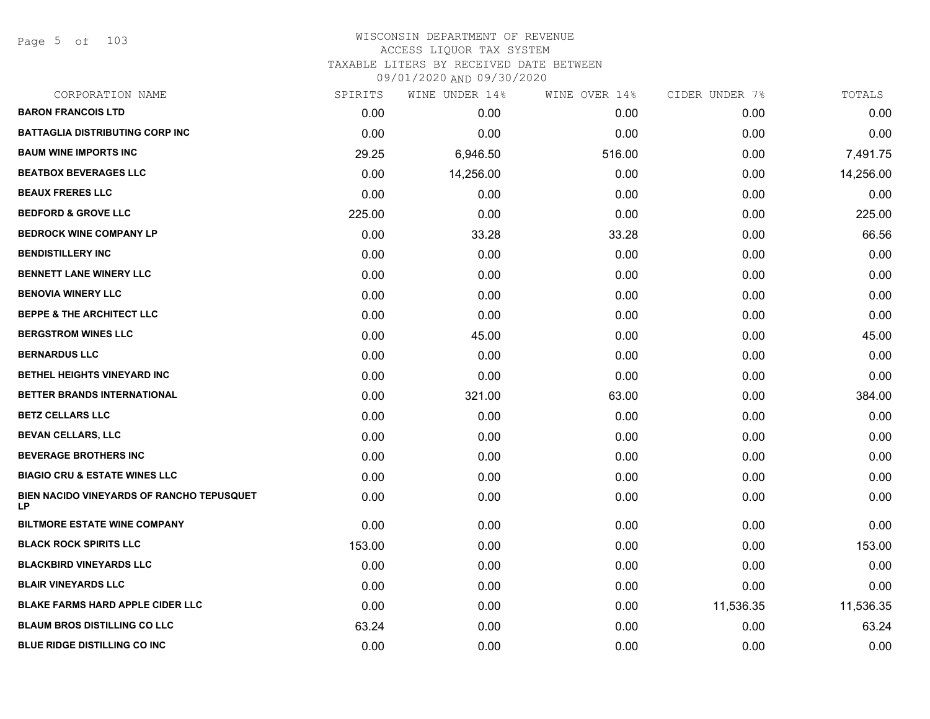Page 5 of 103

| CORPORATION NAME                                       | SPIRITS | WINE UNDER 14% | WINE OVER 14% | CIDER UNDER 7% | TOTALS    |
|--------------------------------------------------------|---------|----------------|---------------|----------------|-----------|
| <b>BARON FRANCOIS LTD</b>                              | 0.00    | 0.00           | 0.00          | 0.00           | 0.00      |
| <b>BATTAGLIA DISTRIBUTING CORP INC</b>                 | 0.00    | 0.00           | 0.00          | 0.00           | 0.00      |
| <b>BAUM WINE IMPORTS INC</b>                           | 29.25   | 6,946.50       | 516.00        | 0.00           | 7,491.75  |
| <b>BEATBOX BEVERAGES LLC</b>                           | 0.00    | 14,256.00      | 0.00          | 0.00           | 14,256.00 |
| <b>BEAUX FRERES LLC</b>                                | 0.00    | 0.00           | 0.00          | 0.00           | 0.00      |
| <b>BEDFORD &amp; GROVE LLC</b>                         | 225.00  | 0.00           | 0.00          | 0.00           | 225.00    |
| <b>BEDROCK WINE COMPANY LP</b>                         | 0.00    | 33.28          | 33.28         | 0.00           | 66.56     |
| <b>BENDISTILLERY INC</b>                               | 0.00    | 0.00           | 0.00          | 0.00           | 0.00      |
| <b>BENNETT LANE WINERY LLC</b>                         | 0.00    | 0.00           | 0.00          | 0.00           | 0.00      |
| <b>BENOVIA WINERY LLC</b>                              | 0.00    | 0.00           | 0.00          | 0.00           | 0.00      |
| <b>BEPPE &amp; THE ARCHITECT LLC</b>                   | 0.00    | 0.00           | 0.00          | 0.00           | 0.00      |
| <b>BERGSTROM WINES LLC</b>                             | 0.00    | 45.00          | 0.00          | 0.00           | 45.00     |
| <b>BERNARDUS LLC</b>                                   | 0.00    | 0.00           | 0.00          | 0.00           | 0.00      |
| BETHEL HEIGHTS VINEYARD INC                            | 0.00    | 0.00           | 0.00          | 0.00           | 0.00      |
| BETTER BRANDS INTERNATIONAL                            | 0.00    | 321.00         | 63.00         | 0.00           | 384.00    |
| <b>BETZ CELLARS LLC</b>                                | 0.00    | 0.00           | 0.00          | 0.00           | 0.00      |
| <b>BEVAN CELLARS, LLC</b>                              | 0.00    | 0.00           | 0.00          | 0.00           | 0.00      |
| <b>BEVERAGE BROTHERS INC</b>                           | 0.00    | 0.00           | 0.00          | 0.00           | 0.00      |
| <b>BIAGIO CRU &amp; ESTATE WINES LLC</b>               | 0.00    | 0.00           | 0.00          | 0.00           | 0.00      |
| BIEN NACIDO VINEYARDS OF RANCHO TEPUSQUET<br><b>LP</b> | 0.00    | 0.00           | 0.00          | 0.00           | 0.00      |
| <b>BILTMORE ESTATE WINE COMPANY</b>                    | 0.00    | 0.00           | 0.00          | 0.00           | 0.00      |
| <b>BLACK ROCK SPIRITS LLC</b>                          | 153.00  | 0.00           | 0.00          | 0.00           | 153.00    |
| <b>BLACKBIRD VINEYARDS LLC</b>                         | 0.00    | 0.00           | 0.00          | 0.00           | 0.00      |
| <b>BLAIR VINEYARDS LLC</b>                             | 0.00    | 0.00           | 0.00          | 0.00           | 0.00      |
| <b>BLAKE FARMS HARD APPLE CIDER LLC</b>                | 0.00    | 0.00           | 0.00          | 11,536.35      | 11,536.35 |
| <b>BLAUM BROS DISTILLING CO LLC</b>                    | 63.24   | 0.00           | 0.00          | 0.00           | 63.24     |
| <b>BLUE RIDGE DISTILLING CO INC</b>                    | 0.00    | 0.00           | 0.00          | 0.00           | 0.00      |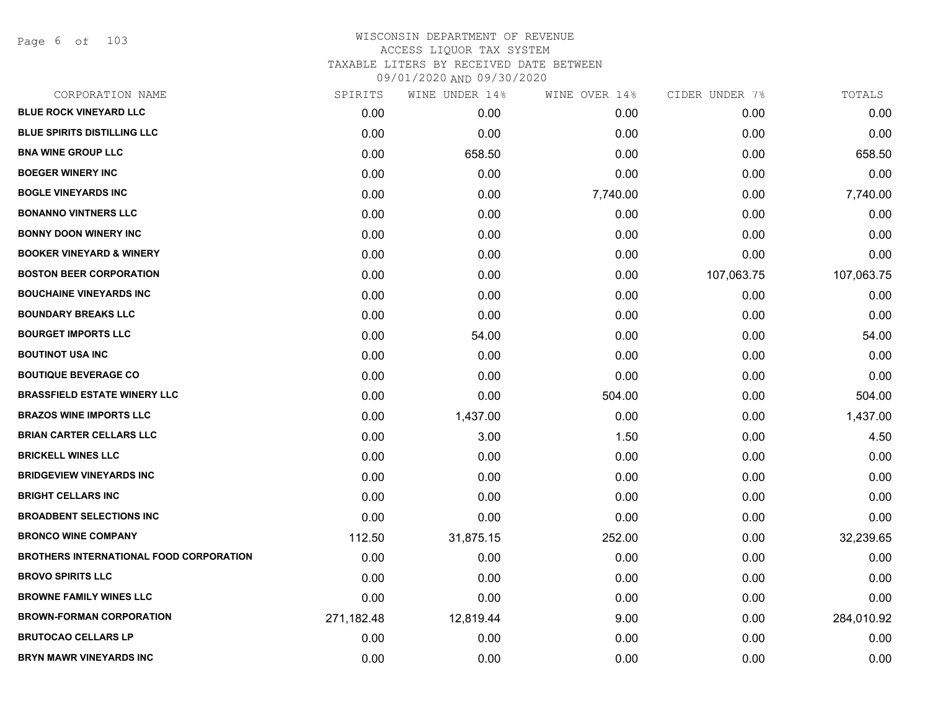Page 6 of 103

| CORPORATION NAME                        | SPIRITS    | WINE UNDER 14% | WINE OVER 14% | CIDER UNDER 7% | TOTALS     |
|-----------------------------------------|------------|----------------|---------------|----------------|------------|
| <b>BLUE ROCK VINEYARD LLC</b>           | 0.00       | 0.00           | 0.00          | 0.00           | 0.00       |
| <b>BLUE SPIRITS DISTILLING LLC</b>      | 0.00       | 0.00           | 0.00          | 0.00           | 0.00       |
| <b>BNA WINE GROUP LLC</b>               | 0.00       | 658.50         | 0.00          | 0.00           | 658.50     |
| <b>BOEGER WINERY INC</b>                | 0.00       | 0.00           | 0.00          | 0.00           | 0.00       |
| <b>BOGLE VINEYARDS INC</b>              | 0.00       | 0.00           | 7,740.00      | 0.00           | 7,740.00   |
| <b>BONANNO VINTNERS LLC</b>             | 0.00       | 0.00           | 0.00          | 0.00           | 0.00       |
| <b>BONNY DOON WINERY INC</b>            | 0.00       | 0.00           | 0.00          | 0.00           | 0.00       |
| <b>BOOKER VINEYARD &amp; WINERY</b>     | 0.00       | 0.00           | 0.00          | 0.00           | 0.00       |
| <b>BOSTON BEER CORPORATION</b>          | 0.00       | 0.00           | 0.00          | 107,063.75     | 107,063.75 |
| <b>BOUCHAINE VINEYARDS INC</b>          | 0.00       | 0.00           | 0.00          | 0.00           | 0.00       |
| <b>BOUNDARY BREAKS LLC</b>              | 0.00       | 0.00           | 0.00          | 0.00           | 0.00       |
| <b>BOURGET IMPORTS LLC</b>              | 0.00       | 54.00          | 0.00          | 0.00           | 54.00      |
| <b>BOUTINOT USA INC</b>                 | 0.00       | 0.00           | 0.00          | 0.00           | 0.00       |
| <b>BOUTIQUE BEVERAGE CO</b>             | 0.00       | 0.00           | 0.00          | 0.00           | 0.00       |
| <b>BRASSFIELD ESTATE WINERY LLC</b>     | 0.00       | 0.00           | 504.00        | 0.00           | 504.00     |
| <b>BRAZOS WINE IMPORTS LLC</b>          | 0.00       | 1,437.00       | 0.00          | 0.00           | 1,437.00   |
| <b>BRIAN CARTER CELLARS LLC</b>         | 0.00       | 3.00           | 1.50          | 0.00           | 4.50       |
| <b>BRICKELL WINES LLC</b>               | 0.00       | 0.00           | 0.00          | 0.00           | 0.00       |
| <b>BRIDGEVIEW VINEYARDS INC</b>         | 0.00       | 0.00           | 0.00          | 0.00           | 0.00       |
| <b>BRIGHT CELLARS INC</b>               | 0.00       | 0.00           | 0.00          | 0.00           | 0.00       |
| <b>BROADBENT SELECTIONS INC</b>         | 0.00       | 0.00           | 0.00          | 0.00           | 0.00       |
| <b>BRONCO WINE COMPANY</b>              | 112.50     | 31,875.15      | 252.00        | 0.00           | 32,239.65  |
| BROTHERS INTERNATIONAL FOOD CORPORATION | 0.00       | 0.00           | 0.00          | 0.00           | 0.00       |
| <b>BROVO SPIRITS LLC</b>                | 0.00       | 0.00           | 0.00          | 0.00           | 0.00       |
| <b>BROWNE FAMILY WINES LLC</b>          | 0.00       | 0.00           | 0.00          | 0.00           | 0.00       |
| <b>BROWN-FORMAN CORPORATION</b>         | 271,182.48 | 12,819.44      | 9.00          | 0.00           | 284,010.92 |
| <b>BRUTOCAO CELLARS LP</b>              | 0.00       | 0.00           | 0.00          | 0.00           | 0.00       |
| BRYN MAWR VINEYARDS INC                 | 0.00       | 0.00           | 0.00          | 0.00           | 0.00       |
|                                         |            |                |               |                |            |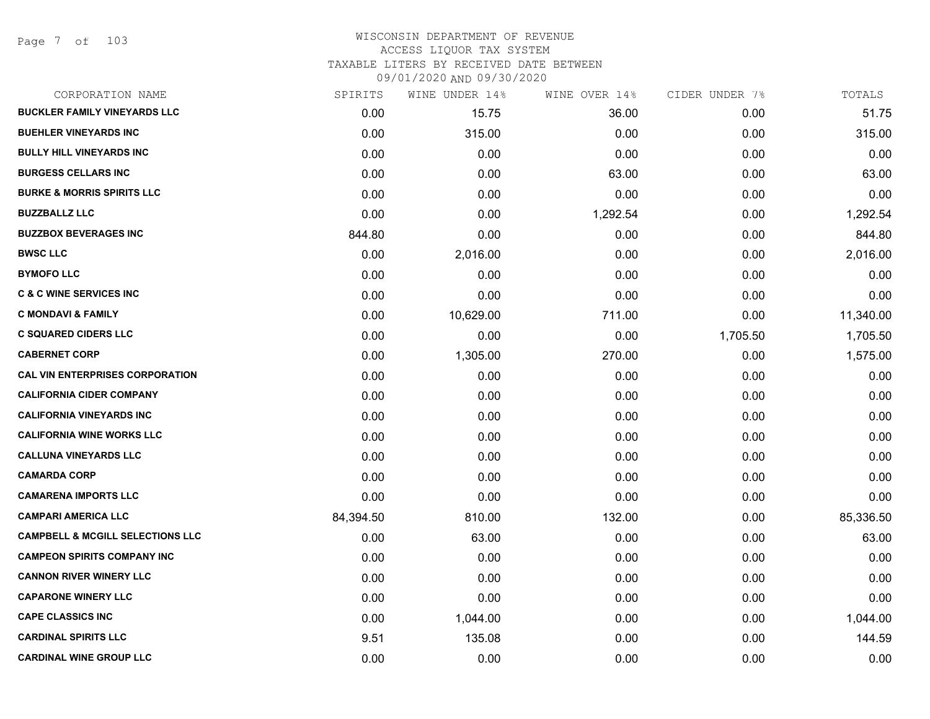Page 7 of 103

| CORPORATION NAME                            | SPIRITS   | WINE UNDER 14% | WINE OVER 14% | CIDER UNDER 7% | TOTALS    |
|---------------------------------------------|-----------|----------------|---------------|----------------|-----------|
| <b>BUCKLER FAMILY VINEYARDS LLC</b>         | 0.00      | 15.75          | 36.00         | 0.00           | 51.75     |
| <b>BUEHLER VINEYARDS INC</b>                | 0.00      | 315.00         | 0.00          | 0.00           | 315.00    |
| <b>BULLY HILL VINEYARDS INC</b>             | 0.00      | 0.00           | 0.00          | 0.00           | 0.00      |
| <b>BURGESS CELLARS INC</b>                  | 0.00      | 0.00           | 63.00         | 0.00           | 63.00     |
| <b>BURKE &amp; MORRIS SPIRITS LLC</b>       | 0.00      | 0.00           | 0.00          | 0.00           | 0.00      |
| <b>BUZZBALLZ LLC</b>                        | 0.00      | 0.00           | 1,292.54      | 0.00           | 1,292.54  |
| <b>BUZZBOX BEVERAGES INC</b>                | 844.80    | 0.00           | 0.00          | 0.00           | 844.80    |
| <b>BWSC LLC</b>                             | 0.00      | 2,016.00       | 0.00          | 0.00           | 2,016.00  |
| <b>BYMOFO LLC</b>                           | 0.00      | 0.00           | 0.00          | 0.00           | 0.00      |
| <b>C &amp; C WINE SERVICES INC</b>          | 0.00      | 0.00           | 0.00          | 0.00           | 0.00      |
| <b>C MONDAVI &amp; FAMILY</b>               | 0.00      | 10,629.00      | 711.00        | 0.00           | 11,340.00 |
| <b>C SQUARED CIDERS LLC</b>                 | 0.00      | 0.00           | 0.00          | 1,705.50       | 1,705.50  |
| <b>CABERNET CORP</b>                        | 0.00      | 1,305.00       | 270.00        | 0.00           | 1,575.00  |
| <b>CAL VIN ENTERPRISES CORPORATION</b>      | 0.00      | 0.00           | 0.00          | 0.00           | 0.00      |
| <b>CALIFORNIA CIDER COMPANY</b>             | 0.00      | 0.00           | 0.00          | 0.00           | 0.00      |
| <b>CALIFORNIA VINEYARDS INC</b>             | 0.00      | 0.00           | 0.00          | 0.00           | 0.00      |
| <b>CALIFORNIA WINE WORKS LLC</b>            | 0.00      | 0.00           | 0.00          | 0.00           | 0.00      |
| <b>CALLUNA VINEYARDS LLC</b>                | 0.00      | 0.00           | 0.00          | 0.00           | 0.00      |
| <b>CAMARDA CORP</b>                         | 0.00      | 0.00           | 0.00          | 0.00           | 0.00      |
| <b>CAMARENA IMPORTS LLC</b>                 | 0.00      | 0.00           | 0.00          | 0.00           | 0.00      |
| <b>CAMPARI AMERICA LLC</b>                  | 84,394.50 | 810.00         | 132.00        | 0.00           | 85,336.50 |
| <b>CAMPBELL &amp; MCGILL SELECTIONS LLC</b> | 0.00      | 63.00          | 0.00          | 0.00           | 63.00     |
| <b>CAMPEON SPIRITS COMPANY INC</b>          | 0.00      | 0.00           | 0.00          | 0.00           | 0.00      |
| <b>CANNON RIVER WINERY LLC</b>              | 0.00      | 0.00           | 0.00          | 0.00           | 0.00      |
| <b>CAPARONE WINERY LLC</b>                  | 0.00      | 0.00           | 0.00          | 0.00           | 0.00      |
| <b>CAPE CLASSICS INC</b>                    | 0.00      | 1,044.00       | 0.00          | 0.00           | 1,044.00  |
| <b>CARDINAL SPIRITS LLC</b>                 | 9.51      | 135.08         | 0.00          | 0.00           | 144.59    |
| <b>CARDINAL WINE GROUP LLC</b>              | 0.00      | 0.00           | 0.00          | 0.00           | 0.00      |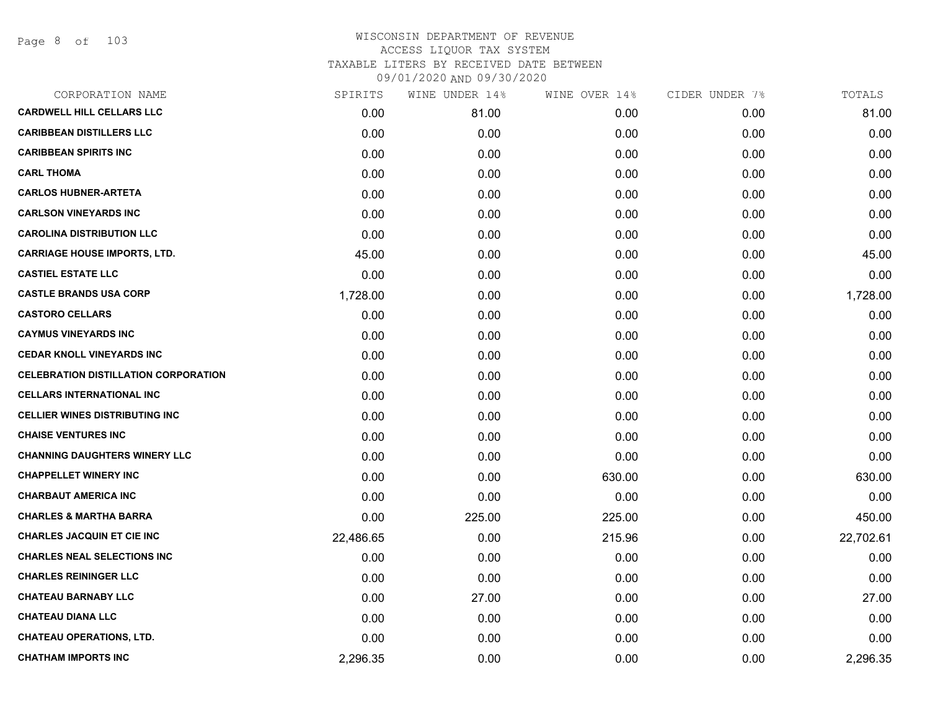| CORPORATION NAME                            | SPIRITS   | WINE UNDER 14% | WINE OVER 14% | CIDER UNDER 7% | TOTALS    |
|---------------------------------------------|-----------|----------------|---------------|----------------|-----------|
| <b>CARDWELL HILL CELLARS LLC</b>            | 0.00      | 81.00          | 0.00          | 0.00           | 81.00     |
| <b>CARIBBEAN DISTILLERS LLC</b>             | 0.00      | 0.00           | 0.00          | 0.00           | 0.00      |
| <b>CARIBBEAN SPIRITS INC</b>                | 0.00      | 0.00           | 0.00          | 0.00           | 0.00      |
| <b>CARL THOMA</b>                           | 0.00      | 0.00           | 0.00          | 0.00           | 0.00      |
| <b>CARLOS HUBNER-ARTETA</b>                 | 0.00      | 0.00           | 0.00          | 0.00           | 0.00      |
| <b>CARLSON VINEYARDS INC</b>                | 0.00      | 0.00           | 0.00          | 0.00           | 0.00      |
| <b>CAROLINA DISTRIBUTION LLC</b>            | 0.00      | 0.00           | 0.00          | 0.00           | 0.00      |
| <b>CARRIAGE HOUSE IMPORTS, LTD.</b>         | 45.00     | 0.00           | 0.00          | 0.00           | 45.00     |
| <b>CASTIEL ESTATE LLC</b>                   | 0.00      | 0.00           | 0.00          | 0.00           | 0.00      |
| <b>CASTLE BRANDS USA CORP</b>               | 1,728.00  | 0.00           | 0.00          | 0.00           | 1,728.00  |
| <b>CASTORO CELLARS</b>                      | 0.00      | 0.00           | 0.00          | 0.00           | 0.00      |
| <b>CAYMUS VINEYARDS INC</b>                 | 0.00      | 0.00           | 0.00          | 0.00           | 0.00      |
| <b>CEDAR KNOLL VINEYARDS INC</b>            | 0.00      | 0.00           | 0.00          | 0.00           | 0.00      |
| <b>CELEBRATION DISTILLATION CORPORATION</b> | 0.00      | 0.00           | 0.00          | 0.00           | 0.00      |
| <b>CELLARS INTERNATIONAL INC</b>            | 0.00      | 0.00           | 0.00          | 0.00           | 0.00      |
| <b>CELLIER WINES DISTRIBUTING INC</b>       | 0.00      | 0.00           | 0.00          | 0.00           | 0.00      |
| <b>CHAISE VENTURES INC</b>                  | 0.00      | 0.00           | 0.00          | 0.00           | 0.00      |
| <b>CHANNING DAUGHTERS WINERY LLC</b>        | 0.00      | 0.00           | 0.00          | 0.00           | 0.00      |
| <b>CHAPPELLET WINERY INC</b>                | 0.00      | 0.00           | 630.00        | 0.00           | 630.00    |
| <b>CHARBAUT AMERICA INC</b>                 | 0.00      | 0.00           | 0.00          | 0.00           | 0.00      |
| <b>CHARLES &amp; MARTHA BARRA</b>           | 0.00      | 225.00         | 225.00        | 0.00           | 450.00    |
| <b>CHARLES JACQUIN ET CIE INC</b>           | 22,486.65 | 0.00           | 215.96        | 0.00           | 22,702.61 |
| <b>CHARLES NEAL SELECTIONS INC</b>          | 0.00      | 0.00           | 0.00          | 0.00           | 0.00      |
| <b>CHARLES REININGER LLC</b>                | 0.00      | 0.00           | 0.00          | 0.00           | 0.00      |
| <b>CHATEAU BARNABY LLC</b>                  | 0.00      | 27.00          | 0.00          | 0.00           | 27.00     |
| <b>CHATEAU DIANA LLC</b>                    | 0.00      | 0.00           | 0.00          | 0.00           | 0.00      |
| <b>CHATEAU OPERATIONS, LTD.</b>             | 0.00      | 0.00           | 0.00          | 0.00           | 0.00      |
| <b>CHATHAM IMPORTS INC</b>                  | 2,296.35  | 0.00           | 0.00          | 0.00           | 2,296.35  |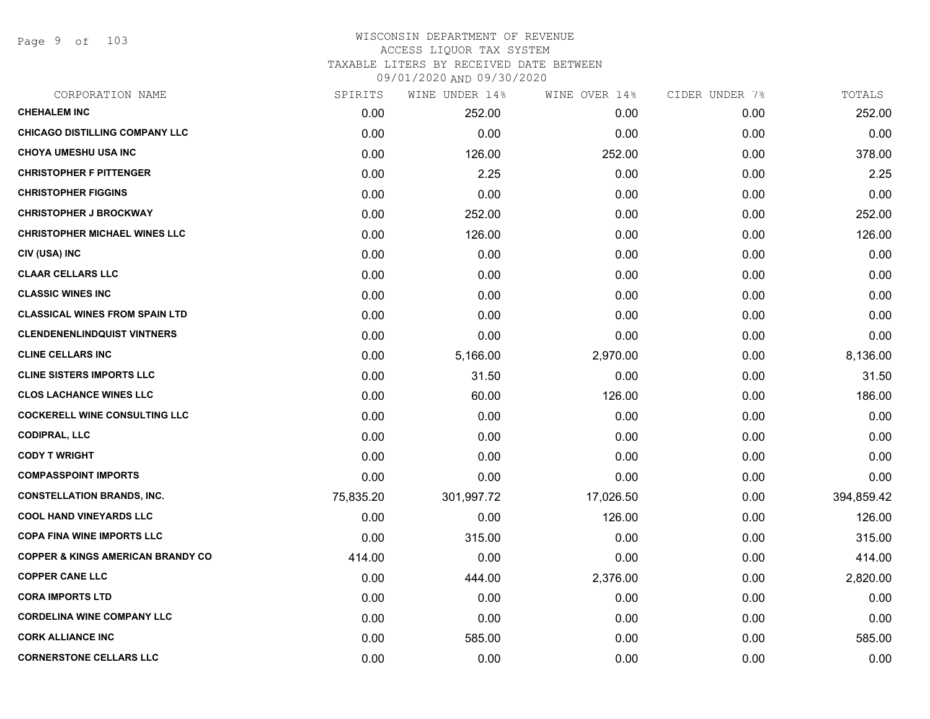Page 9 of 103

| CORPORATION NAME                             | SPIRITS   | WINE UNDER 14% | WINE OVER 14% | CIDER UNDER 7% | TOTALS     |
|----------------------------------------------|-----------|----------------|---------------|----------------|------------|
| <b>CHEHALEM INC</b>                          | 0.00      | 252.00         | 0.00          | 0.00           | 252.00     |
| <b>CHICAGO DISTILLING COMPANY LLC</b>        | 0.00      | 0.00           | 0.00          | 0.00           | 0.00       |
| <b>CHOYA UMESHU USA INC</b>                  | 0.00      | 126.00         | 252.00        | 0.00           | 378.00     |
| <b>CHRISTOPHER F PITTENGER</b>               | 0.00      | 2.25           | 0.00          | 0.00           | 2.25       |
| <b>CHRISTOPHER FIGGINS</b>                   | 0.00      | 0.00           | 0.00          | 0.00           | 0.00       |
| <b>CHRISTOPHER J BROCKWAY</b>                | 0.00      | 252.00         | 0.00          | 0.00           | 252.00     |
| <b>CHRISTOPHER MICHAEL WINES LLC</b>         | 0.00      | 126.00         | 0.00          | 0.00           | 126.00     |
| CIV (USA) INC                                | 0.00      | 0.00           | 0.00          | 0.00           | 0.00       |
| <b>CLAAR CELLARS LLC</b>                     | 0.00      | 0.00           | 0.00          | 0.00           | 0.00       |
| <b>CLASSIC WINES INC</b>                     | 0.00      | 0.00           | 0.00          | 0.00           | 0.00       |
| <b>CLASSICAL WINES FROM SPAIN LTD</b>        | 0.00      | 0.00           | 0.00          | 0.00           | 0.00       |
| <b>CLENDENENLINDQUIST VINTNERS</b>           | 0.00      | 0.00           | 0.00          | 0.00           | 0.00       |
| <b>CLINE CELLARS INC</b>                     | 0.00      | 5,166.00       | 2,970.00      | 0.00           | 8,136.00   |
| <b>CLINE SISTERS IMPORTS LLC</b>             | 0.00      | 31.50          | 0.00          | 0.00           | 31.50      |
| <b>CLOS LACHANCE WINES LLC</b>               | 0.00      | 60.00          | 126.00        | 0.00           | 186.00     |
| <b>COCKERELL WINE CONSULTING LLC</b>         | 0.00      | 0.00           | 0.00          | 0.00           | 0.00       |
| <b>CODIPRAL, LLC</b>                         | 0.00      | 0.00           | 0.00          | 0.00           | 0.00       |
| <b>CODY T WRIGHT</b>                         | 0.00      | 0.00           | 0.00          | 0.00           | 0.00       |
| <b>COMPASSPOINT IMPORTS</b>                  | 0.00      | 0.00           | 0.00          | 0.00           | 0.00       |
| <b>CONSTELLATION BRANDS, INC.</b>            | 75,835.20 | 301,997.72     | 17,026.50     | 0.00           | 394,859.42 |
| <b>COOL HAND VINEYARDS LLC</b>               | 0.00      | 0.00           | 126.00        | 0.00           | 126.00     |
| <b>COPA FINA WINE IMPORTS LLC</b>            | 0.00      | 315.00         | 0.00          | 0.00           | 315.00     |
| <b>COPPER &amp; KINGS AMERICAN BRANDY CO</b> | 414.00    | 0.00           | 0.00          | 0.00           | 414.00     |
| <b>COPPER CANE LLC</b>                       | 0.00      | 444.00         | 2,376.00      | 0.00           | 2,820.00   |
| <b>CORA IMPORTS LTD</b>                      | 0.00      | 0.00           | 0.00          | 0.00           | 0.00       |
| <b>CORDELINA WINE COMPANY LLC</b>            | 0.00      | 0.00           | 0.00          | 0.00           | 0.00       |
| <b>CORK ALLIANCE INC</b>                     | 0.00      | 585.00         | 0.00          | 0.00           | 585.00     |
| <b>CORNERSTONE CELLARS LLC</b>               | 0.00      | 0.00           | 0.00          | 0.00           | 0.00       |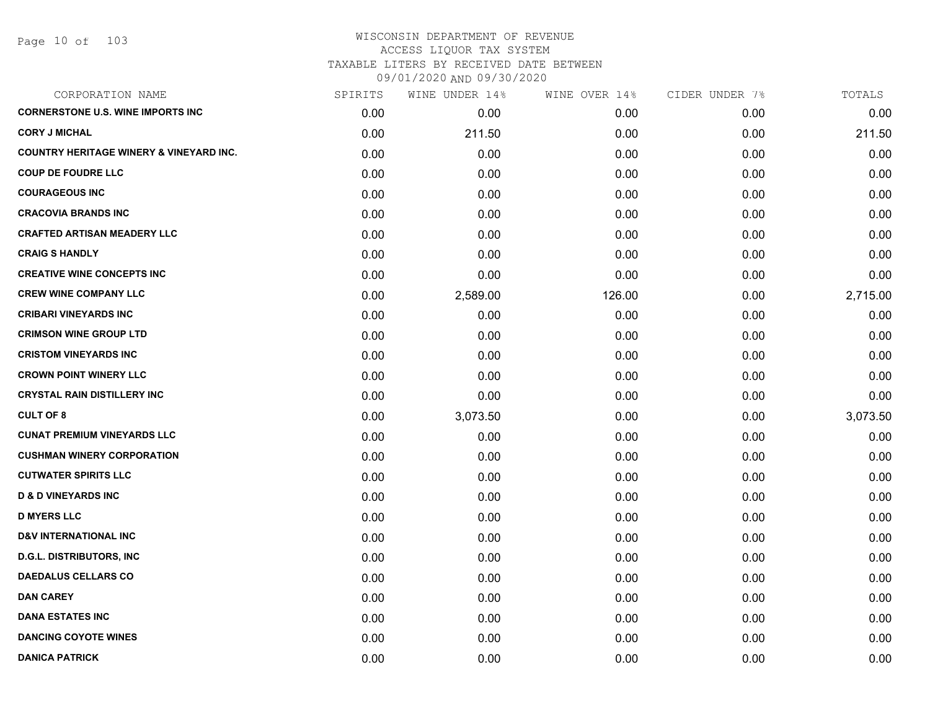| CORPORATION NAME                                   | SPIRITS | WINE UNDER 14% | WINE OVER 14% | CIDER UNDER 7% | TOTALS   |
|----------------------------------------------------|---------|----------------|---------------|----------------|----------|
| <b>CORNERSTONE U.S. WINE IMPORTS INC</b>           | 0.00    | 0.00           | 0.00          | 0.00           | 0.00     |
| <b>CORY J MICHAL</b>                               | 0.00    | 211.50         | 0.00          | 0.00           | 211.50   |
| <b>COUNTRY HERITAGE WINERY &amp; VINEYARD INC.</b> | 0.00    | 0.00           | 0.00          | 0.00           | 0.00     |
| <b>COUP DE FOUDRE LLC</b>                          | 0.00    | 0.00           | 0.00          | 0.00           | 0.00     |
| <b>COURAGEOUS INC</b>                              | 0.00    | 0.00           | 0.00          | 0.00           | 0.00     |
| <b>CRACOVIA BRANDS INC</b>                         | 0.00    | 0.00           | 0.00          | 0.00           | 0.00     |
| <b>CRAFTED ARTISAN MEADERY LLC</b>                 | 0.00    | 0.00           | 0.00          | 0.00           | 0.00     |
| <b>CRAIG S HANDLY</b>                              | 0.00    | 0.00           | 0.00          | 0.00           | 0.00     |
| <b>CREATIVE WINE CONCEPTS INC</b>                  | 0.00    | 0.00           | 0.00          | 0.00           | 0.00     |
| <b>CREW WINE COMPANY LLC</b>                       | 0.00    | 2,589.00       | 126.00        | 0.00           | 2,715.00 |
| <b>CRIBARI VINEYARDS INC</b>                       | 0.00    | 0.00           | 0.00          | 0.00           | 0.00     |
| <b>CRIMSON WINE GROUP LTD</b>                      | 0.00    | 0.00           | 0.00          | 0.00           | 0.00     |
| <b>CRISTOM VINEYARDS INC</b>                       | 0.00    | 0.00           | 0.00          | 0.00           | 0.00     |
| <b>CROWN POINT WINERY LLC</b>                      | 0.00    | 0.00           | 0.00          | 0.00           | 0.00     |
| <b>CRYSTAL RAIN DISTILLERY INC</b>                 | 0.00    | 0.00           | 0.00          | 0.00           | 0.00     |
| <b>CULT OF 8</b>                                   | 0.00    | 3,073.50       | 0.00          | 0.00           | 3,073.50 |
| <b>CUNAT PREMIUM VINEYARDS LLC</b>                 | 0.00    | 0.00           | 0.00          | 0.00           | 0.00     |
| <b>CUSHMAN WINERY CORPORATION</b>                  | 0.00    | 0.00           | 0.00          | 0.00           | 0.00     |
| <b>CUTWATER SPIRITS LLC</b>                        | 0.00    | 0.00           | 0.00          | 0.00           | 0.00     |
| <b>D &amp; D VINEYARDS INC</b>                     | 0.00    | 0.00           | 0.00          | 0.00           | 0.00     |
| <b>D MYERS LLC</b>                                 | 0.00    | 0.00           | 0.00          | 0.00           | 0.00     |
| <b>D&amp;V INTERNATIONAL INC</b>                   | 0.00    | 0.00           | 0.00          | 0.00           | 0.00     |
| <b>D.G.L. DISTRIBUTORS, INC</b>                    | 0.00    | 0.00           | 0.00          | 0.00           | 0.00     |
| <b>DAEDALUS CELLARS CO</b>                         | 0.00    | 0.00           | 0.00          | 0.00           | 0.00     |
| <b>DAN CAREY</b>                                   | 0.00    | 0.00           | 0.00          | 0.00           | 0.00     |
| <b>DANA ESTATES INC</b>                            | 0.00    | 0.00           | 0.00          | 0.00           | 0.00     |
| <b>DANCING COYOTE WINES</b>                        | 0.00    | 0.00           | 0.00          | 0.00           | 0.00     |
| <b>DANICA PATRICK</b>                              | 0.00    | 0.00           | 0.00          | 0.00           | 0.00     |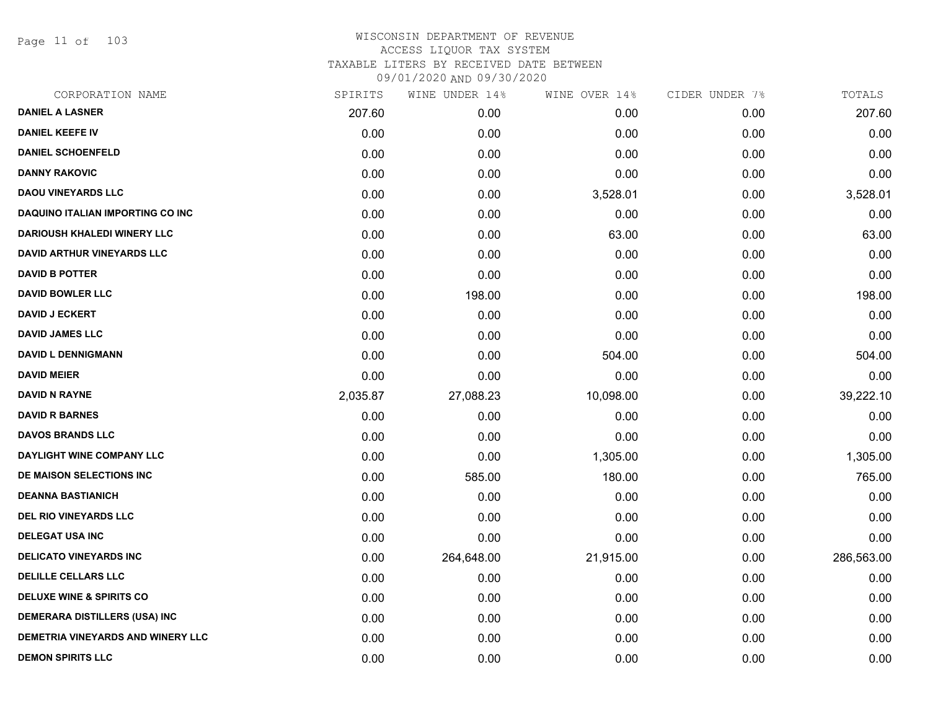Page 11 of 103

|          | WINE UNDER 14% |           |               | TOTALS         |
|----------|----------------|-----------|---------------|----------------|
| 207.60   | 0.00           | 0.00      | 0.00          | 207.60         |
| 0.00     | 0.00           | 0.00      | 0.00          | 0.00           |
| 0.00     | 0.00           | 0.00      | 0.00          | 0.00           |
| 0.00     | 0.00           | 0.00      | 0.00          | 0.00           |
| 0.00     | 0.00           | 3,528.01  | 0.00          | 3,528.01       |
| 0.00     | 0.00           | 0.00      | 0.00          | 0.00           |
| 0.00     | 0.00           | 63.00     | 0.00          | 63.00          |
| 0.00     | 0.00           | 0.00      | 0.00          | 0.00           |
| 0.00     | 0.00           | 0.00      | 0.00          | 0.00           |
| 0.00     | 198.00         | 0.00      | 0.00          | 198.00         |
| 0.00     | 0.00           | 0.00      | 0.00          | 0.00           |
| 0.00     | 0.00           | 0.00      | 0.00          | 0.00           |
| 0.00     | 0.00           | 504.00    | 0.00          | 504.00         |
| 0.00     | 0.00           | 0.00      | 0.00          | 0.00           |
| 2,035.87 | 27,088.23      | 10,098.00 | 0.00          | 39,222.10      |
| 0.00     | 0.00           | 0.00      | 0.00          | 0.00           |
| 0.00     | 0.00           | 0.00      | 0.00          | 0.00           |
| 0.00     | 0.00           | 1,305.00  | 0.00          | 1,305.00       |
| 0.00     | 585.00         | 180.00    | 0.00          | 765.00         |
| 0.00     | 0.00           | 0.00      | 0.00          | 0.00           |
| 0.00     | 0.00           | 0.00      | 0.00          | 0.00           |
| 0.00     | 0.00           | 0.00      | 0.00          | 0.00           |
| 0.00     | 264,648.00     | 21,915.00 | 0.00          | 286,563.00     |
| 0.00     | 0.00           | 0.00      | 0.00          | 0.00           |
| 0.00     | 0.00           | 0.00      | 0.00          | 0.00           |
| 0.00     | 0.00           | 0.00      | 0.00          | 0.00           |
| 0.00     | 0.00           | 0.00      | 0.00          | 0.00           |
| 0.00     | 0.00           | 0.00      | 0.00          | 0.00           |
|          | SPIRITS        |           | WINE OVER 14% | CIDER UNDER 7% |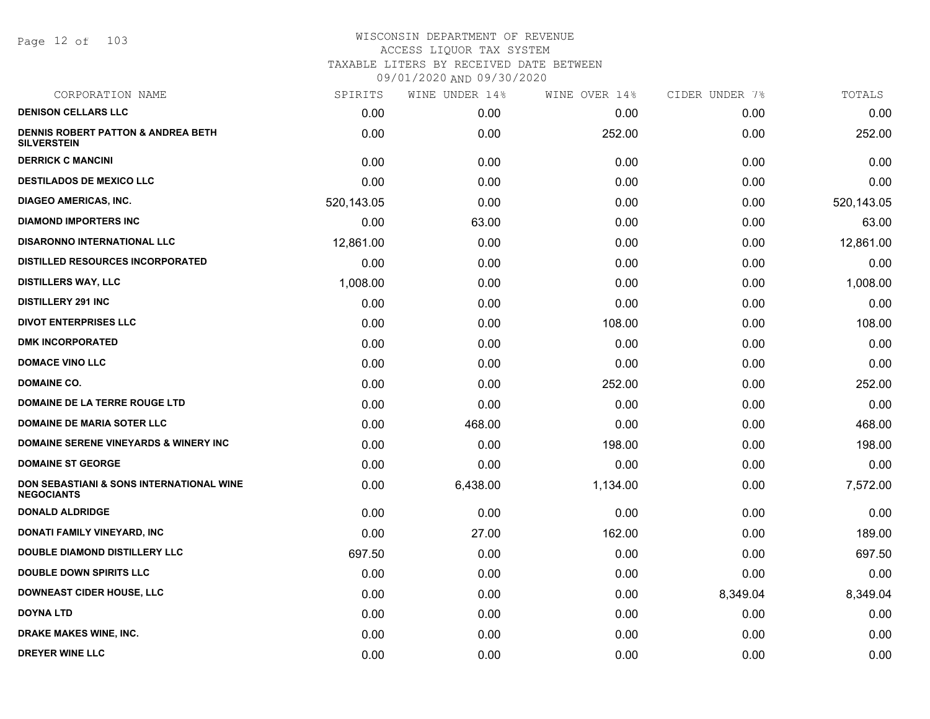Page 12 of 103

| SPIRITS    | WINE UNDER 14% | WINE OVER 14% | CIDER UNDER 7% | TOTALS     |
|------------|----------------|---------------|----------------|------------|
| 0.00       | 0.00           | 0.00          | 0.00           | 0.00       |
| 0.00       | 0.00           | 252.00        | 0.00           | 252.00     |
| 0.00       | 0.00           | 0.00          | 0.00           | 0.00       |
| 0.00       | 0.00           | 0.00          | 0.00           | 0.00       |
| 520,143.05 | 0.00           | 0.00          | 0.00           | 520,143.05 |
| 0.00       | 63.00          | 0.00          | 0.00           | 63.00      |
| 12,861.00  | 0.00           | 0.00          | 0.00           | 12,861.00  |
| 0.00       | 0.00           | 0.00          | 0.00           | 0.00       |
| 1,008.00   | 0.00           | 0.00          | 0.00           | 1,008.00   |
| 0.00       | 0.00           | 0.00          | 0.00           | 0.00       |
| 0.00       | 0.00           | 108.00        | 0.00           | 108.00     |
| 0.00       | 0.00           | 0.00          | 0.00           | 0.00       |
| 0.00       | 0.00           | 0.00          | 0.00           | 0.00       |
| 0.00       | 0.00           | 252.00        | 0.00           | 252.00     |
| 0.00       | 0.00           | 0.00          | 0.00           | 0.00       |
| 0.00       | 468.00         | 0.00          | 0.00           | 468.00     |
| 0.00       | 0.00           | 198.00        | 0.00           | 198.00     |
| 0.00       | 0.00           | 0.00          | 0.00           | 0.00       |
| 0.00       | 6,438.00       | 1,134.00      | 0.00           | 7,572.00   |
| 0.00       | 0.00           | 0.00          | 0.00           | 0.00       |
| 0.00       | 27.00          | 162.00        | 0.00           | 189.00     |
| 697.50     | 0.00           | 0.00          | 0.00           | 697.50     |
| 0.00       | 0.00           | 0.00          | 0.00           | 0.00       |
| 0.00       | 0.00           | 0.00          | 8,349.04       | 8,349.04   |
| 0.00       | 0.00           | 0.00          | 0.00           | 0.00       |
| 0.00       | 0.00           | 0.00          | 0.00           | 0.00       |
| 0.00       | 0.00           | 0.00          | 0.00           | 0.00       |
|            |                |               |                |            |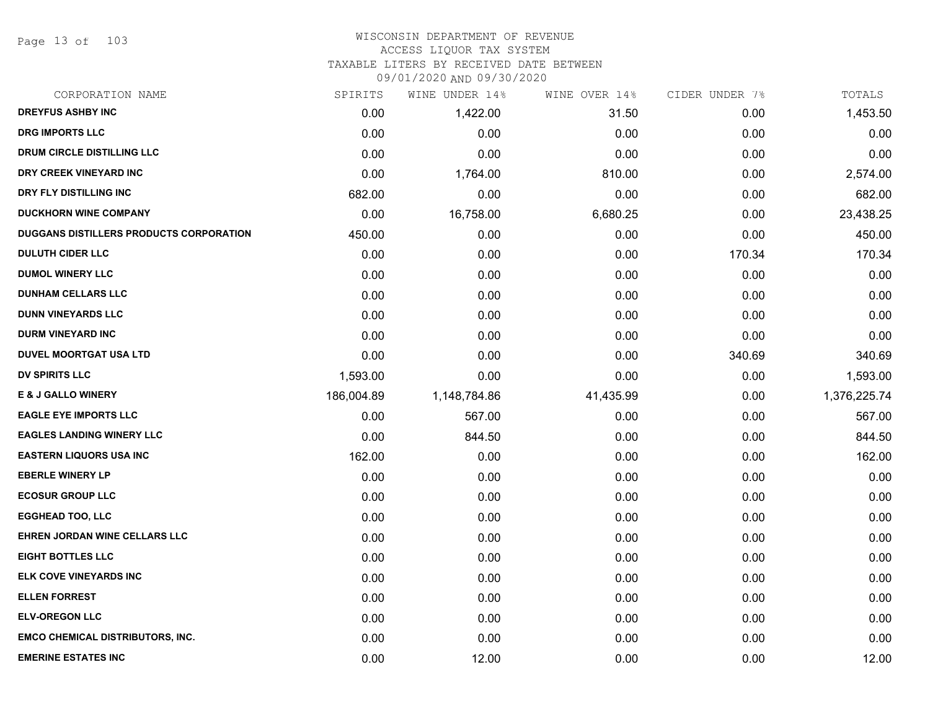Page 13 of 103

#### WISCONSIN DEPARTMENT OF REVENUE ACCESS LIQUOR TAX SYSTEM TAXABLE LITERS BY RECEIVED DATE BETWEEN

09/01/2020 AND 09/30/2020

| CORPORATION NAME                        | SPIRITS    | WINE UNDER 14% | WINE OVER 14% | CIDER UNDER 7% | TOTALS       |
|-----------------------------------------|------------|----------------|---------------|----------------|--------------|
| <b>DREYFUS ASHBY INC</b>                | 0.00       | 1,422.00       | 31.50         | 0.00           | 1,453.50     |
| <b>DRG IMPORTS LLC</b>                  | 0.00       | 0.00           | 0.00          | 0.00           | 0.00         |
| <b>DRUM CIRCLE DISTILLING LLC</b>       | 0.00       | 0.00           | 0.00          | 0.00           | 0.00         |
| DRY CREEK VINEYARD INC                  | 0.00       | 1,764.00       | 810.00        | 0.00           | 2,574.00     |
| DRY FLY DISTILLING INC                  | 682.00     | 0.00           | 0.00          | 0.00           | 682.00       |
| <b>DUCKHORN WINE COMPANY</b>            | 0.00       | 16,758.00      | 6,680.25      | 0.00           | 23,438.25    |
| DUGGANS DISTILLERS PRODUCTS CORPORATION | 450.00     | 0.00           | 0.00          | 0.00           | 450.00       |
| <b>DULUTH CIDER LLC</b>                 | 0.00       | 0.00           | 0.00          | 170.34         | 170.34       |
| <b>DUMOL WINERY LLC</b>                 | 0.00       | 0.00           | 0.00          | 0.00           | 0.00         |
| <b>DUNHAM CELLARS LLC</b>               | 0.00       | 0.00           | 0.00          | 0.00           | 0.00         |
| <b>DUNN VINEYARDS LLC</b>               | 0.00       | 0.00           | 0.00          | 0.00           | 0.00         |
| <b>DURM VINEYARD INC</b>                | 0.00       | 0.00           | 0.00          | 0.00           | 0.00         |
| <b>DUVEL MOORTGAT USA LTD</b>           | 0.00       | 0.00           | 0.00          | 340.69         | 340.69       |
| <b>DV SPIRITS LLC</b>                   | 1,593.00   | 0.00           | 0.00          | 0.00           | 1,593.00     |
| <b>E &amp; J GALLO WINERY</b>           | 186,004.89 | 1,148,784.86   | 41,435.99     | 0.00           | 1,376,225.74 |
| <b>EAGLE EYE IMPORTS LLC</b>            | 0.00       | 567.00         | 0.00          | 0.00           | 567.00       |
| <b>EAGLES LANDING WINERY LLC</b>        | 0.00       | 844.50         | 0.00          | 0.00           | 844.50       |
| <b>EASTERN LIQUORS USA INC</b>          | 162.00     | 0.00           | 0.00          | 0.00           | 162.00       |
| <b>EBERLE WINERY LP</b>                 | 0.00       | 0.00           | 0.00          | 0.00           | 0.00         |
| <b>ECOSUR GROUP LLC</b>                 | 0.00       | 0.00           | 0.00          | 0.00           | 0.00         |
| <b>EGGHEAD TOO, LLC</b>                 | 0.00       | 0.00           | 0.00          | 0.00           | 0.00         |
| EHREN JORDAN WINE CELLARS LLC           | 0.00       | 0.00           | 0.00          | 0.00           | 0.00         |
| <b>EIGHT BOTTLES LLC</b>                | 0.00       | 0.00           | 0.00          | 0.00           | 0.00         |
| ELK COVE VINEYARDS INC                  | 0.00       | 0.00           | 0.00          | 0.00           | 0.00         |
| <b>ELLEN FORREST</b>                    | 0.00       | 0.00           | 0.00          | 0.00           | 0.00         |
| <b>ELV-OREGON LLC</b>                   | 0.00       | 0.00           | 0.00          | 0.00           | 0.00         |
| <b>EMCO CHEMICAL DISTRIBUTORS, INC.</b> | 0.00       | 0.00           | 0.00          | 0.00           | 0.00         |
| <b>EMERINE ESTATES INC</b>              | 0.00       | 12.00          | 0.00          | 0.00           | 12.00        |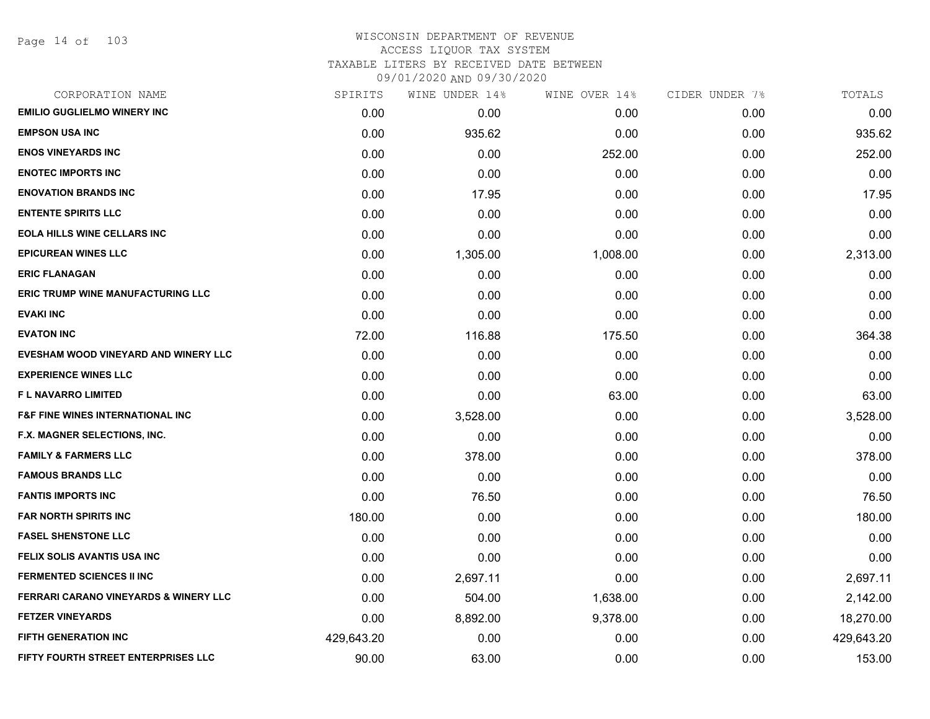| CORPORATION NAME                                 | SPIRITS    | WINE UNDER 14% | WINE OVER 14% | CIDER UNDER 7% | TOTALS     |
|--------------------------------------------------|------------|----------------|---------------|----------------|------------|
| <b>EMILIO GUGLIELMO WINERY INC</b>               | 0.00       | 0.00           | 0.00          | 0.00           | 0.00       |
| <b>EMPSON USA INC</b>                            | 0.00       | 935.62         | 0.00          | 0.00           | 935.62     |
| <b>ENOS VINEYARDS INC</b>                        | 0.00       | 0.00           | 252.00        | 0.00           | 252.00     |
| <b>ENOTEC IMPORTS INC</b>                        | 0.00       | 0.00           | 0.00          | 0.00           | 0.00       |
| <b>ENOVATION BRANDS INC</b>                      | 0.00       | 17.95          | 0.00          | 0.00           | 17.95      |
| <b>ENTENTE SPIRITS LLC</b>                       | 0.00       | 0.00           | 0.00          | 0.00           | 0.00       |
| <b>EOLA HILLS WINE CELLARS INC</b>               | 0.00       | 0.00           | 0.00          | 0.00           | 0.00       |
| <b>EPICUREAN WINES LLC</b>                       | 0.00       | 1,305.00       | 1,008.00      | 0.00           | 2,313.00   |
| <b>ERIC FLANAGAN</b>                             | 0.00       | 0.00           | 0.00          | 0.00           | 0.00       |
| <b>ERIC TRUMP WINE MANUFACTURING LLC</b>         | 0.00       | 0.00           | 0.00          | 0.00           | 0.00       |
| <b>EVAKI INC</b>                                 | 0.00       | 0.00           | 0.00          | 0.00           | 0.00       |
| <b>EVATON INC</b>                                | 72.00      | 116.88         | 175.50        | 0.00           | 364.38     |
| EVESHAM WOOD VINEYARD AND WINERY LLC             | 0.00       | 0.00           | 0.00          | 0.00           | 0.00       |
| <b>EXPERIENCE WINES LLC</b>                      | 0.00       | 0.00           | 0.00          | 0.00           | 0.00       |
| <b>FL NAVARRO LIMITED</b>                        | 0.00       | 0.00           | 63.00         | 0.00           | 63.00      |
| <b>F&amp;F FINE WINES INTERNATIONAL INC</b>      | 0.00       | 3,528.00       | 0.00          | 0.00           | 3,528.00   |
| F.X. MAGNER SELECTIONS, INC.                     | 0.00       | 0.00           | 0.00          | 0.00           | 0.00       |
| <b>FAMILY &amp; FARMERS LLC</b>                  | 0.00       | 378.00         | 0.00          | 0.00           | 378.00     |
| <b>FAMOUS BRANDS LLC</b>                         | 0.00       | 0.00           | 0.00          | 0.00           | 0.00       |
| <b>FANTIS IMPORTS INC</b>                        | 0.00       | 76.50          | 0.00          | 0.00           | 76.50      |
| FAR NORTH SPIRITS INC                            | 180.00     | 0.00           | 0.00          | 0.00           | 180.00     |
| <b>FASEL SHENSTONE LLC</b>                       | 0.00       | 0.00           | 0.00          | 0.00           | 0.00       |
| FELIX SOLIS AVANTIS USA INC                      | 0.00       | 0.00           | 0.00          | 0.00           | 0.00       |
| <b>FERMENTED SCIENCES II INC</b>                 | 0.00       | 2,697.11       | 0.00          | 0.00           | 2,697.11   |
| <b>FERRARI CARANO VINEYARDS &amp; WINERY LLC</b> | 0.00       | 504.00         | 1,638.00      | 0.00           | 2,142.00   |
| <b>FETZER VINEYARDS</b>                          | 0.00       | 8,892.00       | 9,378.00      | 0.00           | 18,270.00  |
| <b>FIFTH GENERATION INC</b>                      | 429,643.20 | 0.00           | 0.00          | 0.00           | 429,643.20 |
| FIFTY FOURTH STREET ENTERPRISES LLC              | 90.00      | 63.00          | 0.00          | 0.00           | 153.00     |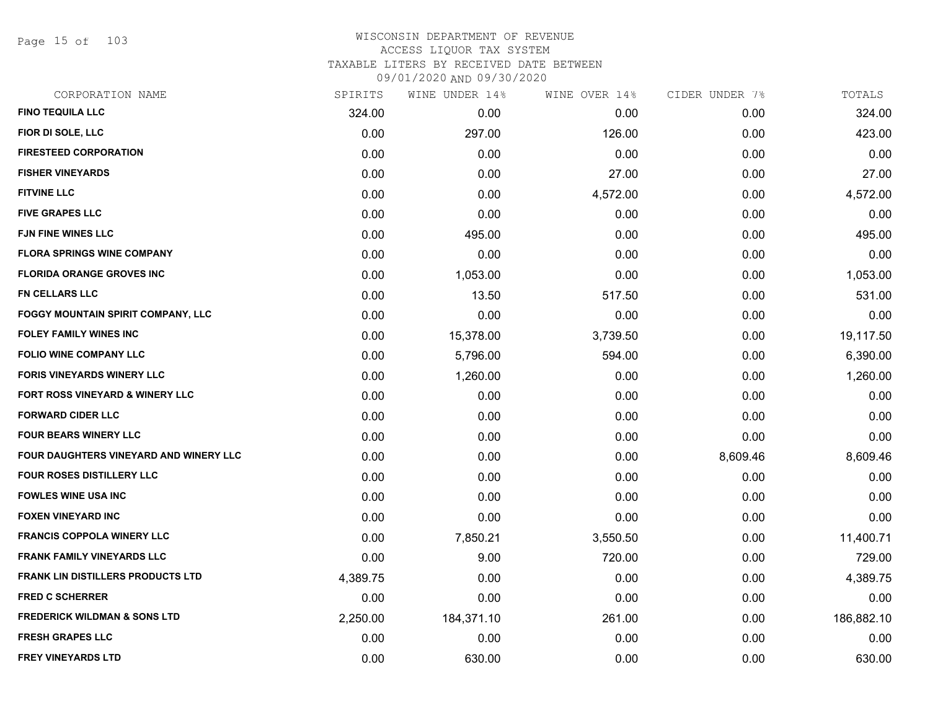Page 15 of 103

| CORPORATION NAME                          | SPIRITS  | WINE UNDER 14% | WINE OVER 14% | CIDER UNDER 7% | TOTALS     |
|-------------------------------------------|----------|----------------|---------------|----------------|------------|
| <b>FINO TEQUILA LLC</b>                   | 324.00   | 0.00           | 0.00          | 0.00           | 324.00     |
| FIOR DI SOLE, LLC                         | 0.00     | 297.00         | 126.00        | 0.00           | 423.00     |
| <b>FIRESTEED CORPORATION</b>              | 0.00     | 0.00           | 0.00          | 0.00           | 0.00       |
| <b>FISHER VINEYARDS</b>                   | 0.00     | 0.00           | 27.00         | 0.00           | 27.00      |
| <b>FITVINE LLC</b>                        | 0.00     | 0.00           | 4,572.00      | 0.00           | 4,572.00   |
| <b>FIVE GRAPES LLC</b>                    | 0.00     | 0.00           | 0.00          | 0.00           | 0.00       |
| <b>FJN FINE WINES LLC</b>                 | 0.00     | 495.00         | 0.00          | 0.00           | 495.00     |
| <b>FLORA SPRINGS WINE COMPANY</b>         | 0.00     | 0.00           | 0.00          | 0.00           | 0.00       |
| <b>FLORIDA ORANGE GROVES INC</b>          | 0.00     | 1,053.00       | 0.00          | 0.00           | 1,053.00   |
| <b>FN CELLARS LLC</b>                     | 0.00     | 13.50          | 517.50        | 0.00           | 531.00     |
| <b>FOGGY MOUNTAIN SPIRIT COMPANY, LLC</b> | 0.00     | 0.00           | 0.00          | 0.00           | 0.00       |
| <b>FOLEY FAMILY WINES INC</b>             | 0.00     | 15,378.00      | 3,739.50      | 0.00           | 19,117.50  |
| <b>FOLIO WINE COMPANY LLC</b>             | 0.00     | 5,796.00       | 594.00        | 0.00           | 6,390.00   |
| FORIS VINEYARDS WINERY LLC                | 0.00     | 1,260.00       | 0.00          | 0.00           | 1,260.00   |
| FORT ROSS VINEYARD & WINERY LLC           | 0.00     | 0.00           | 0.00          | 0.00           | 0.00       |
| <b>FORWARD CIDER LLC</b>                  | 0.00     | 0.00           | 0.00          | 0.00           | 0.00       |
| <b>FOUR BEARS WINERY LLC</b>              | 0.00     | 0.00           | 0.00          | 0.00           | 0.00       |
| FOUR DAUGHTERS VINEYARD AND WINERY LLC    | 0.00     | 0.00           | 0.00          | 8,609.46       | 8,609.46   |
| FOUR ROSES DISTILLERY LLC                 | 0.00     | 0.00           | 0.00          | 0.00           | 0.00       |
| <b>FOWLES WINE USA INC</b>                | 0.00     | 0.00           | 0.00          | 0.00           | 0.00       |
| <b>FOXEN VINEYARD INC</b>                 | 0.00     | 0.00           | 0.00          | 0.00           | 0.00       |
| <b>FRANCIS COPPOLA WINERY LLC</b>         | 0.00     | 7,850.21       | 3,550.50      | 0.00           | 11,400.71  |
| <b>FRANK FAMILY VINEYARDS LLC</b>         | 0.00     | 9.00           | 720.00        | 0.00           | 729.00     |
| <b>FRANK LIN DISTILLERS PRODUCTS LTD</b>  | 4,389.75 | 0.00           | 0.00          | 0.00           | 4,389.75   |
| <b>FRED C SCHERRER</b>                    | 0.00     | 0.00           | 0.00          | 0.00           | 0.00       |
| <b>FREDERICK WILDMAN &amp; SONS LTD</b>   | 2,250.00 | 184,371.10     | 261.00        | 0.00           | 186,882.10 |
| <b>FRESH GRAPES LLC</b>                   | 0.00     | 0.00           | 0.00          | 0.00           | 0.00       |
| <b>FREY VINEYARDS LTD</b>                 | 0.00     | 630.00         | 0.00          | 0.00           | 630.00     |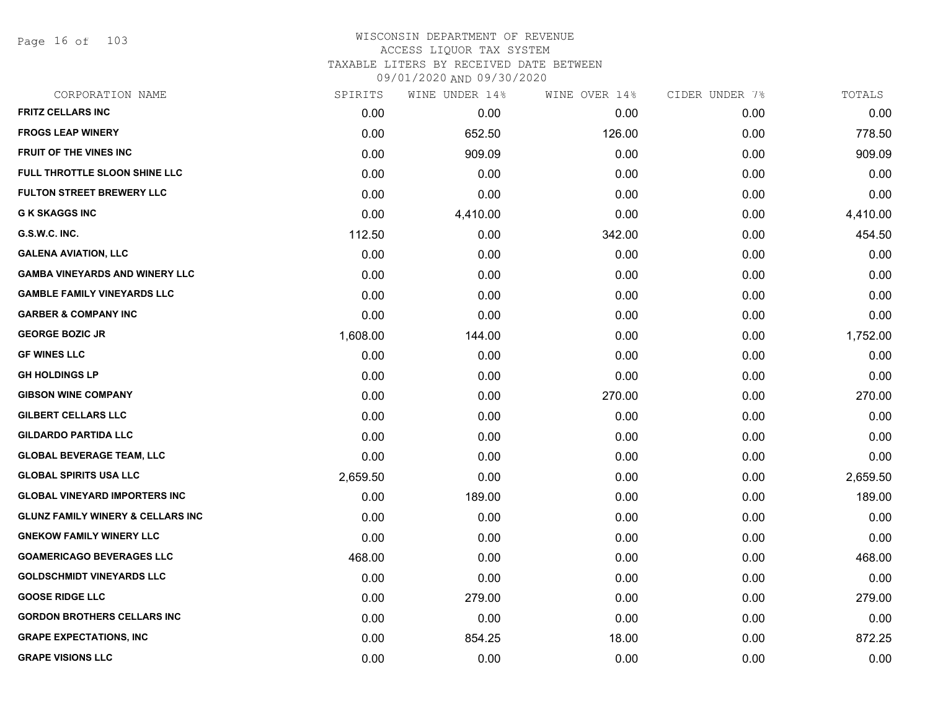Page 16 of 103

| CORPORATION NAME                             | SPIRITS  | WINE UNDER 14% | WINE OVER 14% | CIDER UNDER 7% | TOTALS   |
|----------------------------------------------|----------|----------------|---------------|----------------|----------|
| <b>FRITZ CELLARS INC</b>                     | 0.00     | 0.00           | 0.00          | 0.00           | 0.00     |
| <b>FROGS LEAP WINERY</b>                     | 0.00     | 652.50         | 126.00        | 0.00           | 778.50   |
| FRUIT OF THE VINES INC                       | 0.00     | 909.09         | 0.00          | 0.00           | 909.09   |
| FULL THROTTLE SLOON SHINE LLC                | 0.00     | 0.00           | 0.00          | 0.00           | 0.00     |
| <b>FULTON STREET BREWERY LLC</b>             | 0.00     | 0.00           | 0.00          | 0.00           | 0.00     |
| <b>G K SKAGGS INC</b>                        | 0.00     | 4,410.00       | 0.00          | 0.00           | 4,410.00 |
| G.S.W.C. INC.                                | 112.50   | 0.00           | 342.00        | 0.00           | 454.50   |
| <b>GALENA AVIATION, LLC</b>                  | 0.00     | 0.00           | 0.00          | 0.00           | 0.00     |
| <b>GAMBA VINEYARDS AND WINERY LLC</b>        | 0.00     | 0.00           | 0.00          | 0.00           | 0.00     |
| <b>GAMBLE FAMILY VINEYARDS LLC</b>           | 0.00     | 0.00           | 0.00          | 0.00           | 0.00     |
| <b>GARBER &amp; COMPANY INC</b>              | 0.00     | 0.00           | 0.00          | 0.00           | 0.00     |
| <b>GEORGE BOZIC JR</b>                       | 1,608.00 | 144.00         | 0.00          | 0.00           | 1,752.00 |
| <b>GF WINES LLC</b>                          | 0.00     | 0.00           | 0.00          | 0.00           | 0.00     |
| <b>GH HOLDINGS LP</b>                        | 0.00     | 0.00           | 0.00          | 0.00           | 0.00     |
| <b>GIBSON WINE COMPANY</b>                   | 0.00     | 0.00           | 270.00        | 0.00           | 270.00   |
| GILBERT CELLARS LLC                          | 0.00     | 0.00           | 0.00          | 0.00           | 0.00     |
| <b>GILDARDO PARTIDA LLC</b>                  | 0.00     | 0.00           | 0.00          | 0.00           | 0.00     |
| <b>GLOBAL BEVERAGE TEAM, LLC</b>             | 0.00     | 0.00           | 0.00          | 0.00           | 0.00     |
| <b>GLOBAL SPIRITS USA LLC</b>                | 2,659.50 | 0.00           | 0.00          | 0.00           | 2,659.50 |
| <b>GLOBAL VINEYARD IMPORTERS INC</b>         | 0.00     | 189.00         | 0.00          | 0.00           | 189.00   |
| <b>GLUNZ FAMILY WINERY &amp; CELLARS INC</b> | 0.00     | 0.00           | 0.00          | 0.00           | 0.00     |
| <b>GNEKOW FAMILY WINERY LLC</b>              | 0.00     | 0.00           | 0.00          | 0.00           | 0.00     |
| <b>GOAMERICAGO BEVERAGES LLC</b>             | 468.00   | 0.00           | 0.00          | 0.00           | 468.00   |
| <b>GOLDSCHMIDT VINEYARDS LLC</b>             | 0.00     | 0.00           | 0.00          | 0.00           | 0.00     |
| <b>GOOSE RIDGE LLC</b>                       | 0.00     | 279.00         | 0.00          | 0.00           | 279.00   |
| <b>GORDON BROTHERS CELLARS INC</b>           | 0.00     | 0.00           | 0.00          | 0.00           | 0.00     |
| <b>GRAPE EXPECTATIONS, INC</b>               | 0.00     | 854.25         | 18.00         | 0.00           | 872.25   |
| <b>GRAPE VISIONS LLC</b>                     | 0.00     | 0.00           | 0.00          | 0.00           | 0.00     |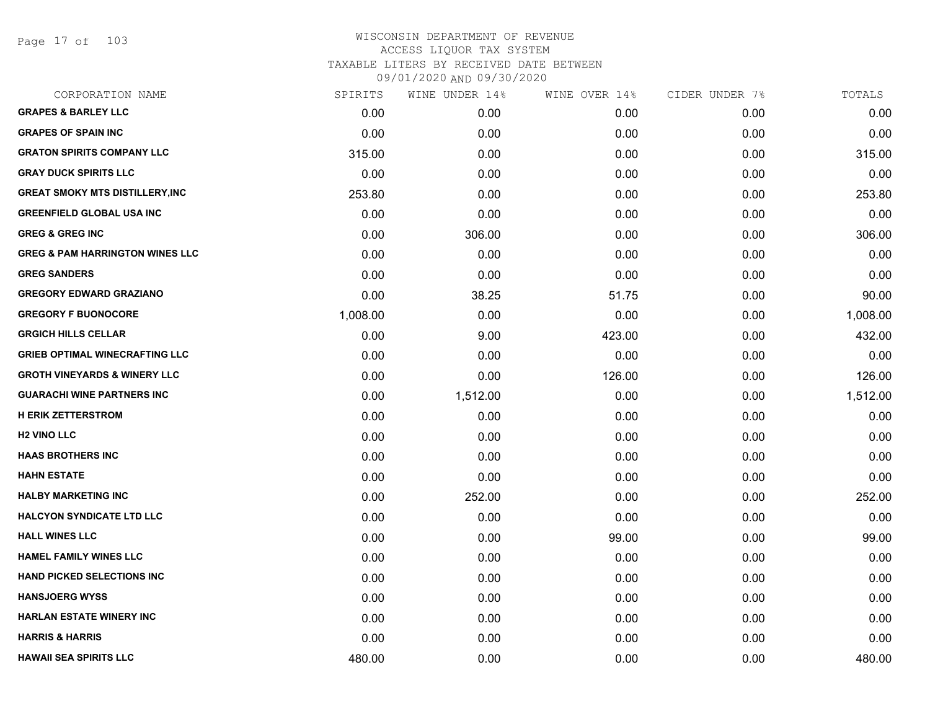Page 17 of 103

| SPIRITS  | WINE UNDER 14% |        | CIDER UNDER 7% | TOTALS   |
|----------|----------------|--------|----------------|----------|
| 0.00     | 0.00           | 0.00   | 0.00           | 0.00     |
| 0.00     | 0.00           | 0.00   | 0.00           | 0.00     |
| 315.00   | 0.00           | 0.00   | 0.00           | 315.00   |
| 0.00     | 0.00           | 0.00   | 0.00           | 0.00     |
| 253.80   | 0.00           | 0.00   | 0.00           | 253.80   |
| 0.00     | 0.00           | 0.00   | 0.00           | 0.00     |
| 0.00     | 306.00         | 0.00   | 0.00           | 306.00   |
| 0.00     | 0.00           | 0.00   | 0.00           | 0.00     |
| 0.00     | 0.00           | 0.00   | 0.00           | 0.00     |
| 0.00     | 38.25          | 51.75  | 0.00           | 90.00    |
| 1,008.00 | 0.00           | 0.00   | 0.00           | 1,008.00 |
| 0.00     | 9.00           | 423.00 | 0.00           | 432.00   |
| 0.00     | 0.00           | 0.00   | 0.00           | 0.00     |
| 0.00     | 0.00           | 126.00 | 0.00           | 126.00   |
| 0.00     | 1,512.00       | 0.00   | 0.00           | 1,512.00 |
| 0.00     | 0.00           | 0.00   | 0.00           | 0.00     |
| 0.00     | 0.00           | 0.00   | 0.00           | 0.00     |
| 0.00     | 0.00           | 0.00   | 0.00           | 0.00     |
| 0.00     | 0.00           | 0.00   | 0.00           | 0.00     |
| 0.00     | 252.00         | 0.00   | 0.00           | 252.00   |
| 0.00     | 0.00           | 0.00   | 0.00           | 0.00     |
| 0.00     | 0.00           | 99.00  | 0.00           | 99.00    |
| 0.00     | 0.00           | 0.00   | 0.00           | 0.00     |
| 0.00     | 0.00           | 0.00   | 0.00           | 0.00     |
| 0.00     | 0.00           | 0.00   | 0.00           | 0.00     |
| 0.00     | 0.00           | 0.00   | 0.00           | 0.00     |
| 0.00     | 0.00           | 0.00   | 0.00           | 0.00     |
| 480.00   | 0.00           | 0.00   | 0.00           | 480.00   |
|          |                |        | WINE OVER 14%  |          |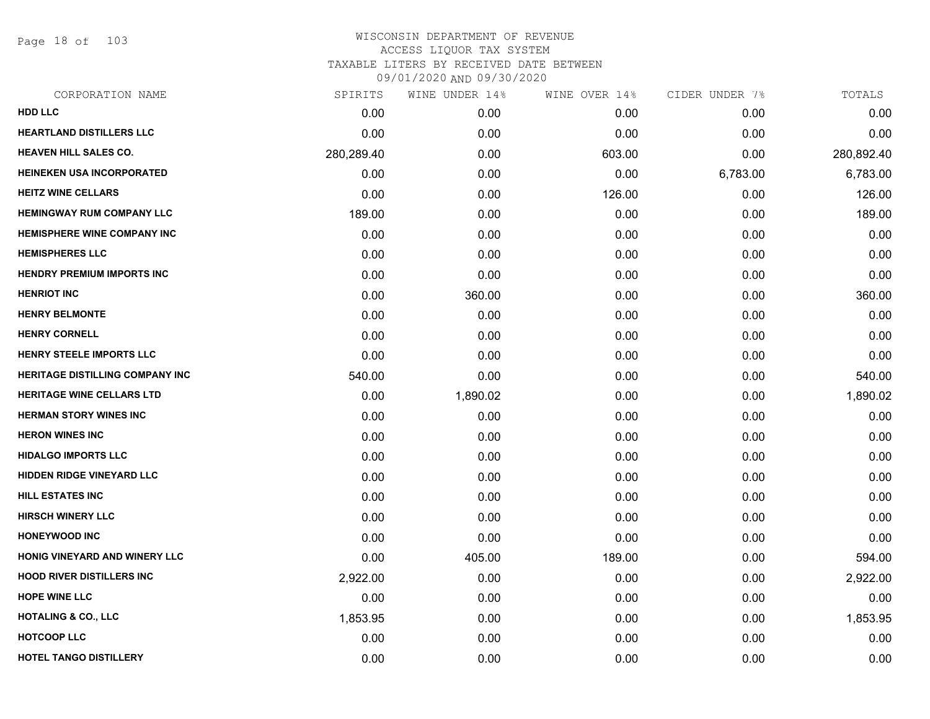Page 18 of 103

| CORPORATION NAME                       | SPIRITS    | WINE UNDER 14% | WINE OVER 14% | CIDER UNDER 7% | TOTALS     |
|----------------------------------------|------------|----------------|---------------|----------------|------------|
| <b>HDD LLC</b>                         | 0.00       | 0.00           | 0.00          | 0.00           | 0.00       |
| <b>HEARTLAND DISTILLERS LLC</b>        | 0.00       | 0.00           | 0.00          | 0.00           | 0.00       |
| <b>HEAVEN HILL SALES CO.</b>           | 280,289.40 | 0.00           | 603.00        | 0.00           | 280,892.40 |
| <b>HEINEKEN USA INCORPORATED</b>       | 0.00       | 0.00           | 0.00          | 6,783.00       | 6,783.00   |
| <b>HEITZ WINE CELLARS</b>              | 0.00       | 0.00           | 126.00        | 0.00           | 126.00     |
| <b>HEMINGWAY RUM COMPANY LLC</b>       | 189.00     | 0.00           | 0.00          | 0.00           | 189.00     |
| <b>HEMISPHERE WINE COMPANY INC</b>     | 0.00       | 0.00           | 0.00          | 0.00           | 0.00       |
| <b>HEMISPHERES LLC</b>                 | 0.00       | 0.00           | 0.00          | 0.00           | 0.00       |
| <b>HENDRY PREMIUM IMPORTS INC</b>      | 0.00       | 0.00           | 0.00          | 0.00           | 0.00       |
| <b>HENRIOT INC</b>                     | 0.00       | 360.00         | 0.00          | 0.00           | 360.00     |
| <b>HENRY BELMONTE</b>                  | 0.00       | 0.00           | 0.00          | 0.00           | 0.00       |
| <b>HENRY CORNELL</b>                   | 0.00       | 0.00           | 0.00          | 0.00           | 0.00       |
| <b>HENRY STEELE IMPORTS LLC</b>        | 0.00       | 0.00           | 0.00          | 0.00           | 0.00       |
| <b>HERITAGE DISTILLING COMPANY INC</b> | 540.00     | 0.00           | 0.00          | 0.00           | 540.00     |
| <b>HERITAGE WINE CELLARS LTD</b>       | 0.00       | 1,890.02       | 0.00          | 0.00           | 1,890.02   |
| <b>HERMAN STORY WINES INC</b>          | 0.00       | 0.00           | 0.00          | 0.00           | 0.00       |
| <b>HERON WINES INC</b>                 | 0.00       | 0.00           | 0.00          | 0.00           | 0.00       |
| <b>HIDALGO IMPORTS LLC</b>             | 0.00       | 0.00           | 0.00          | 0.00           | 0.00       |
| <b>HIDDEN RIDGE VINEYARD LLC</b>       | 0.00       | 0.00           | 0.00          | 0.00           | 0.00       |
| <b>HILL ESTATES INC</b>                | 0.00       | 0.00           | 0.00          | 0.00           | 0.00       |
| <b>HIRSCH WINERY LLC</b>               | 0.00       | 0.00           | 0.00          | 0.00           | 0.00       |
| <b>HONEYWOOD INC</b>                   | 0.00       | 0.00           | 0.00          | 0.00           | 0.00       |
| HONIG VINEYARD AND WINERY LLC          | 0.00       | 405.00         | 189.00        | 0.00           | 594.00     |
| <b>HOOD RIVER DISTILLERS INC</b>       | 2,922.00   | 0.00           | 0.00          | 0.00           | 2,922.00   |
| <b>HOPE WINE LLC</b>                   | 0.00       | 0.00           | 0.00          | 0.00           | 0.00       |
| <b>HOTALING &amp; CO., LLC</b>         | 1,853.95   | 0.00           | 0.00          | 0.00           | 1,853.95   |
| <b>HOTCOOP LLC</b>                     | 0.00       | 0.00           | 0.00          | 0.00           | 0.00       |
| <b>HOTEL TANGO DISTILLERY</b>          | 0.00       | 0.00           | 0.00          | 0.00           | 0.00       |
|                                        |            |                |               |                |            |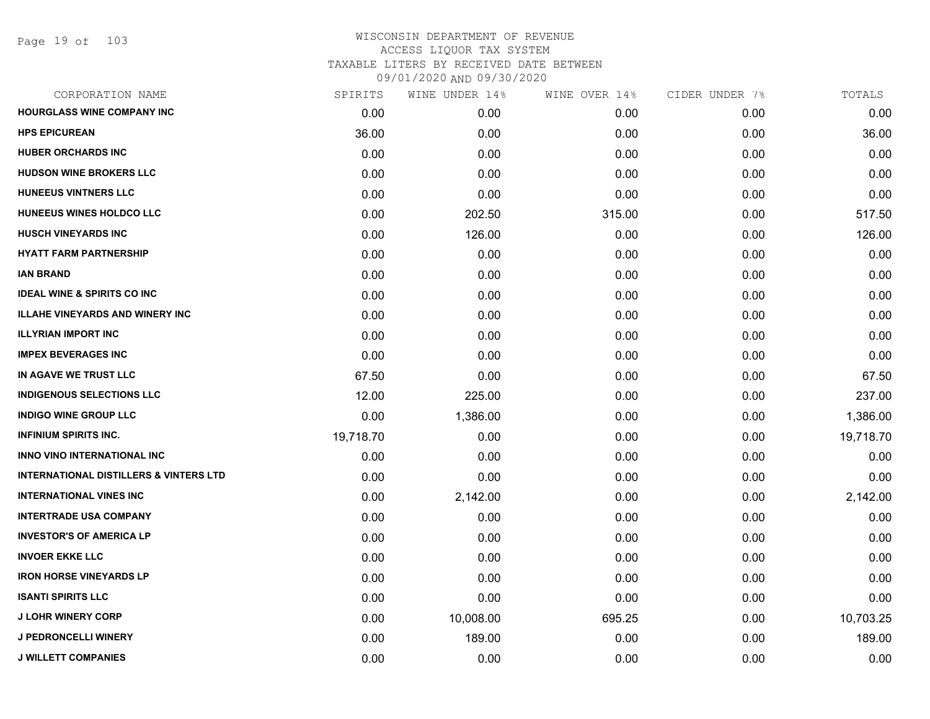| SPIRITS   | WINE UNDER 14% | WINE OVER 14% |      | TOTALS         |
|-----------|----------------|---------------|------|----------------|
| 0.00      | 0.00           | 0.00          | 0.00 | 0.00           |
| 36.00     | 0.00           | 0.00          | 0.00 | 36.00          |
| 0.00      | 0.00           | 0.00          | 0.00 | 0.00           |
| 0.00      | 0.00           | 0.00          | 0.00 | 0.00           |
| 0.00      | 0.00           | 0.00          | 0.00 | 0.00           |
| 0.00      | 202.50         | 315.00        | 0.00 | 517.50         |
| 0.00      | 126.00         | 0.00          | 0.00 | 126.00         |
| 0.00      | 0.00           | 0.00          | 0.00 | 0.00           |
| 0.00      | 0.00           | 0.00          | 0.00 | 0.00           |
| 0.00      | 0.00           | 0.00          | 0.00 | 0.00           |
| 0.00      | 0.00           | 0.00          | 0.00 | 0.00           |
| 0.00      | 0.00           | 0.00          | 0.00 | 0.00           |
| 0.00      | 0.00           | 0.00          | 0.00 | 0.00           |
| 67.50     | 0.00           | 0.00          | 0.00 | 67.50          |
| 12.00     | 225.00         | 0.00          | 0.00 | 237.00         |
| 0.00      | 1,386.00       | 0.00          | 0.00 | 1,386.00       |
| 19,718.70 | 0.00           | 0.00          | 0.00 | 19,718.70      |
| 0.00      | 0.00           | 0.00          | 0.00 | 0.00           |
| 0.00      | 0.00           | 0.00          | 0.00 | 0.00           |
| 0.00      | 2,142.00       | 0.00          | 0.00 | 2,142.00       |
| 0.00      | 0.00           | 0.00          | 0.00 | 0.00           |
| 0.00      | 0.00           | 0.00          | 0.00 | 0.00           |
| 0.00      | 0.00           | 0.00          | 0.00 | 0.00           |
| 0.00      | 0.00           | 0.00          | 0.00 | 0.00           |
| 0.00      | 0.00           | 0.00          | 0.00 | 0.00           |
| 0.00      | 10,008.00      | 695.25        | 0.00 | 10,703.25      |
| 0.00      | 189.00         | 0.00          | 0.00 | 189.00         |
| 0.00      | 0.00           | 0.00          | 0.00 | 0.00           |
|           |                |               |      | CIDER UNDER 7% |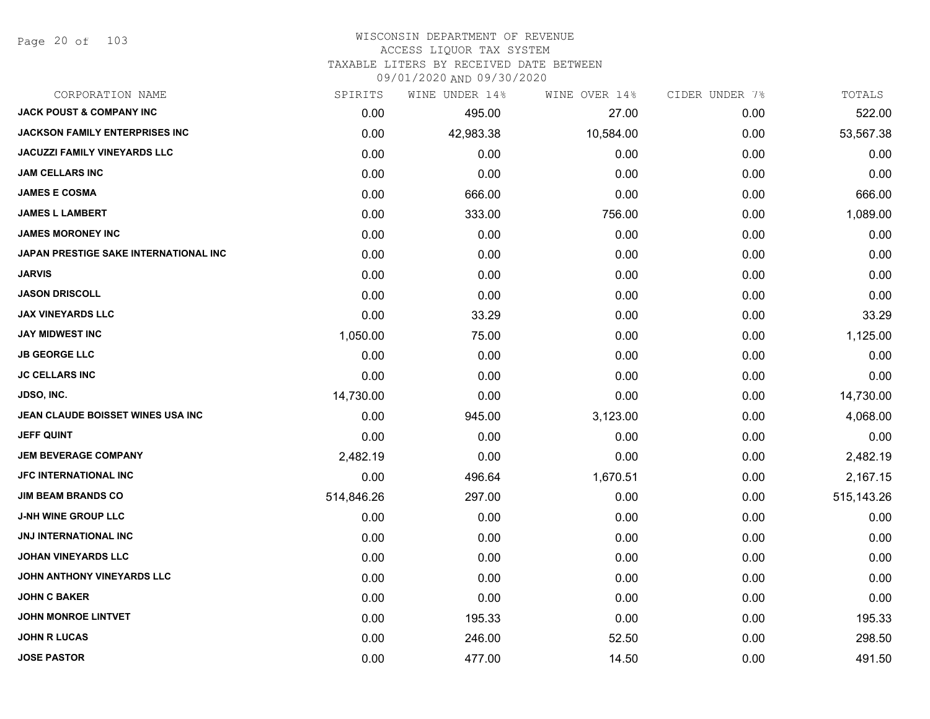Page 20 of 103

#### WISCONSIN DEPARTMENT OF REVENUE ACCESS LIQUOR TAX SYSTEM TAXABLE LITERS BY RECEIVED DATE BETWEEN

09/01/2020 AND 09/30/2020

| CORPORATION NAME                             | SPIRITS    | WINE UNDER 14% | WINE OVER 14% | CIDER UNDER 7% | TOTALS       |
|----------------------------------------------|------------|----------------|---------------|----------------|--------------|
| <b>JACK POUST &amp; COMPANY INC</b>          | 0.00       | 495.00         | 27.00         | 0.00           | 522.00       |
| <b>JACKSON FAMILY ENTERPRISES INC</b>        | 0.00       | 42,983.38      | 10,584.00     | 0.00           | 53,567.38    |
| JACUZZI FAMILY VINEYARDS LLC                 | 0.00       | 0.00           | 0.00          | 0.00           | 0.00         |
| <b>JAM CELLARS INC</b>                       | 0.00       | 0.00           | 0.00          | 0.00           | 0.00         |
| <b>JAMES E COSMA</b>                         | 0.00       | 666.00         | 0.00          | 0.00           | 666.00       |
| <b>JAMES L LAMBERT</b>                       | 0.00       | 333.00         | 756.00        | 0.00           | 1,089.00     |
| <b>JAMES MORONEY INC</b>                     | 0.00       | 0.00           | 0.00          | 0.00           | 0.00         |
| <b>JAPAN PRESTIGE SAKE INTERNATIONAL INC</b> | 0.00       | 0.00           | 0.00          | 0.00           | 0.00         |
| <b>JARVIS</b>                                | 0.00       | 0.00           | 0.00          | 0.00           | 0.00         |
| <b>JASON DRISCOLL</b>                        | 0.00       | 0.00           | 0.00          | 0.00           | 0.00         |
| <b>JAX VINEYARDS LLC</b>                     | 0.00       | 33.29          | 0.00          | 0.00           | 33.29        |
| <b>JAY MIDWEST INC</b>                       | 1,050.00   | 75.00          | 0.00          | 0.00           | 1,125.00     |
| <b>JB GEORGE LLC</b>                         | 0.00       | 0.00           | 0.00          | 0.00           | 0.00         |
| <b>JC CELLARS INC</b>                        | 0.00       | 0.00           | 0.00          | 0.00           | 0.00         |
| <b>JDSO, INC.</b>                            | 14,730.00  | 0.00           | 0.00          | 0.00           | 14,730.00    |
| JEAN CLAUDE BOISSET WINES USA INC            | 0.00       | 945.00         | 3,123.00      | 0.00           | 4,068.00     |
| <b>JEFF QUINT</b>                            | 0.00       | 0.00           | 0.00          | 0.00           | 0.00         |
| <b>JEM BEVERAGE COMPANY</b>                  | 2,482.19   | 0.00           | 0.00          | 0.00           | 2,482.19     |
| <b>JFC INTERNATIONAL INC</b>                 | 0.00       | 496.64         | 1,670.51      | 0.00           | 2,167.15     |
| <b>JIM BEAM BRANDS CO</b>                    | 514,846.26 | 297.00         | 0.00          | 0.00           | 515, 143. 26 |
| <b>J-NH WINE GROUP LLC</b>                   | 0.00       | 0.00           | 0.00          | 0.00           | 0.00         |
| JNJ INTERNATIONAL INC                        | 0.00       | 0.00           | 0.00          | 0.00           | 0.00         |
| <b>JOHAN VINEYARDS LLC</b>                   | 0.00       | 0.00           | 0.00          | 0.00           | 0.00         |
| JOHN ANTHONY VINEYARDS LLC                   | 0.00       | 0.00           | 0.00          | 0.00           | 0.00         |
| <b>JOHN C BAKER</b>                          | 0.00       | 0.00           | 0.00          | 0.00           | 0.00         |
| <b>JOHN MONROE LINTVET</b>                   | 0.00       | 195.33         | 0.00          | 0.00           | 195.33       |
| <b>JOHN R LUCAS</b>                          | 0.00       | 246.00         | 52.50         | 0.00           | 298.50       |
| <b>JOSE PASTOR</b>                           | 0.00       | 477.00         | 14.50         | 0.00           | 491.50       |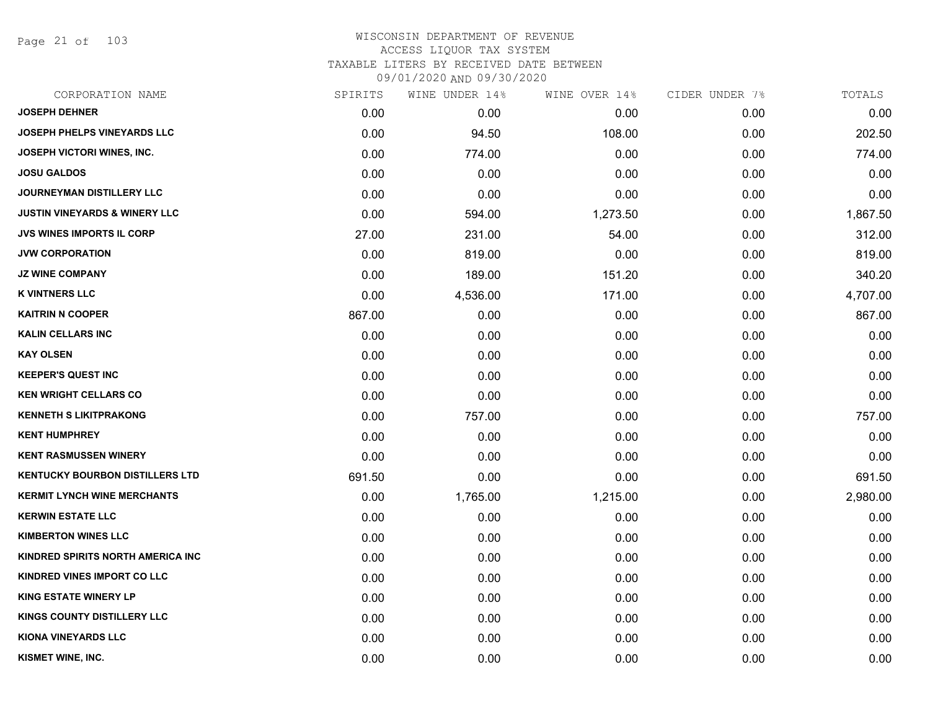Page 21 of 103

| CORPORATION NAME                         | SPIRITS | WINE UNDER 14% | WINE OVER 14% | CIDER UNDER 7% | TOTALS   |
|------------------------------------------|---------|----------------|---------------|----------------|----------|
| <b>JOSEPH DEHNER</b>                     | 0.00    | 0.00           | 0.00          | 0.00           | 0.00     |
| <b>JOSEPH PHELPS VINEYARDS LLC</b>       | 0.00    | 94.50          | 108.00        | 0.00           | 202.50   |
| <b>JOSEPH VICTORI WINES, INC.</b>        | 0.00    | 774.00         | 0.00          | 0.00           | 774.00   |
| <b>JOSU GALDOS</b>                       | 0.00    | 0.00           | 0.00          | 0.00           | 0.00     |
| JOURNEYMAN DISTILLERY LLC                | 0.00    | 0.00           | 0.00          | 0.00           | 0.00     |
| <b>JUSTIN VINEYARDS &amp; WINERY LLC</b> | 0.00    | 594.00         | 1,273.50      | 0.00           | 1,867.50 |
| <b>JVS WINES IMPORTS IL CORP</b>         | 27.00   | 231.00         | 54.00         | 0.00           | 312.00   |
| <b>JVW CORPORATION</b>                   | 0.00    | 819.00         | 0.00          | 0.00           | 819.00   |
| <b>JZ WINE COMPANY</b>                   | 0.00    | 189.00         | 151.20        | 0.00           | 340.20   |
| <b>K VINTNERS LLC</b>                    | 0.00    | 4,536.00       | 171.00        | 0.00           | 4,707.00 |
| <b>KAITRIN N COOPER</b>                  | 867.00  | 0.00           | 0.00          | 0.00           | 867.00   |
| <b>KALIN CELLARS INC</b>                 | 0.00    | 0.00           | 0.00          | 0.00           | 0.00     |
| <b>KAY OLSEN</b>                         | 0.00    | 0.00           | 0.00          | 0.00           | 0.00     |
| <b>KEEPER'S QUEST INC</b>                | 0.00    | 0.00           | 0.00          | 0.00           | 0.00     |
| <b>KEN WRIGHT CELLARS CO</b>             | 0.00    | 0.00           | 0.00          | 0.00           | 0.00     |
| <b>KENNETH S LIKITPRAKONG</b>            | 0.00    | 757.00         | 0.00          | 0.00           | 757.00   |
| <b>KENT HUMPHREY</b>                     | 0.00    | 0.00           | 0.00          | 0.00           | 0.00     |
| <b>KENT RASMUSSEN WINERY</b>             | 0.00    | 0.00           | 0.00          | 0.00           | 0.00     |
| <b>KENTUCKY BOURBON DISTILLERS LTD</b>   | 691.50  | 0.00           | 0.00          | 0.00           | 691.50   |
| <b>KERMIT LYNCH WINE MERCHANTS</b>       | 0.00    | 1,765.00       | 1,215.00      | 0.00           | 2,980.00 |
| <b>KERWIN ESTATE LLC</b>                 | 0.00    | 0.00           | 0.00          | 0.00           | 0.00     |
| <b>KIMBERTON WINES LLC</b>               | 0.00    | 0.00           | 0.00          | 0.00           | 0.00     |
| <b>KINDRED SPIRITS NORTH AMERICA INC</b> | 0.00    | 0.00           | 0.00          | 0.00           | 0.00     |
| <b>KINDRED VINES IMPORT CO LLC</b>       | 0.00    | 0.00           | 0.00          | 0.00           | 0.00     |
| <b>KING ESTATE WINERY LP</b>             | 0.00    | 0.00           | 0.00          | 0.00           | 0.00     |
| <b>KINGS COUNTY DISTILLERY LLC</b>       | 0.00    | 0.00           | 0.00          | 0.00           | 0.00     |
| <b>KIONA VINEYARDS LLC</b>               | 0.00    | 0.00           | 0.00          | 0.00           | 0.00     |
| KISMET WINE, INC.                        | 0.00    | 0.00           | 0.00          | 0.00           | 0.00     |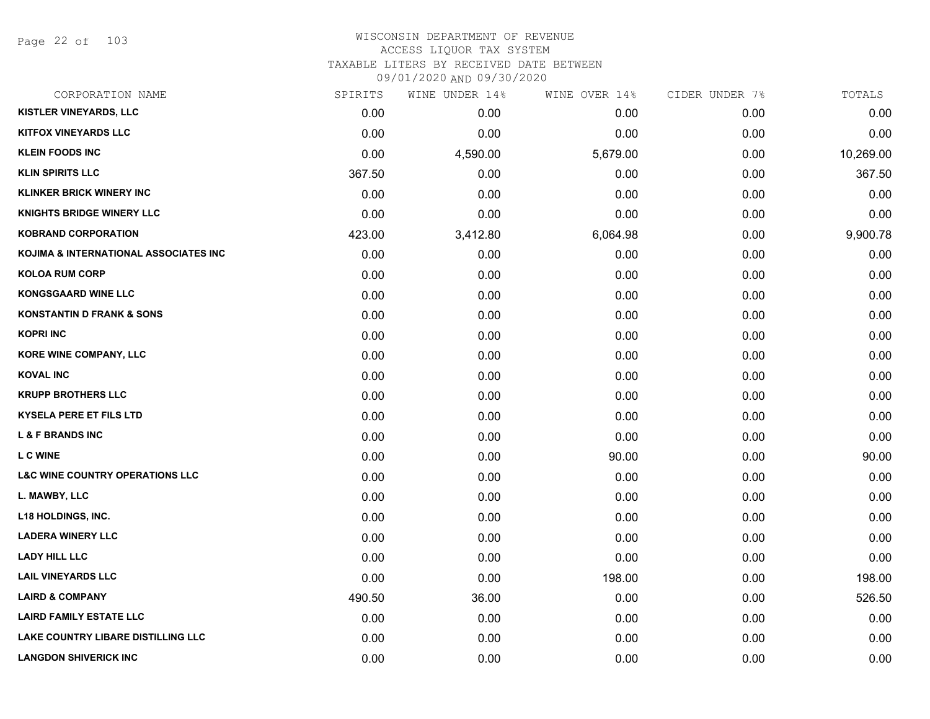Page 22 of 103

| CORPORATION NAME                           | SPIRITS | WINE UNDER 14% | WINE OVER 14% | CIDER UNDER 7% | TOTALS    |
|--------------------------------------------|---------|----------------|---------------|----------------|-----------|
| <b>KISTLER VINEYARDS, LLC</b>              | 0.00    | 0.00           | 0.00          | 0.00           | 0.00      |
| <b>KITFOX VINEYARDS LLC</b>                | 0.00    | 0.00           | 0.00          | 0.00           | 0.00      |
| <b>KLEIN FOODS INC</b>                     | 0.00    | 4,590.00       | 5,679.00      | 0.00           | 10,269.00 |
| <b>KLIN SPIRITS LLC</b>                    | 367.50  | 0.00           | 0.00          | 0.00           | 367.50    |
| <b>KLINKER BRICK WINERY INC</b>            | 0.00    | 0.00           | 0.00          | 0.00           | 0.00      |
| <b>KNIGHTS BRIDGE WINERY LLC</b>           | 0.00    | 0.00           | 0.00          | 0.00           | 0.00      |
| <b>KOBRAND CORPORATION</b>                 | 423.00  | 3,412.80       | 6,064.98      | 0.00           | 9,900.78  |
| KOJIMA & INTERNATIONAL ASSOCIATES INC      | 0.00    | 0.00           | 0.00          | 0.00           | 0.00      |
| <b>KOLOA RUM CORP</b>                      | 0.00    | 0.00           | 0.00          | 0.00           | 0.00      |
| <b>KONGSGAARD WINE LLC</b>                 | 0.00    | 0.00           | 0.00          | 0.00           | 0.00      |
| <b>KONSTANTIN D FRANK &amp; SONS</b>       | 0.00    | 0.00           | 0.00          | 0.00           | 0.00      |
| <b>KOPRI INC</b>                           | 0.00    | 0.00           | 0.00          | 0.00           | 0.00      |
| KORE WINE COMPANY, LLC                     | 0.00    | 0.00           | 0.00          | 0.00           | 0.00      |
| <b>KOVAL INC</b>                           | 0.00    | 0.00           | 0.00          | 0.00           | 0.00      |
| <b>KRUPP BROTHERS LLC</b>                  | 0.00    | 0.00           | 0.00          | 0.00           | 0.00      |
| <b>KYSELA PERE ET FILS LTD</b>             | 0.00    | 0.00           | 0.00          | 0.00           | 0.00      |
| <b>L &amp; F BRANDS INC</b>                | 0.00    | 0.00           | 0.00          | 0.00           | 0.00      |
| <b>LC WINE</b>                             | 0.00    | 0.00           | 90.00         | 0.00           | 90.00     |
| <b>L&amp;C WINE COUNTRY OPERATIONS LLC</b> | 0.00    | 0.00           | 0.00          | 0.00           | 0.00      |
| L. MAWBY, LLC                              | 0.00    | 0.00           | 0.00          | 0.00           | 0.00      |
| <b>L18 HOLDINGS, INC.</b>                  | 0.00    | 0.00           | 0.00          | 0.00           | 0.00      |
| <b>LADERA WINERY LLC</b>                   | 0.00    | 0.00           | 0.00          | 0.00           | 0.00      |
| <b>LADY HILL LLC</b>                       | 0.00    | 0.00           | 0.00          | 0.00           | 0.00      |
| <b>LAIL VINEYARDS LLC</b>                  | 0.00    | 0.00           | 198.00        | 0.00           | 198.00    |
| <b>LAIRD &amp; COMPANY</b>                 | 490.50  | 36.00          | 0.00          | 0.00           | 526.50    |
| <b>LAIRD FAMILY ESTATE LLC</b>             | 0.00    | 0.00           | 0.00          | 0.00           | 0.00      |
| LAKE COUNTRY LIBARE DISTILLING LLC         | 0.00    | 0.00           | 0.00          | 0.00           | 0.00      |
| <b>LANGDON SHIVERICK INC</b>               | 0.00    | 0.00           | 0.00          | 0.00           | 0.00      |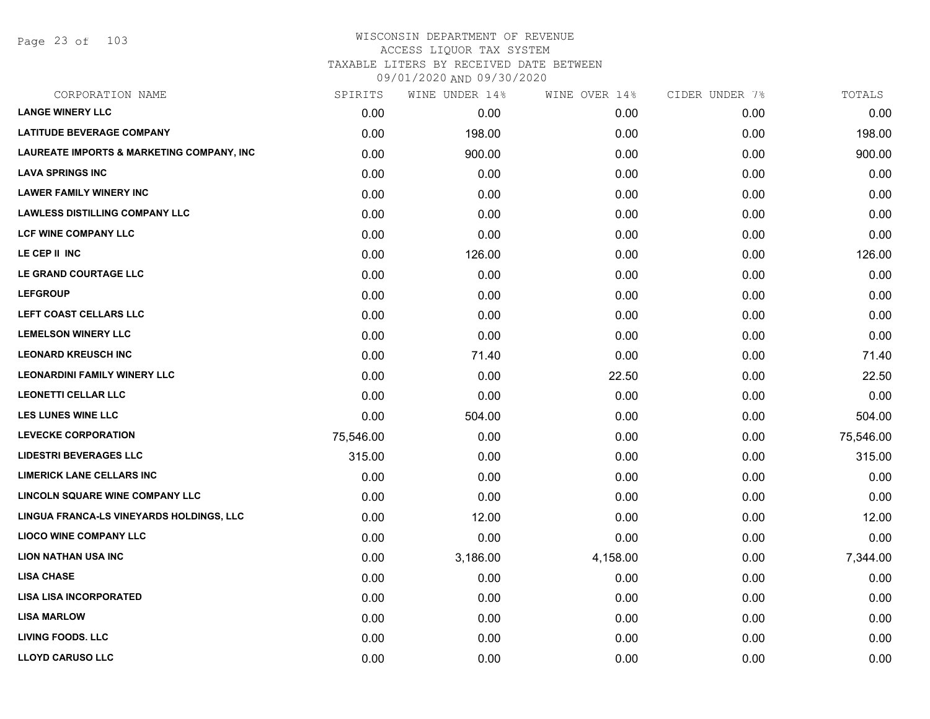Page 23 of 103

#### WISCONSIN DEPARTMENT OF REVENUE ACCESS LIQUOR TAX SYSTEM TAXABLE LITERS BY RECEIVED DATE BETWEEN

09/01/2020 AND 09/30/2020

| CORPORATION NAME                          | SPIRITS   | WINE UNDER 14% | WINE OVER 14% | CIDER UNDER 7% | TOTALS    |
|-------------------------------------------|-----------|----------------|---------------|----------------|-----------|
| <b>LANGE WINERY LLC</b>                   | 0.00      | 0.00           | 0.00          | 0.00           | 0.00      |
| <b>LATITUDE BEVERAGE COMPANY</b>          | 0.00      | 198.00         | 0.00          | 0.00           | 198.00    |
| LAUREATE IMPORTS & MARKETING COMPANY, INC | 0.00      | 900.00         | 0.00          | 0.00           | 900.00    |
| <b>LAVA SPRINGS INC</b>                   | 0.00      | 0.00           | 0.00          | 0.00           | 0.00      |
| <b>LAWER FAMILY WINERY INC</b>            | 0.00      | 0.00           | 0.00          | 0.00           | 0.00      |
| <b>LAWLESS DISTILLING COMPANY LLC</b>     | 0.00      | 0.00           | 0.00          | 0.00           | 0.00      |
| LCF WINE COMPANY LLC                      | 0.00      | 0.00           | 0.00          | 0.00           | 0.00      |
| LE CEP II INC                             | 0.00      | 126.00         | 0.00          | 0.00           | 126.00    |
| LE GRAND COURTAGE LLC                     | 0.00      | 0.00           | 0.00          | 0.00           | 0.00      |
| <b>LEFGROUP</b>                           | 0.00      | 0.00           | 0.00          | 0.00           | 0.00      |
| LEFT COAST CELLARS LLC                    | 0.00      | 0.00           | 0.00          | 0.00           | 0.00      |
| <b>LEMELSON WINERY LLC</b>                | 0.00      | 0.00           | 0.00          | 0.00           | 0.00      |
| <b>LEONARD KREUSCH INC</b>                | 0.00      | 71.40          | 0.00          | 0.00           | 71.40     |
| <b>LEONARDINI FAMILY WINERY LLC</b>       | 0.00      | 0.00           | 22.50         | 0.00           | 22.50     |
| <b>LEONETTI CELLAR LLC</b>                | 0.00      | 0.00           | 0.00          | 0.00           | 0.00      |
| <b>LES LUNES WINE LLC</b>                 | 0.00      | 504.00         | 0.00          | 0.00           | 504.00    |
| <b>LEVECKE CORPORATION</b>                | 75,546.00 | 0.00           | 0.00          | 0.00           | 75,546.00 |
| <b>LIDESTRI BEVERAGES LLC</b>             | 315.00    | 0.00           | 0.00          | 0.00           | 315.00    |
| <b>LIMERICK LANE CELLARS INC</b>          | 0.00      | 0.00           | 0.00          | 0.00           | 0.00      |
| <b>LINCOLN SQUARE WINE COMPANY LLC</b>    | 0.00      | 0.00           | 0.00          | 0.00           | 0.00      |
| LINGUA FRANCA-LS VINEYARDS HOLDINGS, LLC  | 0.00      | 12.00          | 0.00          | 0.00           | 12.00     |
| <b>LIOCO WINE COMPANY LLC</b>             | 0.00      | 0.00           | 0.00          | 0.00           | 0.00      |
| <b>LION NATHAN USA INC</b>                | 0.00      | 3,186.00       | 4,158.00      | 0.00           | 7,344.00  |
| <b>LISA CHASE</b>                         | 0.00      | 0.00           | 0.00          | 0.00           | 0.00      |
| <b>LISA LISA INCORPORATED</b>             | 0.00      | 0.00           | 0.00          | 0.00           | 0.00      |
| <b>LISA MARLOW</b>                        | 0.00      | 0.00           | 0.00          | 0.00           | 0.00      |
| <b>LIVING FOODS. LLC</b>                  | 0.00      | 0.00           | 0.00          | 0.00           | 0.00      |
| <b>LLOYD CARUSO LLC</b>                   | 0.00      | 0.00           | 0.00          | 0.00           | 0.00      |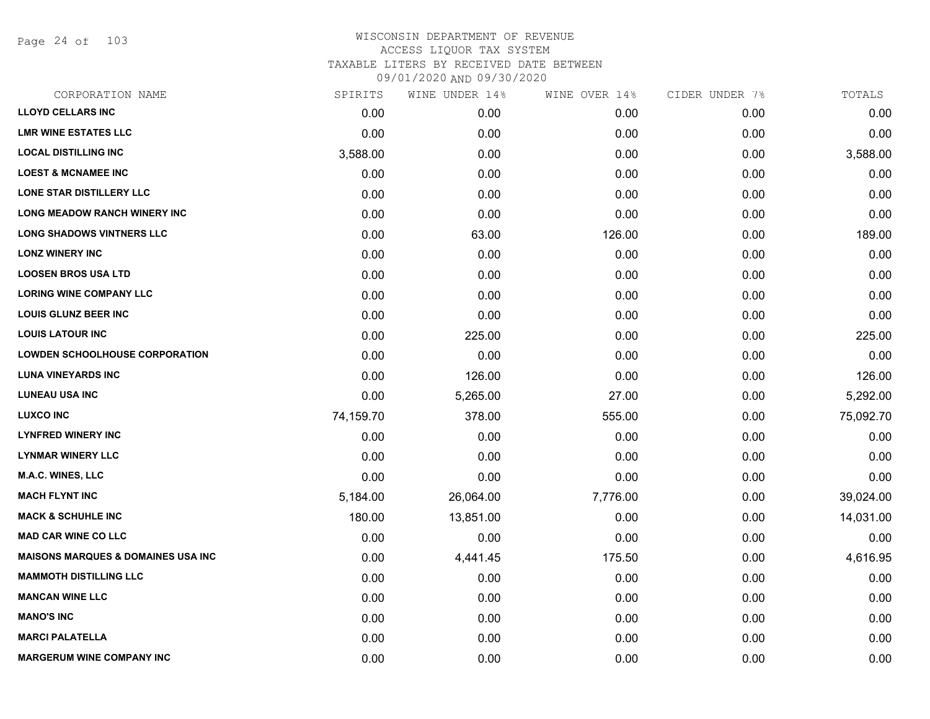Page 24 of 103

| CORPORATION NAME                              | SPIRITS   | WINE UNDER 14% | WINE OVER 14% | CIDER UNDER 7% | TOTALS    |
|-----------------------------------------------|-----------|----------------|---------------|----------------|-----------|
| <b>LLOYD CELLARS INC</b>                      | 0.00      | 0.00           | 0.00          | 0.00           | 0.00      |
| <b>LMR WINE ESTATES LLC</b>                   | 0.00      | 0.00           | 0.00          | 0.00           | 0.00      |
| <b>LOCAL DISTILLING INC</b>                   | 3,588.00  | 0.00           | 0.00          | 0.00           | 3,588.00  |
| <b>LOEST &amp; MCNAMEE INC</b>                | 0.00      | 0.00           | 0.00          | 0.00           | 0.00      |
| <b>LONE STAR DISTILLERY LLC</b>               | 0.00      | 0.00           | 0.00          | 0.00           | 0.00      |
| LONG MEADOW RANCH WINERY INC                  | 0.00      | 0.00           | 0.00          | 0.00           | 0.00      |
| <b>LONG SHADOWS VINTNERS LLC</b>              | 0.00      | 63.00          | 126.00        | 0.00           | 189.00    |
| <b>LONZ WINERY INC</b>                        | 0.00      | 0.00           | 0.00          | 0.00           | 0.00      |
| <b>LOOSEN BROS USA LTD</b>                    | 0.00      | 0.00           | 0.00          | 0.00           | 0.00      |
| <b>LORING WINE COMPANY LLC</b>                | 0.00      | 0.00           | 0.00          | 0.00           | 0.00      |
| <b>LOUIS GLUNZ BEER INC</b>                   | 0.00      | 0.00           | 0.00          | 0.00           | 0.00      |
| <b>LOUIS LATOUR INC</b>                       | 0.00      | 225.00         | 0.00          | 0.00           | 225.00    |
| <b>LOWDEN SCHOOLHOUSE CORPORATION</b>         | 0.00      | 0.00           | 0.00          | 0.00           | 0.00      |
| <b>LUNA VINEYARDS INC</b>                     | 0.00      | 126.00         | 0.00          | 0.00           | 126.00    |
| <b>LUNEAU USA INC</b>                         | 0.00      | 5,265.00       | 27.00         | 0.00           | 5,292.00  |
| <b>LUXCO INC</b>                              | 74,159.70 | 378.00         | 555.00        | 0.00           | 75,092.70 |
| <b>LYNFRED WINERY INC</b>                     | 0.00      | 0.00           | 0.00          | 0.00           | 0.00      |
| <b>LYNMAR WINERY LLC</b>                      | 0.00      | 0.00           | 0.00          | 0.00           | 0.00      |
| <b>M.A.C. WINES, LLC</b>                      | 0.00      | 0.00           | 0.00          | 0.00           | 0.00      |
| <b>MACH FLYNT INC</b>                         | 5,184.00  | 26,064.00      | 7,776.00      | 0.00           | 39,024.00 |
| <b>MACK &amp; SCHUHLE INC</b>                 | 180.00    | 13,851.00      | 0.00          | 0.00           | 14,031.00 |
| <b>MAD CAR WINE CO LLC</b>                    | 0.00      | 0.00           | 0.00          | 0.00           | 0.00      |
| <b>MAISONS MARQUES &amp; DOMAINES USA INC</b> | 0.00      | 4,441.45       | 175.50        | 0.00           | 4,616.95  |
| <b>MAMMOTH DISTILLING LLC</b>                 | 0.00      | 0.00           | 0.00          | 0.00           | 0.00      |
| <b>MANCAN WINE LLC</b>                        | 0.00      | 0.00           | 0.00          | 0.00           | 0.00      |
| <b>MANO'S INC</b>                             | 0.00      | 0.00           | 0.00          | 0.00           | 0.00      |
| <b>MARCI PALATELLA</b>                        | 0.00      | 0.00           | 0.00          | 0.00           | 0.00      |
| <b>MARGERUM WINE COMPANY INC</b>              | 0.00      | 0.00           | 0.00          | 0.00           | 0.00      |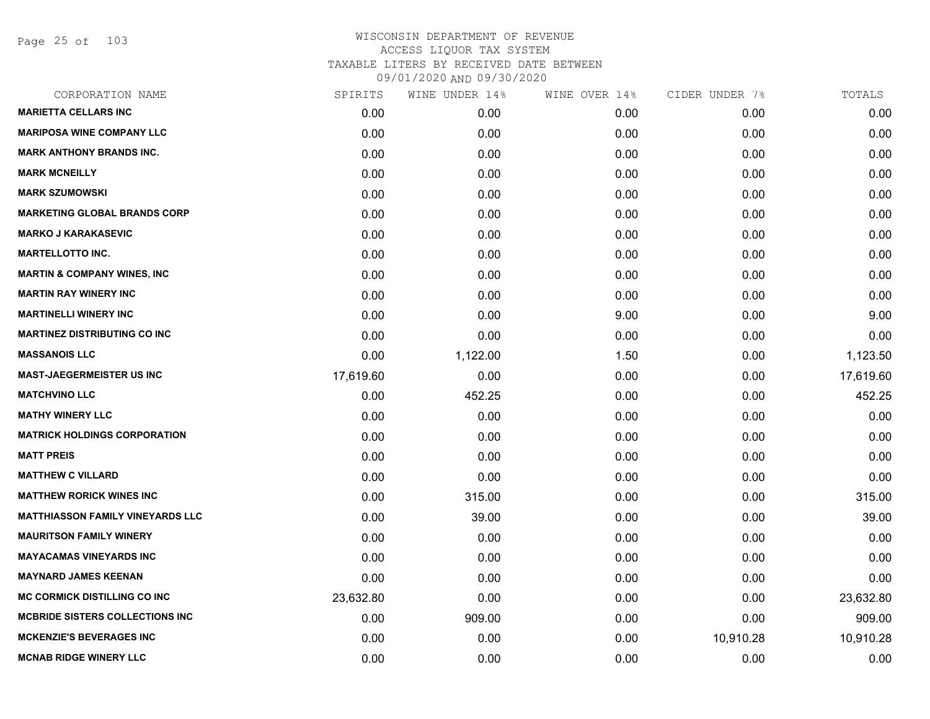Page 25 of 103

| 0.00<br>0.00<br>0.00<br>0.00<br>0.00<br>0.00<br>0.00 | 0.00<br>0.00<br>0.00<br>0.00<br>0.00 |
|------------------------------------------------------|--------------------------------------|
|                                                      |                                      |
|                                                      |                                      |
|                                                      |                                      |
|                                                      |                                      |
|                                                      |                                      |
|                                                      | 0.00                                 |
|                                                      | 0.00                                 |
| 0.00                                                 | 0.00                                 |
| 0.00                                                 | 0.00                                 |
| 0.00                                                 | 0.00                                 |
| 0.00                                                 | 9.00                                 |
| 0.00                                                 | 0.00                                 |
| 0.00                                                 | 1,123.50                             |
| 0.00                                                 | 17,619.60                            |
| 0.00                                                 | 452.25                               |
| 0.00                                                 | 0.00                                 |
| 0.00                                                 | 0.00                                 |
| 0.00                                                 | 0.00                                 |
| 0.00                                                 | 0.00                                 |
| 0.00                                                 | 315.00                               |
| 0.00                                                 | 39.00                                |
| 0.00                                                 | 0.00                                 |
| 0.00                                                 | 0.00                                 |
| 0.00                                                 | 0.00                                 |
| 0.00                                                 | 23,632.80                            |
| 0.00                                                 | 909.00                               |
| 10,910.28                                            | 10,910.28                            |
|                                                      | 0.00                                 |
|                                                      | 0.00                                 |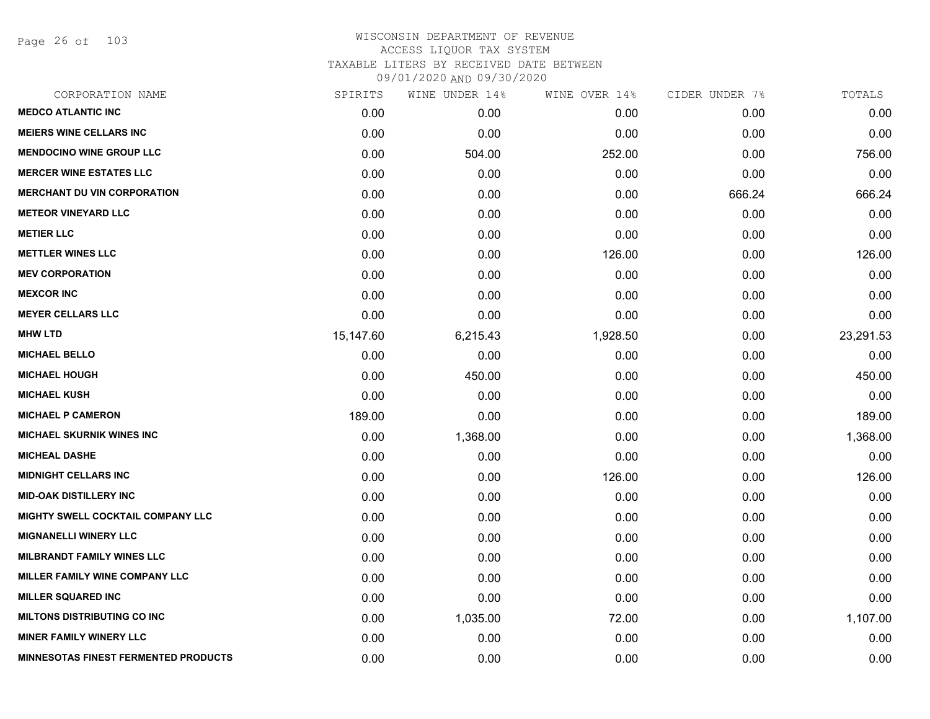Page 26 of 103

| CORPORATION NAME                            | SPIRITS   | WINE UNDER 14% | WINE OVER 14% | CIDER UNDER 7% | TOTALS    |
|---------------------------------------------|-----------|----------------|---------------|----------------|-----------|
| <b>MEDCO ATLANTIC INC</b>                   | 0.00      | 0.00           | 0.00          | 0.00           | 0.00      |
| <b>MEIERS WINE CELLARS INC</b>              | 0.00      | 0.00           | 0.00          | 0.00           | 0.00      |
| <b>MENDOCINO WINE GROUP LLC</b>             | 0.00      | 504.00         | 252.00        | 0.00           | 756.00    |
| <b>MERCER WINE ESTATES LLC</b>              | 0.00      | 0.00           | 0.00          | 0.00           | 0.00      |
| <b>MERCHANT DU VIN CORPORATION</b>          | 0.00      | 0.00           | 0.00          | 666.24         | 666.24    |
| <b>METEOR VINEYARD LLC</b>                  | 0.00      | 0.00           | 0.00          | 0.00           | 0.00      |
| <b>METIER LLC</b>                           | 0.00      | 0.00           | 0.00          | 0.00           | 0.00      |
| <b>METTLER WINES LLC</b>                    | 0.00      | 0.00           | 126.00        | 0.00           | 126.00    |
| <b>MEV CORPORATION</b>                      | 0.00      | 0.00           | 0.00          | 0.00           | 0.00      |
| <b>MEXCOR INC</b>                           | 0.00      | 0.00           | 0.00          | 0.00           | 0.00      |
| <b>MEYER CELLARS LLC</b>                    | 0.00      | 0.00           | 0.00          | 0.00           | 0.00      |
| <b>MHW LTD</b>                              | 15,147.60 | 6,215.43       | 1,928.50      | 0.00           | 23,291.53 |
| <b>MICHAEL BELLO</b>                        | 0.00      | 0.00           | 0.00          | 0.00           | 0.00      |
| <b>MICHAEL HOUGH</b>                        | 0.00      | 450.00         | 0.00          | 0.00           | 450.00    |
| <b>MICHAEL KUSH</b>                         | 0.00      | 0.00           | 0.00          | 0.00           | 0.00      |
| <b>MICHAEL P CAMERON</b>                    | 189.00    | 0.00           | 0.00          | 0.00           | 189.00    |
| <b>MICHAEL SKURNIK WINES INC</b>            | 0.00      | 1,368.00       | 0.00          | 0.00           | 1,368.00  |
| <b>MICHEAL DASHE</b>                        | 0.00      | 0.00           | 0.00          | 0.00           | 0.00      |
| <b>MIDNIGHT CELLARS INC</b>                 | 0.00      | 0.00           | 126.00        | 0.00           | 126.00    |
| <b>MID-OAK DISTILLERY INC</b>               | 0.00      | 0.00           | 0.00          | 0.00           | 0.00      |
| MIGHTY SWELL COCKTAIL COMPANY LLC           | 0.00      | 0.00           | 0.00          | 0.00           | 0.00      |
| <b>MIGNANELLI WINERY LLC</b>                | 0.00      | 0.00           | 0.00          | 0.00           | 0.00      |
| <b>MILBRANDT FAMILY WINES LLC</b>           | 0.00      | 0.00           | 0.00          | 0.00           | 0.00      |
| MILLER FAMILY WINE COMPANY LLC              | 0.00      | 0.00           | 0.00          | 0.00           | 0.00      |
| <b>MILLER SQUARED INC</b>                   | 0.00      | 0.00           | 0.00          | 0.00           | 0.00      |
| <b>MILTONS DISTRIBUTING CO INC</b>          | 0.00      | 1,035.00       | 72.00         | 0.00           | 1,107.00  |
| <b>MINER FAMILY WINERY LLC</b>              | 0.00      | 0.00           | 0.00          | 0.00           | 0.00      |
| <b>MINNESOTAS FINEST FERMENTED PRODUCTS</b> | 0.00      | 0.00           | 0.00          | 0.00           | 0.00      |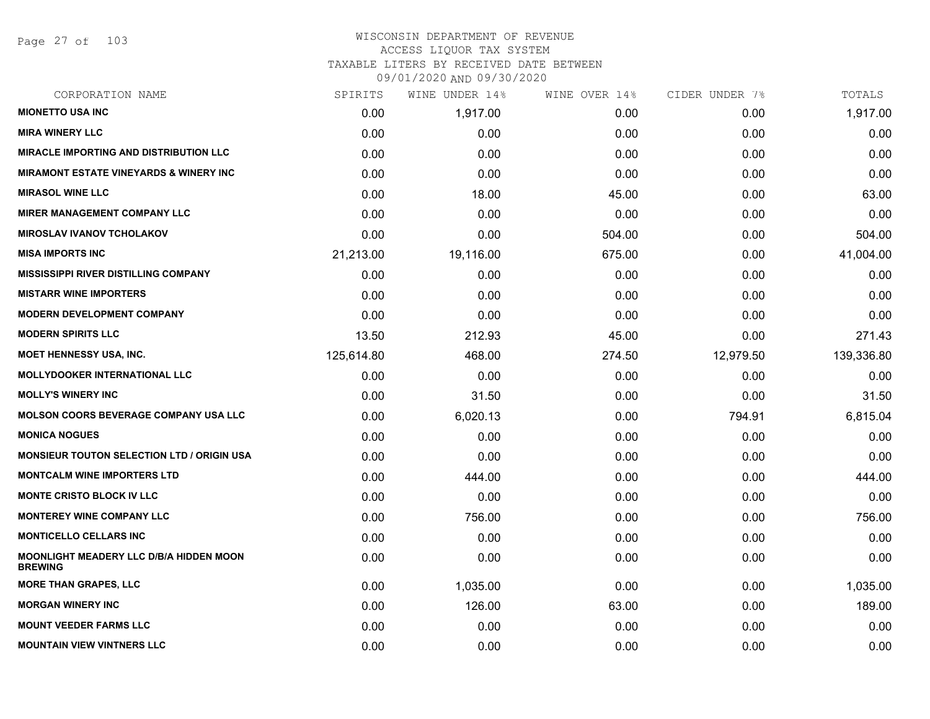Page 27 of 103

| CORPORATION NAME                                                 | SPIRITS    | WINE UNDER 14% | WINE OVER 14% | CIDER UNDER 7% | TOTALS     |
|------------------------------------------------------------------|------------|----------------|---------------|----------------|------------|
| <b>MIONETTO USA INC</b>                                          | 0.00       | 1,917.00       | 0.00          | 0.00           | 1,917.00   |
| <b>MIRA WINERY LLC</b>                                           | 0.00       | 0.00           | 0.00          | 0.00           | 0.00       |
| <b>MIRACLE IMPORTING AND DISTRIBUTION LLC</b>                    | 0.00       | 0.00           | 0.00          | 0.00           | 0.00       |
| <b>MIRAMONT ESTATE VINEYARDS &amp; WINERY INC</b>                | 0.00       | 0.00           | 0.00          | 0.00           | 0.00       |
| <b>MIRASOL WINE LLC</b>                                          | 0.00       | 18.00          | 45.00         | 0.00           | 63.00      |
| <b>MIRER MANAGEMENT COMPANY LLC</b>                              | 0.00       | 0.00           | 0.00          | 0.00           | 0.00       |
| <b>MIROSLAV IVANOV TCHOLAKOV</b>                                 | 0.00       | 0.00           | 504.00        | 0.00           | 504.00     |
| <b>MISA IMPORTS INC</b>                                          | 21,213.00  | 19,116.00      | 675.00        | 0.00           | 41,004.00  |
| <b>MISSISSIPPI RIVER DISTILLING COMPANY</b>                      | 0.00       | 0.00           | 0.00          | 0.00           | 0.00       |
| <b>MISTARR WINE IMPORTERS</b>                                    | 0.00       | 0.00           | 0.00          | 0.00           | 0.00       |
| <b>MODERN DEVELOPMENT COMPANY</b>                                | 0.00       | 0.00           | 0.00          | 0.00           | 0.00       |
| <b>MODERN SPIRITS LLC</b>                                        | 13.50      | 212.93         | 45.00         | 0.00           | 271.43     |
| <b>MOET HENNESSY USA, INC.</b>                                   | 125,614.80 | 468.00         | 274.50        | 12,979.50      | 139,336.80 |
| <b>MOLLYDOOKER INTERNATIONAL LLC</b>                             | 0.00       | 0.00           | 0.00          | 0.00           | 0.00       |
| <b>MOLLY'S WINERY INC</b>                                        | 0.00       | 31.50          | 0.00          | 0.00           | 31.50      |
| <b>MOLSON COORS BEVERAGE COMPANY USA LLC</b>                     | 0.00       | 6,020.13       | 0.00          | 794.91         | 6,815.04   |
| <b>MONICA NOGUES</b>                                             | 0.00       | 0.00           | 0.00          | 0.00           | 0.00       |
| <b>MONSIEUR TOUTON SELECTION LTD / ORIGIN USA</b>                | 0.00       | 0.00           | 0.00          | 0.00           | 0.00       |
| <b>MONTCALM WINE IMPORTERS LTD</b>                               | 0.00       | 444.00         | 0.00          | 0.00           | 444.00     |
| <b>MONTE CRISTO BLOCK IV LLC</b>                                 | 0.00       | 0.00           | 0.00          | 0.00           | 0.00       |
| <b>MONTEREY WINE COMPANY LLC</b>                                 | 0.00       | 756.00         | 0.00          | 0.00           | 756.00     |
| <b>MONTICELLO CELLARS INC</b>                                    | 0.00       | 0.00           | 0.00          | 0.00           | 0.00       |
| <b>MOONLIGHT MEADERY LLC D/B/A HIDDEN MOON</b><br><b>BREWING</b> | 0.00       | 0.00           | 0.00          | 0.00           | 0.00       |
| <b>MORE THAN GRAPES, LLC</b>                                     | 0.00       | 1,035.00       | 0.00          | 0.00           | 1,035.00   |
| <b>MORGAN WINERY INC</b>                                         | 0.00       | 126.00         | 63.00         | 0.00           | 189.00     |
| <b>MOUNT VEEDER FARMS LLC</b>                                    | 0.00       | 0.00           | 0.00          | 0.00           | 0.00       |
| <b>MOUNTAIN VIEW VINTNERS LLC</b>                                | 0.00       | 0.00           | 0.00          | 0.00           | 0.00       |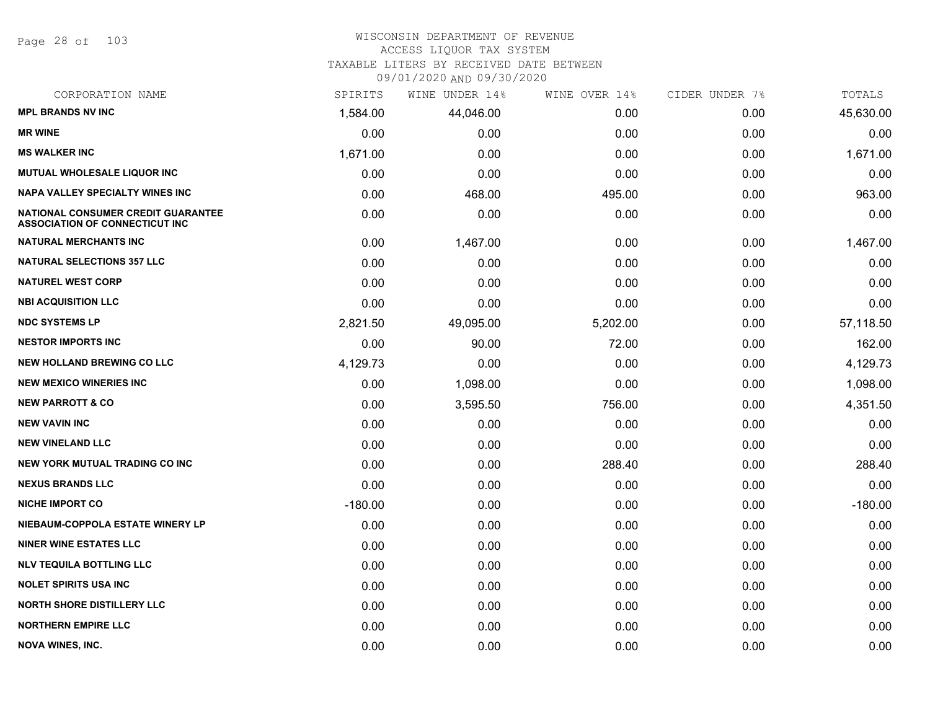Page 28 of 103

#### WISCONSIN DEPARTMENT OF REVENUE ACCESS LIQUOR TAX SYSTEM TAXABLE LITERS BY RECEIVED DATE BETWEEN

09/01/2020 AND 09/30/2020

| CORPORATION NAME                                                            | SPIRITS   | WINE UNDER 14% | WINE OVER 14% | CIDER UNDER 7% | TOTALS    |
|-----------------------------------------------------------------------------|-----------|----------------|---------------|----------------|-----------|
| <b>MPL BRANDS NV INC</b>                                                    | 1,584.00  | 44,046.00      | 0.00          | 0.00           | 45,630.00 |
| <b>MR WINE</b>                                                              | 0.00      | 0.00           | 0.00          | 0.00           | 0.00      |
| <b>MS WALKER INC</b>                                                        | 1,671.00  | 0.00           | 0.00          | 0.00           | 1,671.00  |
| <b>MUTUAL WHOLESALE LIQUOR INC</b>                                          | 0.00      | 0.00           | 0.00          | 0.00           | 0.00      |
| <b>NAPA VALLEY SPECIALTY WINES INC</b>                                      | 0.00      | 468.00         | 495.00        | 0.00           | 963.00    |
| NATIONAL CONSUMER CREDIT GUARANTEE<br><b>ASSOCIATION OF CONNECTICUT INC</b> | 0.00      | 0.00           | 0.00          | 0.00           | 0.00      |
| <b>NATURAL MERCHANTS INC</b>                                                | 0.00      | 1,467.00       | 0.00          | 0.00           | 1,467.00  |
| <b>NATURAL SELECTIONS 357 LLC</b>                                           | 0.00      | 0.00           | 0.00          | 0.00           | 0.00      |
| <b>NATUREL WEST CORP</b>                                                    | 0.00      | 0.00           | 0.00          | 0.00           | 0.00      |
| <b>NBI ACQUISITION LLC</b>                                                  | 0.00      | 0.00           | 0.00          | 0.00           | 0.00      |
| <b>NDC SYSTEMS LP</b>                                                       | 2,821.50  | 49,095.00      | 5,202.00      | 0.00           | 57,118.50 |
| <b>NESTOR IMPORTS INC</b>                                                   | 0.00      | 90.00          | 72.00         | 0.00           | 162.00    |
| <b>NEW HOLLAND BREWING CO LLC</b>                                           | 4,129.73  | 0.00           | 0.00          | 0.00           | 4,129.73  |
| <b>NEW MEXICO WINERIES INC</b>                                              | 0.00      | 1,098.00       | 0.00          | 0.00           | 1,098.00  |
| <b>NEW PARROTT &amp; CO</b>                                                 | 0.00      | 3,595.50       | 756.00        | 0.00           | 4,351.50  |
| <b>NEW VAVIN INC</b>                                                        | 0.00      | 0.00           | 0.00          | 0.00           | 0.00      |
| <b>NEW VINELAND LLC</b>                                                     | 0.00      | 0.00           | 0.00          | 0.00           | 0.00      |
| <b>NEW YORK MUTUAL TRADING CO INC</b>                                       | 0.00      | 0.00           | 288.40        | 0.00           | 288.40    |
| <b>NEXUS BRANDS LLC</b>                                                     | 0.00      | 0.00           | 0.00          | 0.00           | 0.00      |
| <b>NICHE IMPORT CO</b>                                                      | $-180.00$ | 0.00           | 0.00          | 0.00           | $-180.00$ |
| NIEBAUM-COPPOLA ESTATE WINERY LP                                            | 0.00      | 0.00           | 0.00          | 0.00           | 0.00      |
| <b>NINER WINE ESTATES LLC</b>                                               | 0.00      | 0.00           | 0.00          | 0.00           | 0.00      |
| <b>NLV TEQUILA BOTTLING LLC</b>                                             | 0.00      | 0.00           | 0.00          | 0.00           | 0.00      |
| <b>NOLET SPIRITS USA INC</b>                                                | 0.00      | 0.00           | 0.00          | 0.00           | 0.00      |
| <b>NORTH SHORE DISTILLERY LLC</b>                                           | 0.00      | 0.00           | 0.00          | 0.00           | 0.00      |
| <b>NORTHERN EMPIRE LLC</b>                                                  | 0.00      | 0.00           | 0.00          | 0.00           | 0.00      |
| <b>NOVA WINES, INC.</b>                                                     | 0.00      | 0.00           | 0.00          | 0.00           | 0.00      |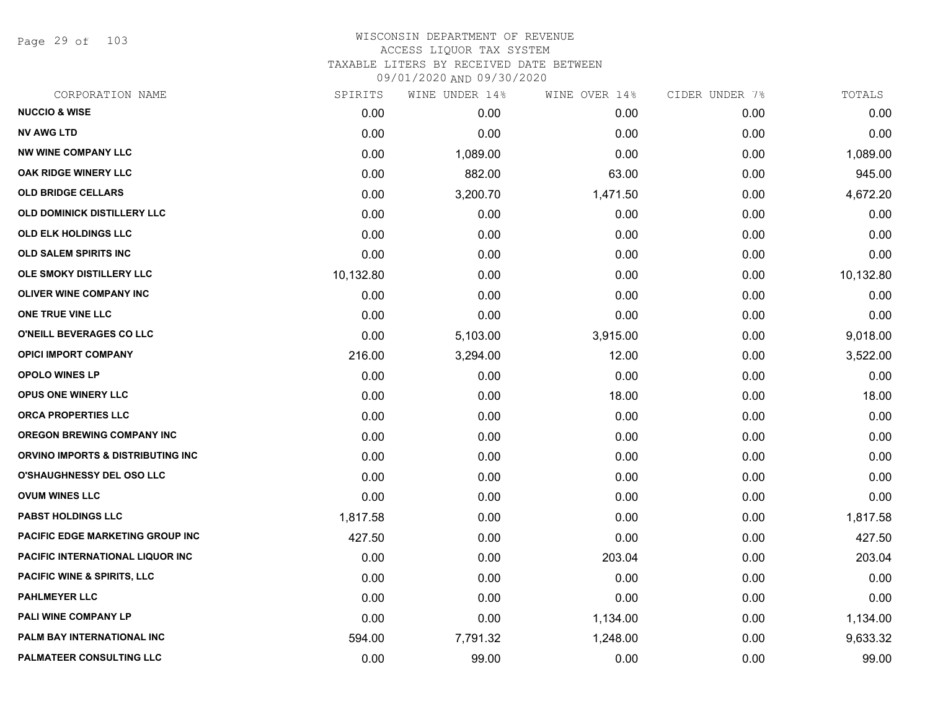Page 29 of 103

| CORPORATION NAME                       | SPIRITS   | WINE UNDER 14% | WINE OVER 14% | CIDER UNDER 7% | TOTALS    |
|----------------------------------------|-----------|----------------|---------------|----------------|-----------|
| <b>NUCCIO &amp; WISE</b>               | 0.00      | 0.00           | 0.00          | 0.00           | 0.00      |
| <b>NV AWG LTD</b>                      | 0.00      | 0.00           | 0.00          | 0.00           | 0.00      |
| <b>NW WINE COMPANY LLC</b>             | 0.00      | 1,089.00       | 0.00          | 0.00           | 1,089.00  |
| OAK RIDGE WINERY LLC                   | 0.00      | 882.00         | 63.00         | 0.00           | 945.00    |
| <b>OLD BRIDGE CELLARS</b>              | 0.00      | 3,200.70       | 1,471.50      | 0.00           | 4,672.20  |
| OLD DOMINICK DISTILLERY LLC            | 0.00      | 0.00           | 0.00          | 0.00           | 0.00      |
| <b>OLD ELK HOLDINGS LLC</b>            | 0.00      | 0.00           | 0.00          | 0.00           | 0.00      |
| <b>OLD SALEM SPIRITS INC</b>           | 0.00      | 0.00           | 0.00          | 0.00           | 0.00      |
| OLE SMOKY DISTILLERY LLC               | 10,132.80 | 0.00           | 0.00          | 0.00           | 10,132.80 |
| <b>OLIVER WINE COMPANY INC</b>         | 0.00      | 0.00           | 0.00          | 0.00           | 0.00      |
| ONE TRUE VINE LLC                      | 0.00      | 0.00           | 0.00          | 0.00           | 0.00      |
| O'NEILL BEVERAGES CO LLC               | 0.00      | 5,103.00       | 3,915.00      | 0.00           | 9,018.00  |
| <b>OPICI IMPORT COMPANY</b>            | 216.00    | 3,294.00       | 12.00         | 0.00           | 3,522.00  |
| <b>OPOLO WINES LP</b>                  | 0.00      | 0.00           | 0.00          | 0.00           | 0.00      |
| OPUS ONE WINERY LLC                    | 0.00      | 0.00           | 18.00         | 0.00           | 18.00     |
| <b>ORCA PROPERTIES LLC</b>             | 0.00      | 0.00           | 0.00          | 0.00           | 0.00      |
| <b>OREGON BREWING COMPANY INC</b>      | 0.00      | 0.00           | 0.00          | 0.00           | 0.00      |
| ORVINO IMPORTS & DISTRIBUTING INC      | 0.00      | 0.00           | 0.00          | 0.00           | 0.00      |
| <b>O'SHAUGHNESSY DEL OSO LLC</b>       | 0.00      | 0.00           | 0.00          | 0.00           | 0.00      |
| <b>OVUM WINES LLC</b>                  | 0.00      | 0.00           | 0.00          | 0.00           | 0.00      |
| <b>PABST HOLDINGS LLC</b>              | 1,817.58  | 0.00           | 0.00          | 0.00           | 1,817.58  |
| PACIFIC EDGE MARKETING GROUP INC       | 427.50    | 0.00           | 0.00          | 0.00           | 427.50    |
| PACIFIC INTERNATIONAL LIQUOR INC       | 0.00      | 0.00           | 203.04        | 0.00           | 203.04    |
| <b>PACIFIC WINE &amp; SPIRITS, LLC</b> | 0.00      | 0.00           | 0.00          | 0.00           | 0.00      |
| <b>PAHLMEYER LLC</b>                   | 0.00      | 0.00           | 0.00          | 0.00           | 0.00      |
| PALI WINE COMPANY LP                   | 0.00      | 0.00           | 1,134.00      | 0.00           | 1,134.00  |
| PALM BAY INTERNATIONAL INC             | 594.00    | 7,791.32       | 1,248.00      | 0.00           | 9,633.32  |
| PALMATEER CONSULTING LLC               | 0.00      | 99.00          | 0.00          | 0.00           | 99.00     |
|                                        |           |                |               |                |           |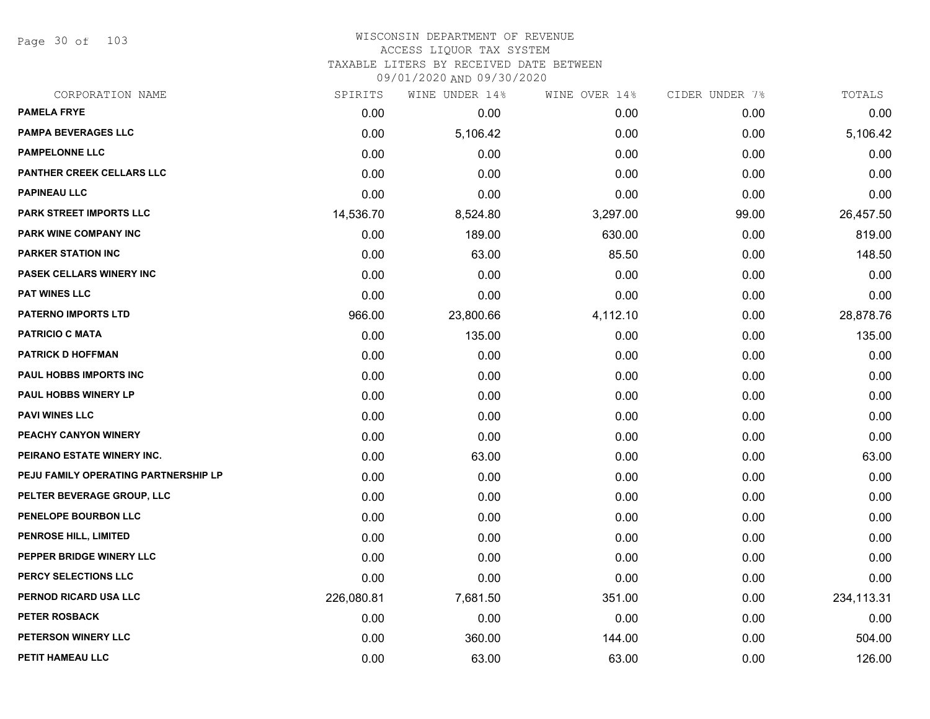Page 30 of 103

| CORPORATION NAME                     | SPIRITS    | WINE UNDER 14% | WINE OVER 14% | CIDER UNDER 7% | TOTALS     |
|--------------------------------------|------------|----------------|---------------|----------------|------------|
| <b>PAMELA FRYE</b>                   | 0.00       | 0.00           | 0.00          | 0.00           | 0.00       |
| <b>PAMPA BEVERAGES LLC</b>           | 0.00       | 5,106.42       | 0.00          | 0.00           | 5,106.42   |
| <b>PAMPELONNE LLC</b>                | 0.00       | 0.00           | 0.00          | 0.00           | 0.00       |
| PANTHER CREEK CELLARS LLC            | 0.00       | 0.00           | 0.00          | 0.00           | 0.00       |
| <b>PAPINEAU LLC</b>                  | 0.00       | 0.00           | 0.00          | 0.00           | 0.00       |
| PARK STREET IMPORTS LLC              | 14,536.70  | 8,524.80       | 3,297.00      | 99.00          | 26,457.50  |
| PARK WINE COMPANY INC                | 0.00       | 189.00         | 630.00        | 0.00           | 819.00     |
| <b>PARKER STATION INC</b>            | 0.00       | 63.00          | 85.50         | 0.00           | 148.50     |
| PASEK CELLARS WINERY INC             | 0.00       | 0.00           | 0.00          | 0.00           | 0.00       |
| <b>PAT WINES LLC</b>                 | 0.00       | 0.00           | 0.00          | 0.00           | 0.00       |
| <b>PATERNO IMPORTS LTD</b>           | 966.00     | 23,800.66      | 4,112.10      | 0.00           | 28,878.76  |
| <b>PATRICIO C MATA</b>               | 0.00       | 135.00         | 0.00          | 0.00           | 135.00     |
| <b>PATRICK D HOFFMAN</b>             | 0.00       | 0.00           | 0.00          | 0.00           | 0.00       |
| PAUL HOBBS IMPORTS INC               | 0.00       | 0.00           | 0.00          | 0.00           | 0.00       |
| PAUL HOBBS WINERY LP                 | 0.00       | 0.00           | 0.00          | 0.00           | 0.00       |
| <b>PAVI WINES LLC</b>                | 0.00       | 0.00           | 0.00          | 0.00           | 0.00       |
| PEACHY CANYON WINERY                 | 0.00       | 0.00           | 0.00          | 0.00           | 0.00       |
| PEIRANO ESTATE WINERY INC.           | 0.00       | 63.00          | 0.00          | 0.00           | 63.00      |
| PEJU FAMILY OPERATING PARTNERSHIP LP | 0.00       | 0.00           | 0.00          | 0.00           | 0.00       |
| PELTER BEVERAGE GROUP, LLC           | 0.00       | 0.00           | 0.00          | 0.00           | 0.00       |
| PENELOPE BOURBON LLC                 | 0.00       | 0.00           | 0.00          | 0.00           | 0.00       |
| PENROSE HILL, LIMITED                | 0.00       | 0.00           | 0.00          | 0.00           | 0.00       |
| PEPPER BRIDGE WINERY LLC             | 0.00       | 0.00           | 0.00          | 0.00           | 0.00       |
| PERCY SELECTIONS LLC                 | 0.00       | 0.00           | 0.00          | 0.00           | 0.00       |
| PERNOD RICARD USA LLC                | 226,080.81 | 7,681.50       | 351.00        | 0.00           | 234,113.31 |
| <b>PETER ROSBACK</b>                 | 0.00       | 0.00           | 0.00          | 0.00           | 0.00       |
| PETERSON WINERY LLC                  | 0.00       | 360.00         | 144.00        | 0.00           | 504.00     |
| PETIT HAMEAU LLC                     | 0.00       | 63.00          | 63.00         | 0.00           | 126.00     |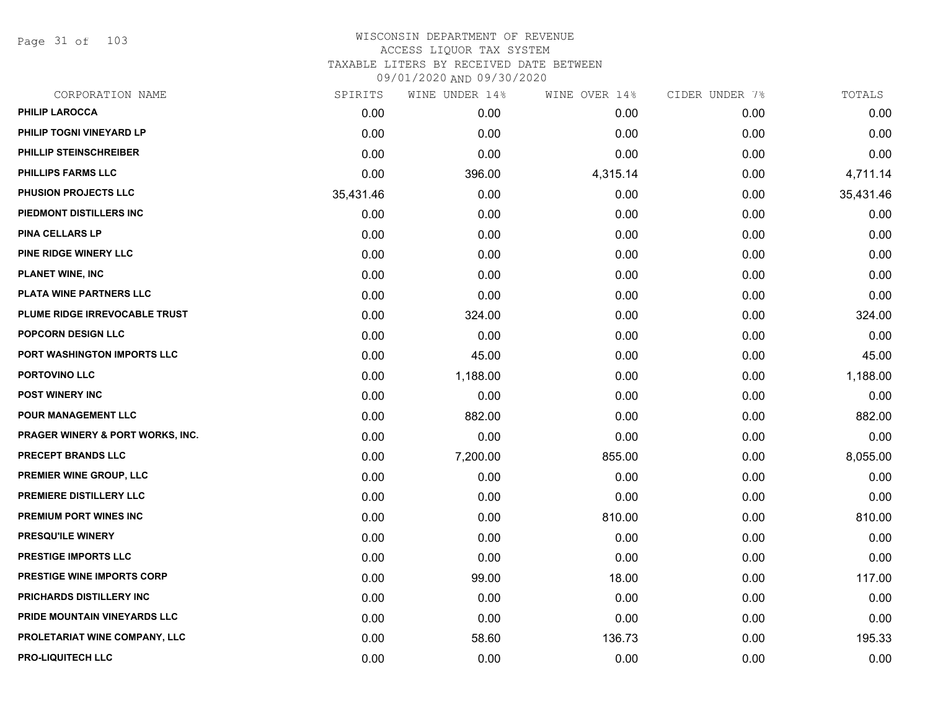Page 31 of 103

| CORPORATION NAME                            | SPIRITS   | WINE UNDER 14% | WINE OVER 14% | CIDER UNDER 7% | TOTALS    |
|---------------------------------------------|-----------|----------------|---------------|----------------|-----------|
| <b>PHILIP LAROCCA</b>                       | 0.00      | 0.00           | 0.00          | 0.00           | 0.00      |
| PHILIP TOGNI VINEYARD LP                    | 0.00      | 0.00           | 0.00          | 0.00           | 0.00      |
| PHILLIP STEINSCHREIBER                      | 0.00      | 0.00           | 0.00          | 0.00           | 0.00      |
| <b>PHILLIPS FARMS LLC</b>                   | 0.00      | 396.00         | 4,315.14      | 0.00           | 4,711.14  |
| <b>PHUSION PROJECTS LLC</b>                 | 35,431.46 | 0.00           | 0.00          | 0.00           | 35,431.46 |
| PIEDMONT DISTILLERS INC                     | 0.00      | 0.00           | 0.00          | 0.00           | 0.00      |
| <b>PINA CELLARS LP</b>                      | 0.00      | 0.00           | 0.00          | 0.00           | 0.00      |
| PINE RIDGE WINERY LLC                       | 0.00      | 0.00           | 0.00          | 0.00           | 0.00      |
| <b>PLANET WINE, INC</b>                     | 0.00      | 0.00           | 0.00          | 0.00           | 0.00      |
| PLATA WINE PARTNERS LLC                     | 0.00      | 0.00           | 0.00          | 0.00           | 0.00      |
| PLUME RIDGE IRREVOCABLE TRUST               | 0.00      | 324.00         | 0.00          | 0.00           | 324.00    |
| POPCORN DESIGN LLC                          | 0.00      | 0.00           | 0.00          | 0.00           | 0.00      |
| PORT WASHINGTON IMPORTS LLC                 | 0.00      | 45.00          | 0.00          | 0.00           | 45.00     |
| PORTOVINO LLC                               | 0.00      | 1,188.00       | 0.00          | 0.00           | 1,188.00  |
| <b>POST WINERY INC</b>                      | 0.00      | 0.00           | 0.00          | 0.00           | 0.00      |
| <b>POUR MANAGEMENT LLC</b>                  | 0.00      | 882.00         | 0.00          | 0.00           | 882.00    |
| <b>PRAGER WINERY &amp; PORT WORKS, INC.</b> | 0.00      | 0.00           | 0.00          | 0.00           | 0.00      |
| <b>PRECEPT BRANDS LLC</b>                   | 0.00      | 7,200.00       | 855.00        | 0.00           | 8,055.00  |
| PREMIER WINE GROUP, LLC                     | 0.00      | 0.00           | 0.00          | 0.00           | 0.00      |
| PREMIERE DISTILLERY LLC                     | 0.00      | 0.00           | 0.00          | 0.00           | 0.00      |
| PREMIUM PORT WINES INC                      | 0.00      | 0.00           | 810.00        | 0.00           | 810.00    |
| <b>PRESQU'ILE WINERY</b>                    | 0.00      | 0.00           | 0.00          | 0.00           | 0.00      |
| PRESTIGE IMPORTS LLC                        | 0.00      | 0.00           | 0.00          | 0.00           | 0.00      |
| <b>PRESTIGE WINE IMPORTS CORP</b>           | 0.00      | 99.00          | 18.00         | 0.00           | 117.00    |
| PRICHARDS DISTILLERY INC                    | 0.00      | 0.00           | 0.00          | 0.00           | 0.00      |
| PRIDE MOUNTAIN VINEYARDS LLC                | 0.00      | 0.00           | 0.00          | 0.00           | 0.00      |
| PROLETARIAT WINE COMPANY, LLC               | 0.00      | 58.60          | 136.73        | 0.00           | 195.33    |
| <b>PRO-LIQUITECH LLC</b>                    | 0.00      | 0.00           | 0.00          | 0.00           | 0.00      |
|                                             |           |                |               |                |           |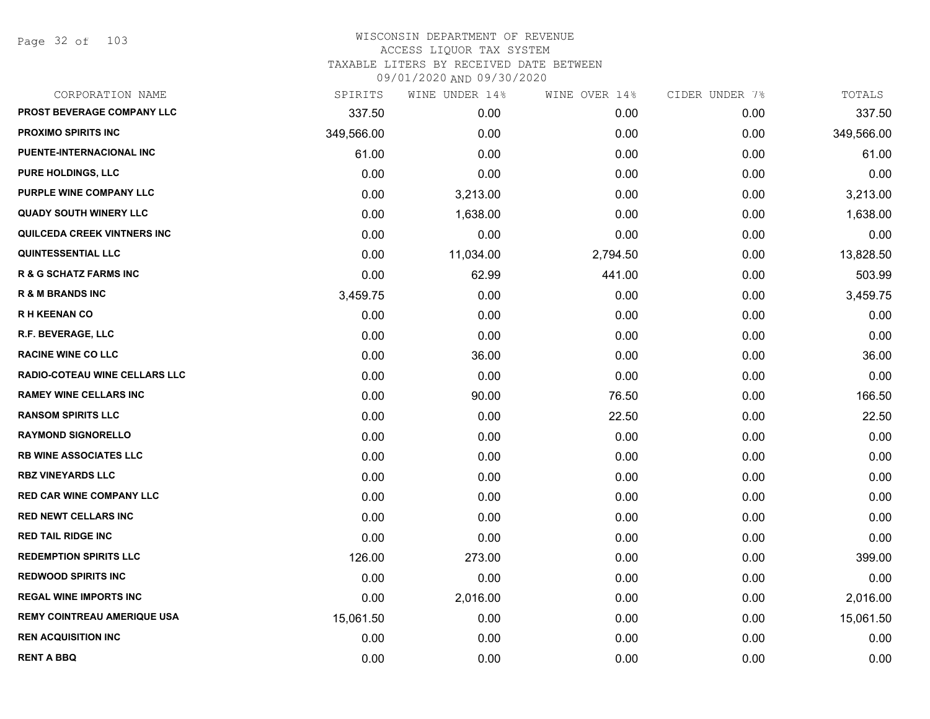Page 32 of 103

| CORPORATION NAME                     | SPIRITS    | WINE UNDER 14% | WINE OVER 14% | CIDER UNDER 7% | TOTALS     |
|--------------------------------------|------------|----------------|---------------|----------------|------------|
| PROST BEVERAGE COMPANY LLC           | 337.50     | 0.00           | 0.00          | 0.00           | 337.50     |
| <b>PROXIMO SPIRITS INC</b>           | 349,566.00 | 0.00           | 0.00          | 0.00           | 349,566.00 |
| PUENTE-INTERNACIONAL INC             | 61.00      | 0.00           | 0.00          | 0.00           | 61.00      |
| <b>PURE HOLDINGS, LLC</b>            | 0.00       | 0.00           | 0.00          | 0.00           | 0.00       |
| PURPLE WINE COMPANY LLC              | 0.00       | 3,213.00       | 0.00          | 0.00           | 3,213.00   |
| <b>QUADY SOUTH WINERY LLC</b>        | 0.00       | 1,638.00       | 0.00          | 0.00           | 1,638.00   |
| QUILCEDA CREEK VINTNERS INC          | 0.00       | 0.00           | 0.00          | 0.00           | 0.00       |
| <b>QUINTESSENTIAL LLC</b>            | 0.00       | 11,034.00      | 2,794.50      | 0.00           | 13,828.50  |
| <b>R &amp; G SCHATZ FARMS INC</b>    | 0.00       | 62.99          | 441.00        | 0.00           | 503.99     |
| <b>R &amp; M BRANDS INC</b>          | 3,459.75   | 0.00           | 0.00          | 0.00           | 3,459.75   |
| <b>RH KEENAN CO</b>                  | 0.00       | 0.00           | 0.00          | 0.00           | 0.00       |
| R.F. BEVERAGE, LLC                   | 0.00       | 0.00           | 0.00          | 0.00           | 0.00       |
| <b>RACINE WINE CO LLC</b>            | 0.00       | 36.00          | 0.00          | 0.00           | 36.00      |
| <b>RADIO-COTEAU WINE CELLARS LLC</b> | 0.00       | 0.00           | 0.00          | 0.00           | 0.00       |
| <b>RAMEY WINE CELLARS INC</b>        | 0.00       | 90.00          | 76.50         | 0.00           | 166.50     |
| <b>RANSOM SPIRITS LLC</b>            | 0.00       | 0.00           | 22.50         | 0.00           | 22.50      |
| <b>RAYMOND SIGNORELLO</b>            | 0.00       | 0.00           | 0.00          | 0.00           | 0.00       |
| <b>RB WINE ASSOCIATES LLC</b>        | 0.00       | 0.00           | 0.00          | 0.00           | 0.00       |
| <b>RBZ VINEYARDS LLC</b>             | 0.00       | 0.00           | 0.00          | 0.00           | 0.00       |
| <b>RED CAR WINE COMPANY LLC</b>      | 0.00       | 0.00           | 0.00          | 0.00           | 0.00       |
| <b>RED NEWT CELLARS INC</b>          | 0.00       | 0.00           | 0.00          | 0.00           | 0.00       |
| <b>RED TAIL RIDGE INC</b>            | 0.00       | 0.00           | 0.00          | 0.00           | 0.00       |
| <b>REDEMPTION SPIRITS LLC</b>        | 126.00     | 273.00         | 0.00          | 0.00           | 399.00     |
| <b>REDWOOD SPIRITS INC</b>           | 0.00       | 0.00           | 0.00          | 0.00           | 0.00       |
| <b>REGAL WINE IMPORTS INC</b>        | 0.00       | 2,016.00       | 0.00          | 0.00           | 2,016.00   |
| <b>REMY COINTREAU AMERIQUE USA</b>   | 15,061.50  | 0.00           | 0.00          | 0.00           | 15,061.50  |
| <b>REN ACQUISITION INC</b>           | 0.00       | 0.00           | 0.00          | 0.00           | 0.00       |
| <b>RENT A BBQ</b>                    | 0.00       | 0.00           | 0.00          | 0.00           | 0.00       |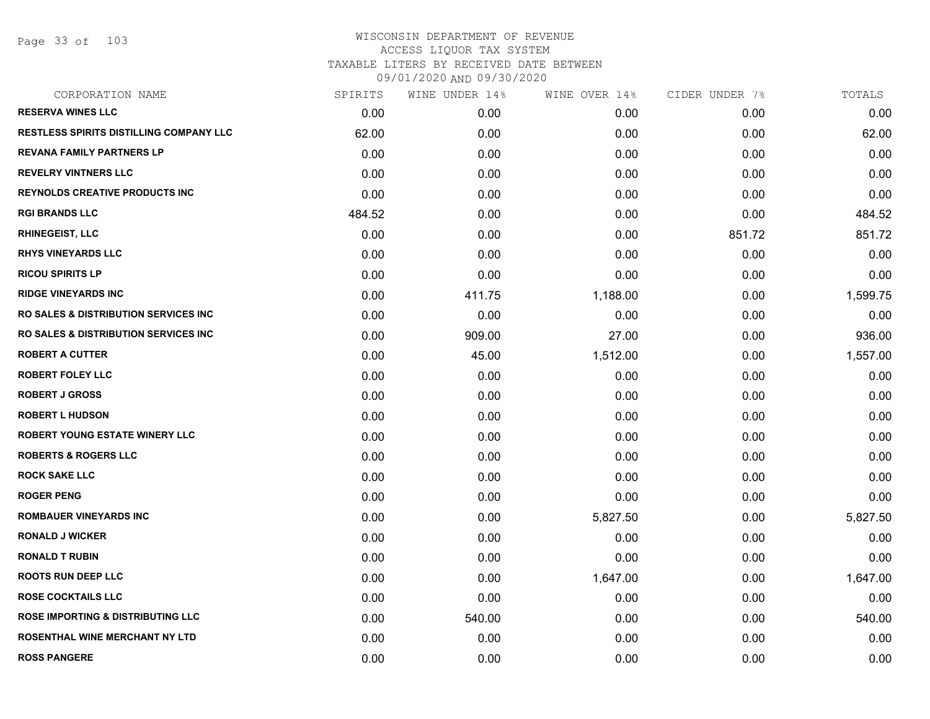Page 33 of 103

|        |        |          | CIDER UNDER 7% | TOTALS   |
|--------|--------|----------|----------------|----------|
| 0.00   | 0.00   | 0.00     | 0.00           | 0.00     |
| 62.00  | 0.00   | 0.00     | 0.00           | 62.00    |
| 0.00   | 0.00   | 0.00     | 0.00           | 0.00     |
| 0.00   | 0.00   | 0.00     | 0.00           | 0.00     |
| 0.00   | 0.00   | 0.00     | 0.00           | 0.00     |
| 484.52 | 0.00   | 0.00     | 0.00           | 484.52   |
| 0.00   | 0.00   | 0.00     | 851.72         | 851.72   |
| 0.00   | 0.00   | 0.00     | 0.00           | 0.00     |
| 0.00   | 0.00   | 0.00     | 0.00           | 0.00     |
| 0.00   | 411.75 | 1,188.00 | 0.00           | 1,599.75 |
| 0.00   | 0.00   | 0.00     | 0.00           | 0.00     |
| 0.00   | 909.00 | 27.00    | 0.00           | 936.00   |
| 0.00   | 45.00  | 1,512.00 | 0.00           | 1,557.00 |
| 0.00   | 0.00   | 0.00     | 0.00           | 0.00     |
| 0.00   | 0.00   | 0.00     | 0.00           | 0.00     |
| 0.00   | 0.00   | 0.00     | 0.00           | 0.00     |
| 0.00   | 0.00   | 0.00     | 0.00           | 0.00     |
| 0.00   | 0.00   | 0.00     | 0.00           | 0.00     |
| 0.00   | 0.00   | 0.00     | 0.00           | 0.00     |
| 0.00   | 0.00   | 0.00     | 0.00           | 0.00     |
| 0.00   | 0.00   | 5,827.50 | 0.00           | 5,827.50 |
| 0.00   | 0.00   | 0.00     | 0.00           | 0.00     |
| 0.00   | 0.00   | 0.00     | 0.00           | 0.00     |
| 0.00   | 0.00   | 1,647.00 | 0.00           | 1,647.00 |
| 0.00   | 0.00   | 0.00     | 0.00           | 0.00     |
| 0.00   | 540.00 | 0.00     | 0.00           | 540.00   |
| 0.00   | 0.00   | 0.00     | 0.00           | 0.00     |
| 0.00   | 0.00   | 0.00     | 0.00           | 0.00     |
|        |        |          |                |          |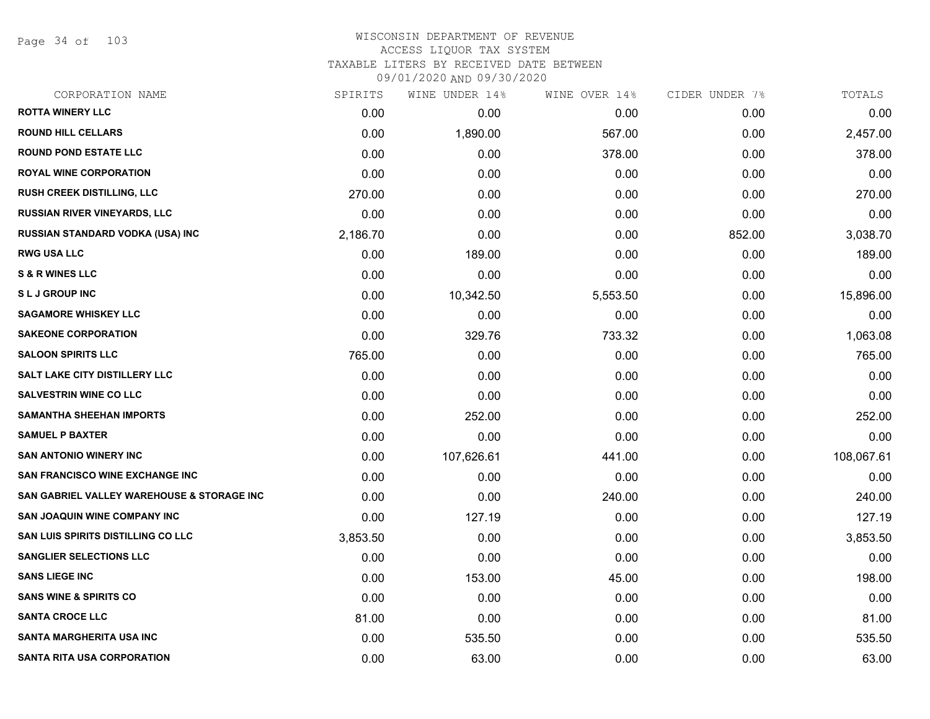Page 34 of 103

| CORPORATION NAME                           | SPIRITS  | WINE UNDER 14% | WINE OVER 14% | CIDER UNDER 7% | TOTALS     |
|--------------------------------------------|----------|----------------|---------------|----------------|------------|
| <b>ROTTA WINERY LLC</b>                    | 0.00     | 0.00           | 0.00          | 0.00           | 0.00       |
| <b>ROUND HILL CELLARS</b>                  | 0.00     | 1,890.00       | 567.00        | 0.00           | 2,457.00   |
| <b>ROUND POND ESTATE LLC</b>               | 0.00     | 0.00           | 378.00        | 0.00           | 378.00     |
| <b>ROYAL WINE CORPORATION</b>              | 0.00     | 0.00           | 0.00          | 0.00           | 0.00       |
| RUSH CREEK DISTILLING, LLC                 | 270.00   | 0.00           | 0.00          | 0.00           | 270.00     |
| RUSSIAN RIVER VINEYARDS, LLC               | 0.00     | 0.00           | 0.00          | 0.00           | 0.00       |
| <b>RUSSIAN STANDARD VODKA (USA) INC</b>    | 2,186.70 | 0.00           | 0.00          | 852.00         | 3,038.70   |
| <b>RWG USA LLC</b>                         | 0.00     | 189.00         | 0.00          | 0.00           | 189.00     |
| <b>S &amp; R WINES LLC</b>                 | 0.00     | 0.00           | 0.00          | 0.00           | 0.00       |
| <b>SLJ GROUP INC</b>                       | 0.00     | 10,342.50      | 5,553.50      | 0.00           | 15,896.00  |
| <b>SAGAMORE WHISKEY LLC</b>                | 0.00     | 0.00           | 0.00          | 0.00           | 0.00       |
| <b>SAKEONE CORPORATION</b>                 | 0.00     | 329.76         | 733.32        | 0.00           | 1,063.08   |
| <b>SALOON SPIRITS LLC</b>                  | 765.00   | 0.00           | 0.00          | 0.00           | 765.00     |
| <b>SALT LAKE CITY DISTILLERY LLC</b>       | 0.00     | 0.00           | 0.00          | 0.00           | 0.00       |
| <b>SALVESTRIN WINE CO LLC</b>              | 0.00     | 0.00           | 0.00          | 0.00           | 0.00       |
| <b>SAMANTHA SHEEHAN IMPORTS</b>            | 0.00     | 252.00         | 0.00          | 0.00           | 252.00     |
| <b>SAMUEL P BAXTER</b>                     | 0.00     | 0.00           | 0.00          | 0.00           | 0.00       |
| <b>SAN ANTONIO WINERY INC</b>              | 0.00     | 107,626.61     | 441.00        | 0.00           | 108,067.61 |
| <b>SAN FRANCISCO WINE EXCHANGE INC</b>     | 0.00     | 0.00           | 0.00          | 0.00           | 0.00       |
| SAN GABRIEL VALLEY WAREHOUSE & STORAGE INC | 0.00     | 0.00           | 240.00        | 0.00           | 240.00     |
| <b>SAN JOAQUIN WINE COMPANY INC</b>        | 0.00     | 127.19         | 0.00          | 0.00           | 127.19     |
| <b>SAN LUIS SPIRITS DISTILLING CO LLC</b>  | 3,853.50 | 0.00           | 0.00          | 0.00           | 3,853.50   |
| <b>SANGLIER SELECTIONS LLC</b>             | 0.00     | 0.00           | 0.00          | 0.00           | 0.00       |
| <b>SANS LIEGE INC</b>                      | 0.00     | 153.00         | 45.00         | 0.00           | 198.00     |
| <b>SANS WINE &amp; SPIRITS CO</b>          | 0.00     | 0.00           | 0.00          | 0.00           | 0.00       |
| <b>SANTA CROCE LLC</b>                     | 81.00    | 0.00           | 0.00          | 0.00           | 81.00      |
| <b>SANTA MARGHERITA USA INC</b>            | 0.00     | 535.50         | 0.00          | 0.00           | 535.50     |
| <b>SANTA RITA USA CORPORATION</b>          | 0.00     | 63.00          | 0.00          | 0.00           | 63.00      |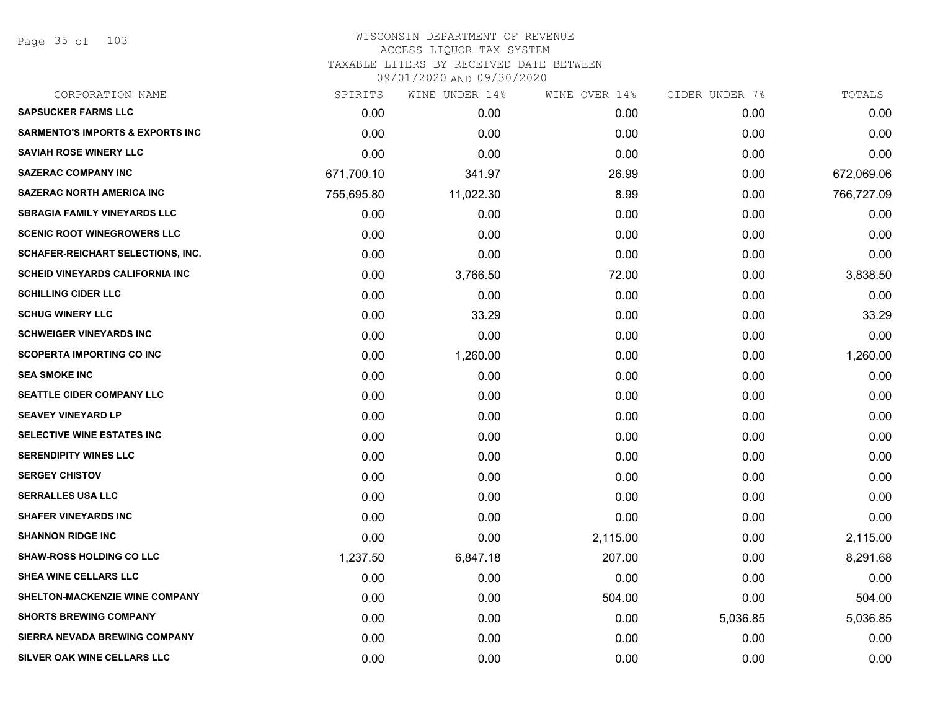Page 35 of 103

| SPIRITS    | WINE UNDER 14% |          |               | TOTALS         |
|------------|----------------|----------|---------------|----------------|
| 0.00       | 0.00           | 0.00     | 0.00          | 0.00           |
| 0.00       | 0.00           | 0.00     | 0.00          | 0.00           |
| 0.00       | 0.00           | 0.00     | 0.00          | 0.00           |
| 671,700.10 | 341.97         | 26.99    | 0.00          | 672,069.06     |
| 755,695.80 | 11,022.30      | 8.99     | 0.00          | 766,727.09     |
| 0.00       | 0.00           | 0.00     | 0.00          | 0.00           |
| 0.00       | 0.00           | 0.00     | 0.00          | 0.00           |
| 0.00       | 0.00           | 0.00     | 0.00          | 0.00           |
| 0.00       | 3,766.50       | 72.00    | 0.00          | 3,838.50       |
| 0.00       | 0.00           | 0.00     | 0.00          | 0.00           |
| 0.00       | 33.29          | 0.00     | 0.00          | 33.29          |
| 0.00       | 0.00           | 0.00     | 0.00          | 0.00           |
| 0.00       | 1,260.00       | 0.00     | 0.00          | 1,260.00       |
| 0.00       | 0.00           | 0.00     | 0.00          | 0.00           |
| 0.00       | 0.00           | 0.00     | 0.00          | 0.00           |
| 0.00       | 0.00           | 0.00     | 0.00          | 0.00           |
| 0.00       | 0.00           | 0.00     | 0.00          | 0.00           |
| 0.00       | 0.00           | 0.00     | 0.00          | 0.00           |
| 0.00       | 0.00           | 0.00     | 0.00          | 0.00           |
| 0.00       | 0.00           | 0.00     | 0.00          | 0.00           |
| 0.00       | 0.00           | 0.00     | 0.00          | 0.00           |
| 0.00       | 0.00           | 2,115.00 | 0.00          | 2,115.00       |
| 1,237.50   | 6,847.18       | 207.00   | 0.00          | 8,291.68       |
| 0.00       | 0.00           | 0.00     | 0.00          | 0.00           |
| 0.00       | 0.00           | 504.00   | 0.00          | 504.00         |
| 0.00       | 0.00           | 0.00     | 5,036.85      | 5,036.85       |
| 0.00       | 0.00           | 0.00     | 0.00          | 0.00           |
| 0.00       | 0.00           | 0.00     | 0.00          | 0.00           |
|            |                |          | WINE OVER 14% | CIDER UNDER 7% |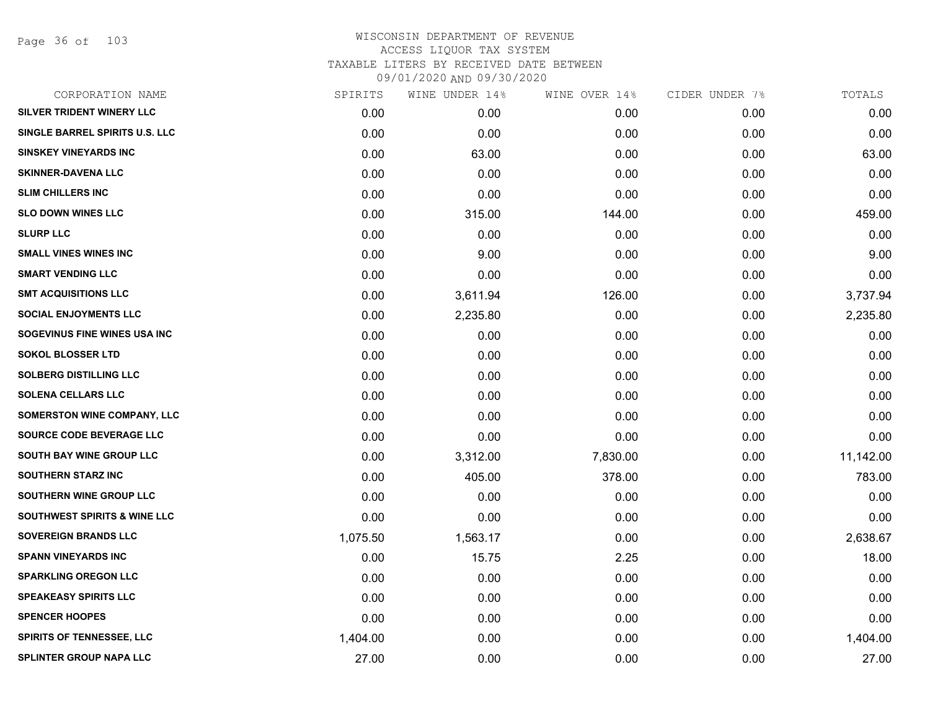Page 36 of 103

| CORPORATION NAME                        | SPIRITS  | WINE UNDER 14% | WINE OVER 14% | CIDER UNDER 7% | TOTALS    |
|-----------------------------------------|----------|----------------|---------------|----------------|-----------|
| SILVER TRIDENT WINERY LLC               | 0.00     | 0.00           | 0.00          | 0.00           | 0.00      |
| SINGLE BARREL SPIRITS U.S. LLC          | 0.00     | 0.00           | 0.00          | 0.00           | 0.00      |
| <b>SINSKEY VINEYARDS INC</b>            | 0.00     | 63.00          | 0.00          | 0.00           | 63.00     |
| <b>SKINNER-DAVENA LLC</b>               | 0.00     | 0.00           | 0.00          | 0.00           | 0.00      |
| <b>SLIM CHILLERS INC</b>                | 0.00     | 0.00           | 0.00          | 0.00           | 0.00      |
| <b>SLO DOWN WINES LLC</b>               | 0.00     | 315.00         | 144.00        | 0.00           | 459.00    |
| <b>SLURP LLC</b>                        | 0.00     | 0.00           | 0.00          | 0.00           | 0.00      |
| <b>SMALL VINES WINES INC</b>            | 0.00     | 9.00           | 0.00          | 0.00           | 9.00      |
| <b>SMART VENDING LLC</b>                | 0.00     | 0.00           | 0.00          | 0.00           | 0.00      |
| <b>SMT ACQUISITIONS LLC</b>             | 0.00     | 3,611.94       | 126.00        | 0.00           | 3,737.94  |
| <b>SOCIAL ENJOYMENTS LLC</b>            | 0.00     | 2,235.80       | 0.00          | 0.00           | 2,235.80  |
| SOGEVINUS FINE WINES USA INC            | 0.00     | 0.00           | 0.00          | 0.00           | 0.00      |
| <b>SOKOL BLOSSER LTD</b>                | 0.00     | 0.00           | 0.00          | 0.00           | 0.00      |
| <b>SOLBERG DISTILLING LLC</b>           | 0.00     | 0.00           | 0.00          | 0.00           | 0.00      |
| <b>SOLENA CELLARS LLC</b>               | 0.00     | 0.00           | 0.00          | 0.00           | 0.00      |
| SOMERSTON WINE COMPANY, LLC             | 0.00     | 0.00           | 0.00          | 0.00           | 0.00      |
| SOURCE CODE BEVERAGE LLC                | 0.00     | 0.00           | 0.00          | 0.00           | 0.00      |
| SOUTH BAY WINE GROUP LLC                | 0.00     | 3,312.00       | 7,830.00      | 0.00           | 11,142.00 |
| <b>SOUTHERN STARZ INC</b>               | 0.00     | 405.00         | 378.00        | 0.00           | 783.00    |
| SOUTHERN WINE GROUP LLC                 | 0.00     | 0.00           | 0.00          | 0.00           | 0.00      |
| <b>SOUTHWEST SPIRITS &amp; WINE LLC</b> | 0.00     | 0.00           | 0.00          | 0.00           | 0.00      |
| <b>SOVEREIGN BRANDS LLC</b>             | 1,075.50 | 1,563.17       | 0.00          | 0.00           | 2,638.67  |
| <b>SPANN VINEYARDS INC</b>              | 0.00     | 15.75          | 2.25          | 0.00           | 18.00     |
| <b>SPARKLING OREGON LLC</b>             | 0.00     | 0.00           | 0.00          | 0.00           | 0.00      |
| <b>SPEAKEASY SPIRITS LLC</b>            | 0.00     | 0.00           | 0.00          | 0.00           | 0.00      |
| <b>SPENCER HOOPES</b>                   | 0.00     | 0.00           | 0.00          | 0.00           | 0.00      |
| <b>SPIRITS OF TENNESSEE, LLC</b>        | 1,404.00 | 0.00           | 0.00          | 0.00           | 1,404.00  |
| <b>SPLINTER GROUP NAPA LLC</b>          | 27.00    | 0.00           | 0.00          | 0.00           | 27.00     |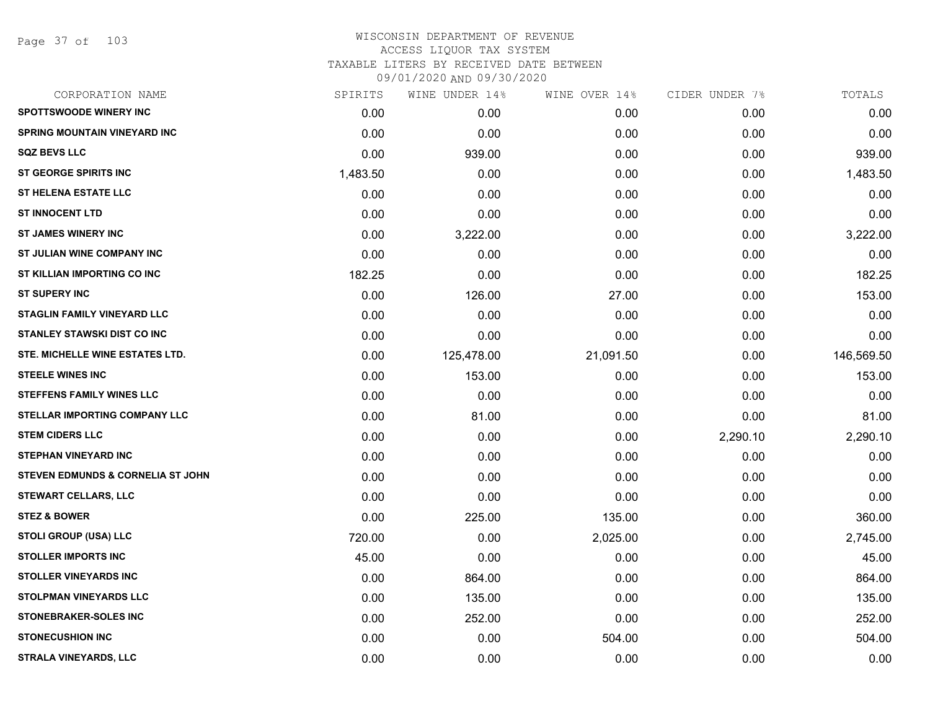Page 37 of 103

|          | WINE UNDER 14% | WINE OVER 14% |          | TOTALS         |
|----------|----------------|---------------|----------|----------------|
| 0.00     | 0.00           | 0.00          | 0.00     | 0.00           |
| 0.00     | 0.00           | 0.00          | 0.00     | 0.00           |
| 0.00     | 939.00         | 0.00          | 0.00     | 939.00         |
| 1,483.50 | 0.00           | 0.00          | 0.00     | 1,483.50       |
| 0.00     | 0.00           | 0.00          | 0.00     | 0.00           |
| 0.00     | 0.00           | 0.00          | 0.00     | 0.00           |
| 0.00     | 3,222.00       | 0.00          | 0.00     | 3,222.00       |
| 0.00     | 0.00           | 0.00          | 0.00     | 0.00           |
| 182.25   | 0.00           | 0.00          | 0.00     | 182.25         |
| 0.00     | 126.00         | 27.00         | 0.00     | 153.00         |
| 0.00     | 0.00           | 0.00          | 0.00     | 0.00           |
| 0.00     | 0.00           | 0.00          | 0.00     | 0.00           |
| 0.00     | 125,478.00     | 21,091.50     | 0.00     | 146,569.50     |
| 0.00     | 153.00         | 0.00          | 0.00     | 153.00         |
| 0.00     | 0.00           | 0.00          | 0.00     | 0.00           |
| 0.00     | 81.00          | 0.00          | 0.00     | 81.00          |
| 0.00     | 0.00           | 0.00          | 2,290.10 | 2,290.10       |
| 0.00     | 0.00           | 0.00          | 0.00     | 0.00           |
| 0.00     | 0.00           | 0.00          | 0.00     | 0.00           |
| 0.00     | 0.00           | 0.00          | 0.00     | 0.00           |
| 0.00     | 225.00         | 135.00        | 0.00     | 360.00         |
| 720.00   | 0.00           | 2,025.00      | 0.00     | 2,745.00       |
| 45.00    | 0.00           | 0.00          | 0.00     | 45.00          |
| 0.00     | 864.00         | 0.00          | 0.00     | 864.00         |
| 0.00     | 135.00         | 0.00          | 0.00     | 135.00         |
| 0.00     | 252.00         | 0.00          | 0.00     | 252.00         |
| 0.00     | 0.00           | 504.00        | 0.00     | 504.00         |
| 0.00     | 0.00           | 0.00          | 0.00     | 0.00           |
|          | SPIRITS        |               |          | CIDER UNDER 7% |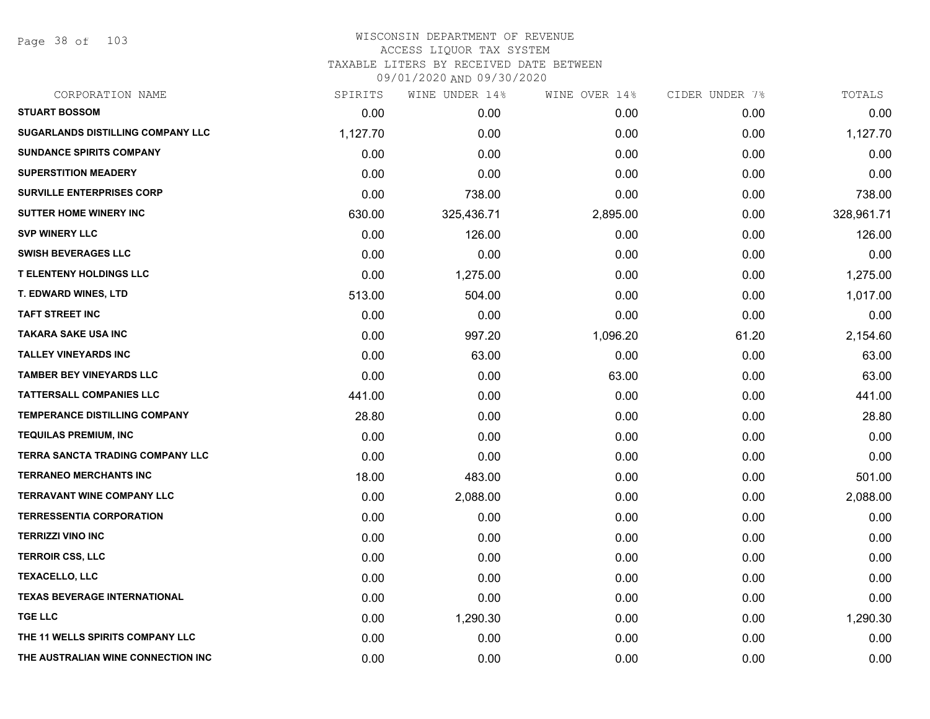Page 38 of 103

| SPIRITS  | WINE UNDER 14% | WINE OVER 14% | CIDER UNDER 7% | TOTALS     |
|----------|----------------|---------------|----------------|------------|
| 0.00     | 0.00           | 0.00          | 0.00           | 0.00       |
| 1,127.70 | 0.00           | 0.00          | 0.00           | 1,127.70   |
| 0.00     | 0.00           | 0.00          | 0.00           | 0.00       |
| 0.00     | 0.00           | 0.00          | 0.00           | 0.00       |
| 0.00     | 738.00         | 0.00          | 0.00           | 738.00     |
| 630.00   | 325,436.71     | 2,895.00      | 0.00           | 328,961.71 |
| 0.00     | 126.00         | 0.00          | 0.00           | 126.00     |
| 0.00     | 0.00           | 0.00          | 0.00           | 0.00       |
| 0.00     | 1,275.00       | 0.00          | 0.00           | 1,275.00   |
| 513.00   | 504.00         | 0.00          | 0.00           | 1,017.00   |
| 0.00     | 0.00           | 0.00          | 0.00           | 0.00       |
| 0.00     | 997.20         | 1,096.20      | 61.20          | 2,154.60   |
| 0.00     | 63.00          | 0.00          | 0.00           | 63.00      |
| 0.00     | 0.00           | 63.00         | 0.00           | 63.00      |
| 441.00   | 0.00           | 0.00          | 0.00           | 441.00     |
| 28.80    | 0.00           | 0.00          | 0.00           | 28.80      |
| 0.00     | 0.00           | 0.00          | 0.00           | 0.00       |
| 0.00     | 0.00           | 0.00          | 0.00           | 0.00       |
| 18.00    | 483.00         | 0.00          | 0.00           | 501.00     |
| 0.00     | 2,088.00       | 0.00          | 0.00           | 2,088.00   |
| 0.00     | 0.00           | 0.00          | 0.00           | 0.00       |
| 0.00     | 0.00           | 0.00          | 0.00           | 0.00       |
| 0.00     | 0.00           | 0.00          | 0.00           | 0.00       |
| 0.00     | 0.00           | 0.00          | 0.00           | 0.00       |
| 0.00     | 0.00           | 0.00          | 0.00           | 0.00       |
| 0.00     | 1,290.30       | 0.00          | 0.00           | 1,290.30   |
| 0.00     | 0.00           | 0.00          | 0.00           | 0.00       |
| 0.00     | 0.00           | 0.00          | 0.00           | 0.00       |
|          |                |               |                |            |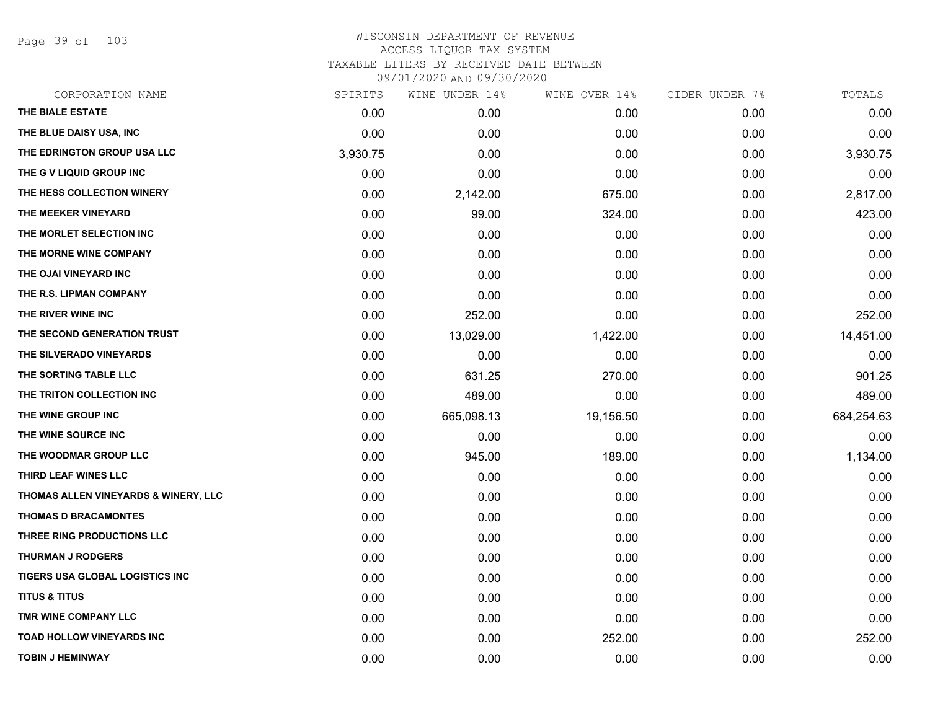Page 39 of 103

| CORPORATION NAME                     | SPIRITS  | WINE UNDER 14%    | WINE OVER 14% | CIDER UNDER 7% | TOTALS     |
|--------------------------------------|----------|-------------------|---------------|----------------|------------|
| THE BIALE ESTATE                     | 0.00     | 0.00 <sub>1</sub> | 0.00          | 0.00           | 0.00       |
| THE BLUE DAISY USA, INC              | 0.00     | 0.00              | 0.00          | 0.00           | 0.00       |
| THE EDRINGTON GROUP USA LLC          | 3,930.75 | 0.00              | 0.00          | 0.00           | 3,930.75   |
| THE G V LIQUID GROUP INC             | 0.00     | 0.00              | 0.00          | 0.00           | 0.00       |
| THE HESS COLLECTION WINERY           | 0.00     | 2,142.00          | 675.00        | 0.00           | 2,817.00   |
| THE MEEKER VINEYARD                  | 0.00     | 99.00             | 324.00        | 0.00           | 423.00     |
| THE MORLET SELECTION INC             | 0.00     | 0.00              | 0.00          | 0.00           | 0.00       |
| THE MORNE WINE COMPANY               | 0.00     | 0.00              | 0.00          | 0.00           | 0.00       |
| THE OJAI VINEYARD INC                | 0.00     | 0.00              | 0.00          | 0.00           | 0.00       |
| THE R.S. LIPMAN COMPANY              | 0.00     | 0.00              | 0.00          | 0.00           | 0.00       |
| THE RIVER WINE INC                   | 0.00     | 252.00            | 0.00          | 0.00           | 252.00     |
| THE SECOND GENERATION TRUST          | 0.00     | 13,029.00         | 1,422.00      | 0.00           | 14,451.00  |
| THE SILVERADO VINEYARDS              | 0.00     | 0.00              | 0.00          | 0.00           | 0.00       |
| THE SORTING TABLE LLC                | 0.00     | 631.25            | 270.00        | 0.00           | 901.25     |
| THE TRITON COLLECTION INC            | 0.00     | 489.00            | 0.00          | 0.00           | 489.00     |
| THE WINE GROUP INC                   | 0.00     | 665,098.13        | 19,156.50     | 0.00           | 684,254.63 |
| THE WINE SOURCE INC                  | 0.00     | 0.00              | 0.00          | 0.00           | 0.00       |
| THE WOODMAR GROUP LLC                | 0.00     | 945.00            | 189.00        | 0.00           | 1,134.00   |
| THIRD LEAF WINES LLC                 | 0.00     | 0.00              | 0.00          | 0.00           | 0.00       |
| THOMAS ALLEN VINEYARDS & WINERY, LLC | 0.00     | 0.00              | 0.00          | 0.00           | 0.00       |
| <b>THOMAS D BRACAMONTES</b>          | 0.00     | 0.00              | 0.00          | 0.00           | 0.00       |
| THREE RING PRODUCTIONS LLC           | 0.00     | 0.00              | 0.00          | 0.00           | 0.00       |
| <b>THURMAN J RODGERS</b>             | 0.00     | 0.00              | 0.00          | 0.00           | 0.00       |
| TIGERS USA GLOBAL LOGISTICS INC      | 0.00     | 0.00              | 0.00          | 0.00           | 0.00       |
| <b>TITUS &amp; TITUS</b>             | 0.00     | 0.00              | 0.00          | 0.00           | 0.00       |
| TMR WINE COMPANY LLC                 | 0.00     | 0.00              | 0.00          | 0.00           | 0.00       |
| <b>TOAD HOLLOW VINEYARDS INC</b>     | 0.00     | 0.00              | 252.00        | 0.00           | 252.00     |
| <b>TOBIN J HEMINWAY</b>              | 0.00     | 0.00              | 0.00          | 0.00           | 0.00       |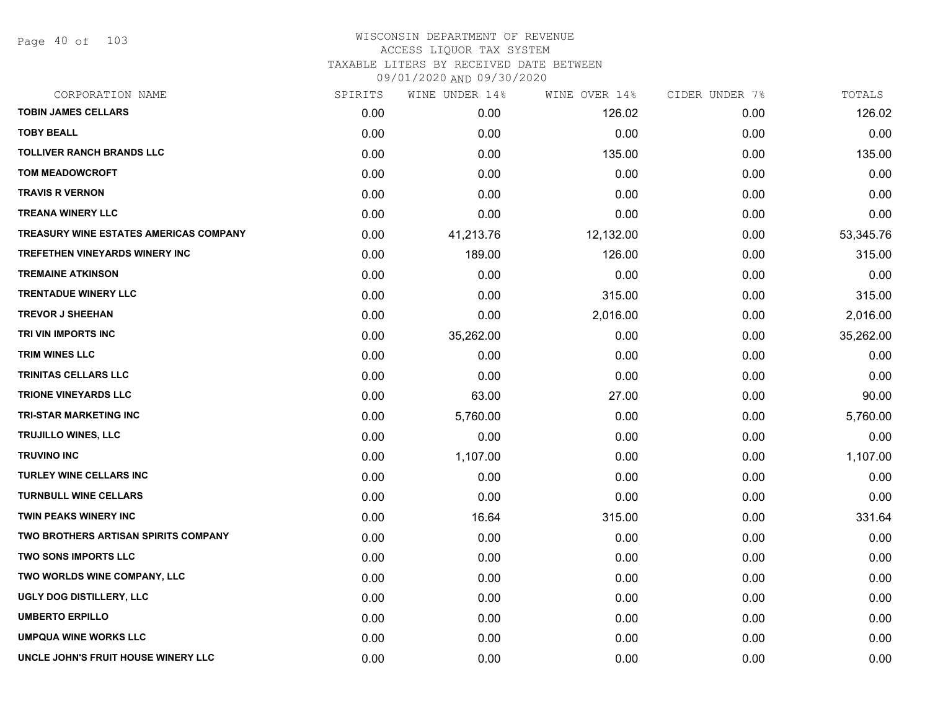Page 40 of 103

| CORPORATION NAME                              | SPIRITS | WINE UNDER 14% | WINE OVER 14% | CIDER UNDER 7% | TOTALS    |
|-----------------------------------------------|---------|----------------|---------------|----------------|-----------|
| <b>TOBIN JAMES CELLARS</b>                    | 0.00    | 0.00           | 126.02        | 0.00           | 126.02    |
| <b>TOBY BEALL</b>                             | 0.00    | 0.00           | 0.00          | 0.00           | 0.00      |
| <b>TOLLIVER RANCH BRANDS LLC</b>              | 0.00    | 0.00           | 135.00        | 0.00           | 135.00    |
| <b>TOM MEADOWCROFT</b>                        | 0.00    | 0.00           | 0.00          | 0.00           | 0.00      |
| <b>TRAVIS R VERNON</b>                        | 0.00    | 0.00           | 0.00          | 0.00           | 0.00      |
| <b>TREANA WINERY LLC</b>                      | 0.00    | 0.00           | 0.00          | 0.00           | 0.00      |
| <b>TREASURY WINE ESTATES AMERICAS COMPANY</b> | 0.00    | 41,213.76      | 12,132.00     | 0.00           | 53,345.76 |
| TREFETHEN VINEYARDS WINERY INC                | 0.00    | 189.00         | 126.00        | 0.00           | 315.00    |
| <b>TREMAINE ATKINSON</b>                      | 0.00    | 0.00           | 0.00          | 0.00           | 0.00      |
| <b>TRENTADUE WINERY LLC</b>                   | 0.00    | 0.00           | 315.00        | 0.00           | 315.00    |
| <b>TREVOR J SHEEHAN</b>                       | 0.00    | 0.00           | 2,016.00      | 0.00           | 2,016.00  |
| TRI VIN IMPORTS INC                           | 0.00    | 35,262.00      | 0.00          | 0.00           | 35,262.00 |
| TRIM WINES LLC                                | 0.00    | 0.00           | 0.00          | 0.00           | 0.00      |
| TRINITAS CELLARS LLC                          | 0.00    | 0.00           | 0.00          | 0.00           | 0.00      |
| <b>TRIONE VINEYARDS LLC</b>                   | 0.00    | 63.00          | 27.00         | 0.00           | 90.00     |
| TRI-STAR MARKETING INC                        | 0.00    | 5,760.00       | 0.00          | 0.00           | 5,760.00  |
| TRUJILLO WINES, LLC                           | 0.00    | 0.00           | 0.00          | 0.00           | 0.00      |
| <b>TRUVINO INC</b>                            | 0.00    | 1,107.00       | 0.00          | 0.00           | 1,107.00  |
| <b>TURLEY WINE CELLARS INC</b>                | 0.00    | 0.00           | 0.00          | 0.00           | 0.00      |
| <b>TURNBULL WINE CELLARS</b>                  | 0.00    | 0.00           | 0.00          | 0.00           | 0.00      |
| <b>TWIN PEAKS WINERY INC</b>                  | 0.00    | 16.64          | 315.00        | 0.00           | 331.64    |
| <b>TWO BROTHERS ARTISAN SPIRITS COMPANY</b>   | 0.00    | 0.00           | 0.00          | 0.00           | 0.00      |
| <b>TWO SONS IMPORTS LLC</b>                   | 0.00    | 0.00           | 0.00          | 0.00           | 0.00      |
| TWO WORLDS WINE COMPANY, LLC                  | 0.00    | 0.00           | 0.00          | 0.00           | 0.00      |
| UGLY DOG DISTILLERY, LLC                      | 0.00    | 0.00           | 0.00          | 0.00           | 0.00      |
| <b>UMBERTO ERPILLO</b>                        | 0.00    | 0.00           | 0.00          | 0.00           | 0.00      |
| <b>UMPQUA WINE WORKS LLC</b>                  | 0.00    | 0.00           | 0.00          | 0.00           | 0.00      |
| UNCLE JOHN'S FRUIT HOUSE WINERY LLC           | 0.00    | 0.00           | 0.00          | 0.00           | 0.00      |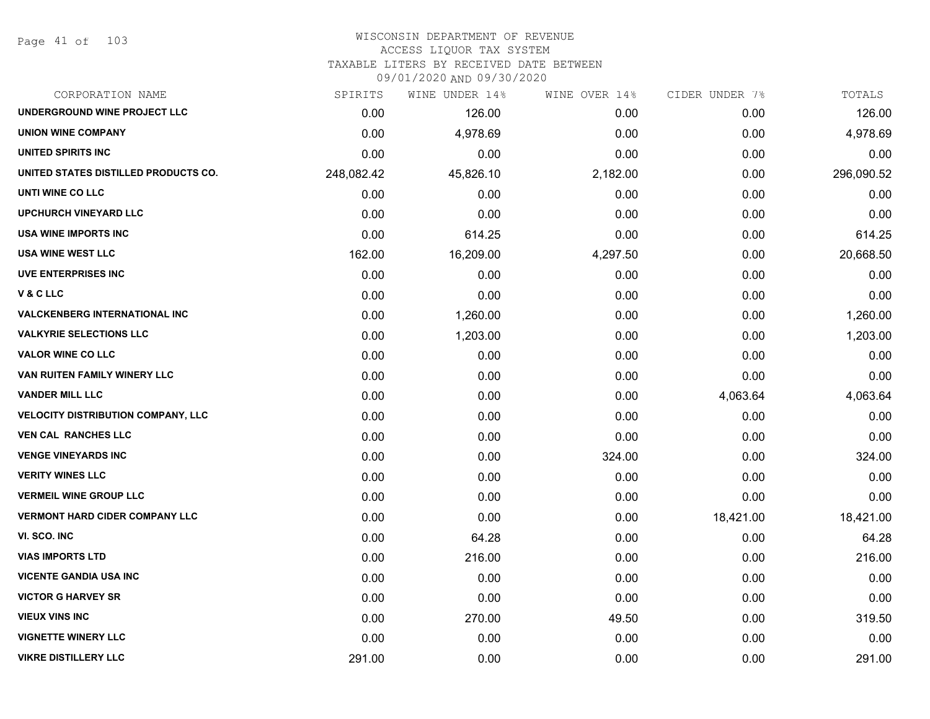#### WISCONSIN DEPARTMENT OF REVENUE ACCESS LIQUOR TAX SYSTEM

TAXABLE LITERS BY RECEIVED DATE BETWEEN

09/01/2020 AND 09/30/2020

| CORPORATION NAME                          | SPIRITS    | WINE UNDER 14% | WINE OVER 14% | CIDER UNDER 7% | TOTALS     |
|-------------------------------------------|------------|----------------|---------------|----------------|------------|
| UNDERGROUND WINE PROJECT LLC              | 0.00       | 126.00         | 0.00          | 0.00           | 126.00     |
| <b>UNION WINE COMPANY</b>                 | 0.00       | 4,978.69       | 0.00          | 0.00           | 4,978.69   |
| UNITED SPIRITS INC                        | 0.00       | 0.00           | 0.00          | 0.00           | 0.00       |
| UNITED STATES DISTILLED PRODUCTS CO.      | 248,082.42 | 45,826.10      | 2,182.00      | 0.00           | 296,090.52 |
| UNTI WINE CO LLC                          | 0.00       | 0.00           | 0.00          | 0.00           | 0.00       |
| <b>UPCHURCH VINEYARD LLC</b>              | 0.00       | 0.00           | 0.00          | 0.00           | 0.00       |
| USA WINE IMPORTS INC                      | 0.00       | 614.25         | 0.00          | 0.00           | 614.25     |
| <b>USA WINE WEST LLC</b>                  | 162.00     | 16,209.00      | 4,297.50      | 0.00           | 20,668.50  |
| <b>UVE ENTERPRISES INC</b>                | 0.00       | 0.00           | 0.00          | 0.00           | 0.00       |
| V&CLLC                                    | 0.00       | 0.00           | 0.00          | 0.00           | 0.00       |
| <b>VALCKENBERG INTERNATIONAL INC</b>      | 0.00       | 1,260.00       | 0.00          | 0.00           | 1,260.00   |
| <b>VALKYRIE SELECTIONS LLC</b>            | 0.00       | 1,203.00       | 0.00          | 0.00           | 1,203.00   |
| <b>VALOR WINE CO LLC</b>                  | 0.00       | 0.00           | 0.00          | 0.00           | 0.00       |
| VAN RUITEN FAMILY WINERY LLC              | 0.00       | 0.00           | 0.00          | 0.00           | 0.00       |
| <b>VANDER MILL LLC</b>                    | 0.00       | 0.00           | 0.00          | 4,063.64       | 4,063.64   |
| <b>VELOCITY DISTRIBUTION COMPANY, LLC</b> | 0.00       | 0.00           | 0.00          | 0.00           | 0.00       |
| <b>VEN CAL RANCHES LLC</b>                | 0.00       | 0.00           | 0.00          | 0.00           | 0.00       |
| <b>VENGE VINEYARDS INC</b>                | 0.00       | 0.00           | 324.00        | 0.00           | 324.00     |
| <b>VERITY WINES LLC</b>                   | 0.00       | 0.00           | 0.00          | 0.00           | 0.00       |
| <b>VERMEIL WINE GROUP LLC</b>             | 0.00       | 0.00           | 0.00          | 0.00           | 0.00       |
| <b>VERMONT HARD CIDER COMPANY LLC</b>     | 0.00       | 0.00           | 0.00          | 18,421.00      | 18,421.00  |
| VI. SCO. INC                              | 0.00       | 64.28          | 0.00          | 0.00           | 64.28      |
| <b>VIAS IMPORTS LTD</b>                   | 0.00       | 216.00         | 0.00          | 0.00           | 216.00     |
| <b>VICENTE GANDIA USA INC</b>             | 0.00       | 0.00           | 0.00          | 0.00           | 0.00       |
| <b>VICTOR G HARVEY SR</b>                 | 0.00       | 0.00           | 0.00          | 0.00           | 0.00       |
| <b>VIEUX VINS INC</b>                     | 0.00       | 270.00         | 49.50         | 0.00           | 319.50     |
| <b>VIGNETTE WINERY LLC</b>                | 0.00       | 0.00           | 0.00          | 0.00           | 0.00       |
| <b>VIKRE DISTILLERY LLC</b>               | 291.00     | 0.00           | 0.00          | 0.00           | 291.00     |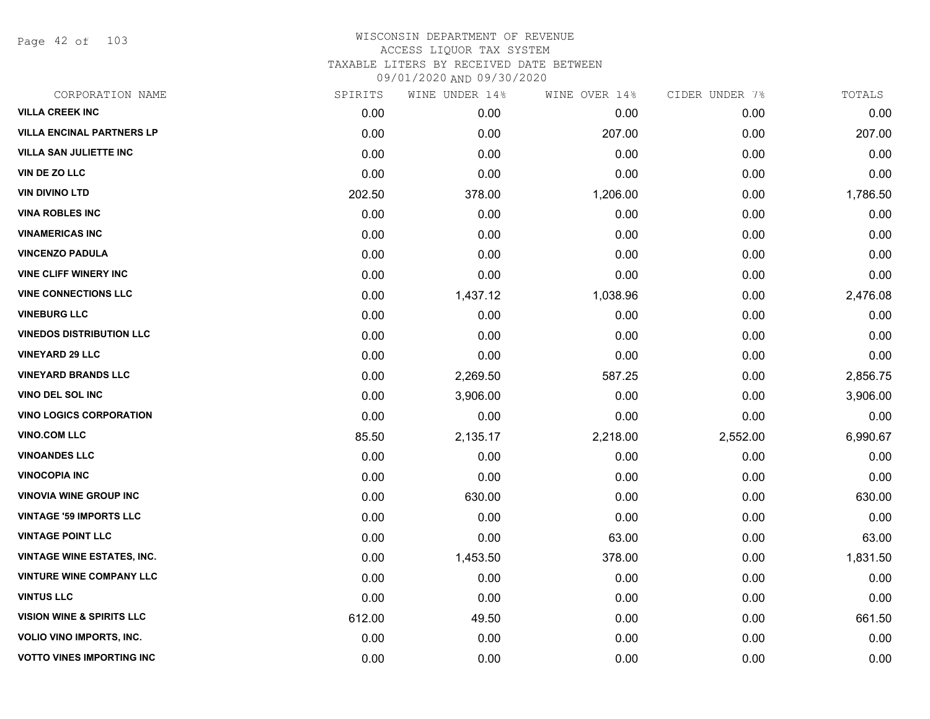Page 42 of 103

| CORPORATION NAME                     | SPIRITS | WINE UNDER 14% | WINE OVER 14% | CIDER UNDER 7% | TOTALS   |
|--------------------------------------|---------|----------------|---------------|----------------|----------|
| <b>VILLA CREEK INC</b>               | 0.00    | 0.00           | 0.00          | 0.00           | 0.00     |
| <b>VILLA ENCINAL PARTNERS LP</b>     | 0.00    | 0.00           | 207.00        | 0.00           | 207.00   |
| <b>VILLA SAN JULIETTE INC</b>        | 0.00    | 0.00           | 0.00          | 0.00           | 0.00     |
| VIN DE ZO LLC                        | 0.00    | 0.00           | 0.00          | 0.00           | 0.00     |
| <b>VIN DIVINO LTD</b>                | 202.50  | 378.00         | 1,206.00      | 0.00           | 1,786.50 |
| <b>VINA ROBLES INC</b>               | 0.00    | 0.00           | 0.00          | 0.00           | 0.00     |
| <b>VINAMERICAS INC</b>               | 0.00    | 0.00           | 0.00          | 0.00           | 0.00     |
| <b>VINCENZO PADULA</b>               | 0.00    | 0.00           | 0.00          | 0.00           | 0.00     |
| <b>VINE CLIFF WINERY INC</b>         | 0.00    | 0.00           | 0.00          | 0.00           | 0.00     |
| <b>VINE CONNECTIONS LLC</b>          | 0.00    | 1,437.12       | 1,038.96      | 0.00           | 2,476.08 |
| <b>VINEBURG LLC</b>                  | 0.00    | 0.00           | 0.00          | 0.00           | 0.00     |
| <b>VINEDOS DISTRIBUTION LLC</b>      | 0.00    | 0.00           | 0.00          | 0.00           | 0.00     |
| <b>VINEYARD 29 LLC</b>               | 0.00    | 0.00           | 0.00          | 0.00           | 0.00     |
| <b>VINEYARD BRANDS LLC</b>           | 0.00    | 2,269.50       | 587.25        | 0.00           | 2,856.75 |
| VINO DEL SOL INC                     | 0.00    | 3,906.00       | 0.00          | 0.00           | 3,906.00 |
| <b>VINO LOGICS CORPORATION</b>       | 0.00    | 0.00           | 0.00          | 0.00           | 0.00     |
| <b>VINO.COM LLC</b>                  | 85.50   | 2,135.17       | 2,218.00      | 2,552.00       | 6,990.67 |
| <b>VINOANDES LLC</b>                 | 0.00    | 0.00           | 0.00          | 0.00           | 0.00     |
| <b>VINOCOPIA INC</b>                 | 0.00    | 0.00           | 0.00          | 0.00           | 0.00     |
| <b>VINOVIA WINE GROUP INC</b>        | 0.00    | 630.00         | 0.00          | 0.00           | 630.00   |
| <b>VINTAGE '59 IMPORTS LLC</b>       | 0.00    | 0.00           | 0.00          | 0.00           | 0.00     |
| <b>VINTAGE POINT LLC</b>             | 0.00    | 0.00           | 63.00         | 0.00           | 63.00    |
| <b>VINTAGE WINE ESTATES, INC.</b>    | 0.00    | 1,453.50       | 378.00        | 0.00           | 1,831.50 |
| <b>VINTURE WINE COMPANY LLC</b>      | 0.00    | 0.00           | 0.00          | 0.00           | 0.00     |
| <b>VINTUS LLC</b>                    | 0.00    | 0.00           | 0.00          | 0.00           | 0.00     |
| <b>VISION WINE &amp; SPIRITS LLC</b> | 612.00  | 49.50          | 0.00          | 0.00           | 661.50   |
| <b>VOLIO VINO IMPORTS, INC.</b>      | 0.00    | 0.00           | 0.00          | 0.00           | 0.00     |
| <b>VOTTO VINES IMPORTING INC</b>     | 0.00    | 0.00           | 0.00          | 0.00           | 0.00     |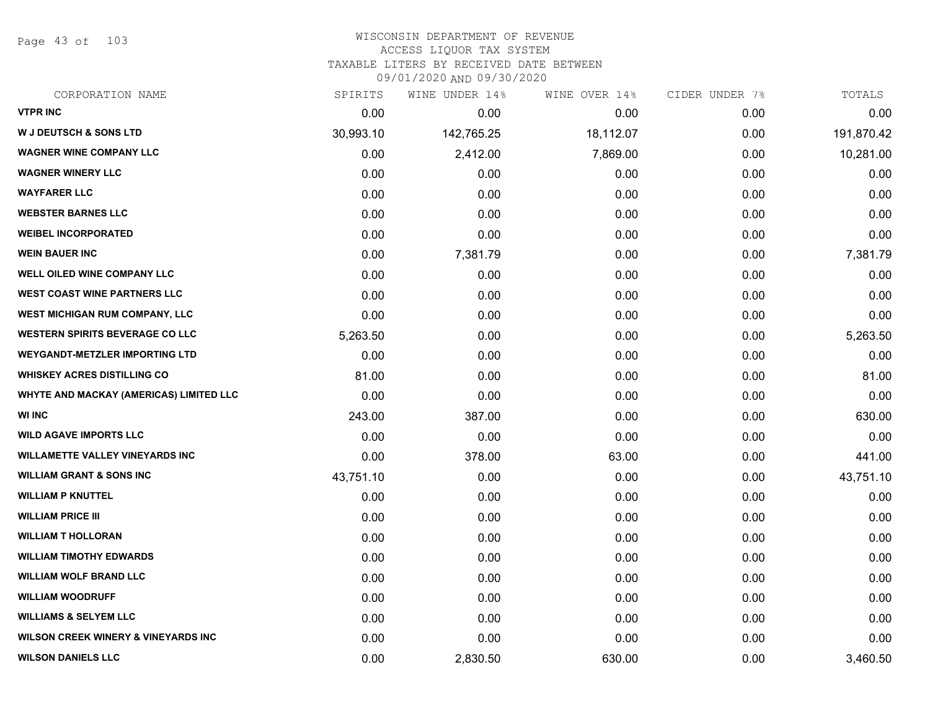Page 43 of 103

## WISCONSIN DEPARTMENT OF REVENUE ACCESS LIQUOR TAX SYSTEM TAXABLE LITERS BY RECEIVED DATE BETWEEN

09/01/2020 AND 09/30/2020

| CORPORATION NAME                               | SPIRITS   | WINE UNDER 14% | WINE OVER 14% | CIDER UNDER 7% | TOTALS     |
|------------------------------------------------|-----------|----------------|---------------|----------------|------------|
| <b>VTPR INC</b>                                | 0.00      | 0.00           | 0.00          | 0.00           | 0.00       |
| <b>W J DEUTSCH &amp; SONS LTD</b>              | 30,993.10 | 142,765.25     | 18,112.07     | 0.00           | 191,870.42 |
| <b>WAGNER WINE COMPANY LLC</b>                 | 0.00      | 2,412.00       | 7,869.00      | 0.00           | 10,281.00  |
| <b>WAGNER WINERY LLC</b>                       | 0.00      | 0.00           | 0.00          | 0.00           | 0.00       |
| <b>WAYFARER LLC</b>                            | 0.00      | 0.00           | 0.00          | 0.00           | 0.00       |
| <b>WEBSTER BARNES LLC</b>                      | 0.00      | 0.00           | 0.00          | 0.00           | 0.00       |
| <b>WEIBEL INCORPORATED</b>                     | 0.00      | 0.00           | 0.00          | 0.00           | 0.00       |
| <b>WEIN BAUER INC</b>                          | 0.00      | 7,381.79       | 0.00          | 0.00           | 7,381.79   |
| <b>WELL OILED WINE COMPANY LLC</b>             | 0.00      | 0.00           | 0.00          | 0.00           | 0.00       |
| <b>WEST COAST WINE PARTNERS LLC</b>            | 0.00      | 0.00           | 0.00          | 0.00           | 0.00       |
| WEST MICHIGAN RUM COMPANY, LLC                 | 0.00      | 0.00           | 0.00          | 0.00           | 0.00       |
| <b>WESTERN SPIRITS BEVERAGE CO LLC</b>         | 5,263.50  | 0.00           | 0.00          | 0.00           | 5,263.50   |
| <b>WEYGANDT-METZLER IMPORTING LTD</b>          | 0.00      | 0.00           | 0.00          | 0.00           | 0.00       |
| <b>WHISKEY ACRES DISTILLING CO</b>             | 81.00     | 0.00           | 0.00          | 0.00           | 81.00      |
| WHYTE AND MACKAY (AMERICAS) LIMITED LLC        | 0.00      | 0.00           | 0.00          | 0.00           | 0.00       |
| <b>WI INC</b>                                  | 243.00    | 387.00         | 0.00          | 0.00           | 630.00     |
| <b>WILD AGAVE IMPORTS LLC</b>                  | 0.00      | 0.00           | 0.00          | 0.00           | 0.00       |
| <b>WILLAMETTE VALLEY VINEYARDS INC</b>         | 0.00      | 378.00         | 63.00         | 0.00           | 441.00     |
| <b>WILLIAM GRANT &amp; SONS INC</b>            | 43,751.10 | 0.00           | 0.00          | 0.00           | 43,751.10  |
| <b>WILLIAM P KNUTTEL</b>                       | 0.00      | 0.00           | 0.00          | 0.00           | 0.00       |
| <b>WILLIAM PRICE III</b>                       | 0.00      | 0.00           | 0.00          | 0.00           | 0.00       |
| <b>WILLIAM T HOLLORAN</b>                      | 0.00      | 0.00           | 0.00          | 0.00           | 0.00       |
| <b>WILLIAM TIMOTHY EDWARDS</b>                 | 0.00      | 0.00           | 0.00          | 0.00           | 0.00       |
| <b>WILLIAM WOLF BRAND LLC</b>                  | 0.00      | 0.00           | 0.00          | 0.00           | 0.00       |
| <b>WILLIAM WOODRUFF</b>                        | 0.00      | 0.00           | 0.00          | 0.00           | 0.00       |
| <b>WILLIAMS &amp; SELYEM LLC</b>               | 0.00      | 0.00           | 0.00          | 0.00           | 0.00       |
| <b>WILSON CREEK WINERY &amp; VINEYARDS INC</b> | 0.00      | 0.00           | 0.00          | 0.00           | 0.00       |
| <b>WILSON DANIELS LLC</b>                      | 0.00      | 2,830.50       | 630.00        | 0.00           | 3,460.50   |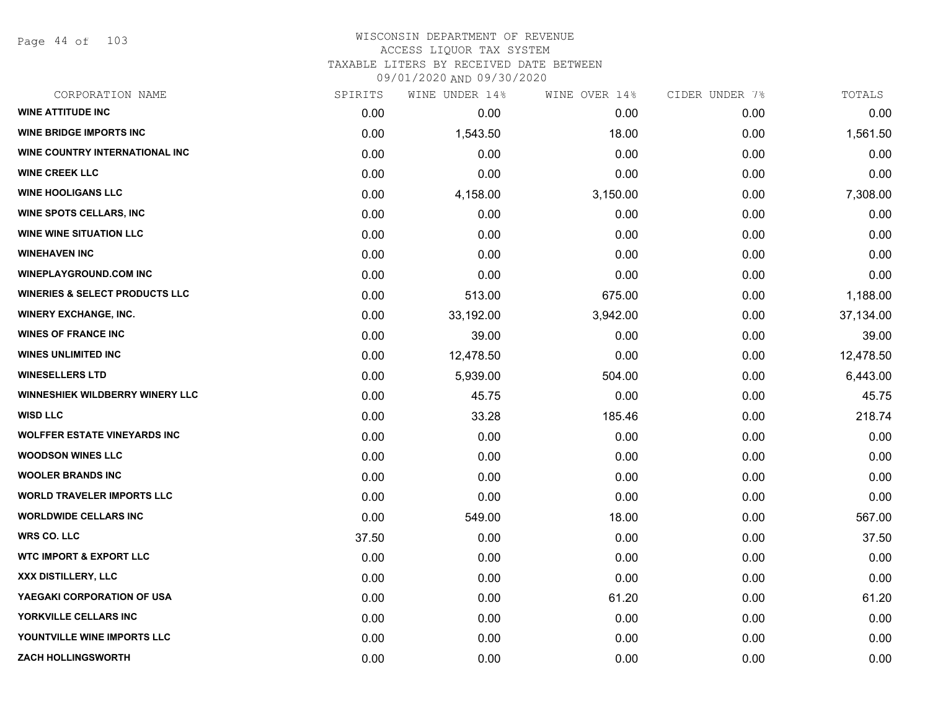Page 44 of 103

| CORPORATION NAME                          | SPIRITS | WINE UNDER 14% | WINE OVER 14% | CIDER UNDER 7% | TOTALS    |
|-------------------------------------------|---------|----------------|---------------|----------------|-----------|
| <b>WINE ATTITUDE INC</b>                  | 0.00    | 0.00           | 0.00          | 0.00           | 0.00      |
| <b>WINE BRIDGE IMPORTS INC</b>            | 0.00    | 1,543.50       | 18.00         | 0.00           | 1,561.50  |
| WINE COUNTRY INTERNATIONAL INC            | 0.00    | 0.00           | 0.00          | 0.00           | 0.00      |
| <b>WINE CREEK LLC</b>                     | 0.00    | 0.00           | 0.00          | 0.00           | 0.00      |
| <b>WINE HOOLIGANS LLC</b>                 | 0.00    | 4,158.00       | 3,150.00      | 0.00           | 7,308.00  |
| <b>WINE SPOTS CELLARS, INC</b>            | 0.00    | 0.00           | 0.00          | 0.00           | 0.00      |
| <b>WINE WINE SITUATION LLC</b>            | 0.00    | 0.00           | 0.00          | 0.00           | 0.00      |
| <b>WINEHAVEN INC</b>                      | 0.00    | 0.00           | 0.00          | 0.00           | 0.00      |
| <b>WINEPLAYGROUND.COM INC</b>             | 0.00    | 0.00           | 0.00          | 0.00           | 0.00      |
| <b>WINERIES &amp; SELECT PRODUCTS LLC</b> | 0.00    | 513.00         | 675.00        | 0.00           | 1,188.00  |
| <b>WINERY EXCHANGE, INC.</b>              | 0.00    | 33,192.00      | 3,942.00      | 0.00           | 37,134.00 |
| <b>WINES OF FRANCE INC</b>                | 0.00    | 39.00          | 0.00          | 0.00           | 39.00     |
| <b>WINES UNLIMITED INC</b>                | 0.00    | 12,478.50      | 0.00          | 0.00           | 12,478.50 |
| <b>WINESELLERS LTD</b>                    | 0.00    | 5,939.00       | 504.00        | 0.00           | 6,443.00  |
| WINNESHIEK WILDBERRY WINERY LLC           | 0.00    | 45.75          | 0.00          | 0.00           | 45.75     |
| <b>WISD LLC</b>                           | 0.00    | 33.28          | 185.46        | 0.00           | 218.74    |
| <b>WOLFFER ESTATE VINEYARDS INC</b>       | 0.00    | 0.00           | 0.00          | 0.00           | 0.00      |
| <b>WOODSON WINES LLC</b>                  | 0.00    | 0.00           | 0.00          | 0.00           | 0.00      |
| <b>WOOLER BRANDS INC</b>                  | 0.00    | 0.00           | 0.00          | 0.00           | 0.00      |
| <b>WORLD TRAVELER IMPORTS LLC</b>         | 0.00    | 0.00           | 0.00          | 0.00           | 0.00      |
| <b>WORLDWIDE CELLARS INC</b>              | 0.00    | 549.00         | 18.00         | 0.00           | 567.00    |
| <b>WRS CO. LLC</b>                        | 37.50   | 0.00           | 0.00          | 0.00           | 37.50     |
| <b>WTC IMPORT &amp; EXPORT LLC</b>        | 0.00    | 0.00           | 0.00          | 0.00           | 0.00      |
| XXX DISTILLERY, LLC                       | 0.00    | 0.00           | 0.00          | 0.00           | 0.00      |
| YAEGAKI CORPORATION OF USA                | 0.00    | 0.00           | 61.20         | 0.00           | 61.20     |
| YORKVILLE CELLARS INC                     | 0.00    | 0.00           | 0.00          | 0.00           | 0.00      |
| YOUNTVILLE WINE IMPORTS LLC               | 0.00    | 0.00           | 0.00          | 0.00           | 0.00      |
| <b>ZACH HOLLINGSWORTH</b>                 | 0.00    | 0.00           | 0.00          | 0.00           | 0.00      |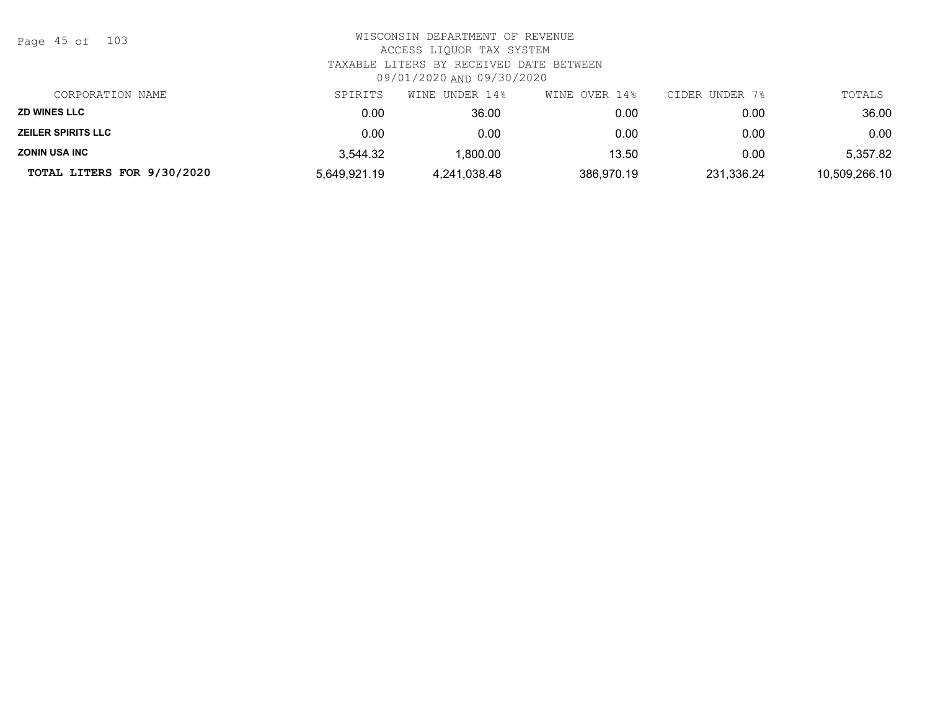| Page | 45 of |  | 103 |
|------|-------|--|-----|
|------|-------|--|-----|

| CORPORATION NAME           | SPIRITS      | WINE UNDER 14% | WINE OVER 14% | CIDER UNDER 7% | TOTALS        |
|----------------------------|--------------|----------------|---------------|----------------|---------------|
| <b>ZD WINES LLC</b>        | 0.00         | 36.00          | 0.00          | 0.00           | 36.00         |
| <b>ZEILER SPIRITS LLC</b>  | 0.00         | 0.00           | 0.00          | 0.00           | 0.00          |
| <b>ZONIN USA INC</b>       | 3,544.32     | ,800.00        | 13.50         | 0.00           | 5,357.82      |
| TOTAL LITERS FOR 9/30/2020 | 5,649,921.19 | 4,241,038.48   | 386,970.19    | 231,336.24     | 10,509,266.10 |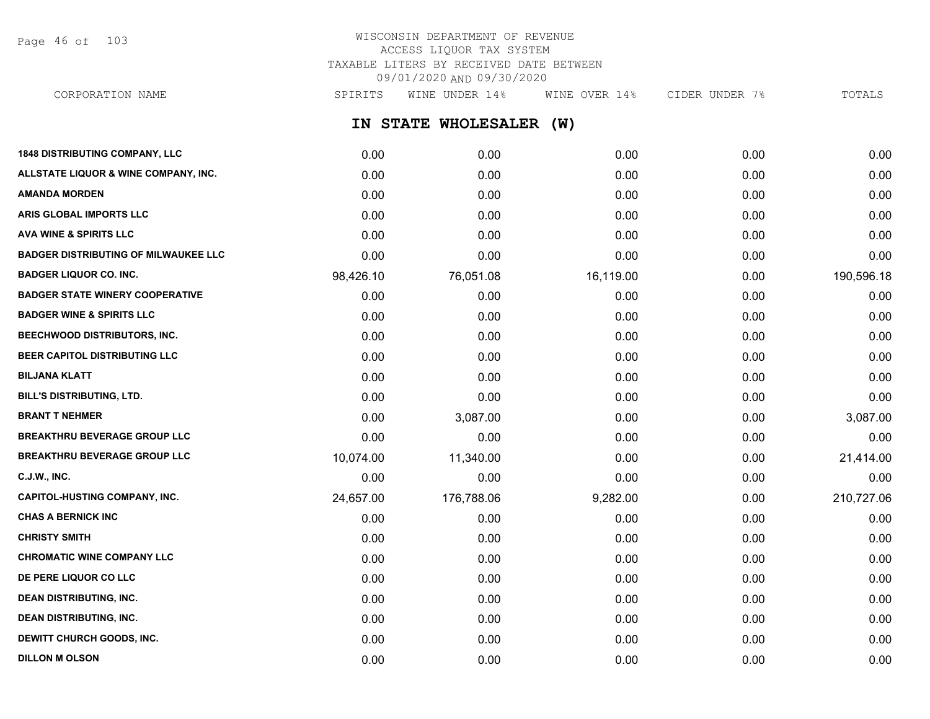Page 46 of 103

## WISCONSIN DEPARTMENT OF REVENUE ACCESS LIQUOR TAX SYSTEM TAXABLE LITERS BY RECEIVED DATE BETWEEN 09/01/2020 AND 09/30/2020

**IN STATE WHOLESALER (W) 1848 DISTRIBUTING COMPANY, LLC** 0.00 0.00 0.00 0.00 0.00 **ALLSTATE LIQUOR & WINE COMPANY, INC.** 0.00 0.00 0.00 0.00 0.00 **AMANDA MORDEN** 0.00 0.00 0.00 0.00 0.00 **ARIS GLOBAL IMPORTS LLC** 0.00 0.00 0.00 0.00 0.00 **AVA WINE & SPIRITS LLC** 0.00 0.00 0.00 0.00 0.00 **BADGER DISTRIBUTING OF MILWAUKEE LLC** 0.00 0.00 0.00 0.00 0.00 **BADGER LIQUOR CO. INC.** 98,426.10 76,051.08 16,119.00 0.00 190,596.18 **BADGER STATE WINERY COOPERATIVE** 0.00 0.00 0.00 0.00 0.00 **BADGER WINE & SPIRITS LLC** 0.00 0.00 0.00 0.00 0.00 **BEECHWOOD DISTRIBUTORS, INC.** 0.00 0.00 0.00 0.00 0.00 **BEER CAPITOL DISTRIBUTING LLC** 0.00 0.00 0.00 0.00 0.00 **BILJANA KLATT** 0.00 0.00 0.00 0.00 0.00 **BILL'S DISTRIBUTING, LTD.** 0.00 0.00 0.00 0.00 0.00 **BRANT T NEHMER** 0.00 3,087.00 0.00 0.00 3,087.00 **BREAKTHRU BEVERAGE GROUP LLC**  $0.00$   $0.00$   $0.00$   $0.00$   $0.00$   $0.00$   $0.00$   $0.00$   $0.00$   $0.00$   $0.00$   $0.00$   $0.00$   $0.00$   $0.00$   $0.00$   $0.00$   $0.00$   $0.00$   $0.00$   $0.00$   $0.00$   $0.00$   $0.00$   $0.00$   $0.00$   $0.00$   $0$ **BREAKTHRU BEVERAGE GROUP LLC** 10,074.00 11,340.00 0.00 0.00 0.00 0.00 21,414.00 **C.J.W., INC.** 6.00 **0.00 0.00 0.00 0.00 0.00 0.00 0.00 0.00 0.00 0.00 0.00 0.00 0.00 0.00 CAPITOL-HUSTING COMPANY, INC.** 24,657.00 176,788.06 9,282.00 0.00 210,727.06 **CHAS A BERNICK INC** 0.00 0.00 0.00 0.00 0.00 **CHRISTY SMITH** 0.00 0.00 0.00 0.00 0.00 **CHROMATIC WINE COMPANY LLC** 0.00 0.00 0.00 0.00 0.00 **DE PERE LIQUOR CO LLC** 0.00 0.00 0.00 0.00 0.00 **DEAN DISTRIBUTING, INC.** 0.00 0.00 0.00 0.00 0.00 **DEAN DISTRIBUTING, INC.** 0.00 0.00 0.00 0.00 0.00 **DEWITT CHURCH GOODS, INC.** 0.00 0.00 0.00 0.00 0.00 CORPORATION NAME SPIRITS WINE UNDER 14% WINE OVER 14% CIDER UNDER 7% TOTALS

**DILLON M OLSON** 0.00 0.00 0.00 0.00 0.00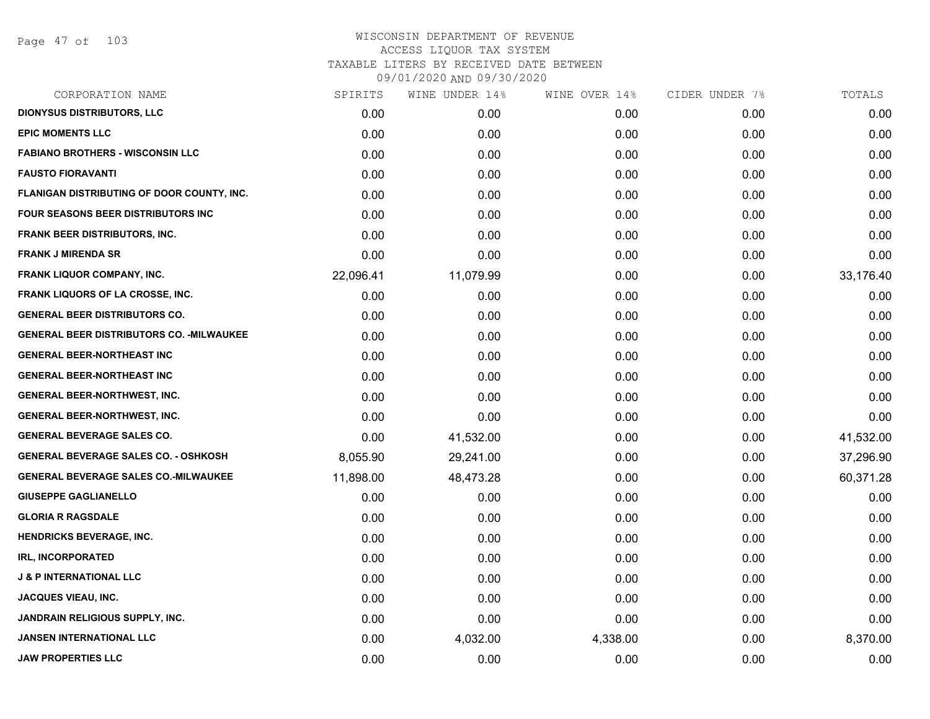| CORPORATION NAME                                 | SPIRITS   | WINE UNDER 14% | WINE OVER 14% | CIDER UNDER 7% | TOTALS    |
|--------------------------------------------------|-----------|----------------|---------------|----------------|-----------|
| <b>DIONYSUS DISTRIBUTORS, LLC</b>                | 0.00      | 0.00           | 0.00          | 0.00           | 0.00      |
| <b>EPIC MOMENTS LLC</b>                          | 0.00      | 0.00           | 0.00          | 0.00           | 0.00      |
| <b>FABIANO BROTHERS - WISCONSIN LLC</b>          | 0.00      | 0.00           | 0.00          | 0.00           | 0.00      |
| <b>FAUSTO FIORAVANTI</b>                         | 0.00      | 0.00           | 0.00          | 0.00           | 0.00      |
| FLANIGAN DISTRIBUTING OF DOOR COUNTY, INC.       | 0.00      | 0.00           | 0.00          | 0.00           | 0.00      |
| <b>FOUR SEASONS BEER DISTRIBUTORS INC</b>        | 0.00      | 0.00           | 0.00          | 0.00           | 0.00      |
| <b>FRANK BEER DISTRIBUTORS, INC.</b>             | 0.00      | 0.00           | 0.00          | 0.00           | 0.00      |
| <b>FRANK J MIRENDA SR</b>                        | 0.00      | 0.00           | 0.00          | 0.00           | 0.00      |
| FRANK LIQUOR COMPANY, INC.                       | 22,096.41 | 11,079.99      | 0.00          | 0.00           | 33,176.40 |
| FRANK LIQUORS OF LA CROSSE, INC.                 | 0.00      | 0.00           | 0.00          | 0.00           | 0.00      |
| <b>GENERAL BEER DISTRIBUTORS CO.</b>             | 0.00      | 0.00           | 0.00          | 0.00           | 0.00      |
| <b>GENERAL BEER DISTRIBUTORS CO. - MILWAUKEE</b> | 0.00      | 0.00           | 0.00          | 0.00           | 0.00      |
| <b>GENERAL BEER-NORTHEAST INC</b>                | 0.00      | 0.00           | 0.00          | 0.00           | 0.00      |
| <b>GENERAL BEER-NORTHEAST INC</b>                | 0.00      | 0.00           | 0.00          | 0.00           | 0.00      |
| <b>GENERAL BEER-NORTHWEST, INC.</b>              | 0.00      | 0.00           | 0.00          | 0.00           | 0.00      |
| <b>GENERAL BEER-NORTHWEST, INC.</b>              | 0.00      | 0.00           | 0.00          | 0.00           | 0.00      |
| <b>GENERAL BEVERAGE SALES CO.</b>                | 0.00      | 41,532.00      | 0.00          | 0.00           | 41,532.00 |
| <b>GENERAL BEVERAGE SALES CO. - OSHKOSH</b>      | 8,055.90  | 29,241.00      | 0.00          | 0.00           | 37,296.90 |
| <b>GENERAL BEVERAGE SALES CO.-MILWAUKEE</b>      | 11,898.00 | 48,473.28      | 0.00          | 0.00           | 60,371.28 |
| <b>GIUSEPPE GAGLIANELLO</b>                      | 0.00      | 0.00           | 0.00          | 0.00           | 0.00      |
| <b>GLORIA R RAGSDALE</b>                         | 0.00      | 0.00           | 0.00          | 0.00           | 0.00      |
| <b>HENDRICKS BEVERAGE, INC.</b>                  | 0.00      | 0.00           | 0.00          | 0.00           | 0.00      |
| <b>IRL, INCORPORATED</b>                         | 0.00      | 0.00           | 0.00          | 0.00           | 0.00      |
| <b>J &amp; P INTERNATIONAL LLC</b>               | 0.00      | 0.00           | 0.00          | 0.00           | 0.00      |
| JACQUES VIEAU, INC.                              | 0.00      | 0.00           | 0.00          | 0.00           | 0.00      |
| <b>JANDRAIN RELIGIOUS SUPPLY, INC.</b>           | 0.00      | 0.00           | 0.00          | 0.00           | 0.00      |
| <b>JANSEN INTERNATIONAL LLC</b>                  | 0.00      | 4,032.00       | 4,338.00      | 0.00           | 8,370.00  |
| <b>JAW PROPERTIES LLC</b>                        | 0.00      | 0.00           | 0.00          | 0.00           | 0.00      |
|                                                  |           |                |               |                |           |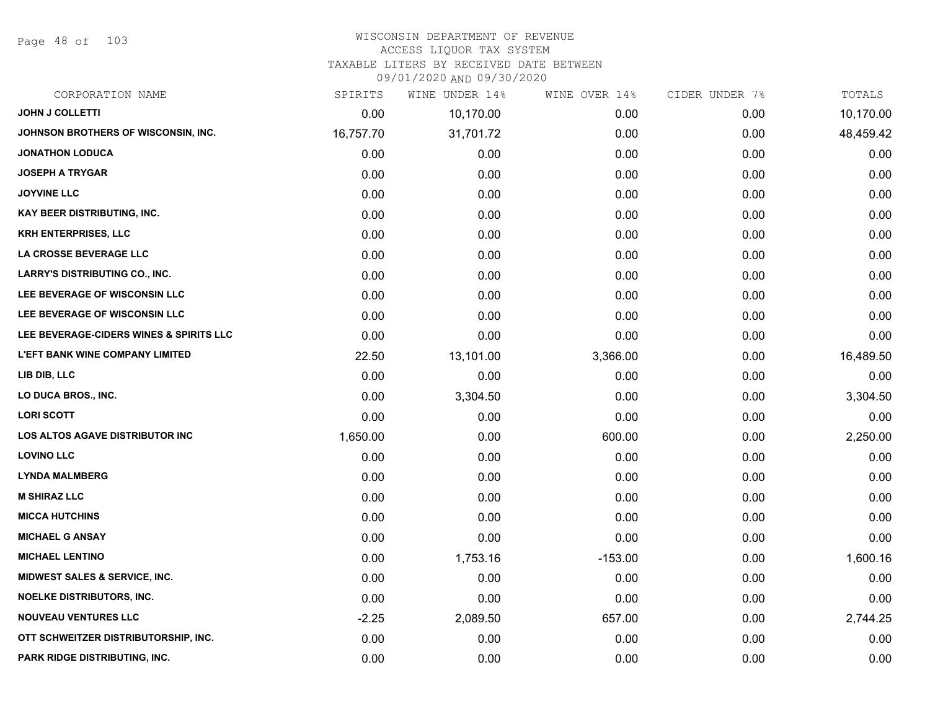Page 48 of 103

### WISCONSIN DEPARTMENT OF REVENUE ACCESS LIQUOR TAX SYSTEM

TAXABLE LITERS BY RECEIVED DATE BETWEEN

09/01/2020 AND 09/30/2020

| CORPORATION NAME                         | SPIRITS   | WINE UNDER 14% | WINE OVER 14% | CIDER UNDER 7% | TOTALS    |
|------------------------------------------|-----------|----------------|---------------|----------------|-----------|
| <b>JOHN J COLLETTI</b>                   | 0.00      | 10,170.00      | 0.00          | 0.00           | 10,170.00 |
| JOHNSON BROTHERS OF WISCONSIN, INC.      | 16,757.70 | 31,701.72      | 0.00          | 0.00           | 48,459.42 |
| <b>JONATHON LODUCA</b>                   | 0.00      | 0.00           | 0.00          | 0.00           | 0.00      |
| <b>JOSEPH A TRYGAR</b>                   | 0.00      | 0.00           | 0.00          | 0.00           | 0.00      |
| <b>JOYVINE LLC</b>                       | 0.00      | 0.00           | 0.00          | 0.00           | 0.00      |
| KAY BEER DISTRIBUTING, INC.              | 0.00      | 0.00           | 0.00          | 0.00           | 0.00      |
| <b>KRH ENTERPRISES, LLC</b>              | 0.00      | 0.00           | 0.00          | 0.00           | 0.00      |
| <b>LA CROSSE BEVERAGE LLC</b>            | 0.00      | 0.00           | 0.00          | 0.00           | 0.00      |
| <b>LARRY'S DISTRIBUTING CO., INC.</b>    | 0.00      | 0.00           | 0.00          | 0.00           | 0.00      |
| LEE BEVERAGE OF WISCONSIN LLC            | 0.00      | 0.00           | 0.00          | 0.00           | 0.00      |
| LEE BEVERAGE OF WISCONSIN LLC            | 0.00      | 0.00           | 0.00          | 0.00           | 0.00      |
| LEE BEVERAGE-CIDERS WINES & SPIRITS LLC  | 0.00      | 0.00           | 0.00          | 0.00           | 0.00      |
| <b>L'EFT BANK WINE COMPANY LIMITED</b>   | 22.50     | 13,101.00      | 3,366.00      | 0.00           | 16,489.50 |
| LIB DIB, LLC                             | 0.00      | 0.00           | 0.00          | 0.00           | 0.00      |
| LO DUCA BROS., INC.                      | 0.00      | 3,304.50       | 0.00          | 0.00           | 3,304.50  |
| <b>LORI SCOTT</b>                        | 0.00      | 0.00           | 0.00          | 0.00           | 0.00      |
| <b>LOS ALTOS AGAVE DISTRIBUTOR INC</b>   | 1,650.00  | 0.00           | 600.00        | 0.00           | 2,250.00  |
| <b>LOVINO LLC</b>                        | 0.00      | 0.00           | 0.00          | 0.00           | 0.00      |
| <b>LYNDA MALMBERG</b>                    | 0.00      | 0.00           | 0.00          | 0.00           | 0.00      |
| <b>M SHIRAZ LLC</b>                      | 0.00      | 0.00           | 0.00          | 0.00           | 0.00      |
| <b>MICCA HUTCHINS</b>                    | 0.00      | 0.00           | 0.00          | 0.00           | 0.00      |
| <b>MICHAEL G ANSAY</b>                   | 0.00      | 0.00           | 0.00          | 0.00           | 0.00      |
| <b>MICHAEL LENTINO</b>                   | 0.00      | 1,753.16       | $-153.00$     | 0.00           | 1,600.16  |
| <b>MIDWEST SALES &amp; SERVICE, INC.</b> | 0.00      | 0.00           | 0.00          | 0.00           | 0.00      |
| <b>NOELKE DISTRIBUTORS, INC.</b>         | 0.00      | 0.00           | 0.00          | 0.00           | 0.00      |
| <b>NOUVEAU VENTURES LLC</b>              | $-2.25$   | 2,089.50       | 657.00        | 0.00           | 2,744.25  |
| OTT SCHWEITZER DISTRIBUTORSHIP, INC.     | 0.00      | 0.00           | 0.00          | 0.00           | 0.00      |
| PARK RIDGE DISTRIBUTING, INC.            | 0.00      | 0.00           | 0.00          | 0.00           | 0.00      |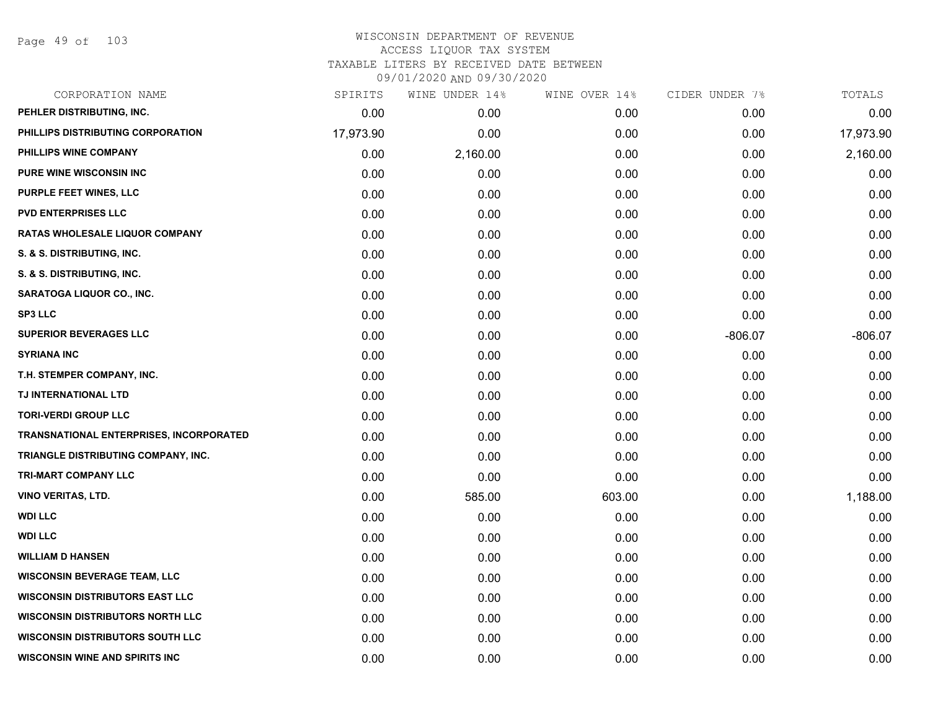Page 49 of 103

| CORPORATION NAME                               | SPIRITS   | WINE UNDER 14% | WINE OVER 14% | CIDER UNDER 7% | TOTALS    |
|------------------------------------------------|-----------|----------------|---------------|----------------|-----------|
| PEHLER DISTRIBUTING, INC.                      | 0.00      | 0.00           | 0.00          | 0.00           | 0.00      |
| PHILLIPS DISTRIBUTING CORPORATION              | 17,973.90 | 0.00           | 0.00          | 0.00           | 17,973.90 |
| PHILLIPS WINE COMPANY                          | 0.00      | 2,160.00       | 0.00          | 0.00           | 2,160.00  |
| <b>PURE WINE WISCONSIN INC</b>                 | 0.00      | 0.00           | 0.00          | 0.00           | 0.00      |
| <b>PURPLE FEET WINES, LLC</b>                  | 0.00      | 0.00           | 0.00          | 0.00           | 0.00      |
| <b>PVD ENTERPRISES LLC</b>                     | 0.00      | 0.00           | 0.00          | 0.00           | 0.00      |
| <b>RATAS WHOLESALE LIQUOR COMPANY</b>          | 0.00      | 0.00           | 0.00          | 0.00           | 0.00      |
| S. & S. DISTRIBUTING, INC.                     | 0.00      | 0.00           | 0.00          | 0.00           | 0.00      |
| S. & S. DISTRIBUTING, INC.                     | 0.00      | 0.00           | 0.00          | 0.00           | 0.00      |
| SARATOGA LIQUOR CO., INC.                      | 0.00      | 0.00           | 0.00          | 0.00           | 0.00      |
| <b>SP3 LLC</b>                                 | 0.00      | 0.00           | 0.00          | 0.00           | 0.00      |
| <b>SUPERIOR BEVERAGES LLC</b>                  | 0.00      | 0.00           | 0.00          | $-806.07$      | $-806.07$ |
| <b>SYRIANA INC</b>                             | 0.00      | 0.00           | 0.00          | 0.00           | 0.00      |
| T.H. STEMPER COMPANY, INC.                     | 0.00      | 0.00           | 0.00          | 0.00           | 0.00      |
| TJ INTERNATIONAL LTD                           | 0.00      | 0.00           | 0.00          | 0.00           | 0.00      |
| <b>TORI-VERDI GROUP LLC</b>                    | 0.00      | 0.00           | 0.00          | 0.00           | 0.00      |
| <b>TRANSNATIONAL ENTERPRISES, INCORPORATED</b> | 0.00      | 0.00           | 0.00          | 0.00           | 0.00      |
| TRIANGLE DISTRIBUTING COMPANY, INC.            | 0.00      | 0.00           | 0.00          | 0.00           | 0.00      |
| TRI-MART COMPANY LLC                           | 0.00      | 0.00           | 0.00          | 0.00           | 0.00      |
| <b>VINO VERITAS, LTD.</b>                      | 0.00      | 585.00         | 603.00        | 0.00           | 1,188.00  |
| <b>WDI LLC</b>                                 | 0.00      | 0.00           | 0.00          | 0.00           | 0.00      |
| <b>WDI LLC</b>                                 | 0.00      | 0.00           | 0.00          | 0.00           | 0.00      |
| <b>WILLIAM D HANSEN</b>                        | 0.00      | 0.00           | 0.00          | 0.00           | 0.00      |
| <b>WISCONSIN BEVERAGE TEAM, LLC</b>            | 0.00      | 0.00           | 0.00          | 0.00           | 0.00      |
| <b>WISCONSIN DISTRIBUTORS EAST LLC</b>         | 0.00      | 0.00           | 0.00          | 0.00           | 0.00      |
| <b>WISCONSIN DISTRIBUTORS NORTH LLC</b>        | 0.00      | 0.00           | 0.00          | 0.00           | 0.00      |
| <b>WISCONSIN DISTRIBUTORS SOUTH LLC</b>        | 0.00      | 0.00           | 0.00          | 0.00           | 0.00      |
| <b>WISCONSIN WINE AND SPIRITS INC</b>          | 0.00      | 0.00           | 0.00          | 0.00           | 0.00      |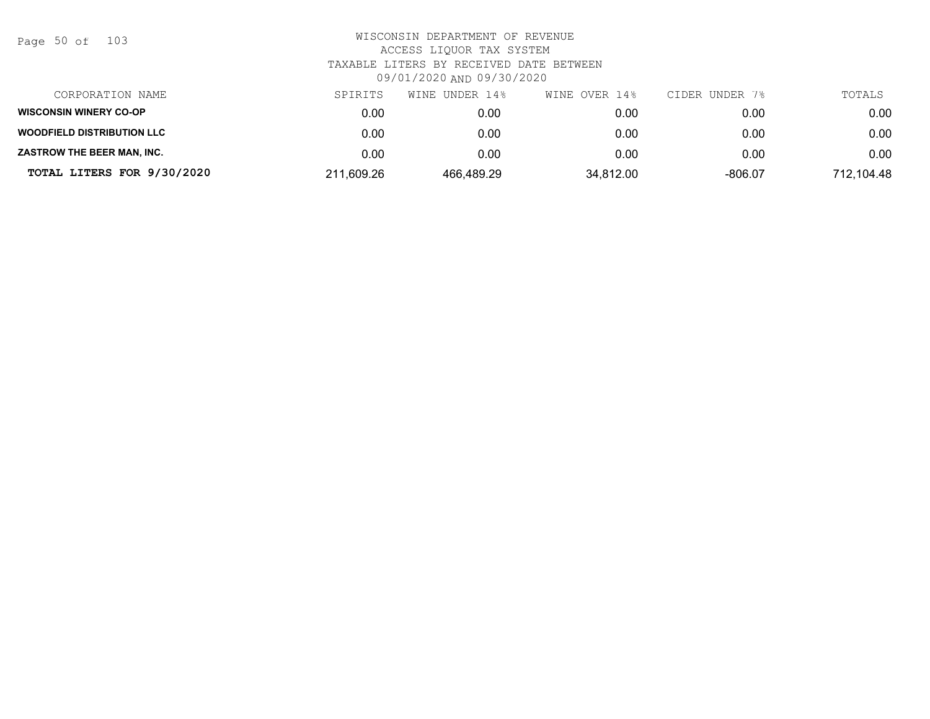| Page 50 of |  |  | 103 |
|------------|--|--|-----|
|------------|--|--|-----|

| CORPORATION NAME                  | SPIRITS    | UNDER 14%<br>WINE | WINE OVER 14% | CIDER UNDER 7% | TOTALS     |
|-----------------------------------|------------|-------------------|---------------|----------------|------------|
| <b>WISCONSIN WINERY CO-OP</b>     | 0.00       | 0.00              | 0.00          | 0.00           | 0.00       |
| <b>WOODFIELD DISTRIBUTION LLC</b> | 0.00       | 0.00              | 0.00          | 0.00           | 0.00       |
| ZASTROW THE BEER MAN, INC.        | 0.00       | 0.00              | 0.00          | 0.00           | 0.00       |
| TOTAL LITERS FOR 9/30/2020        | 211,609.26 | 466.489.29        | 34,812.00     | $-806.07$      | 712,104.48 |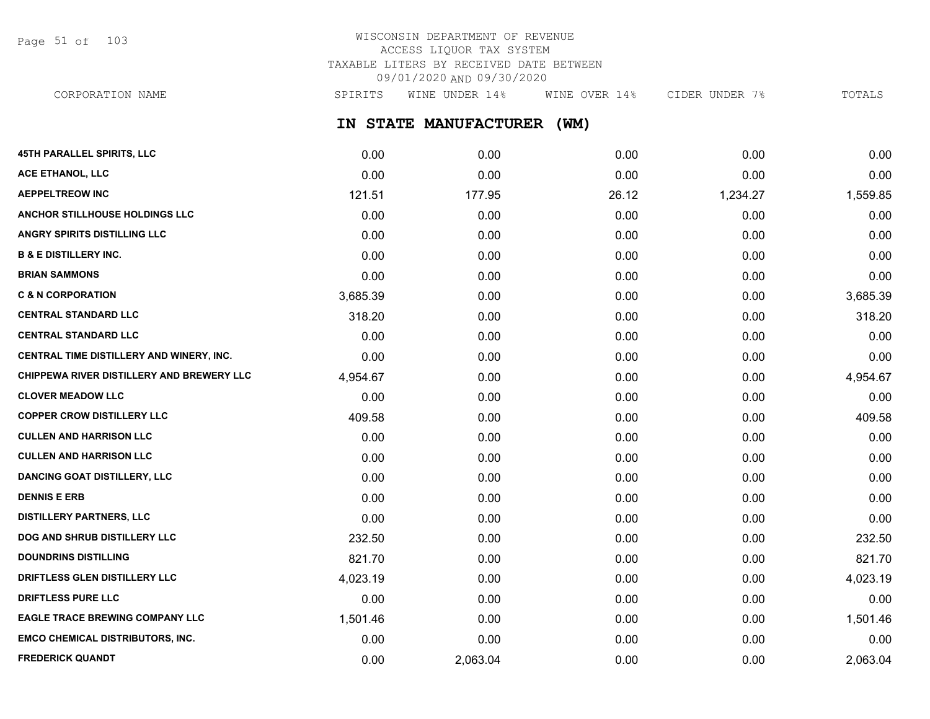Page 51 of 103

## WISCONSIN DEPARTMENT OF REVENUE ACCESS LIQUOR TAX SYSTEM TAXABLE LITERS BY RECEIVED DATE BETWEEN 09/01/2020 AND 09/30/2020

**IN STATE MANUFACTURER (WM) 45TH PARALLEL SPIRITS, LLC** 0.00 0.00 0.00 0.00 0.00 CORPORATION NAME SPIRITS WINE UNDER 14% WINE OVER 14% CIDER UNDER 7% TOTALS

| ACE ETHANOL, LLC                          | 0.00     | 0.00     | 0.00  | 0.00     | 0.00     |
|-------------------------------------------|----------|----------|-------|----------|----------|
| <b>AEPPELTREOW INC</b>                    | 121.51   | 177.95   | 26.12 | 1,234.27 | 1,559.85 |
| ANCHOR STILLHOUSE HOLDINGS LLC            | 0.00     | 0.00     | 0.00  | 0.00     | 0.00     |
| ANGRY SPIRITS DISTILLING LLC              | 0.00     | 0.00     | 0.00  | 0.00     | 0.00     |
| <b>B &amp; E DISTILLERY INC.</b>          | 0.00     | 0.00     | 0.00  | 0.00     | 0.00     |
| <b>BRIAN SAMMONS</b>                      | 0.00     | 0.00     | 0.00  | 0.00     | 0.00     |
| <b>C &amp; N CORPORATION</b>              | 3,685.39 | 0.00     | 0.00  | 0.00     | 3,685.39 |
| <b>CENTRAL STANDARD LLC</b>               | 318.20   | 0.00     | 0.00  | 0.00     | 318.20   |
| <b>CENTRAL STANDARD LLC</b>               | 0.00     | 0.00     | 0.00  | 0.00     | 0.00     |
| CENTRAL TIME DISTILLERY AND WINERY, INC.  | 0.00     | 0.00     | 0.00  | 0.00     | 0.00     |
| CHIPPEWA RIVER DISTILLERY AND BREWERY LLC | 4,954.67 | 0.00     | 0.00  | 0.00     | 4,954.67 |
| <b>CLOVER MEADOW LLC</b>                  | 0.00     | 0.00     | 0.00  | 0.00     | 0.00     |
| <b>COPPER CROW DISTILLERY LLC</b>         | 409.58   | 0.00     | 0.00  | 0.00     | 409.58   |
| <b>CULLEN AND HARRISON LLC</b>            | 0.00     | 0.00     | 0.00  | 0.00     | 0.00     |
| <b>CULLEN AND HARRISON LLC</b>            | 0.00     | 0.00     | 0.00  | 0.00     | 0.00     |
| <b>DANCING GOAT DISTILLERY, LLC</b>       | 0.00     | 0.00     | 0.00  | 0.00     | 0.00     |
| <b>DENNIS E ERB</b>                       | 0.00     | 0.00     | 0.00  | 0.00     | 0.00     |
| <b>DISTILLERY PARTNERS, LLC</b>           | 0.00     | 0.00     | 0.00  | 0.00     | 0.00     |
| DOG AND SHRUB DISTILLERY LLC              | 232.50   | 0.00     | 0.00  | 0.00     | 232.50   |
| <b>DOUNDRINS DISTILLING</b>               | 821.70   | 0.00     | 0.00  | 0.00     | 821.70   |
| DRIFTLESS GLEN DISTILLERY LLC             | 4,023.19 | 0.00     | 0.00  | 0.00     | 4,023.19 |
| <b>DRIFTLESS PURE LLC</b>                 | 0.00     | 0.00     | 0.00  | 0.00     | 0.00     |
| <b>EAGLE TRACE BREWING COMPANY LLC</b>    | 1,501.46 | 0.00     | 0.00  | 0.00     | 1,501.46 |
| <b>EMCO CHEMICAL DISTRIBUTORS, INC.</b>   | 0.00     | 0.00     | 0.00  | 0.00     | 0.00     |
| <b>FREDERICK QUANDT</b>                   | 0.00     | 2,063.04 | 0.00  | 0.00     | 2,063.04 |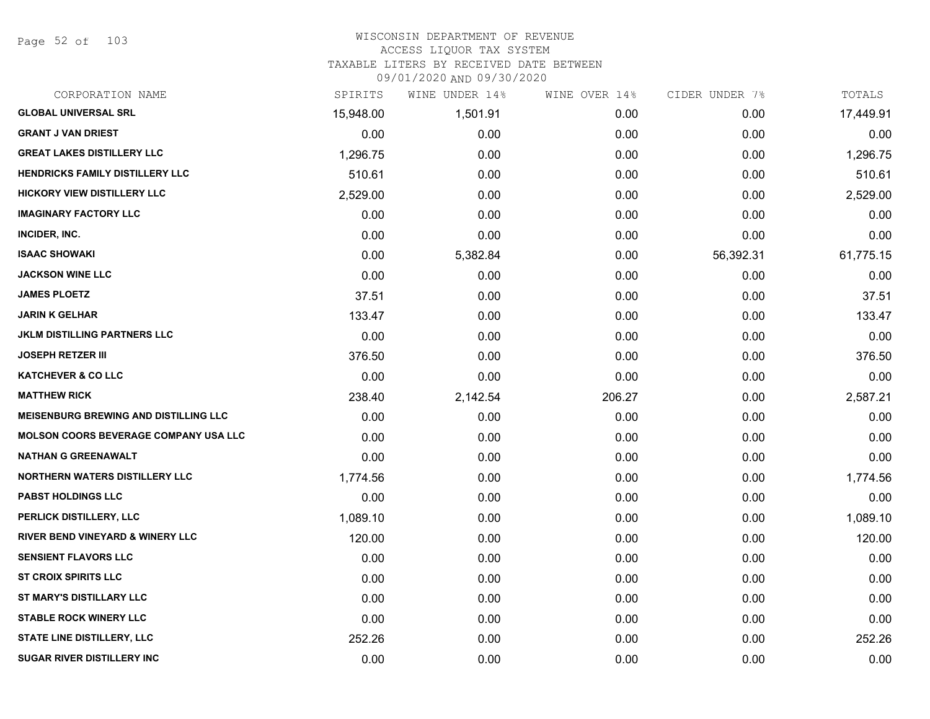Page 52 of 103

| CORPORATION NAME                             | SPIRITS   | WINE UNDER 14% | WINE OVER 14% | CIDER UNDER 7% | TOTALS    |
|----------------------------------------------|-----------|----------------|---------------|----------------|-----------|
| <b>GLOBAL UNIVERSAL SRL</b>                  | 15,948.00 | 1,501.91       | 0.00          | 0.00           | 17,449.91 |
| <b>GRANT J VAN DRIEST</b>                    | 0.00      | 0.00           | 0.00          | 0.00           | 0.00      |
| <b>GREAT LAKES DISTILLERY LLC</b>            | 1,296.75  | 0.00           | 0.00          | 0.00           | 1,296.75  |
| <b>HENDRICKS FAMILY DISTILLERY LLC</b>       | 510.61    | 0.00           | 0.00          | 0.00           | 510.61    |
| <b>HICKORY VIEW DISTILLERY LLC</b>           | 2,529.00  | 0.00           | 0.00          | 0.00           | 2,529.00  |
| <b>IMAGINARY FACTORY LLC</b>                 | 0.00      | 0.00           | 0.00          | 0.00           | 0.00      |
| INCIDER, INC.                                | 0.00      | 0.00           | 0.00          | 0.00           | 0.00      |
| <b>ISAAC SHOWAKI</b>                         | 0.00      | 5,382.84       | 0.00          | 56,392.31      | 61,775.15 |
| <b>JACKSON WINE LLC</b>                      | 0.00      | 0.00           | 0.00          | 0.00           | 0.00      |
| <b>JAMES PLOETZ</b>                          | 37.51     | 0.00           | 0.00          | 0.00           | 37.51     |
| <b>JARIN K GELHAR</b>                        | 133.47    | 0.00           | 0.00          | 0.00           | 133.47    |
| <b>JKLM DISTILLING PARTNERS LLC</b>          | 0.00      | 0.00           | 0.00          | 0.00           | 0.00      |
| <b>JOSEPH RETZER III</b>                     | 376.50    | 0.00           | 0.00          | 0.00           | 376.50    |
| <b>KATCHEVER &amp; CO LLC</b>                | 0.00      | 0.00           | 0.00          | 0.00           | 0.00      |
| <b>MATTHEW RICK</b>                          | 238.40    | 2,142.54       | 206.27        | 0.00           | 2,587.21  |
| <b>MEISENBURG BREWING AND DISTILLING LLC</b> | 0.00      | 0.00           | 0.00          | 0.00           | 0.00      |
| <b>MOLSON COORS BEVERAGE COMPANY USA LLC</b> | 0.00      | 0.00           | 0.00          | 0.00           | 0.00      |
| <b>NATHAN G GREENAWALT</b>                   | 0.00      | 0.00           | 0.00          | 0.00           | 0.00      |
| <b>NORTHERN WATERS DISTILLERY LLC</b>        | 1,774.56  | 0.00           | 0.00          | 0.00           | 1,774.56  |
| <b>PABST HOLDINGS LLC</b>                    | 0.00      | 0.00           | 0.00          | 0.00           | 0.00      |
| PERLICK DISTILLERY, LLC                      | 1,089.10  | 0.00           | 0.00          | 0.00           | 1,089.10  |
| RIVER BEND VINEYARD & WINERY LLC             | 120.00    | 0.00           | 0.00          | 0.00           | 120.00    |
| <b>SENSIENT FLAVORS LLC</b>                  | 0.00      | 0.00           | 0.00          | 0.00           | 0.00      |
| <b>ST CROIX SPIRITS LLC</b>                  | 0.00      | 0.00           | 0.00          | 0.00           | 0.00      |
| ST MARY'S DISTILLARY LLC                     | 0.00      | 0.00           | 0.00          | 0.00           | 0.00      |
| <b>STABLE ROCK WINERY LLC</b>                | 0.00      | 0.00           | 0.00          | 0.00           | 0.00      |
| <b>STATE LINE DISTILLERY, LLC</b>            | 252.26    | 0.00           | 0.00          | 0.00           | 252.26    |
| <b>SUGAR RIVER DISTILLERY INC</b>            | 0.00      | 0.00           | 0.00          | 0.00           | 0.00      |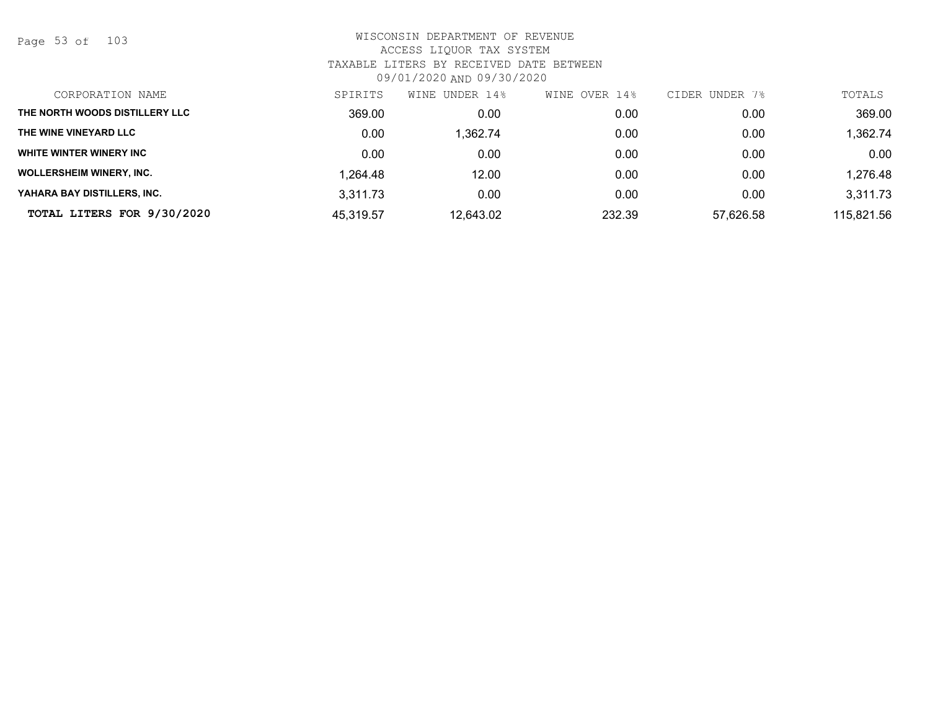Page 53 of 103

| CORPORATION NAME                | SPIRITS   | WINE UNDER 14% | OVER 14%<br>WINE | CIDER UNDER 7% | TOTALS     |
|---------------------------------|-----------|----------------|------------------|----------------|------------|
| THE NORTH WOODS DISTILLERY LLC  | 369.00    | 0.00           | 0.00             | 0.00           | 369.00     |
| THE WINE VINEYARD LLC           | 0.00      | ,362.74        | 0.00             | 0.00           | 1,362.74   |
| WHITE WINTER WINERY INC         | 0.00      | 0.00           | 0.00             | 0.00           | 0.00       |
| <b>WOLLERSHEIM WINERY, INC.</b> | 1,264.48  | 12.00          | 0.00             | 0.00           | 1,276.48   |
| YAHARA BAY DISTILLERS, INC.     | 3.311.73  | 0.00           | 0.00             | 0.00           | 3,311.73   |
| TOTAL LITERS FOR 9/30/2020      | 45,319.57 | 12,643.02      | 232.39           | 57,626.58      | 115,821.56 |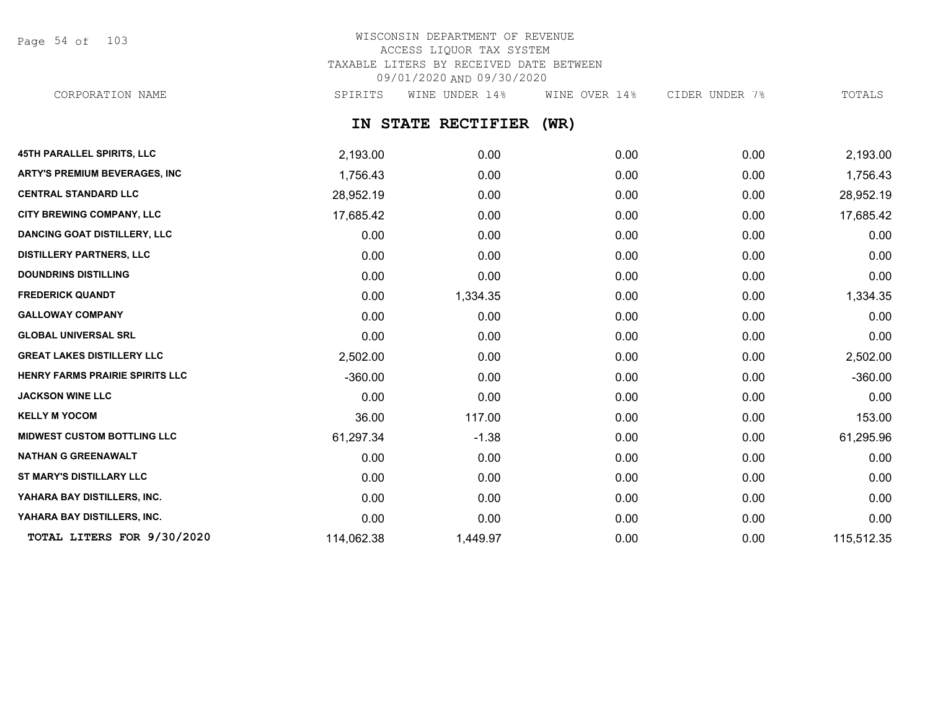Page 54 of 103

# WISCONSIN DEPARTMENT OF REVENUE ACCESS LIQUOR TAX SYSTEM TAXABLE LITERS BY RECEIVED DATE BETWEEN 09/01/2020 AND 09/30/2020

CORPORATION NAME SPIRITS WINE UNDER 14% WINE OVER 14% CIDER UNDER 7% TOTALS

### **IN STATE RECTIFIER (WR)**

| <b>45TH PARALLEL SPIRITS, LLC</b>    | 2,193.00   | 0.00     | 0.00 | 0.00 | 2,193.00   |
|--------------------------------------|------------|----------|------|------|------------|
| <b>ARTY'S PREMIUM BEVERAGES, INC</b> | 1,756.43   | 0.00     | 0.00 | 0.00 | 1,756.43   |
| <b>CENTRAL STANDARD LLC</b>          | 28,952.19  | 0.00     | 0.00 | 0.00 | 28,952.19  |
| <b>CITY BREWING COMPANY, LLC</b>     | 17,685.42  | 0.00     | 0.00 | 0.00 | 17,685.42  |
| <b>DANCING GOAT DISTILLERY, LLC</b>  | 0.00       | 0.00     | 0.00 | 0.00 | 0.00       |
| <b>DISTILLERY PARTNERS, LLC</b>      | 0.00       | 0.00     | 0.00 | 0.00 | 0.00       |
| <b>DOUNDRINS DISTILLING</b>          | 0.00       | 0.00     | 0.00 | 0.00 | 0.00       |
| <b>FREDERICK QUANDT</b>              | 0.00       | 1,334.35 | 0.00 | 0.00 | 1,334.35   |
| <b>GALLOWAY COMPANY</b>              | 0.00       | 0.00     | 0.00 | 0.00 | 0.00       |
| <b>GLOBAL UNIVERSAL SRL</b>          | 0.00       | 0.00     | 0.00 | 0.00 | 0.00       |
| <b>GREAT LAKES DISTILLERY LLC</b>    | 2,502.00   | 0.00     | 0.00 | 0.00 | 2,502.00   |
| HENRY FARMS PRAIRIE SPIRITS LLC      | $-360.00$  | 0.00     | 0.00 | 0.00 | $-360.00$  |
| <b>JACKSON WINE LLC</b>              | 0.00       | 0.00     | 0.00 | 0.00 | 0.00       |
| <b>KELLY M YOCOM</b>                 | 36.00      | 117.00   | 0.00 | 0.00 | 153.00     |
| <b>MIDWEST CUSTOM BOTTLING LLC</b>   | 61,297.34  | $-1.38$  | 0.00 | 0.00 | 61,295.96  |
| <b>NATHAN G GREENAWALT</b>           | 0.00       | 0.00     | 0.00 | 0.00 | 0.00       |
| ST MARY'S DISTILLARY LLC             | 0.00       | 0.00     | 0.00 | 0.00 | 0.00       |
| YAHARA BAY DISTILLERS, INC.          | 0.00       | 0.00     | 0.00 | 0.00 | 0.00       |
| YAHARA BAY DISTILLERS, INC.          | 0.00       | 0.00     | 0.00 | 0.00 | 0.00       |
| TOTAL LITERS FOR 9/30/2020           | 114,062.38 | 1,449.97 | 0.00 | 0.00 | 115,512.35 |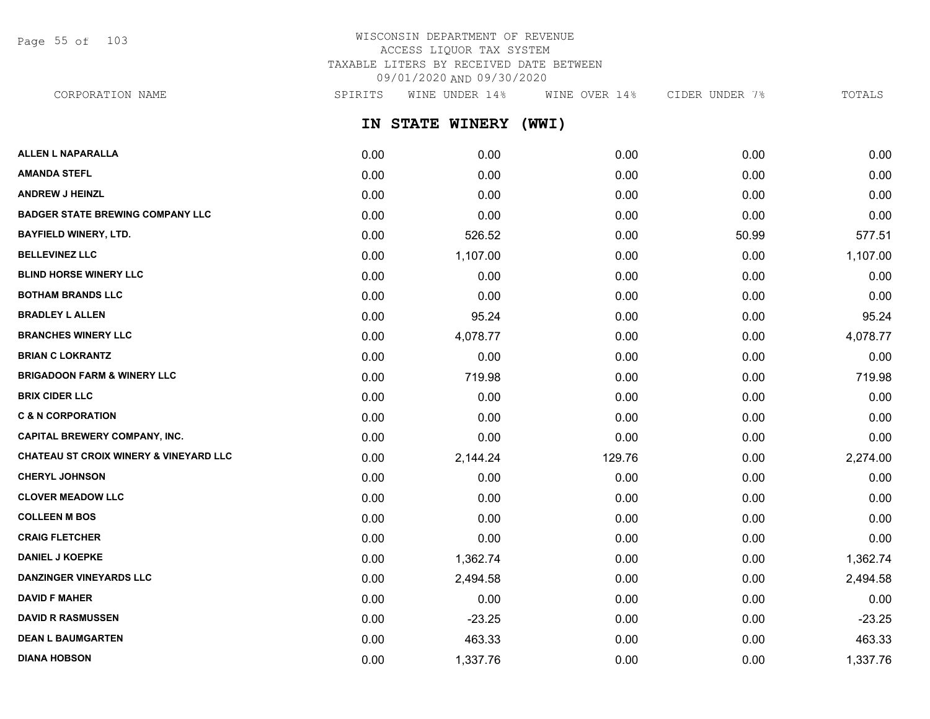Page 55 of 103

## WISCONSIN DEPARTMENT OF REVENUE ACCESS LIQUOR TAX SYSTEM TAXABLE LITERS BY RECEIVED DATE BETWEEN 09/01/2020 AND 09/30/2020

CORPORATION NAME SPIRITS WINE UNDER 14% WINE OVER 14% CIDER UNDER 7% TOTALS

**IN STATE WINERY (WWI)**

| <b>ALLEN L NAPARALLA</b>                          | 0.00 | 0.00     | 0.00   | 0.00  | 0.00     |
|---------------------------------------------------|------|----------|--------|-------|----------|
| <b>AMANDA STEFL</b>                               | 0.00 | 0.00     | 0.00   | 0.00  | 0.00     |
| <b>ANDREW J HEINZL</b>                            | 0.00 | 0.00     | 0.00   | 0.00  | 0.00     |
| <b>BADGER STATE BREWING COMPANY LLC</b>           | 0.00 | 0.00     | 0.00   | 0.00  | 0.00     |
| <b>BAYFIELD WINERY, LTD.</b>                      | 0.00 | 526.52   | 0.00   | 50.99 | 577.51   |
| <b>BELLEVINEZ LLC</b>                             | 0.00 | 1,107.00 | 0.00   | 0.00  | 1,107.00 |
| <b>BLIND HORSE WINERY LLC</b>                     | 0.00 | 0.00     | 0.00   | 0.00  | 0.00     |
| <b>BOTHAM BRANDS LLC</b>                          | 0.00 | 0.00     | 0.00   | 0.00  | 0.00     |
| <b>BRADLEY L ALLEN</b>                            | 0.00 | 95.24    | 0.00   | 0.00  | 95.24    |
| <b>BRANCHES WINERY LLC</b>                        | 0.00 | 4,078.77 | 0.00   | 0.00  | 4,078.77 |
| <b>BRIAN C LOKRANTZ</b>                           | 0.00 | 0.00     | 0.00   | 0.00  | 0.00     |
| <b>BRIGADOON FARM &amp; WINERY LLC</b>            | 0.00 | 719.98   | 0.00   | 0.00  | 719.98   |
| <b>BRIX CIDER LLC</b>                             | 0.00 | 0.00     | 0.00   | 0.00  | 0.00     |
| <b>C &amp; N CORPORATION</b>                      | 0.00 | 0.00     | 0.00   | 0.00  | 0.00     |
| <b>CAPITAL BREWERY COMPANY, INC.</b>              | 0.00 | 0.00     | 0.00   | 0.00  | 0.00     |
| <b>CHATEAU ST CROIX WINERY &amp; VINEYARD LLC</b> | 0.00 | 2,144.24 | 129.76 | 0.00  | 2,274.00 |
| <b>CHERYL JOHNSON</b>                             | 0.00 | 0.00     | 0.00   | 0.00  | 0.00     |
| <b>CLOVER MEADOW LLC</b>                          | 0.00 | 0.00     | 0.00   | 0.00  | 0.00     |
| <b>COLLEEN M BOS</b>                              | 0.00 | 0.00     | 0.00   | 0.00  | 0.00     |
| <b>CRAIG FLETCHER</b>                             | 0.00 | 0.00     | 0.00   | 0.00  | 0.00     |
| <b>DANIEL J KOEPKE</b>                            | 0.00 | 1,362.74 | 0.00   | 0.00  | 1,362.74 |
| <b>DANZINGER VINEYARDS LLC</b>                    | 0.00 | 2,494.58 | 0.00   | 0.00  | 2,494.58 |
| <b>DAVID F MAHER</b>                              | 0.00 | 0.00     | 0.00   | 0.00  | 0.00     |
| <b>DAVID R RASMUSSEN</b>                          | 0.00 | $-23.25$ | 0.00   | 0.00  | $-23.25$ |
| <b>DEAN L BAUMGARTEN</b>                          | 0.00 | 463.33   | 0.00   | 0.00  | 463.33   |
| <b>DIANA HOBSON</b>                               | 0.00 | 1,337.76 | 0.00   | 0.00  | 1,337.76 |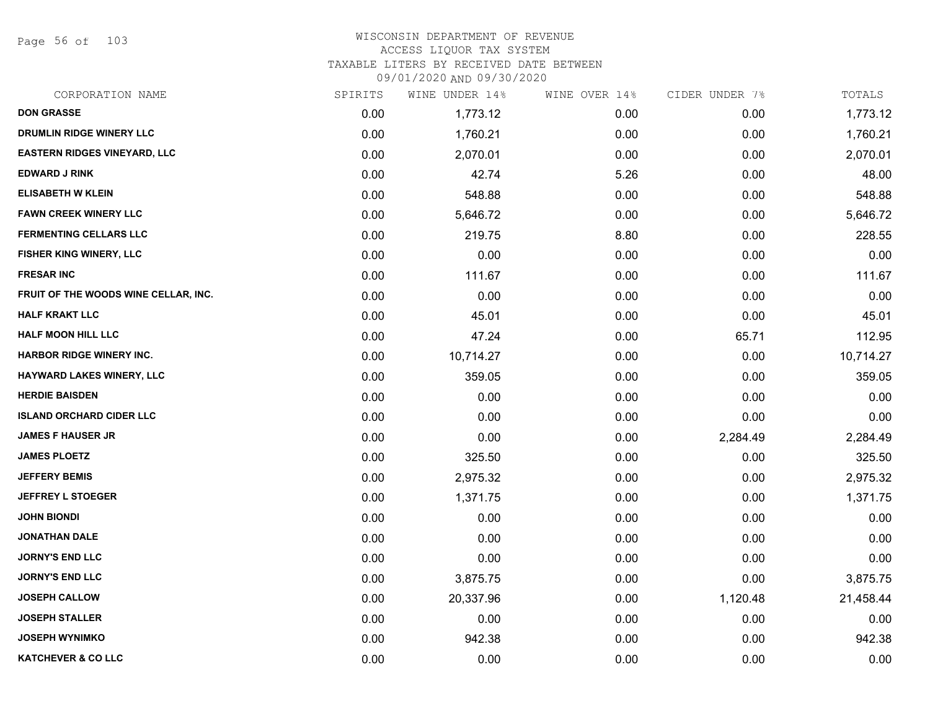Page 56 of 103

| CORPORATION NAME                     | SPIRITS | WINE UNDER 14% | WINE OVER 14% | CIDER UNDER 7% | TOTALS    |
|--------------------------------------|---------|----------------|---------------|----------------|-----------|
| <b>DON GRASSE</b>                    | 0.00    | 1,773.12       | 0.00          | 0.00           | 1,773.12  |
| DRUMLIN RIDGE WINERY LLC             | 0.00    | 1,760.21       | 0.00          | 0.00           | 1,760.21  |
| <b>EASTERN RIDGES VINEYARD, LLC</b>  | 0.00    | 2,070.01       | 0.00          | 0.00           | 2,070.01  |
| <b>EDWARD J RINK</b>                 | 0.00    | 42.74          | 5.26          | 0.00           | 48.00     |
| <b>ELISABETH W KLEIN</b>             | 0.00    | 548.88         | 0.00          | 0.00           | 548.88    |
| <b>FAWN CREEK WINERY LLC</b>         | 0.00    | 5,646.72       | 0.00          | 0.00           | 5,646.72  |
| <b>FERMENTING CELLARS LLC</b>        | 0.00    | 219.75         | 8.80          | 0.00           | 228.55    |
| FISHER KING WINERY, LLC              | 0.00    | 0.00           | 0.00          | 0.00           | 0.00      |
| <b>FRESAR INC</b>                    | 0.00    | 111.67         | 0.00          | 0.00           | 111.67    |
| FRUIT OF THE WOODS WINE CELLAR, INC. | 0.00    | 0.00           | 0.00          | 0.00           | 0.00      |
| <b>HALF KRAKT LLC</b>                | 0.00    | 45.01          | 0.00          | 0.00           | 45.01     |
| <b>HALF MOON HILL LLC</b>            | 0.00    | 47.24          | 0.00          | 65.71          | 112.95    |
| <b>HARBOR RIDGE WINERY INC.</b>      | 0.00    | 10,714.27      | 0.00          | 0.00           | 10,714.27 |
| <b>HAYWARD LAKES WINERY, LLC</b>     | 0.00    | 359.05         | 0.00          | 0.00           | 359.05    |
| <b>HERDIE BAISDEN</b>                | 0.00    | 0.00           | 0.00          | 0.00           | 0.00      |
| <b>ISLAND ORCHARD CIDER LLC</b>      | 0.00    | 0.00           | 0.00          | 0.00           | 0.00      |
| <b>JAMES F HAUSER JR</b>             | 0.00    | 0.00           | 0.00          | 2,284.49       | 2,284.49  |
| <b>JAMES PLOETZ</b>                  | 0.00    | 325.50         | 0.00          | 0.00           | 325.50    |
| <b>JEFFERY BEMIS</b>                 | 0.00    | 2,975.32       | 0.00          | 0.00           | 2,975.32  |
| <b>JEFFREY L STOEGER</b>             | 0.00    | 1,371.75       | 0.00          | 0.00           | 1,371.75  |
| <b>JOHN BIONDI</b>                   | 0.00    | 0.00           | 0.00          | 0.00           | 0.00      |
| <b>JONATHAN DALE</b>                 | 0.00    | 0.00           | 0.00          | 0.00           | 0.00      |
| <b>JORNY'S END LLC</b>               | 0.00    | 0.00           | 0.00          | 0.00           | 0.00      |
| <b>JORNY'S END LLC</b>               | 0.00    | 3,875.75       | 0.00          | 0.00           | 3,875.75  |
| <b>JOSEPH CALLOW</b>                 | 0.00    | 20,337.96      | 0.00          | 1,120.48       | 21,458.44 |
| <b>JOSEPH STALLER</b>                | 0.00    | 0.00           | 0.00          | 0.00           | 0.00      |
| <b>JOSEPH WYNIMKO</b>                | 0.00    | 942.38         | 0.00          | 0.00           | 942.38    |
| <b>KATCHEVER &amp; CO LLC</b>        | 0.00    | 0.00           | 0.00          | 0.00           | 0.00      |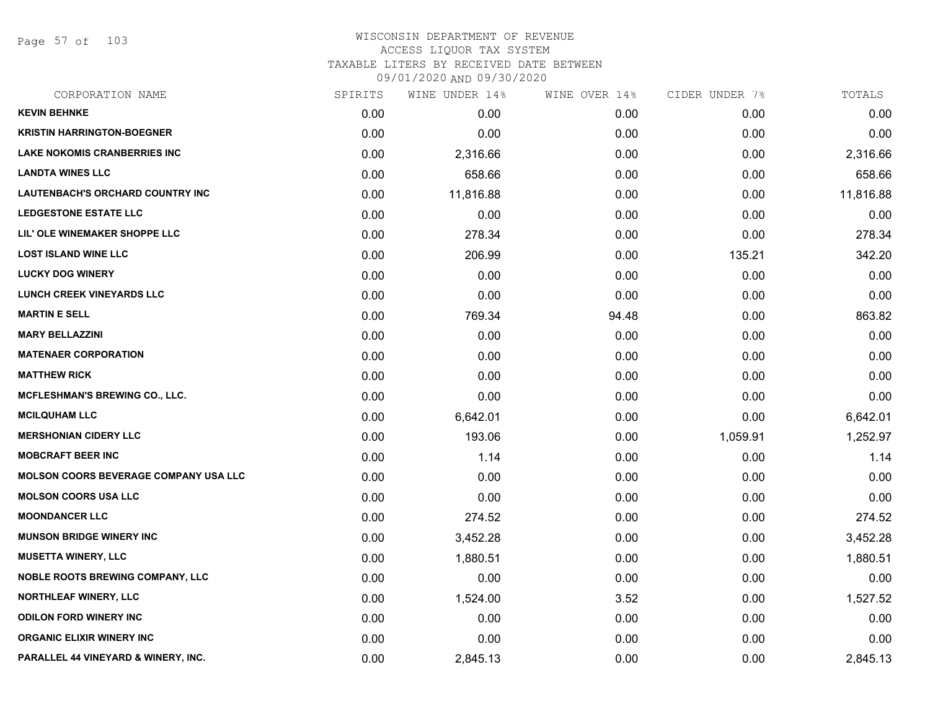Page 57 of 103

| CORPORATION NAME                             | SPIRITS | WINE UNDER 14% | WINE OVER 14% | CIDER UNDER 7% | TOTALS    |
|----------------------------------------------|---------|----------------|---------------|----------------|-----------|
| <b>KEVIN BEHNKE</b>                          | 0.00    | 0.00           | 0.00          | 0.00           | 0.00      |
| <b>KRISTIN HARRINGTON-BOEGNER</b>            | 0.00    | 0.00           | 0.00          | 0.00           | 0.00      |
| <b>LAKE NOKOMIS CRANBERRIES INC</b>          | 0.00    | 2,316.66       | 0.00          | 0.00           | 2,316.66  |
| <b>LANDTA WINES LLC</b>                      | 0.00    | 658.66         | 0.00          | 0.00           | 658.66    |
| <b>LAUTENBACH'S ORCHARD COUNTRY INC</b>      | 0.00    | 11,816.88      | 0.00          | 0.00           | 11,816.88 |
| <b>LEDGESTONE ESTATE LLC</b>                 | 0.00    | 0.00           | 0.00          | 0.00           | 0.00      |
| LIL' OLE WINEMAKER SHOPPE LLC                | 0.00    | 278.34         | 0.00          | 0.00           | 278.34    |
| <b>LOST ISLAND WINE LLC</b>                  | 0.00    | 206.99         | 0.00          | 135.21         | 342.20    |
| <b>LUCKY DOG WINERY</b>                      | 0.00    | 0.00           | 0.00          | 0.00           | 0.00      |
| <b>LUNCH CREEK VINEYARDS LLC</b>             | 0.00    | 0.00           | 0.00          | 0.00           | 0.00      |
| <b>MARTIN E SELL</b>                         | 0.00    | 769.34         | 94.48         | 0.00           | 863.82    |
| <b>MARY BELLAZZINI</b>                       | 0.00    | 0.00           | 0.00          | 0.00           | 0.00      |
| <b>MATENAER CORPORATION</b>                  | 0.00    | 0.00           | 0.00          | 0.00           | 0.00      |
| <b>MATTHEW RICK</b>                          | 0.00    | 0.00           | 0.00          | 0.00           | 0.00      |
| <b>MCFLESHMAN'S BREWING CO., LLC.</b>        | 0.00    | 0.00           | 0.00          | 0.00           | 0.00      |
| <b>MCILQUHAM LLC</b>                         | 0.00    | 6,642.01       | 0.00          | 0.00           | 6,642.01  |
| <b>MERSHONIAN CIDERY LLC</b>                 | 0.00    | 193.06         | 0.00          | 1,059.91       | 1,252.97  |
| <b>MOBCRAFT BEER INC</b>                     | 0.00    | 1.14           | 0.00          | 0.00           | 1.14      |
| <b>MOLSON COORS BEVERAGE COMPANY USA LLC</b> | 0.00    | 0.00           | 0.00          | 0.00           | 0.00      |
| <b>MOLSON COORS USA LLC</b>                  | 0.00    | 0.00           | 0.00          | 0.00           | 0.00      |
| <b>MOONDANCER LLC</b>                        | 0.00    | 274.52         | 0.00          | 0.00           | 274.52    |
| <b>MUNSON BRIDGE WINERY INC</b>              | 0.00    | 3,452.28       | 0.00          | 0.00           | 3,452.28  |
| <b>MUSETTA WINERY, LLC</b>                   | 0.00    | 1,880.51       | 0.00          | 0.00           | 1,880.51  |
| <b>NOBLE ROOTS BREWING COMPANY, LLC</b>      | 0.00    | 0.00           | 0.00          | 0.00           | 0.00      |
| <b>NORTHLEAF WINERY, LLC</b>                 | 0.00    | 1,524.00       | 3.52          | 0.00           | 1,527.52  |
| <b>ODILON FORD WINERY INC</b>                | 0.00    | 0.00           | 0.00          | 0.00           | 0.00      |
| <b>ORGANIC ELIXIR WINERY INC</b>             | 0.00    | 0.00           | 0.00          | 0.00           | 0.00      |
| PARALLEL 44 VINEYARD & WINERY, INC.          | 0.00    | 2,845.13       | 0.00          | 0.00           | 2,845.13  |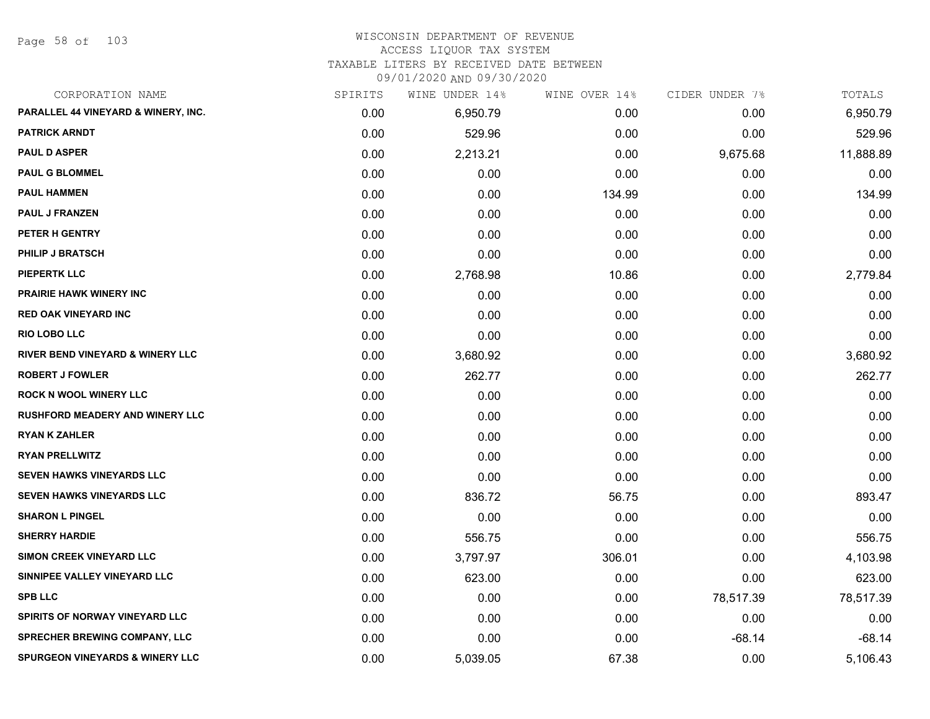Page 58 of 103

#### WISCONSIN DEPARTMENT OF REVENUE ACCESS LIQUOR TAX SYSTEM

TAXABLE LITERS BY RECEIVED DATE BETWEEN

09/01/2020 AND 09/30/2020

| CORPORATION NAME                            | SPIRITS | WINE UNDER 14% | WINE OVER 14% | CIDER UNDER 7% | TOTALS    |
|---------------------------------------------|---------|----------------|---------------|----------------|-----------|
| PARALLEL 44 VINEYARD & WINERY, INC.         | 0.00    | 6,950.79       | 0.00          | 0.00           | 6,950.79  |
| <b>PATRICK ARNDT</b>                        | 0.00    | 529.96         | 0.00          | 0.00           | 529.96    |
| <b>PAUL D ASPER</b>                         | 0.00    | 2,213.21       | 0.00          | 9,675.68       | 11,888.89 |
| <b>PAUL G BLOMMEL</b>                       | 0.00    | 0.00           | 0.00          | 0.00           | 0.00      |
| <b>PAUL HAMMEN</b>                          | 0.00    | 0.00           | 134.99        | 0.00           | 134.99    |
| <b>PAUL J FRANZEN</b>                       | 0.00    | 0.00           | 0.00          | 0.00           | 0.00      |
| PETER H GENTRY                              | 0.00    | 0.00           | 0.00          | 0.00           | 0.00      |
| <b>PHILIP J BRATSCH</b>                     | 0.00    | 0.00           | 0.00          | 0.00           | 0.00      |
| <b>PIEPERTK LLC</b>                         | 0.00    | 2,768.98       | 10.86         | 0.00           | 2,779.84  |
| <b>PRAIRIE HAWK WINERY INC</b>              | 0.00    | 0.00           | 0.00          | 0.00           | 0.00      |
| <b>RED OAK VINEYARD INC</b>                 | 0.00    | 0.00           | 0.00          | 0.00           | 0.00      |
| <b>RIO LOBO LLC</b>                         | 0.00    | 0.00           | 0.00          | 0.00           | 0.00      |
| <b>RIVER BEND VINEYARD &amp; WINERY LLC</b> | 0.00    | 3,680.92       | 0.00          | 0.00           | 3,680.92  |
| <b>ROBERT J FOWLER</b>                      | 0.00    | 262.77         | 0.00          | 0.00           | 262.77    |
| <b>ROCK N WOOL WINERY LLC</b>               | 0.00    | 0.00           | 0.00          | 0.00           | 0.00      |
| <b>RUSHFORD MEADERY AND WINERY LLC</b>      | 0.00    | 0.00           | 0.00          | 0.00           | 0.00      |
| <b>RYAN K ZAHLER</b>                        | 0.00    | 0.00           | 0.00          | 0.00           | 0.00      |
| <b>RYAN PRELLWITZ</b>                       | 0.00    | 0.00           | 0.00          | 0.00           | 0.00      |
| <b>SEVEN HAWKS VINEYARDS LLC</b>            | 0.00    | 0.00           | 0.00          | 0.00           | 0.00      |
| <b>SEVEN HAWKS VINEYARDS LLC</b>            | 0.00    | 836.72         | 56.75         | 0.00           | 893.47    |
| <b>SHARON L PINGEL</b>                      | 0.00    | 0.00           | 0.00          | 0.00           | 0.00      |
| <b>SHERRY HARDIE</b>                        | 0.00    | 556.75         | 0.00          | 0.00           | 556.75    |
| <b>SIMON CREEK VINEYARD LLC</b>             | 0.00    | 3,797.97       | 306.01        | 0.00           | 4,103.98  |
| SINNIPEE VALLEY VINEYARD LLC                | 0.00    | 623.00         | 0.00          | 0.00           | 623.00    |
| <b>SPB LLC</b>                              | 0.00    | 0.00           | 0.00          | 78,517.39      | 78,517.39 |
| <b>SPIRITS OF NORWAY VINEYARD LLC</b>       | 0.00    | 0.00           | 0.00          | 0.00           | 0.00      |
| SPRECHER BREWING COMPANY, LLC               | 0.00    | 0.00           | 0.00          | $-68.14$       | $-68.14$  |
| <b>SPURGEON VINEYARDS &amp; WINERY LLC</b>  | 0.00    | 5,039.05       | 67.38         | 0.00           | 5,106.43  |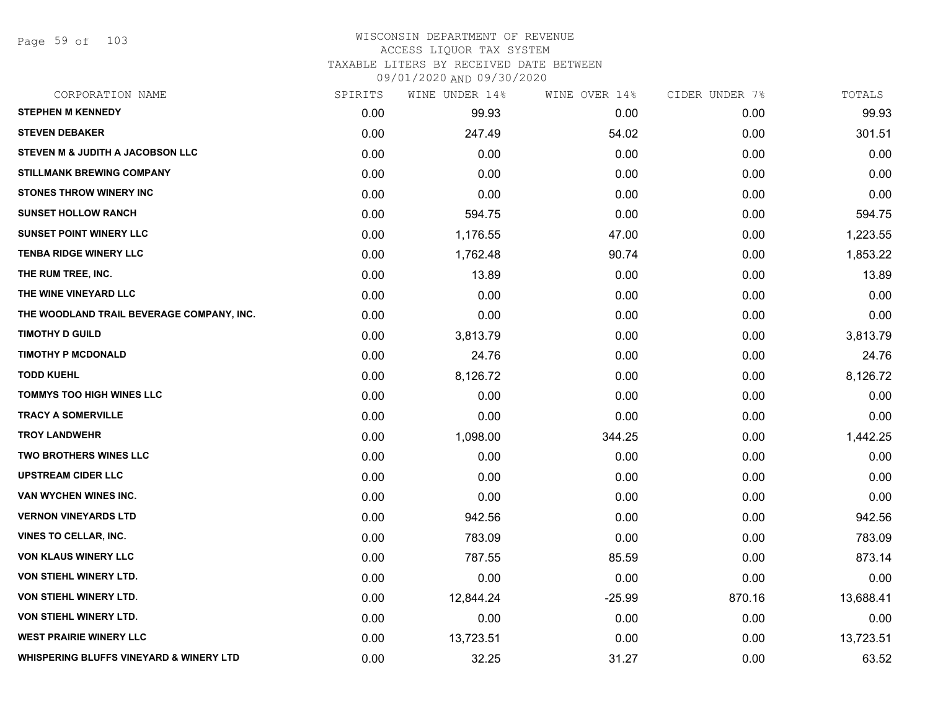Page 59 of 103

| CORPORATION NAME                                   | SPIRITS | WINE UNDER 14% | WINE OVER 14% | CIDER UNDER 7% | TOTALS    |
|----------------------------------------------------|---------|----------------|---------------|----------------|-----------|
| <b>STEPHEN M KENNEDY</b>                           | 0.00    | 99.93          | 0.00          | 0.00           | 99.93     |
| <b>STEVEN DEBAKER</b>                              | 0.00    | 247.49         | 54.02         | 0.00           | 301.51    |
| STEVEN M & JUDITH A JACOBSON LLC                   | 0.00    | 0.00           | 0.00          | 0.00           | 0.00      |
| <b>STILLMANK BREWING COMPANY</b>                   | 0.00    | 0.00           | 0.00          | 0.00           | 0.00      |
| <b>STONES THROW WINERY INC</b>                     | 0.00    | 0.00           | 0.00          | 0.00           | 0.00      |
| <b>SUNSET HOLLOW RANCH</b>                         | 0.00    | 594.75         | 0.00          | 0.00           | 594.75    |
| <b>SUNSET POINT WINERY LLC</b>                     | 0.00    | 1,176.55       | 47.00         | 0.00           | 1,223.55  |
| <b>TENBA RIDGE WINERY LLC</b>                      | 0.00    | 1,762.48       | 90.74         | 0.00           | 1,853.22  |
| THE RUM TREE, INC.                                 | 0.00    | 13.89          | 0.00          | 0.00           | 13.89     |
| THE WINE VINEYARD LLC                              | 0.00    | 0.00           | 0.00          | 0.00           | 0.00      |
| THE WOODLAND TRAIL BEVERAGE COMPANY, INC.          | 0.00    | 0.00           | 0.00          | 0.00           | 0.00      |
| <b>TIMOTHY D GUILD</b>                             | 0.00    | 3,813.79       | 0.00          | 0.00           | 3,813.79  |
| <b>TIMOTHY P MCDONALD</b>                          | 0.00    | 24.76          | 0.00          | 0.00           | 24.76     |
| <b>TODD KUEHL</b>                                  | 0.00    | 8,126.72       | 0.00          | 0.00           | 8,126.72  |
| <b>TOMMYS TOO HIGH WINES LLC</b>                   | 0.00    | 0.00           | 0.00          | 0.00           | 0.00      |
| <b>TRACY A SOMERVILLE</b>                          | 0.00    | 0.00           | 0.00          | 0.00           | 0.00      |
| <b>TROY LANDWEHR</b>                               | 0.00    | 1,098.00       | 344.25        | 0.00           | 1,442.25  |
| <b>TWO BROTHERS WINES LLC</b>                      | 0.00    | 0.00           | 0.00          | 0.00           | 0.00      |
| <b>UPSTREAM CIDER LLC</b>                          | 0.00    | 0.00           | 0.00          | 0.00           | 0.00      |
| VAN WYCHEN WINES INC.                              | 0.00    | 0.00           | 0.00          | 0.00           | 0.00      |
| <b>VERNON VINEYARDS LTD</b>                        | 0.00    | 942.56         | 0.00          | 0.00           | 942.56    |
| <b>VINES TO CELLAR, INC.</b>                       | 0.00    | 783.09         | 0.00          | 0.00           | 783.09    |
| <b>VON KLAUS WINERY LLC</b>                        | 0.00    | 787.55         | 85.59         | 0.00           | 873.14    |
| <b>VON STIEHL WINERY LTD.</b>                      | 0.00    | 0.00           | 0.00          | 0.00           | 0.00      |
| <b>VON STIEHL WINERY LTD.</b>                      | 0.00    | 12,844.24      | $-25.99$      | 870.16         | 13,688.41 |
| VON STIEHL WINERY LTD.                             | 0.00    | 0.00           | 0.00          | 0.00           | 0.00      |
| <b>WEST PRAIRIE WINERY LLC</b>                     | 0.00    | 13,723.51      | 0.00          | 0.00           | 13,723.51 |
| <b>WHISPERING BLUFFS VINEYARD &amp; WINERY LTD</b> | 0.00    | 32.25          | 31.27         | 0.00           | 63.52     |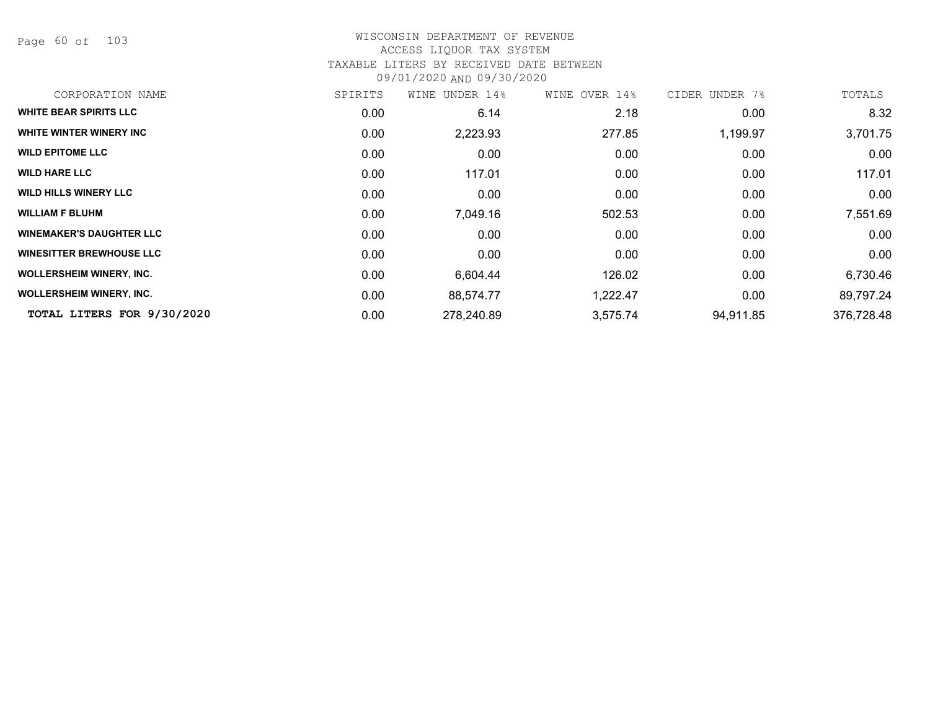Page 60 of 103

| CORPORATION NAME                | SPIRITS           | UNDER 14%<br>WINE | WINE OVER 14% | CIDER UNDER 7% | TOTALS     |
|---------------------------------|-------------------|-------------------|---------------|----------------|------------|
| <b>WHITE BEAR SPIRITS LLC</b>   | 0.00              | 6.14              | 2.18          | 0.00           | 8.32       |
| WHITE WINTER WINERY INC         | 0.00              | 2,223.93          | 277.85        | 1,199.97       | 3,701.75   |
| <b>WILD EPITOME LLC</b>         | 0.00              | 0.00              | 0.00          | 0.00           | 0.00       |
| <b>WILD HARE LLC</b>            | 0.00              | 117.01            | 0.00          | 0.00           | 117.01     |
| <b>WILD HILLS WINERY LLC</b>    | 0.00              | 0.00              | 0.00          | 0.00           | 0.00       |
| <b>WILLIAM F BLUHM</b>          | 0.00 <sub>1</sub> | 7,049.16          | 502.53        | 0.00           | 7,551.69   |
| <b>WINEMAKER'S DAUGHTER LLC</b> | 0.00              | 0.00              | 0.00          | 0.00           | 0.00       |
| <b>WINESITTER BREWHOUSE LLC</b> | 0.00              | 0.00              | 0.00          | 0.00           | 0.00       |
| <b>WOLLERSHEIM WINERY, INC.</b> | 0.00              | 6,604.44          | 126.02        | 0.00           | 6,730.46   |
| <b>WOLLERSHEIM WINERY, INC.</b> | 0.00              | 88,574.77         | 1,222.47      | 0.00           | 89,797.24  |
| TOTAL LITERS FOR 9/30/2020      | 0.00              | 278,240.89        | 3,575.74      | 94,911.85      | 376,728.48 |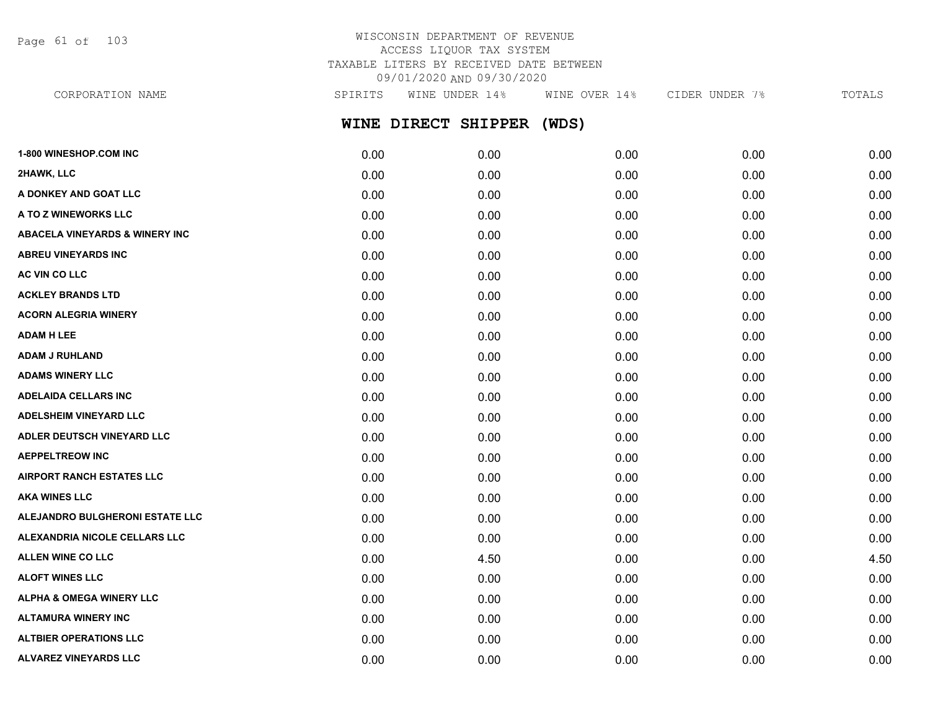Page 61 of 103

## WISCONSIN DEPARTMENT OF REVENUE ACCESS LIQUOR TAX SYSTEM TAXABLE LITERS BY RECEIVED DATE BETWEEN 09/01/2020 AND 09/30/2020

**WINE DIRECT SHIPPER (WDS) 1-800 WINESHOP.COM INC** 0.00 0.00 0.00 0.00 0.00 **2HAWK, LLC** 0.00 0.00 0.00 0.00 0.00 **A DONKEY AND GOAT LLC**  $\begin{array}{cccc} 0.00 & 0.00 & 0.00 & 0.00 & 0.00 & 0.00 & 0.00 \end{array}$ **A TO Z WINEWORKS LLC** 0.00 0.00 0.00 0.00 0.00 **ABACELA VINEYARDS & WINERY INC** 0.00 0.00 0.00 0.00 0.00 CORPORATION NAME SPIRITS WINE UNDER 14% WINE OVER 14% CIDER UNDER 7% TOTALS

**ABREU VINEYARDS INC** 0.00 0.00 0.00 0.00 0.00 **AC VIN CO LLC** 0.00 0.00 0.00 0.00 0.00 **ACKLEY BRANDS LTD** 0.00 0.00 0.00 0.00 0.00 **ACORN ALEGRIA WINERY** 0.00 0.00 0.00 0.00 0.00 **ADAM H LEE** 0.00 0.00 0.00 0.00 0.00 **ADAM J RUHLAND** 0.00 0.00 0.00 0.00 0.00 **ADAMS WINERY LLC** 0.00 0.00 0.00 0.00 0.00 **ADELAIDA CELLARS INC** 0.00 0.00 0.00 0.00 0.00 **ADELSHEIM VINEYARD LLC** 0.00 0.00 0.00 0.00 0.00 **ADLER DEUTSCH VINEYARD LLC** 0.00 0.00 0.00 0.00 0.00 **AEPPELTREOW INC** 0.00 0.00 0.00 0.00 0.00 **AIRPORT RANCH ESTATES LLC** 0.00 0.00 0.00 0.00 0.00 **AKA WINES LLC** 0.00 0.00 0.00 0.00 0.00 **ALEJANDRO BULGHERONI ESTATE LLC** 0.00 0.00 0.00 0.00 0.00 **ALEXANDRIA NICOLE CELLARS LLC** 0.00 0.00 0.00 0.00 0.00 **ALLEN WINE CO LLC** 2.50 **2.50 2.50 2.50 2.50 2.50 2.50 2.50 2.50 2.50 2.50 2.50 4.50 ALOFT WINES LLC** 0.00 0.00 0.00 0.00 0.00 **ALPHA & OMEGA WINERY LLC** 0.00 0.00 0.00 0.00 0.00 **ALTAMURA WINERY INC** 0.00 0.00 0.00 0.00 0.00 **ALTBIER OPERATIONS LLC** 0.00 0.00 0.00 0.00 0.00

**ALVAREZ VINEYARDS LLC** 0.00 0.00 0.00 0.00 0.00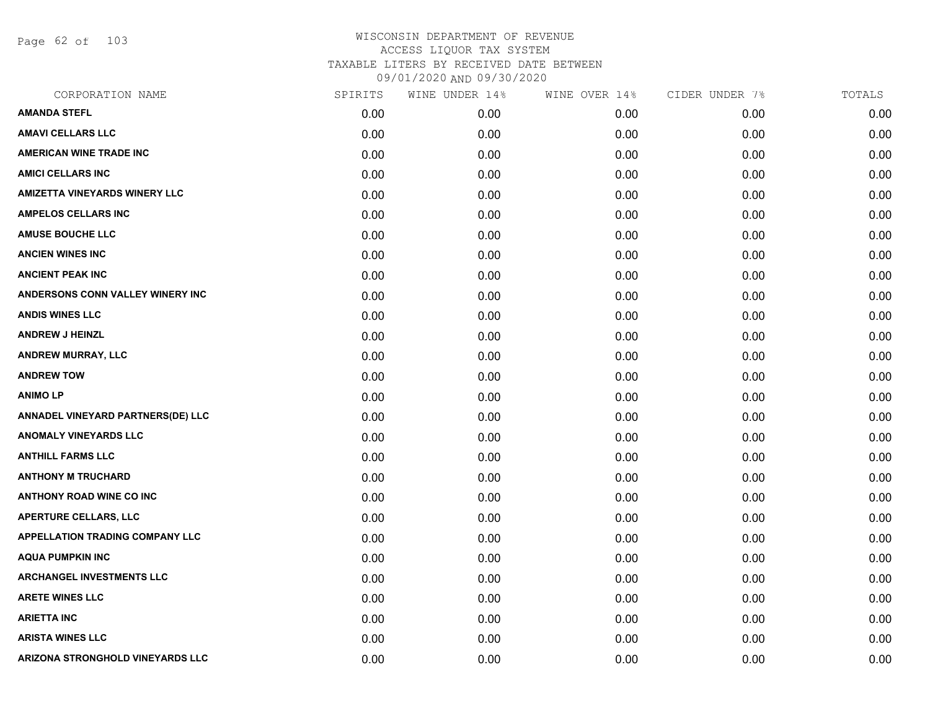Page 62 of 103

| CORPORATION NAME                       | SPIRITS | WINE UNDER 14% | WINE OVER 14% | CIDER UNDER 7% | TOTALS |
|----------------------------------------|---------|----------------|---------------|----------------|--------|
| <b>AMANDA STEFL</b>                    | 0.00    | 0.00           | 0.00          | 0.00           | 0.00   |
| <b>AMAVI CELLARS LLC</b>               | 0.00    | 0.00           | 0.00          | 0.00           | 0.00   |
| <b>AMERICAN WINE TRADE INC</b>         | 0.00    | 0.00           | 0.00          | 0.00           | 0.00   |
| <b>AMICI CELLARS INC</b>               | 0.00    | 0.00           | 0.00          | 0.00           | 0.00   |
| <b>AMIZETTA VINEYARDS WINERY LLC</b>   | 0.00    | 0.00           | 0.00          | 0.00           | 0.00   |
| <b>AMPELOS CELLARS INC</b>             | 0.00    | 0.00           | 0.00          | 0.00           | 0.00   |
| <b>AMUSE BOUCHE LLC</b>                | 0.00    | 0.00           | 0.00          | 0.00           | 0.00   |
| <b>ANCIEN WINES INC</b>                | 0.00    | 0.00           | 0.00          | 0.00           | 0.00   |
| <b>ANCIENT PEAK INC</b>                | 0.00    | 0.00           | 0.00          | 0.00           | 0.00   |
| ANDERSONS CONN VALLEY WINERY INC       | 0.00    | 0.00           | 0.00          | 0.00           | 0.00   |
| <b>ANDIS WINES LLC</b>                 | 0.00    | 0.00           | 0.00          | 0.00           | 0.00   |
| <b>ANDREW J HEINZL</b>                 | 0.00    | 0.00           | 0.00          | 0.00           | 0.00   |
| ANDREW MURRAY, LLC                     | 0.00    | 0.00           | 0.00          | 0.00           | 0.00   |
| <b>ANDREW TOW</b>                      | 0.00    | 0.00           | 0.00          | 0.00           | 0.00   |
| <b>ANIMO LP</b>                        | 0.00    | 0.00           | 0.00          | 0.00           | 0.00   |
| ANNADEL VINEYARD PARTNERS(DE) LLC      | 0.00    | 0.00           | 0.00          | 0.00           | 0.00   |
| <b>ANOMALY VINEYARDS LLC</b>           | 0.00    | 0.00           | 0.00          | 0.00           | 0.00   |
| <b>ANTHILL FARMS LLC</b>               | 0.00    | 0.00           | 0.00          | 0.00           | 0.00   |
| <b>ANTHONY M TRUCHARD</b>              | 0.00    | 0.00           | 0.00          | 0.00           | 0.00   |
| <b>ANTHONY ROAD WINE CO INC</b>        | 0.00    | 0.00           | 0.00          | 0.00           | 0.00   |
| <b>APERTURE CELLARS, LLC</b>           | 0.00    | 0.00           | 0.00          | 0.00           | 0.00   |
| <b>APPELLATION TRADING COMPANY LLC</b> | 0.00    | 0.00           | 0.00          | 0.00           | 0.00   |
| <b>AQUA PUMPKIN INC</b>                | 0.00    | 0.00           | 0.00          | 0.00           | 0.00   |
| <b>ARCHANGEL INVESTMENTS LLC</b>       | 0.00    | 0.00           | 0.00          | 0.00           | 0.00   |
| <b>ARETE WINES LLC</b>                 | 0.00    | 0.00           | 0.00          | 0.00           | 0.00   |
| <b>ARIETTA INC</b>                     | 0.00    | 0.00           | 0.00          | 0.00           | 0.00   |
| <b>ARISTA WINES LLC</b>                | 0.00    | 0.00           | 0.00          | 0.00           | 0.00   |
| ARIZONA STRONGHOLD VINEYARDS LLC       | 0.00    | 0.00           | 0.00          | 0.00           | 0.00   |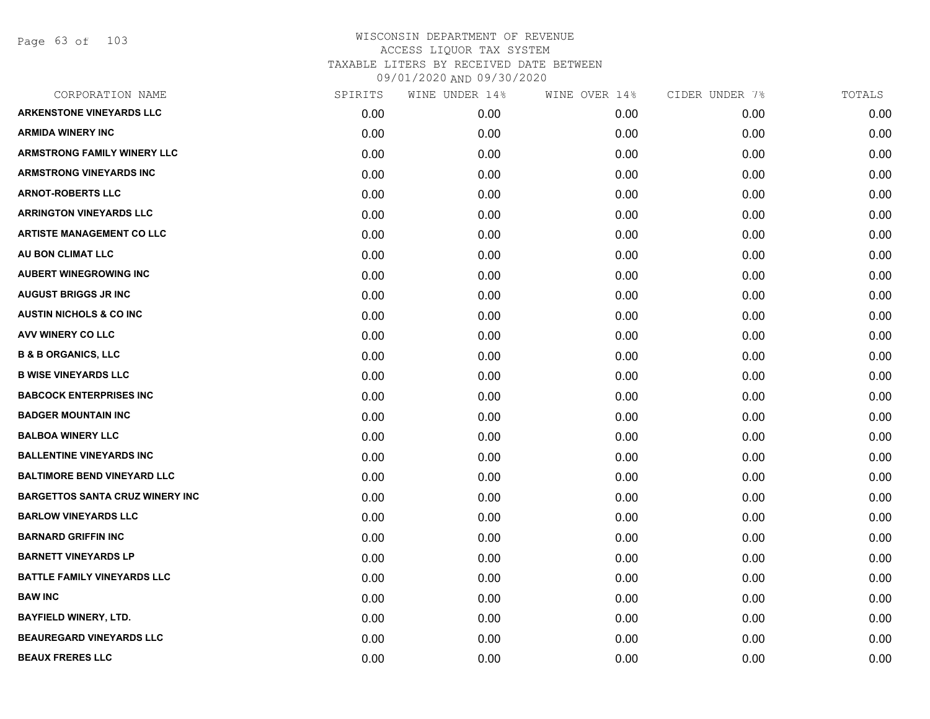Page 63 of 103

| CORPORATION NAME                       | SPIRITS | WINE UNDER 14% | WINE OVER 14% | CIDER UNDER 7% | TOTALS |
|----------------------------------------|---------|----------------|---------------|----------------|--------|
| <b>ARKENSTONE VINEYARDS LLC</b>        | 0.00    | 0.00           | 0.00          | 0.00           | 0.00   |
| <b>ARMIDA WINERY INC</b>               | 0.00    | 0.00           | 0.00          | 0.00           | 0.00   |
| <b>ARMSTRONG FAMILY WINERY LLC</b>     | 0.00    | 0.00           | 0.00          | 0.00           | 0.00   |
| <b>ARMSTRONG VINEYARDS INC</b>         | 0.00    | 0.00           | 0.00          | 0.00           | 0.00   |
| <b>ARNOT-ROBERTS LLC</b>               | 0.00    | 0.00           | 0.00          | 0.00           | 0.00   |
| <b>ARRINGTON VINEYARDS LLC</b>         | 0.00    | 0.00           | 0.00          | 0.00           | 0.00   |
| <b>ARTISTE MANAGEMENT CO LLC</b>       | 0.00    | 0.00           | 0.00          | 0.00           | 0.00   |
| AU BON CLIMAT LLC                      | 0.00    | 0.00           | 0.00          | 0.00           | 0.00   |
| <b>AUBERT WINEGROWING INC</b>          | 0.00    | 0.00           | 0.00          | 0.00           | 0.00   |
| <b>AUGUST BRIGGS JR INC</b>            | 0.00    | 0.00           | 0.00          | 0.00           | 0.00   |
| <b>AUSTIN NICHOLS &amp; CO INC</b>     | 0.00    | 0.00           | 0.00          | 0.00           | 0.00   |
| AVV WINERY CO LLC                      | 0.00    | 0.00           | 0.00          | 0.00           | 0.00   |
| <b>B &amp; B ORGANICS, LLC</b>         | 0.00    | 0.00           | 0.00          | 0.00           | 0.00   |
| <b>B WISE VINEYARDS LLC</b>            | 0.00    | 0.00           | 0.00          | 0.00           | 0.00   |
| <b>BABCOCK ENTERPRISES INC</b>         | 0.00    | 0.00           | 0.00          | 0.00           | 0.00   |
| <b>BADGER MOUNTAIN INC</b>             | 0.00    | 0.00           | 0.00          | 0.00           | 0.00   |
| <b>BALBOA WINERY LLC</b>               | 0.00    | 0.00           | 0.00          | 0.00           | 0.00   |
| <b>BALLENTINE VINEYARDS INC</b>        | 0.00    | 0.00           | 0.00          | 0.00           | 0.00   |
| <b>BALTIMORE BEND VINEYARD LLC</b>     | 0.00    | 0.00           | 0.00          | 0.00           | 0.00   |
| <b>BARGETTOS SANTA CRUZ WINERY INC</b> | 0.00    | 0.00           | 0.00          | 0.00           | 0.00   |
| <b>BARLOW VINEYARDS LLC</b>            | 0.00    | 0.00           | 0.00          | 0.00           | 0.00   |
| <b>BARNARD GRIFFIN INC</b>             | 0.00    | 0.00           | 0.00          | 0.00           | 0.00   |
| <b>BARNETT VINEYARDS LP</b>            | 0.00    | 0.00           | 0.00          | 0.00           | 0.00   |
| <b>BATTLE FAMILY VINEYARDS LLC</b>     | 0.00    | 0.00           | 0.00          | 0.00           | 0.00   |
| <b>BAW INC</b>                         | 0.00    | 0.00           | 0.00          | 0.00           | 0.00   |
| <b>BAYFIELD WINERY, LTD.</b>           | 0.00    | 0.00           | 0.00          | 0.00           | 0.00   |
| <b>BEAUREGARD VINEYARDS LLC</b>        | 0.00    | 0.00           | 0.00          | 0.00           | 0.00   |
| <b>BEAUX FRERES LLC</b>                | 0.00    | 0.00           | 0.00          | 0.00           | 0.00   |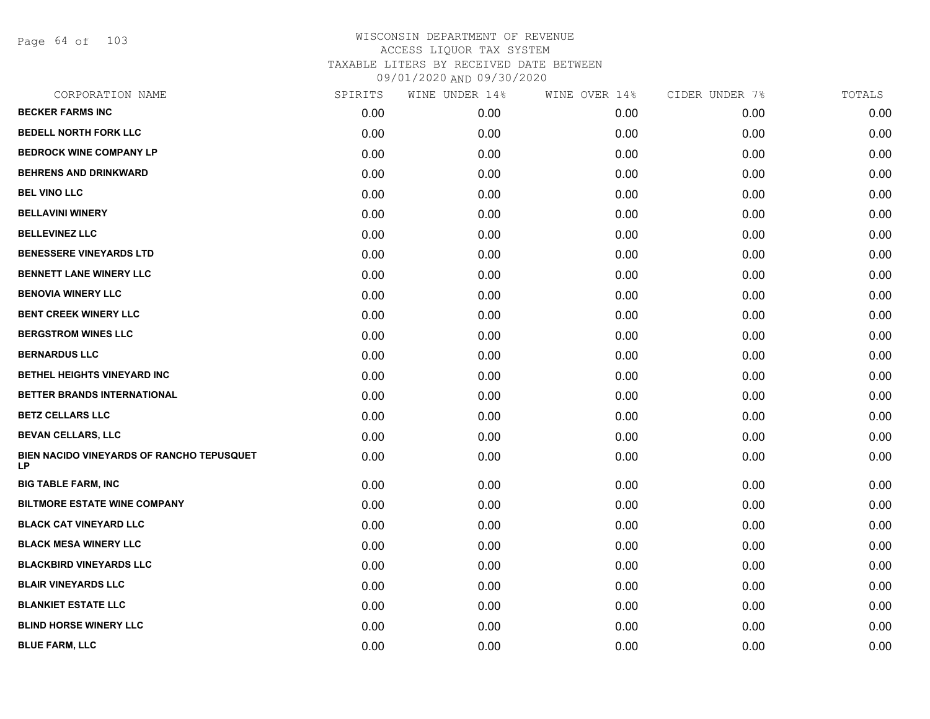Page 64 of 103

| CORPORATION NAME                                | SPIRITS | WINE UNDER 14% | WINE OVER 14% | CIDER UNDER 7% | TOTALS |
|-------------------------------------------------|---------|----------------|---------------|----------------|--------|
| <b>BECKER FARMS INC</b>                         | 0.00    | 0.00           | 0.00          | 0.00           | 0.00   |
| <b>BEDELL NORTH FORK LLC</b>                    | 0.00    | 0.00           | 0.00          | 0.00           | 0.00   |
| <b>BEDROCK WINE COMPANY LP</b>                  | 0.00    | 0.00           | 0.00          | 0.00           | 0.00   |
| <b>BEHRENS AND DRINKWARD</b>                    | 0.00    | 0.00           | 0.00          | 0.00           | 0.00   |
| <b>BEL VINO LLC</b>                             | 0.00    | 0.00           | 0.00          | 0.00           | 0.00   |
| <b>BELLAVINI WINERY</b>                         | 0.00    | 0.00           | 0.00          | 0.00           | 0.00   |
| <b>BELLEVINEZ LLC</b>                           | 0.00    | 0.00           | 0.00          | 0.00           | 0.00   |
| <b>BENESSERE VINEYARDS LTD</b>                  | 0.00    | 0.00           | 0.00          | 0.00           | 0.00   |
| <b>BENNETT LANE WINERY LLC</b>                  | 0.00    | 0.00           | 0.00          | 0.00           | 0.00   |
| <b>BENOVIA WINERY LLC</b>                       | 0.00    | 0.00           | 0.00          | 0.00           | 0.00   |
| <b>BENT CREEK WINERY LLC</b>                    | 0.00    | 0.00           | 0.00          | 0.00           | 0.00   |
| <b>BERGSTROM WINES LLC</b>                      | 0.00    | 0.00           | 0.00          | 0.00           | 0.00   |
| <b>BERNARDUS LLC</b>                            | 0.00    | 0.00           | 0.00          | 0.00           | 0.00   |
| BETHEL HEIGHTS VINEYARD INC                     | 0.00    | 0.00           | 0.00          | 0.00           | 0.00   |
| BETTER BRANDS INTERNATIONAL                     | 0.00    | 0.00           | 0.00          | 0.00           | 0.00   |
| <b>BETZ CELLARS LLC</b>                         | 0.00    | 0.00           | 0.00          | 0.00           | 0.00   |
| <b>BEVAN CELLARS, LLC</b>                       | 0.00    | 0.00           | 0.00          | 0.00           | 0.00   |
| BIEN NACIDO VINEYARDS OF RANCHO TEPUSQUET<br>LP | 0.00    | 0.00           | 0.00          | 0.00           | 0.00   |
| <b>BIG TABLE FARM, INC</b>                      | 0.00    | 0.00           | 0.00          | 0.00           | 0.00   |
| <b>BILTMORE ESTATE WINE COMPANY</b>             | 0.00    | 0.00           | 0.00          | 0.00           | 0.00   |
| <b>BLACK CAT VINEYARD LLC</b>                   | 0.00    | 0.00           | 0.00          | 0.00           | 0.00   |
| <b>BLACK MESA WINERY LLC</b>                    | 0.00    | 0.00           | 0.00          | 0.00           | 0.00   |
| <b>BLACKBIRD VINEYARDS LLC</b>                  | 0.00    | 0.00           | 0.00          | 0.00           | 0.00   |
| <b>BLAIR VINEYARDS LLC</b>                      | 0.00    | 0.00           | 0.00          | 0.00           | 0.00   |
| <b>BLANKIET ESTATE LLC</b>                      | 0.00    | 0.00           | 0.00          | 0.00           | 0.00   |
| <b>BLIND HORSE WINERY LLC</b>                   | 0.00    | 0.00           | 0.00          | 0.00           | 0.00   |
| <b>BLUE FARM, LLC</b>                           | 0.00    | 0.00           | 0.00          | 0.00           | 0.00   |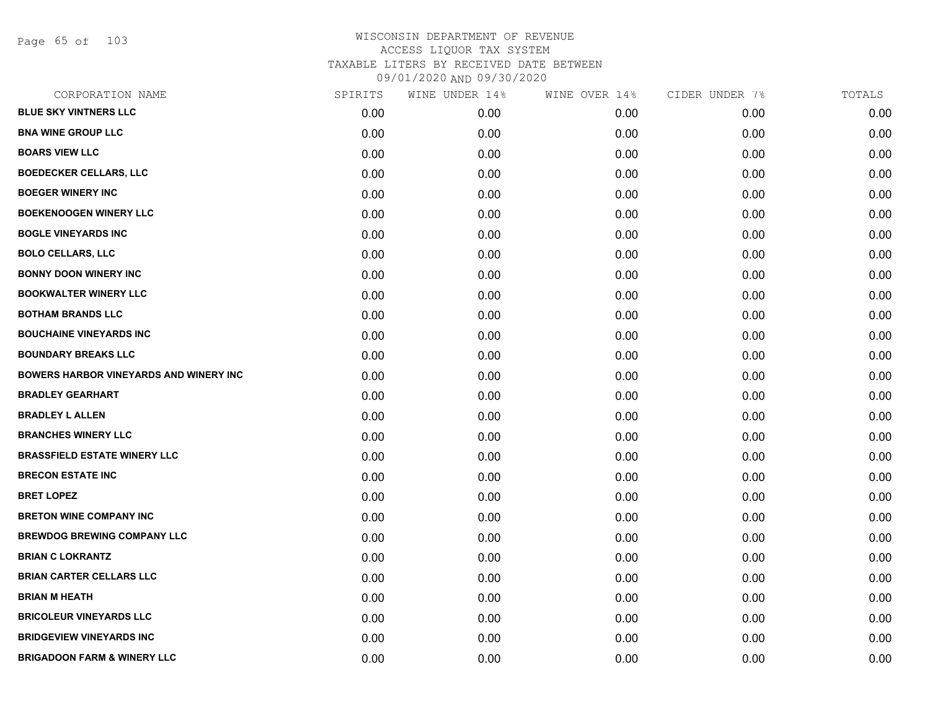Page 65 of 103

| CORPORATION NAME                              | SPIRITS | WINE UNDER 14% | WINE OVER 14% | CIDER UNDER 7% | TOTALS |
|-----------------------------------------------|---------|----------------|---------------|----------------|--------|
| <b>BLUE SKY VINTNERS LLC</b>                  | 0.00    | 0.00           | 0.00          | 0.00           | 0.00   |
| <b>BNA WINE GROUP LLC</b>                     | 0.00    | 0.00           | 0.00          | 0.00           | 0.00   |
| <b>BOARS VIEW LLC</b>                         | 0.00    | 0.00           | 0.00          | 0.00           | 0.00   |
| <b>BOEDECKER CELLARS, LLC</b>                 | 0.00    | 0.00           | 0.00          | 0.00           | 0.00   |
| <b>BOEGER WINERY INC</b>                      | 0.00    | 0.00           | 0.00          | 0.00           | 0.00   |
| <b>BOEKENOOGEN WINERY LLC</b>                 | 0.00    | 0.00           | 0.00          | 0.00           | 0.00   |
| <b>BOGLE VINEYARDS INC</b>                    | 0.00    | 0.00           | 0.00          | 0.00           | 0.00   |
| <b>BOLO CELLARS, LLC</b>                      | 0.00    | 0.00           | 0.00          | 0.00           | 0.00   |
| <b>BONNY DOON WINERY INC</b>                  | 0.00    | 0.00           | 0.00          | 0.00           | 0.00   |
| <b>BOOKWALTER WINERY LLC</b>                  | 0.00    | 0.00           | 0.00          | 0.00           | 0.00   |
| <b>BOTHAM BRANDS LLC</b>                      | 0.00    | 0.00           | 0.00          | 0.00           | 0.00   |
| <b>BOUCHAINE VINEYARDS INC</b>                | 0.00    | 0.00           | 0.00          | 0.00           | 0.00   |
| <b>BOUNDARY BREAKS LLC</b>                    | 0.00    | 0.00           | 0.00          | 0.00           | 0.00   |
| <b>BOWERS HARBOR VINEYARDS AND WINERY INC</b> | 0.00    | 0.00           | 0.00          | 0.00           | 0.00   |
| <b>BRADLEY GEARHART</b>                       | 0.00    | 0.00           | 0.00          | 0.00           | 0.00   |
| <b>BRADLEY L ALLEN</b>                        | 0.00    | 0.00           | 0.00          | 0.00           | 0.00   |
| <b>BRANCHES WINERY LLC</b>                    | 0.00    | 0.00           | 0.00          | 0.00           | 0.00   |
| <b>BRASSFIELD ESTATE WINERY LLC</b>           | 0.00    | 0.00           | 0.00          | 0.00           | 0.00   |
| <b>BRECON ESTATE INC</b>                      | 0.00    | 0.00           | 0.00          | 0.00           | 0.00   |
| <b>BRET LOPEZ</b>                             | 0.00    | 0.00           | 0.00          | 0.00           | 0.00   |
| <b>BRETON WINE COMPANY INC</b>                | 0.00    | 0.00           | 0.00          | 0.00           | 0.00   |
| <b>BREWDOG BREWING COMPANY LLC</b>            | 0.00    | 0.00           | 0.00          | 0.00           | 0.00   |
| <b>BRIAN C LOKRANTZ</b>                       | 0.00    | 0.00           | 0.00          | 0.00           | 0.00   |
| <b>BRIAN CARTER CELLARS LLC</b>               | 0.00    | 0.00           | 0.00          | 0.00           | 0.00   |
| <b>BRIAN M HEATH</b>                          | 0.00    | 0.00           | 0.00          | 0.00           | 0.00   |
| <b>BRICOLEUR VINEYARDS LLC</b>                | 0.00    | 0.00           | 0.00          | 0.00           | 0.00   |
| <b>BRIDGEVIEW VINEYARDS INC</b>               | 0.00    | 0.00           | 0.00          | 0.00           | 0.00   |
| <b>BRIGADOON FARM &amp; WINERY LLC</b>        | 0.00    | 0.00           | 0.00          | 0.00           | 0.00   |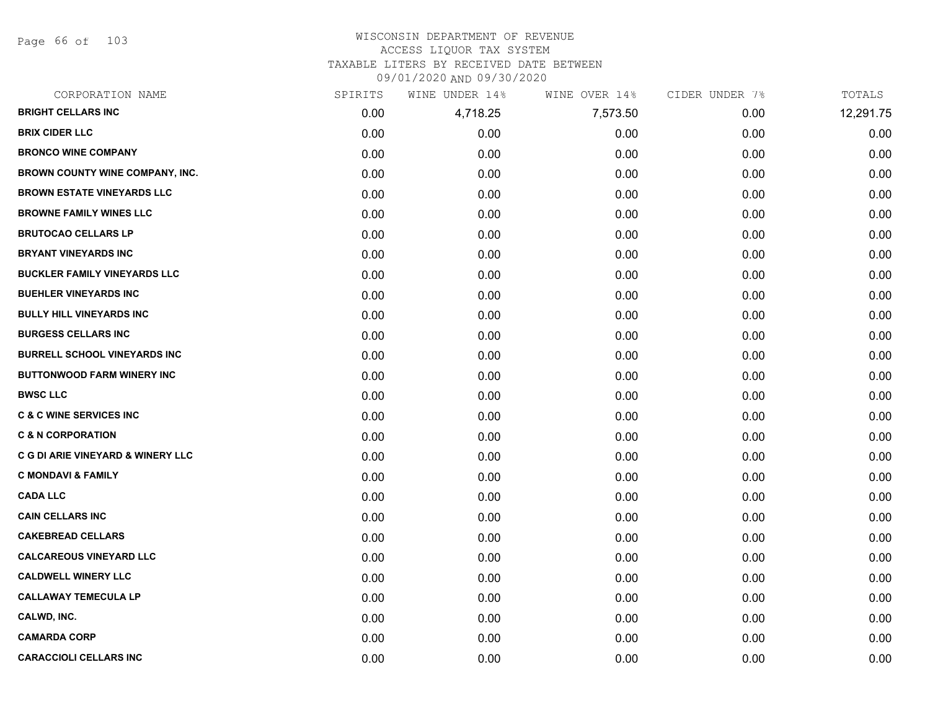Page 66 of 103

#### WISCONSIN DEPARTMENT OF REVENUE ACCESS LIQUOR TAX SYSTEM TAXABLE LITERS BY RECEIVED DATE BETWEEN

09/01/2020 AND 09/30/2020

| CORPORATION NAME                             | SPIRITS | WINE UNDER 14% | WINE OVER 14% | CIDER UNDER 7% | TOTALS    |
|----------------------------------------------|---------|----------------|---------------|----------------|-----------|
| <b>BRIGHT CELLARS INC</b>                    | 0.00    | 4,718.25       | 7,573.50      | 0.00           | 12,291.75 |
| <b>BRIX CIDER LLC</b>                        | 0.00    | 0.00           | 0.00          | 0.00           | 0.00      |
| <b>BRONCO WINE COMPANY</b>                   | 0.00    | 0.00           | 0.00          | 0.00           | 0.00      |
| <b>BROWN COUNTY WINE COMPANY, INC.</b>       | 0.00    | 0.00           | 0.00          | 0.00           | 0.00      |
| <b>BROWN ESTATE VINEYARDS LLC</b>            | 0.00    | 0.00           | 0.00          | 0.00           | 0.00      |
| <b>BROWNE FAMILY WINES LLC</b>               | 0.00    | 0.00           | 0.00          | 0.00           | 0.00      |
| <b>BRUTOCAO CELLARS LP</b>                   | 0.00    | 0.00           | 0.00          | 0.00           | 0.00      |
| <b>BRYANT VINEYARDS INC</b>                  | 0.00    | 0.00           | 0.00          | 0.00           | 0.00      |
| <b>BUCKLER FAMILY VINEYARDS LLC</b>          | 0.00    | 0.00           | 0.00          | 0.00           | 0.00      |
| <b>BUEHLER VINEYARDS INC</b>                 | 0.00    | 0.00           | 0.00          | 0.00           | 0.00      |
| <b>BULLY HILL VINEYARDS INC</b>              | 0.00    | 0.00           | 0.00          | 0.00           | 0.00      |
| <b>BURGESS CELLARS INC</b>                   | 0.00    | 0.00           | 0.00          | 0.00           | 0.00      |
| <b>BURRELL SCHOOL VINEYARDS INC</b>          | 0.00    | 0.00           | 0.00          | 0.00           | 0.00      |
| <b>BUTTONWOOD FARM WINERY INC</b>            | 0.00    | 0.00           | 0.00          | 0.00           | 0.00      |
| <b>BWSC LLC</b>                              | 0.00    | 0.00           | 0.00          | 0.00           | 0.00      |
| <b>C &amp; C WINE SERVICES INC</b>           | 0.00    | 0.00           | 0.00          | 0.00           | 0.00      |
| <b>C &amp; N CORPORATION</b>                 | 0.00    | 0.00           | 0.00          | 0.00           | 0.00      |
| <b>C G DI ARIE VINEYARD &amp; WINERY LLC</b> | 0.00    | 0.00           | 0.00          | 0.00           | 0.00      |
| <b>C MONDAVI &amp; FAMILY</b>                | 0.00    | 0.00           | 0.00          | 0.00           | 0.00      |
| <b>CADA LLC</b>                              | 0.00    | 0.00           | 0.00          | 0.00           | 0.00      |
| <b>CAIN CELLARS INC</b>                      | 0.00    | 0.00           | 0.00          | 0.00           | 0.00      |
| <b>CAKEBREAD CELLARS</b>                     | 0.00    | 0.00           | 0.00          | 0.00           | 0.00      |
| <b>CALCAREOUS VINEYARD LLC</b>               | 0.00    | 0.00           | 0.00          | 0.00           | 0.00      |
| <b>CALDWELL WINERY LLC</b>                   | 0.00    | 0.00           | 0.00          | 0.00           | 0.00      |
| <b>CALLAWAY TEMECULA LP</b>                  | 0.00    | 0.00           | 0.00          | 0.00           | 0.00      |
| CALWD, INC.                                  | 0.00    | 0.00           | 0.00          | 0.00           | 0.00      |
| <b>CAMARDA CORP</b>                          | 0.00    | 0.00           | 0.00          | 0.00           | 0.00      |
| <b>CARACCIOLI CELLARS INC</b>                | 0.00    | 0.00           | 0.00          | 0.00           | 0.00      |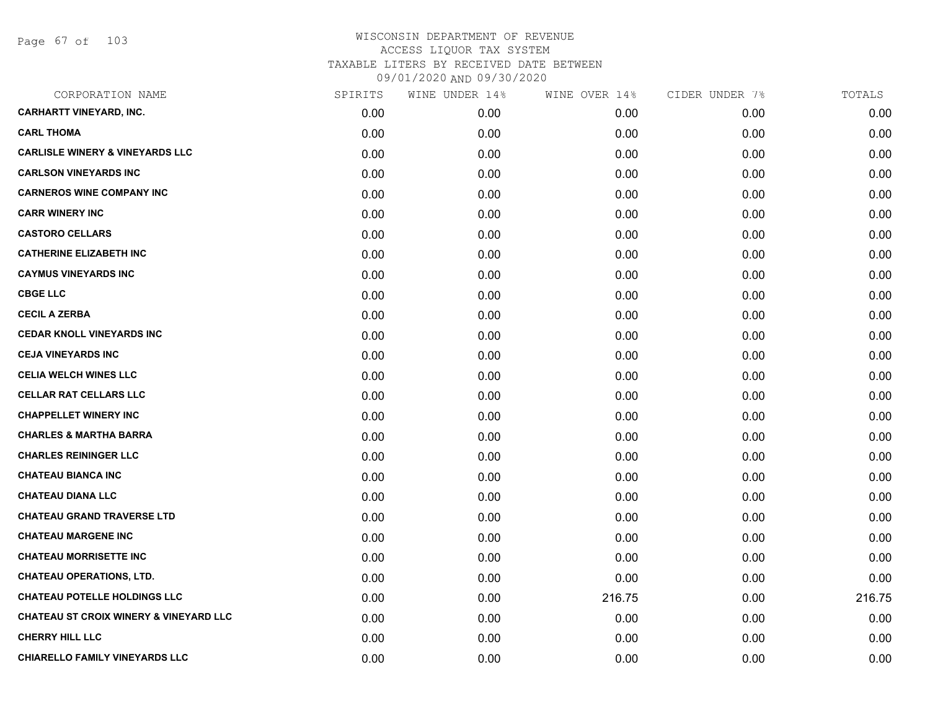Page 67 of 103

| CORPORATION NAME                                  | SPIRITS | WINE UNDER 14% | WINE OVER 14% | CIDER UNDER 7% | TOTALS |
|---------------------------------------------------|---------|----------------|---------------|----------------|--------|
| <b>CARHARTT VINEYARD, INC.</b>                    | 0.00    | 0.00           | 0.00          | 0.00           | 0.00   |
| <b>CARL THOMA</b>                                 | 0.00    | 0.00           | 0.00          | 0.00           | 0.00   |
| <b>CARLISLE WINERY &amp; VINEYARDS LLC</b>        | 0.00    | 0.00           | 0.00          | 0.00           | 0.00   |
| <b>CARLSON VINEYARDS INC</b>                      | 0.00    | 0.00           | 0.00          | 0.00           | 0.00   |
| <b>CARNEROS WINE COMPANY INC</b>                  | 0.00    | 0.00           | 0.00          | 0.00           | 0.00   |
| <b>CARR WINERY INC</b>                            | 0.00    | 0.00           | 0.00          | 0.00           | 0.00   |
| <b>CASTORO CELLARS</b>                            | 0.00    | 0.00           | 0.00          | 0.00           | 0.00   |
| <b>CATHERINE ELIZABETH INC</b>                    | 0.00    | 0.00           | 0.00          | 0.00           | 0.00   |
| <b>CAYMUS VINEYARDS INC</b>                       | 0.00    | 0.00           | 0.00          | 0.00           | 0.00   |
| <b>CBGE LLC</b>                                   | 0.00    | 0.00           | 0.00          | 0.00           | 0.00   |
| <b>CECIL A ZERBA</b>                              | 0.00    | 0.00           | 0.00          | 0.00           | 0.00   |
| <b>CEDAR KNOLL VINEYARDS INC</b>                  | 0.00    | 0.00           | 0.00          | 0.00           | 0.00   |
| <b>CEJA VINEYARDS INC</b>                         | 0.00    | 0.00           | 0.00          | 0.00           | 0.00   |
| <b>CELIA WELCH WINES LLC</b>                      | 0.00    | 0.00           | 0.00          | 0.00           | 0.00   |
| <b>CELLAR RAT CELLARS LLC</b>                     | 0.00    | 0.00           | 0.00          | 0.00           | 0.00   |
| <b>CHAPPELLET WINERY INC</b>                      | 0.00    | 0.00           | 0.00          | 0.00           | 0.00   |
| <b>CHARLES &amp; MARTHA BARRA</b>                 | 0.00    | 0.00           | 0.00          | 0.00           | 0.00   |
| <b>CHARLES REININGER LLC</b>                      | 0.00    | 0.00           | 0.00          | 0.00           | 0.00   |
| <b>CHATEAU BIANCA INC</b>                         | 0.00    | 0.00           | 0.00          | 0.00           | 0.00   |
| <b>CHATEAU DIANA LLC</b>                          | 0.00    | 0.00           | 0.00          | 0.00           | 0.00   |
| <b>CHATEAU GRAND TRAVERSE LTD</b>                 | 0.00    | 0.00           | 0.00          | 0.00           | 0.00   |
| <b>CHATEAU MARGENE INC</b>                        | 0.00    | 0.00           | 0.00          | 0.00           | 0.00   |
| <b>CHATEAU MORRISETTE INC</b>                     | 0.00    | 0.00           | 0.00          | 0.00           | 0.00   |
| <b>CHATEAU OPERATIONS, LTD.</b>                   | 0.00    | 0.00           | 0.00          | 0.00           | 0.00   |
| <b>CHATEAU POTELLE HOLDINGS LLC</b>               | 0.00    | 0.00           | 216.75        | 0.00           | 216.75 |
| <b>CHATEAU ST CROIX WINERY &amp; VINEYARD LLC</b> | 0.00    | 0.00           | 0.00          | 0.00           | 0.00   |
| <b>CHERRY HILL LLC</b>                            | 0.00    | 0.00           | 0.00          | 0.00           | 0.00   |
| CHIARELLO FAMILY VINEYARDS LLC                    | 0.00    | 0.00           | 0.00          | 0.00           | 0.00   |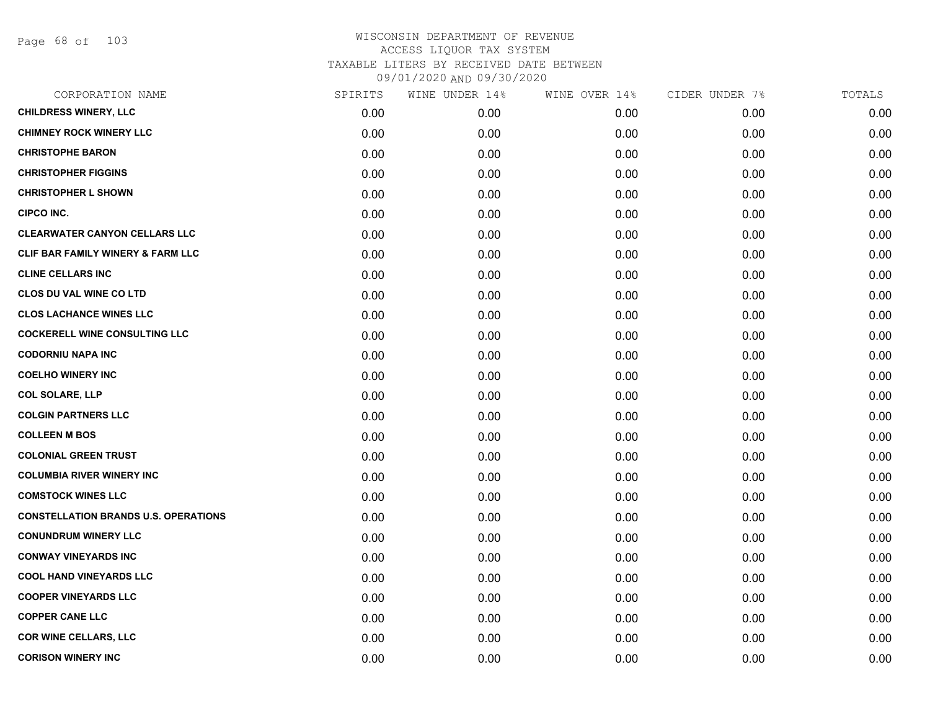Page 68 of 103

| SPIRITS | WINE UNDER 14% | WINE OVER 14% | CIDER UNDER 7% | TOTALS |
|---------|----------------|---------------|----------------|--------|
| 0.00    | 0.00           | 0.00          | 0.00           | 0.00   |
| 0.00    | 0.00           | 0.00          | 0.00           | 0.00   |
| 0.00    | 0.00           | 0.00          | 0.00           | 0.00   |
| 0.00    | 0.00           | 0.00          | 0.00           | 0.00   |
| 0.00    | 0.00           | 0.00          | 0.00           | 0.00   |
| 0.00    | 0.00           | 0.00          | 0.00           | 0.00   |
| 0.00    | 0.00           | 0.00          | 0.00           | 0.00   |
| 0.00    | 0.00           | 0.00          | 0.00           | 0.00   |
| 0.00    | 0.00           | 0.00          | 0.00           | 0.00   |
| 0.00    | 0.00           | 0.00          | 0.00           | 0.00   |
| 0.00    | 0.00           | 0.00          | 0.00           | 0.00   |
| 0.00    | 0.00           | 0.00          | 0.00           | 0.00   |
| 0.00    | 0.00           | 0.00          | 0.00           | 0.00   |
| 0.00    | 0.00           | 0.00          | 0.00           | 0.00   |
| 0.00    | 0.00           | 0.00          | 0.00           | 0.00   |
| 0.00    | 0.00           | 0.00          | 0.00           | 0.00   |
| 0.00    | 0.00           | 0.00          | 0.00           | 0.00   |
| 0.00    | 0.00           | 0.00          | 0.00           | 0.00   |
| 0.00    | 0.00           | 0.00          | 0.00           | 0.00   |
| 0.00    | 0.00           | 0.00          | 0.00           | 0.00   |
| 0.00    | 0.00           | 0.00          | 0.00           | 0.00   |
| 0.00    | 0.00           | 0.00          | 0.00           | 0.00   |
| 0.00    | 0.00           | 0.00          | 0.00           | 0.00   |
| 0.00    | 0.00           | 0.00          | 0.00           | 0.00   |
| 0.00    | 0.00           | 0.00          | 0.00           | 0.00   |
| 0.00    | 0.00           | 0.00          | 0.00           | 0.00   |
| 0.00    | 0.00           | 0.00          | 0.00           | 0.00   |
| 0.00    | 0.00           | 0.00          | 0.00           | 0.00   |
|         |                |               |                |        |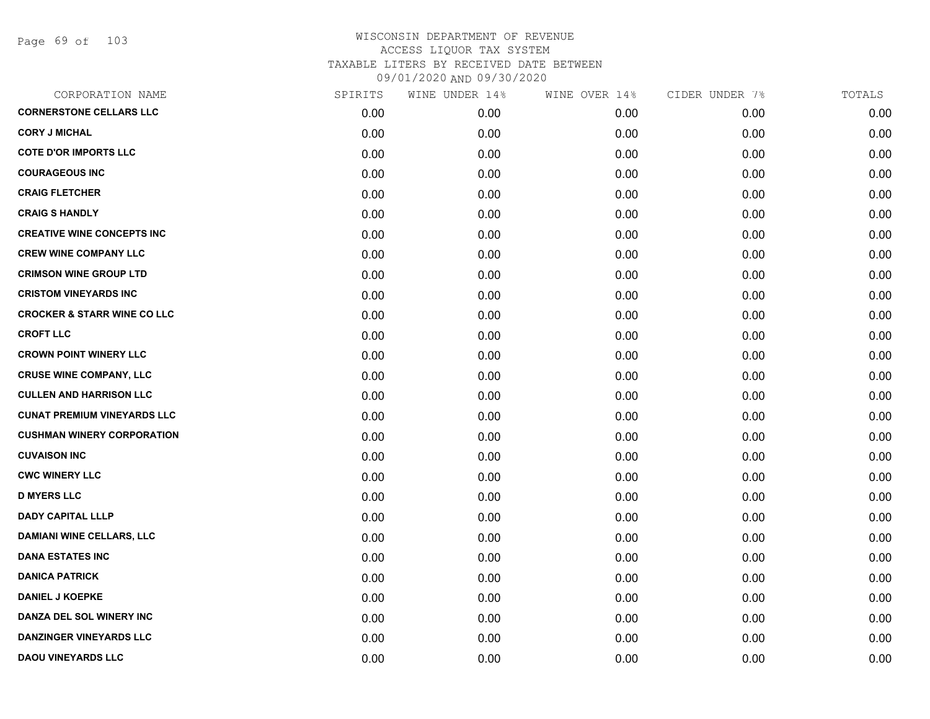Page 69 of 103

| CORPORATION NAME                       | SPIRITS | WINE UNDER 14% | WINE OVER 14% | CIDER UNDER 7% | TOTALS |
|----------------------------------------|---------|----------------|---------------|----------------|--------|
| <b>CORNERSTONE CELLARS LLC</b>         | 0.00    | 0.00           | 0.00          | 0.00           | 0.00   |
| <b>CORY J MICHAL</b>                   | 0.00    | 0.00           | 0.00          | 0.00           | 0.00   |
| <b>COTE D'OR IMPORTS LLC</b>           | 0.00    | 0.00           | 0.00          | 0.00           | 0.00   |
| <b>COURAGEOUS INC</b>                  | 0.00    | 0.00           | 0.00          | 0.00           | 0.00   |
| <b>CRAIG FLETCHER</b>                  | 0.00    | 0.00           | 0.00          | 0.00           | 0.00   |
| <b>CRAIG S HANDLY</b>                  | 0.00    | 0.00           | 0.00          | 0.00           | 0.00   |
| <b>CREATIVE WINE CONCEPTS INC</b>      | 0.00    | 0.00           | 0.00          | 0.00           | 0.00   |
| <b>CREW WINE COMPANY LLC</b>           | 0.00    | 0.00           | 0.00          | 0.00           | 0.00   |
| <b>CRIMSON WINE GROUP LTD</b>          | 0.00    | 0.00           | 0.00          | 0.00           | 0.00   |
| <b>CRISTOM VINEYARDS INC</b>           | 0.00    | 0.00           | 0.00          | 0.00           | 0.00   |
| <b>CROCKER &amp; STARR WINE CO LLC</b> | 0.00    | 0.00           | 0.00          | 0.00           | 0.00   |
| <b>CROFT LLC</b>                       | 0.00    | 0.00           | 0.00          | 0.00           | 0.00   |
| <b>CROWN POINT WINERY LLC</b>          | 0.00    | 0.00           | 0.00          | 0.00           | 0.00   |
| <b>CRUSE WINE COMPANY, LLC</b>         | 0.00    | 0.00           | 0.00          | 0.00           | 0.00   |
| <b>CULLEN AND HARRISON LLC</b>         | 0.00    | 0.00           | 0.00          | 0.00           | 0.00   |
| <b>CUNAT PREMIUM VINEYARDS LLC</b>     | 0.00    | 0.00           | 0.00          | 0.00           | 0.00   |
| <b>CUSHMAN WINERY CORPORATION</b>      | 0.00    | 0.00           | 0.00          | 0.00           | 0.00   |
| <b>CUVAISON INC</b>                    | 0.00    | 0.00           | 0.00          | 0.00           | 0.00   |
| <b>CWC WINERY LLC</b>                  | 0.00    | 0.00           | 0.00          | 0.00           | 0.00   |
| <b>D MYERS LLC</b>                     | 0.00    | 0.00           | 0.00          | 0.00           | 0.00   |
| <b>DADY CAPITAL LLLP</b>               | 0.00    | 0.00           | 0.00          | 0.00           | 0.00   |
| <b>DAMIANI WINE CELLARS, LLC</b>       | 0.00    | 0.00           | 0.00          | 0.00           | 0.00   |
| <b>DANA ESTATES INC</b>                | 0.00    | 0.00           | 0.00          | 0.00           | 0.00   |
| <b>DANICA PATRICK</b>                  | 0.00    | 0.00           | 0.00          | 0.00           | 0.00   |
| <b>DANIEL J KOEPKE</b>                 | 0.00    | 0.00           | 0.00          | 0.00           | 0.00   |
| DANZA DEL SOL WINERY INC               | 0.00    | 0.00           | 0.00          | 0.00           | 0.00   |
| <b>DANZINGER VINEYARDS LLC</b>         | 0.00    | 0.00           | 0.00          | 0.00           | 0.00   |
| <b>DAOU VINEYARDS LLC</b>              | 0.00    | 0.00           | 0.00          | 0.00           | 0.00   |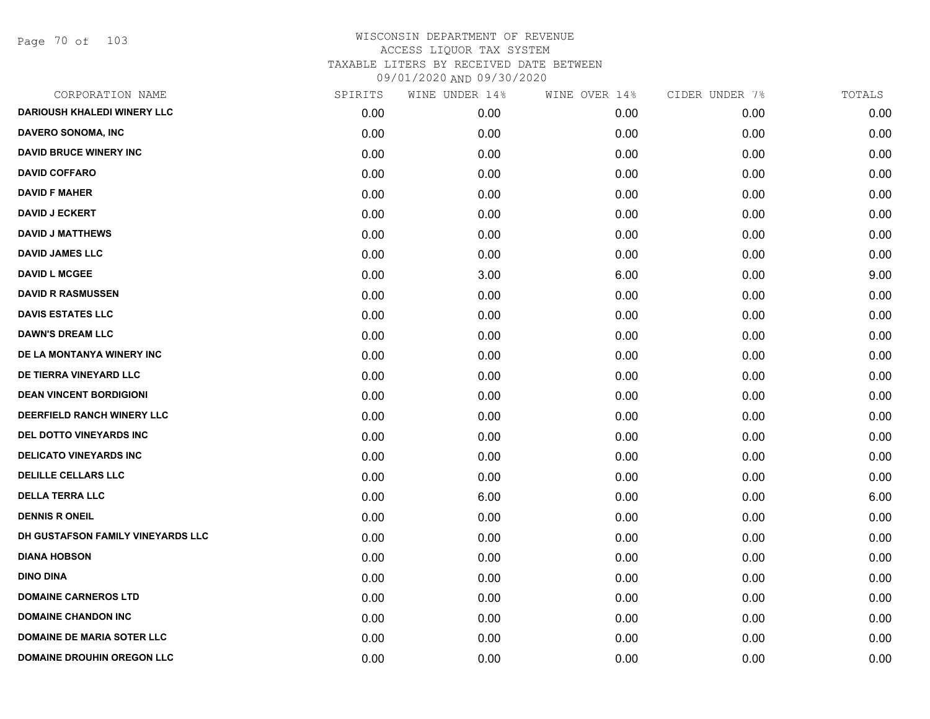Page 70 of 103

| CORPORATION NAME                   | SPIRITS | WINE UNDER 14% | WINE OVER 14% | CIDER UNDER 7% | TOTALS |
|------------------------------------|---------|----------------|---------------|----------------|--------|
| <b>DARIOUSH KHALEDI WINERY LLC</b> | 0.00    | 0.00           | 0.00          | 0.00           | 0.00   |
| DAVERO SONOMA, INC                 | 0.00    | 0.00           | 0.00          | 0.00           | 0.00   |
| <b>DAVID BRUCE WINERY INC</b>      | 0.00    | 0.00           | 0.00          | 0.00           | 0.00   |
| <b>DAVID COFFARO</b>               | 0.00    | 0.00           | 0.00          | 0.00           | 0.00   |
| <b>DAVID F MAHER</b>               | 0.00    | 0.00           | 0.00          | 0.00           | 0.00   |
| <b>DAVID J ECKERT</b>              | 0.00    | 0.00           | 0.00          | 0.00           | 0.00   |
| <b>DAVID J MATTHEWS</b>            | 0.00    | 0.00           | 0.00          | 0.00           | 0.00   |
| <b>DAVID JAMES LLC</b>             | 0.00    | 0.00           | 0.00          | 0.00           | 0.00   |
| <b>DAVID L MCGEE</b>               | 0.00    | 3.00           | 6.00          | 0.00           | 9.00   |
| <b>DAVID R RASMUSSEN</b>           | 0.00    | 0.00           | 0.00          | 0.00           | 0.00   |
| <b>DAVIS ESTATES LLC</b>           | 0.00    | 0.00           | 0.00          | 0.00           | 0.00   |
| <b>DAWN'S DREAM LLC</b>            | 0.00    | 0.00           | 0.00          | 0.00           | 0.00   |
| DE LA MONTANYA WINERY INC          | 0.00    | 0.00           | 0.00          | 0.00           | 0.00   |
| DE TIERRA VINEYARD LLC             | 0.00    | 0.00           | 0.00          | 0.00           | 0.00   |
| <b>DEAN VINCENT BORDIGIONI</b>     | 0.00    | 0.00           | 0.00          | 0.00           | 0.00   |
| DEERFIELD RANCH WINERY LLC         | 0.00    | 0.00           | 0.00          | 0.00           | 0.00   |
| DEL DOTTO VINEYARDS INC            | 0.00    | 0.00           | 0.00          | 0.00           | 0.00   |
| <b>DELICATO VINEYARDS INC</b>      | 0.00    | 0.00           | 0.00          | 0.00           | 0.00   |
| <b>DELILLE CELLARS LLC</b>         | 0.00    | 0.00           | 0.00          | 0.00           | 0.00   |
| <b>DELLA TERRA LLC</b>             | 0.00    | 6.00           | 0.00          | 0.00           | 6.00   |
| <b>DENNIS R ONEIL</b>              | 0.00    | 0.00           | 0.00          | 0.00           | 0.00   |
| DH GUSTAFSON FAMILY VINEYARDS LLC  | 0.00    | 0.00           | 0.00          | 0.00           | 0.00   |
| <b>DIANA HOBSON</b>                | 0.00    | 0.00           | 0.00          | 0.00           | 0.00   |
| <b>DINO DINA</b>                   | 0.00    | 0.00           | 0.00          | 0.00           | 0.00   |
| <b>DOMAINE CARNEROS LTD</b>        | 0.00    | 0.00           | 0.00          | 0.00           | 0.00   |
| <b>DOMAINE CHANDON INC</b>         | 0.00    | 0.00           | 0.00          | 0.00           | 0.00   |
| <b>DOMAINE DE MARIA SOTER LLC</b>  | 0.00    | 0.00           | 0.00          | 0.00           | 0.00   |
| <b>DOMAINE DROUHIN OREGON LLC</b>  | 0.00    | 0.00           | 0.00          | 0.00           | 0.00   |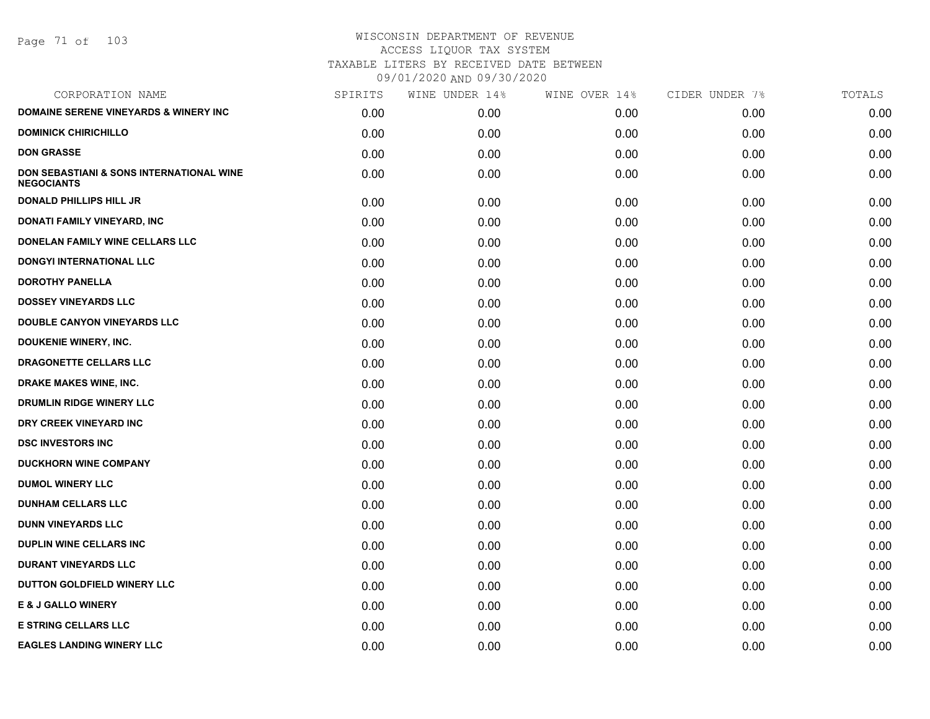Page 71 of 103

| SPIRITS | WINE UNDER 14% | WINE OVER 14% | CIDER UNDER 7% | TOTALS |
|---------|----------------|---------------|----------------|--------|
| 0.00    | 0.00           | 0.00          | 0.00           | 0.00   |
| 0.00    | 0.00           | 0.00          | 0.00           | 0.00   |
| 0.00    | 0.00           | 0.00          | 0.00           | 0.00   |
| 0.00    | 0.00           | 0.00          | 0.00           | 0.00   |
| 0.00    | 0.00           | 0.00          | 0.00           | 0.00   |
| 0.00    | 0.00           | 0.00          | 0.00           | 0.00   |
| 0.00    | 0.00           | 0.00          | 0.00           | 0.00   |
| 0.00    | 0.00           | 0.00          | 0.00           | 0.00   |
| 0.00    | 0.00           | 0.00          | 0.00           | 0.00   |
| 0.00    | 0.00           | 0.00          | 0.00           | 0.00   |
| 0.00    | 0.00           | 0.00          | 0.00           | 0.00   |
| 0.00    | 0.00           | 0.00          | 0.00           | 0.00   |
| 0.00    | 0.00           | 0.00          | 0.00           | 0.00   |
| 0.00    | 0.00           | 0.00          | 0.00           | 0.00   |
| 0.00    | 0.00           | 0.00          | 0.00           | 0.00   |
| 0.00    | 0.00           | 0.00          | 0.00           | 0.00   |
| 0.00    | 0.00           | 0.00          | 0.00           | 0.00   |
| 0.00    | 0.00           | 0.00          | 0.00           | 0.00   |
| 0.00    | 0.00           | 0.00          | 0.00           | 0.00   |
| 0.00    | 0.00           | 0.00          | 0.00           | 0.00   |
| 0.00    | 0.00           | 0.00          | 0.00           | 0.00   |
| 0.00    | 0.00           | 0.00          | 0.00           | 0.00   |
| 0.00    | 0.00           | 0.00          | 0.00           | 0.00   |
| 0.00    | 0.00           | 0.00          | 0.00           | 0.00   |
| 0.00    | 0.00           | 0.00          | 0.00           | 0.00   |
| 0.00    | 0.00           | 0.00          | 0.00           | 0.00   |
| 0.00    | 0.00           | 0.00          | 0.00           | 0.00   |
|         |                |               |                |        |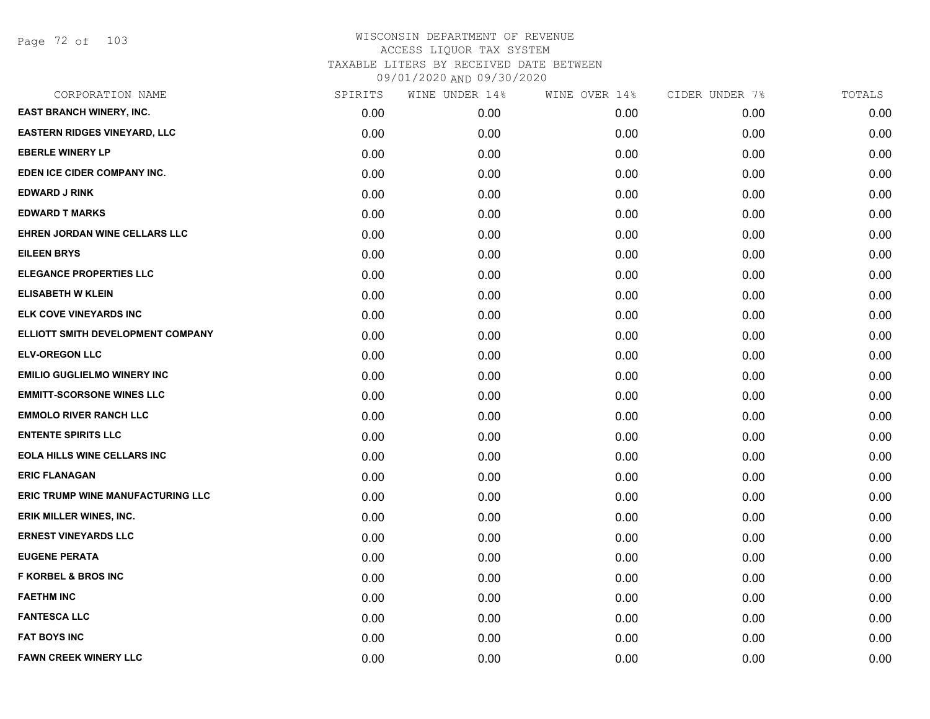Page 72 of 103

| CORPORATION NAME                    | SPIRITS | WINE UNDER 14% | WINE OVER 14% | CIDER UNDER 7% | TOTALS |
|-------------------------------------|---------|----------------|---------------|----------------|--------|
| EAST BRANCH WINERY, INC.            | 0.00    | 0.00           | 0.00          | 0.00           | 0.00   |
| <b>EASTERN RIDGES VINEYARD, LLC</b> | 0.00    | 0.00           | 0.00          | 0.00           | 0.00   |
| <b>EBERLE WINERY LP</b>             | 0.00    | 0.00           | 0.00          | 0.00           | 0.00   |
| EDEN ICE CIDER COMPANY INC.         | 0.00    | 0.00           | 0.00          | 0.00           | 0.00   |
| <b>EDWARD J RINK</b>                | 0.00    | 0.00           | 0.00          | 0.00           | 0.00   |
| <b>EDWARD T MARKS</b>               | 0.00    | 0.00           | 0.00          | 0.00           | 0.00   |
| EHREN JORDAN WINE CELLARS LLC       | 0.00    | 0.00           | 0.00          | 0.00           | 0.00   |
| <b>EILEEN BRYS</b>                  | 0.00    | 0.00           | 0.00          | 0.00           | 0.00   |
| <b>ELEGANCE PROPERTIES LLC</b>      | 0.00    | 0.00           | 0.00          | 0.00           | 0.00   |
| <b>ELISABETH W KLEIN</b>            | 0.00    | 0.00           | 0.00          | 0.00           | 0.00   |
| ELK COVE VINEYARDS INC              | 0.00    | 0.00           | 0.00          | 0.00           | 0.00   |
| ELLIOTT SMITH DEVELOPMENT COMPANY   | 0.00    | 0.00           | 0.00          | 0.00           | 0.00   |
| <b>ELV-OREGON LLC</b>               | 0.00    | 0.00           | 0.00          | 0.00           | 0.00   |
| <b>EMILIO GUGLIELMO WINERY INC</b>  | 0.00    | 0.00           | 0.00          | 0.00           | 0.00   |
| <b>EMMITT-SCORSONE WINES LLC</b>    | 0.00    | 0.00           | 0.00          | 0.00           | 0.00   |
| <b>EMMOLO RIVER RANCH LLC</b>       | 0.00    | 0.00           | 0.00          | 0.00           | 0.00   |
| <b>ENTENTE SPIRITS LLC</b>          | 0.00    | 0.00           | 0.00          | 0.00           | 0.00   |
| <b>EOLA HILLS WINE CELLARS INC</b>  | 0.00    | 0.00           | 0.00          | 0.00           | 0.00   |
| <b>ERIC FLANAGAN</b>                | 0.00    | 0.00           | 0.00          | 0.00           | 0.00   |
| ERIC TRUMP WINE MANUFACTURING LLC   | 0.00    | 0.00           | 0.00          | 0.00           | 0.00   |
| ERIK MILLER WINES, INC.             | 0.00    | 0.00           | 0.00          | 0.00           | 0.00   |
| <b>ERNEST VINEYARDS LLC</b>         | 0.00    | 0.00           | 0.00          | 0.00           | 0.00   |
| <b>EUGENE PERATA</b>                | 0.00    | 0.00           | 0.00          | 0.00           | 0.00   |
| <b>F KORBEL &amp; BROS INC</b>      | 0.00    | 0.00           | 0.00          | 0.00           | 0.00   |
| <b>FAETHM INC</b>                   | 0.00    | 0.00           | 0.00          | 0.00           | 0.00   |
| <b>FANTESCA LLC</b>                 | 0.00    | 0.00           | 0.00          | 0.00           | 0.00   |
| <b>FAT BOYS INC</b>                 | 0.00    | 0.00           | 0.00          | 0.00           | 0.00   |
| <b>FAWN CREEK WINERY LLC</b>        | 0.00    | 0.00           | 0.00          | 0.00           | 0.00   |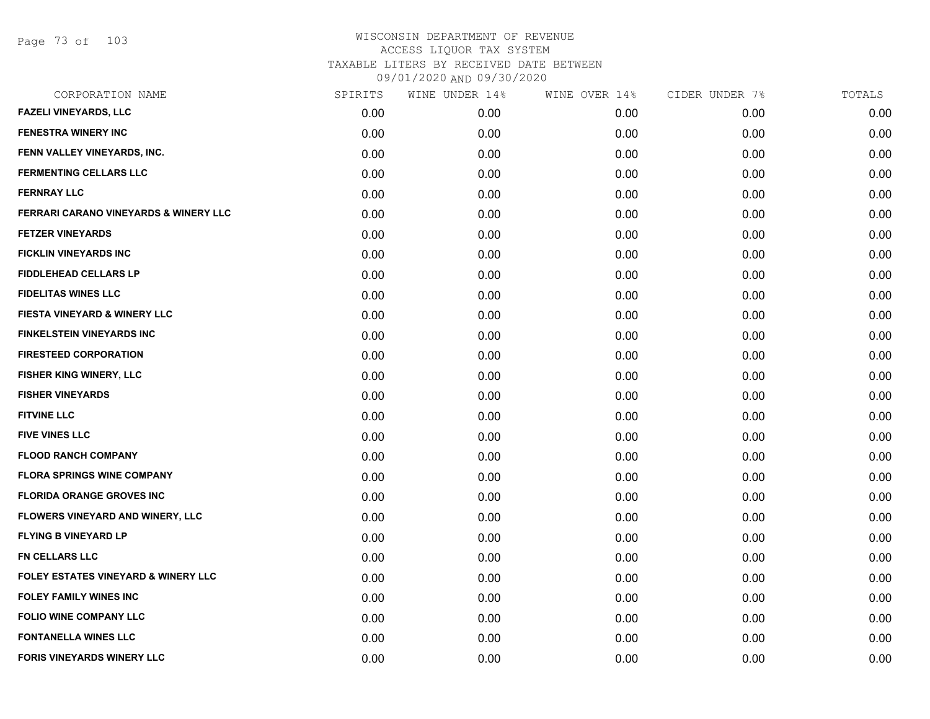Page 73 of 103

| CORPORATION NAME                               | SPIRITS | WINE UNDER 14% | WINE OVER 14% | CIDER UNDER 7% | TOTALS |
|------------------------------------------------|---------|----------------|---------------|----------------|--------|
| FAZELI VINEYARDS, LLC                          | 0.00    | 0.00           | 0.00          | 0.00           | 0.00   |
| <b>FENESTRA WINERY INC</b>                     | 0.00    | 0.00           | 0.00          | 0.00           | 0.00   |
| FENN VALLEY VINEYARDS, INC.                    | 0.00    | 0.00           | 0.00          | 0.00           | 0.00   |
| <b>FERMENTING CELLARS LLC</b>                  | 0.00    | 0.00           | 0.00          | 0.00           | 0.00   |
| <b>FERNRAY LLC</b>                             | 0.00    | 0.00           | 0.00          | 0.00           | 0.00   |
| FERRARI CARANO VINEYARDS & WINERY LLC          | 0.00    | 0.00           | 0.00          | 0.00           | 0.00   |
| <b>FETZER VINEYARDS</b>                        | 0.00    | 0.00           | 0.00          | 0.00           | 0.00   |
| <b>FICKLIN VINEYARDS INC</b>                   | 0.00    | 0.00           | 0.00          | 0.00           | 0.00   |
| <b>FIDDLEHEAD CELLARS LP</b>                   | 0.00    | 0.00           | 0.00          | 0.00           | 0.00   |
| <b>FIDELITAS WINES LLC</b>                     | 0.00    | 0.00           | 0.00          | 0.00           | 0.00   |
| FIESTA VINEYARD & WINERY LLC                   | 0.00    | 0.00           | 0.00          | 0.00           | 0.00   |
| <b>FINKELSTEIN VINEYARDS INC</b>               | 0.00    | 0.00           | 0.00          | 0.00           | 0.00   |
| <b>FIRESTEED CORPORATION</b>                   | 0.00    | 0.00           | 0.00          | 0.00           | 0.00   |
| FISHER KING WINERY, LLC                        | 0.00    | 0.00           | 0.00          | 0.00           | 0.00   |
| <b>FISHER VINEYARDS</b>                        | 0.00    | 0.00           | 0.00          | 0.00           | 0.00   |
| <b>FITVINE LLC</b>                             | 0.00    | 0.00           | 0.00          | 0.00           | 0.00   |
| <b>FIVE VINES LLC</b>                          | 0.00    | 0.00           | 0.00          | 0.00           | 0.00   |
| <b>FLOOD RANCH COMPANY</b>                     | 0.00    | 0.00           | 0.00          | 0.00           | 0.00   |
| <b>FLORA SPRINGS WINE COMPANY</b>              | 0.00    | 0.00           | 0.00          | 0.00           | 0.00   |
| <b>FLORIDA ORANGE GROVES INC</b>               | 0.00    | 0.00           | 0.00          | 0.00           | 0.00   |
| <b>FLOWERS VINEYARD AND WINERY, LLC</b>        | 0.00    | 0.00           | 0.00          | 0.00           | 0.00   |
| <b>FLYING B VINEYARD LP</b>                    | 0.00    | 0.00           | 0.00          | 0.00           | 0.00   |
| <b>FN CELLARS LLC</b>                          | 0.00    | 0.00           | 0.00          | 0.00           | 0.00   |
| <b>FOLEY ESTATES VINEYARD &amp; WINERY LLC</b> | 0.00    | 0.00           | 0.00          | 0.00           | 0.00   |
| <b>FOLEY FAMILY WINES INC</b>                  | 0.00    | 0.00           | 0.00          | 0.00           | 0.00   |
| FOLIO WINE COMPANY LLC                         | 0.00    | 0.00           | 0.00          | 0.00           | 0.00   |
| <b>FONTANELLA WINES LLC</b>                    | 0.00    | 0.00           | 0.00          | 0.00           | 0.00   |
| FORIS VINEYARDS WINERY LLC                     | 0.00    | 0.00           | 0.00          | 0.00           | 0.00   |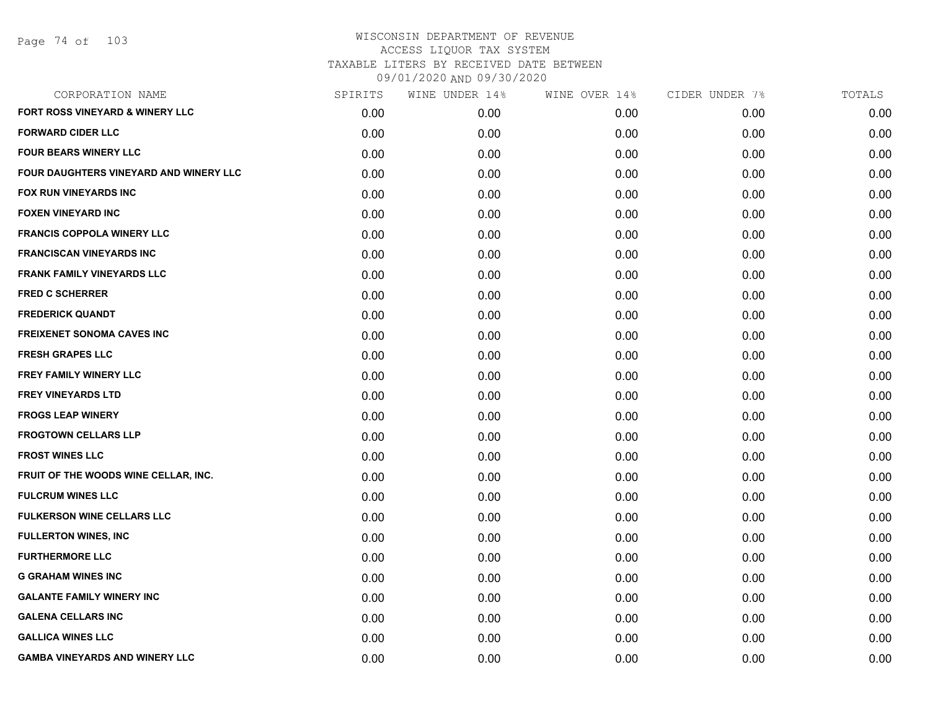|      | WINE UNDER 14%    |      | CIDER UNDER 7% | TOTALS |
|------|-------------------|------|----------------|--------|
| 0.00 | 0.00 <sub>1</sub> | 0.00 | 0.00           | 0.00   |
| 0.00 | 0.00              | 0.00 | 0.00           | 0.00   |
| 0.00 | 0.00              | 0.00 | 0.00           | 0.00   |
| 0.00 | 0.00              | 0.00 | 0.00           | 0.00   |
| 0.00 | 0.00              | 0.00 | 0.00           | 0.00   |
| 0.00 | 0.00              | 0.00 | 0.00           | 0.00   |
| 0.00 | 0.00              | 0.00 | 0.00           | 0.00   |
| 0.00 | 0.00              | 0.00 | 0.00           | 0.00   |
| 0.00 | 0.00              | 0.00 | 0.00           | 0.00   |
| 0.00 | 0.00              | 0.00 | 0.00           | 0.00   |
| 0.00 | 0.00              | 0.00 | 0.00           | 0.00   |
| 0.00 | 0.00              | 0.00 | 0.00           | 0.00   |
| 0.00 | 0.00              | 0.00 | 0.00           | 0.00   |
| 0.00 | 0.00              | 0.00 | 0.00           | 0.00   |
| 0.00 | 0.00              | 0.00 | 0.00           | 0.00   |
| 0.00 | 0.00              | 0.00 | 0.00           | 0.00   |
| 0.00 | 0.00              | 0.00 | 0.00           | 0.00   |
| 0.00 | 0.00              | 0.00 | 0.00           | 0.00   |
| 0.00 | 0.00              | 0.00 | 0.00           | 0.00   |
| 0.00 | 0.00              | 0.00 | 0.00           | 0.00   |
| 0.00 | 0.00              | 0.00 | 0.00           | 0.00   |
| 0.00 | 0.00              | 0.00 | 0.00           | 0.00   |
| 0.00 | 0.00              | 0.00 | 0.00           | 0.00   |
| 0.00 | 0.00              | 0.00 | 0.00           | 0.00   |
| 0.00 | 0.00              | 0.00 | 0.00           | 0.00   |
| 0.00 | 0.00              | 0.00 | 0.00           | 0.00   |
| 0.00 | 0.00              | 0.00 | 0.00           | 0.00   |
| 0.00 | 0.00              | 0.00 | 0.00           | 0.00   |
|      | SPIRITS           |      | WINE OVER 14%  |        |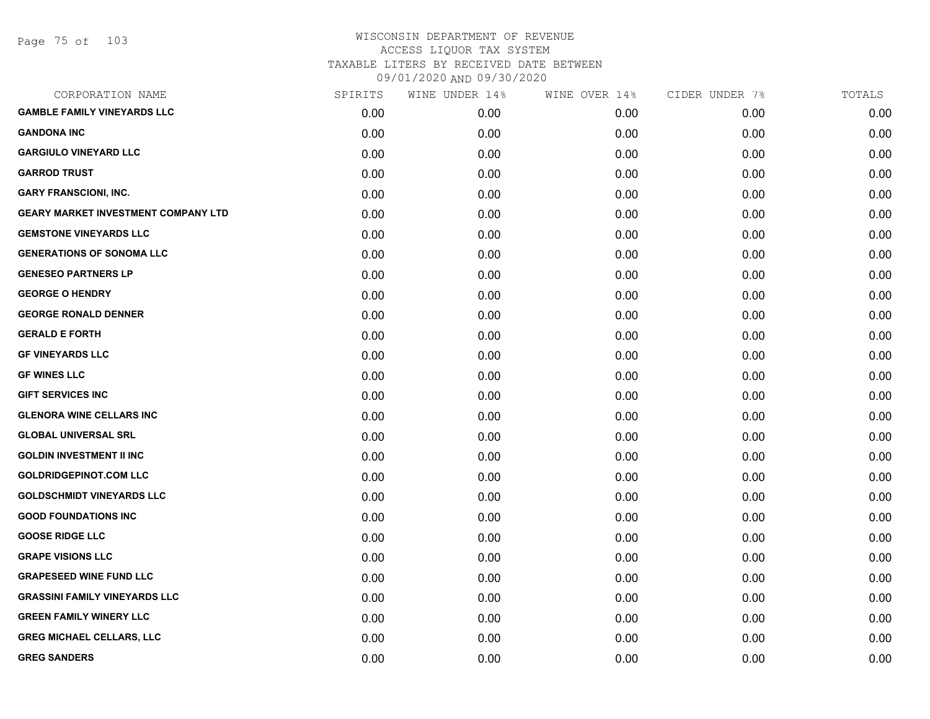| CORPORATION NAME                           | SPIRITS | WINE UNDER 14% | WINE OVER 14% | CIDER UNDER 7% | TOTALS |
|--------------------------------------------|---------|----------------|---------------|----------------|--------|
| <b>GAMBLE FAMILY VINEYARDS LLC</b>         | 0.00    | 0.00           | 0.00          | 0.00           | 0.00   |
| <b>GANDONA INC</b>                         | 0.00    | 0.00           | 0.00          | 0.00           | 0.00   |
| <b>GARGIULO VINEYARD LLC</b>               | 0.00    | 0.00           | 0.00          | 0.00           | 0.00   |
| <b>GARROD TRUST</b>                        | 0.00    | 0.00           | 0.00          | 0.00           | 0.00   |
| <b>GARY FRANSCIONI, INC.</b>               | 0.00    | 0.00           | 0.00          | 0.00           | 0.00   |
| <b>GEARY MARKET INVESTMENT COMPANY LTD</b> | 0.00    | 0.00           | 0.00          | 0.00           | 0.00   |
| <b>GEMSTONE VINEYARDS LLC</b>              | 0.00    | 0.00           | 0.00          | 0.00           | 0.00   |
| <b>GENERATIONS OF SONOMA LLC</b>           | 0.00    | 0.00           | 0.00          | 0.00           | 0.00   |
| <b>GENESEO PARTNERS LP</b>                 | 0.00    | 0.00           | 0.00          | 0.00           | 0.00   |
| <b>GEORGE O HENDRY</b>                     | 0.00    | 0.00           | 0.00          | 0.00           | 0.00   |
| <b>GEORGE RONALD DENNER</b>                | 0.00    | 0.00           | 0.00          | 0.00           | 0.00   |
| <b>GERALD E FORTH</b>                      | 0.00    | 0.00           | 0.00          | 0.00           | 0.00   |
| <b>GF VINEYARDS LLC</b>                    | 0.00    | 0.00           | 0.00          | 0.00           | 0.00   |
| <b>GF WINES LLC</b>                        | 0.00    | 0.00           | 0.00          | 0.00           | 0.00   |
| <b>GIFT SERVICES INC</b>                   | 0.00    | 0.00           | 0.00          | 0.00           | 0.00   |
| <b>GLENORA WINE CELLARS INC</b>            | 0.00    | 0.00           | 0.00          | 0.00           | 0.00   |
| <b>GLOBAL UNIVERSAL SRL</b>                | 0.00    | 0.00           | 0.00          | 0.00           | 0.00   |
| <b>GOLDIN INVESTMENT II INC</b>            | 0.00    | 0.00           | 0.00          | 0.00           | 0.00   |
| <b>GOLDRIDGEPINOT.COM LLC</b>              | 0.00    | 0.00           | 0.00          | 0.00           | 0.00   |
| <b>GOLDSCHMIDT VINEYARDS LLC</b>           | 0.00    | 0.00           | 0.00          | 0.00           | 0.00   |
| <b>GOOD FOUNDATIONS INC</b>                | 0.00    | 0.00           | 0.00          | 0.00           | 0.00   |
| <b>GOOSE RIDGE LLC</b>                     | 0.00    | 0.00           | 0.00          | 0.00           | 0.00   |
| <b>GRAPE VISIONS LLC</b>                   | 0.00    | 0.00           | 0.00          | 0.00           | 0.00   |
| <b>GRAPESEED WINE FUND LLC</b>             | 0.00    | 0.00           | 0.00          | 0.00           | 0.00   |
| <b>GRASSINI FAMILY VINEYARDS LLC</b>       | 0.00    | 0.00           | 0.00          | 0.00           | 0.00   |
| <b>GREEN FAMILY WINERY LLC</b>             | 0.00    | 0.00           | 0.00          | 0.00           | 0.00   |
| <b>GREG MICHAEL CELLARS, LLC</b>           | 0.00    | 0.00           | 0.00          | 0.00           | 0.00   |
| <b>GREG SANDERS</b>                        | 0.00    | 0.00           | 0.00          | 0.00           | 0.00   |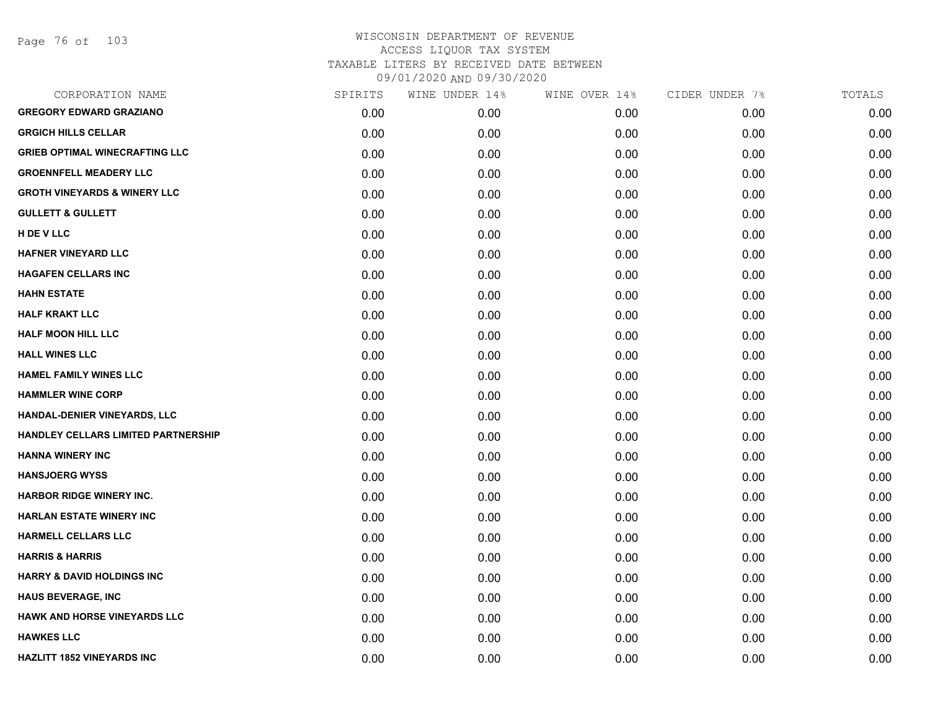| CORPORATION NAME                           | SPIRITS | WINE UNDER 14% | WINE OVER 14% | CIDER UNDER 7% | TOTALS |
|--------------------------------------------|---------|----------------|---------------|----------------|--------|
| <b>GREGORY EDWARD GRAZIANO</b>             | 0.00    | 0.00           | 0.00          | 0.00           | 0.00   |
| <b>GRGICH HILLS CELLAR</b>                 | 0.00    | 0.00           | 0.00          | 0.00           | 0.00   |
| <b>GRIEB OPTIMAL WINECRAFTING LLC</b>      | 0.00    | 0.00           | 0.00          | 0.00           | 0.00   |
| <b>GROENNFELL MEADERY LLC</b>              | 0.00    | 0.00           | 0.00          | 0.00           | 0.00   |
| <b>GROTH VINEYARDS &amp; WINERY LLC</b>    | 0.00    | 0.00           | 0.00          | 0.00           | 0.00   |
| <b>GULLETT &amp; GULLETT</b>               | 0.00    | 0.00           | 0.00          | 0.00           | 0.00   |
| H DE V LLC                                 | 0.00    | 0.00           | 0.00          | 0.00           | 0.00   |
| HAFNER VINEYARD LLC                        | 0.00    | 0.00           | 0.00          | 0.00           | 0.00   |
| <b>HAGAFEN CELLARS INC</b>                 | 0.00    | 0.00           | 0.00          | 0.00           | 0.00   |
| <b>HAHN ESTATE</b>                         | 0.00    | 0.00           | 0.00          | 0.00           | 0.00   |
| <b>HALF KRAKT LLC</b>                      | 0.00    | 0.00           | 0.00          | 0.00           | 0.00   |
| <b>HALF MOON HILL LLC</b>                  | 0.00    | 0.00           | 0.00          | 0.00           | 0.00   |
| <b>HALL WINES LLC</b>                      | 0.00    | 0.00           | 0.00          | 0.00           | 0.00   |
| <b>HAMEL FAMILY WINES LLC</b>              | 0.00    | 0.00           | 0.00          | 0.00           | 0.00   |
| <b>HAMMLER WINE CORP</b>                   | 0.00    | 0.00           | 0.00          | 0.00           | 0.00   |
| HANDAL-DENIER VINEYARDS, LLC               | 0.00    | 0.00           | 0.00          | 0.00           | 0.00   |
| <b>HANDLEY CELLARS LIMITED PARTNERSHIP</b> | 0.00    | 0.00           | 0.00          | 0.00           | 0.00   |
| <b>HANNA WINERY INC</b>                    | 0.00    | 0.00           | 0.00          | 0.00           | 0.00   |
| <b>HANSJOERG WYSS</b>                      | 0.00    | 0.00           | 0.00          | 0.00           | 0.00   |
| <b>HARBOR RIDGE WINERY INC.</b>            | 0.00    | 0.00           | 0.00          | 0.00           | 0.00   |
| <b>HARLAN ESTATE WINERY INC</b>            | 0.00    | 0.00           | 0.00          | 0.00           | 0.00   |
| <b>HARMELL CELLARS LLC</b>                 | 0.00    | 0.00           | 0.00          | 0.00           | 0.00   |
| <b>HARRIS &amp; HARRIS</b>                 | 0.00    | 0.00           | 0.00          | 0.00           | 0.00   |
| <b>HARRY &amp; DAVID HOLDINGS INC</b>      | 0.00    | 0.00           | 0.00          | 0.00           | 0.00   |
| <b>HAUS BEVERAGE, INC</b>                  | 0.00    | 0.00           | 0.00          | 0.00           | 0.00   |
| <b>HAWK AND HORSE VINEYARDS LLC</b>        | 0.00    | 0.00           | 0.00          | 0.00           | 0.00   |
| <b>HAWKES LLC</b>                          | 0.00    | 0.00           | 0.00          | 0.00           | 0.00   |
| <b>HAZLITT 1852 VINEYARDS INC</b>          | 0.00    | 0.00           | 0.00          | 0.00           | 0.00   |
|                                            |         |                |               |                |        |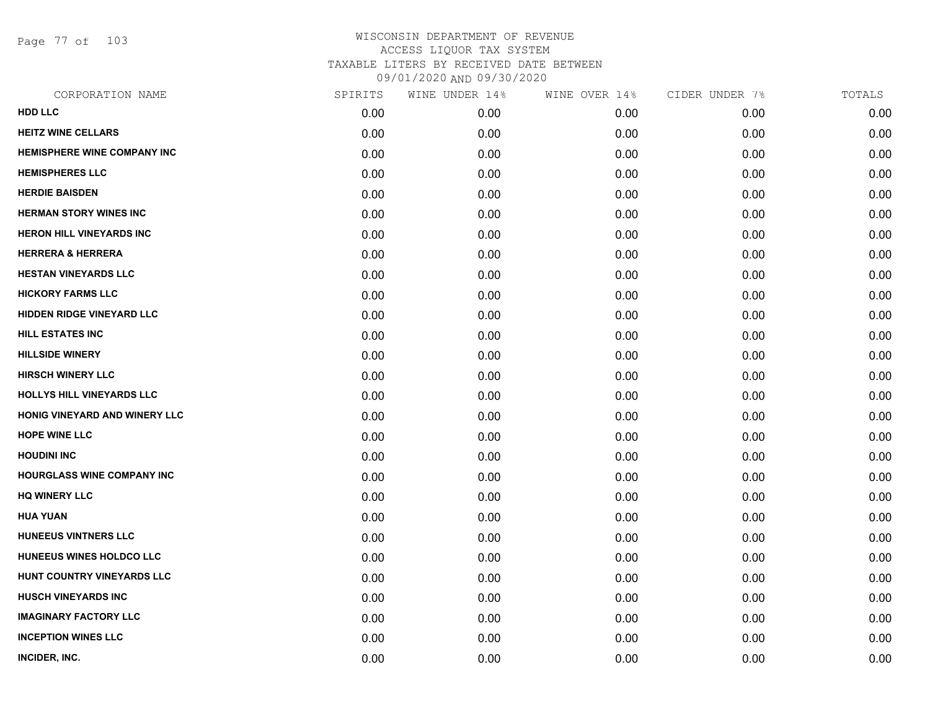Page 77 of 103

| CORPORATION NAME                 | SPIRITS | WINE UNDER 14% | WINE OVER 14% | CIDER UNDER 7% | TOTALS |
|----------------------------------|---------|----------------|---------------|----------------|--------|
| <b>HDD LLC</b>                   | 0.00    | 0.00           | 0.00          | 0.00           | 0.00   |
| <b>HEITZ WINE CELLARS</b>        | 0.00    | 0.00           | 0.00          | 0.00           | 0.00   |
| HEMISPHERE WINE COMPANY INC      | 0.00    | 0.00           | 0.00          | 0.00           | 0.00   |
| <b>HEMISPHERES LLC</b>           | 0.00    | 0.00           | 0.00          | 0.00           | 0.00   |
| <b>HERDIE BAISDEN</b>            | 0.00    | 0.00           | 0.00          | 0.00           | 0.00   |
| <b>HERMAN STORY WINES INC</b>    | 0.00    | 0.00           | 0.00          | 0.00           | 0.00   |
| <b>HERON HILL VINEYARDS INC</b>  | 0.00    | 0.00           | 0.00          | 0.00           | 0.00   |
| <b>HERRERA &amp; HERRERA</b>     | 0.00    | 0.00           | 0.00          | 0.00           | 0.00   |
| <b>HESTAN VINEYARDS LLC</b>      | 0.00    | 0.00           | 0.00          | 0.00           | 0.00   |
| <b>HICKORY FARMS LLC</b>         | 0.00    | 0.00           | 0.00          | 0.00           | 0.00   |
| <b>HIDDEN RIDGE VINEYARD LLC</b> | 0.00    | 0.00           | 0.00          | 0.00           | 0.00   |
| <b>HILL ESTATES INC</b>          | 0.00    | 0.00           | 0.00          | 0.00           | 0.00   |
| <b>HILLSIDE WINERY</b>           | 0.00    | 0.00           | 0.00          | 0.00           | 0.00   |
| <b>HIRSCH WINERY LLC</b>         | 0.00    | 0.00           | 0.00          | 0.00           | 0.00   |
| <b>HOLLYS HILL VINEYARDS LLC</b> | 0.00    | 0.00           | 0.00          | 0.00           | 0.00   |
| HONIG VINEYARD AND WINERY LLC    | 0.00    | 0.00           | 0.00          | 0.00           | 0.00   |
| <b>HOPE WINE LLC</b>             | 0.00    | 0.00           | 0.00          | 0.00           | 0.00   |
| <b>HOUDINI INC</b>               | 0.00    | 0.00           | 0.00          | 0.00           | 0.00   |
| HOURGLASS WINE COMPANY INC       | 0.00    | 0.00           | 0.00          | 0.00           | 0.00   |
| <b>HQ WINERY LLC</b>             | 0.00    | 0.00           | 0.00          | 0.00           | 0.00   |
| <b>HUA YUAN</b>                  | 0.00    | 0.00           | 0.00          | 0.00           | 0.00   |
| <b>HUNEEUS VINTNERS LLC</b>      | 0.00    | 0.00           | 0.00          | 0.00           | 0.00   |
| HUNEEUS WINES HOLDCO LLC         | 0.00    | 0.00           | 0.00          | 0.00           | 0.00   |
| HUNT COUNTRY VINEYARDS LLC       | 0.00    | 0.00           | 0.00          | 0.00           | 0.00   |
| <b>HUSCH VINEYARDS INC</b>       | 0.00    | 0.00           | 0.00          | 0.00           | 0.00   |
| <b>IMAGINARY FACTORY LLC</b>     | 0.00    | 0.00           | 0.00          | 0.00           | 0.00   |
| <b>INCEPTION WINES LLC</b>       | 0.00    | 0.00           | 0.00          | 0.00           | 0.00   |
| INCIDER, INC.                    | 0.00    | 0.00           | 0.00          | 0.00           | 0.00   |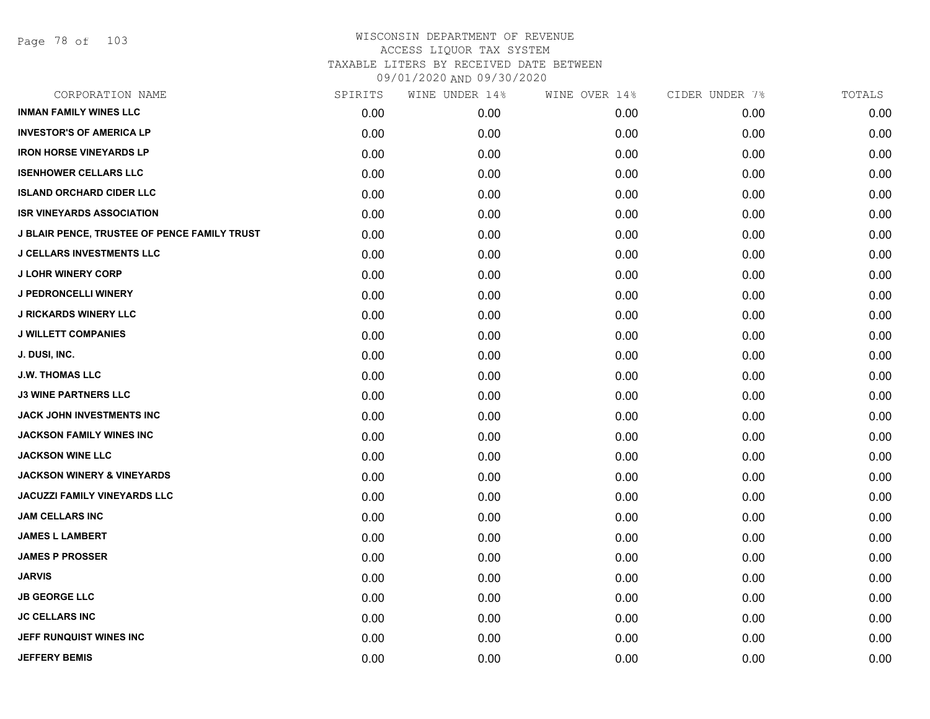Page 78 of 103

| SPIRITS | WINE UNDER 14% | WINE OVER 14% | CIDER UNDER 7% | TOTALS |
|---------|----------------|---------------|----------------|--------|
| 0.00    | 0.00           | 0.00          | 0.00           | 0.00   |
| 0.00    | 0.00           | 0.00          | 0.00           | 0.00   |
| 0.00    | 0.00           | 0.00          | 0.00           | 0.00   |
| 0.00    | 0.00           | 0.00          | 0.00           | 0.00   |
| 0.00    | 0.00           | 0.00          | 0.00           | 0.00   |
| 0.00    | 0.00           | 0.00          | 0.00           | 0.00   |
| 0.00    | 0.00           | 0.00          | 0.00           | 0.00   |
| 0.00    | 0.00           | 0.00          | 0.00           | 0.00   |
| 0.00    | 0.00           | 0.00          | 0.00           | 0.00   |
| 0.00    | 0.00           | 0.00          | 0.00           | 0.00   |
| 0.00    | 0.00           | 0.00          | 0.00           | 0.00   |
| 0.00    | 0.00           | 0.00          | 0.00           | 0.00   |
| 0.00    | 0.00           | 0.00          | 0.00           | 0.00   |
| 0.00    | 0.00           | 0.00          | 0.00           | 0.00   |
| 0.00    | 0.00           | 0.00          | 0.00           | 0.00   |
| 0.00    | 0.00           | 0.00          | 0.00           | 0.00   |
| 0.00    | 0.00           | 0.00          | 0.00           | 0.00   |
| 0.00    | 0.00           | 0.00          | 0.00           | 0.00   |
| 0.00    | 0.00           | 0.00          | 0.00           | 0.00   |
| 0.00    | 0.00           | 0.00          | 0.00           | 0.00   |
| 0.00    | 0.00           | 0.00          | 0.00           | 0.00   |
| 0.00    | 0.00           | 0.00          | 0.00           | 0.00   |
| 0.00    | 0.00           | 0.00          | 0.00           | 0.00   |
| 0.00    | 0.00           | 0.00          | 0.00           | 0.00   |
| 0.00    | 0.00           | 0.00          | 0.00           | 0.00   |
| 0.00    | 0.00           | 0.00          | 0.00           | 0.00   |
| 0.00    | 0.00           | 0.00          | 0.00           | 0.00   |
| 0.00    | 0.00           | 0.00          | 0.00           | 0.00   |
|         |                |               |                |        |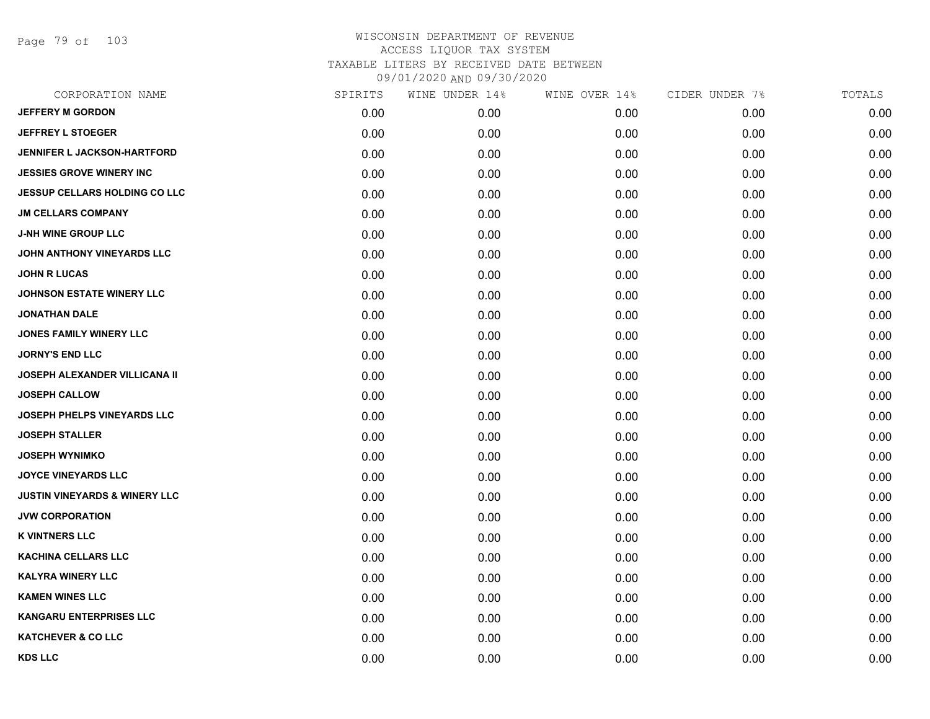Page 79 of 103

| CORPORATION NAME                         | SPIRITS | WINE UNDER 14% | WINE OVER 14% | CIDER UNDER 7% | TOTALS |
|------------------------------------------|---------|----------------|---------------|----------------|--------|
| <b>JEFFERY M GORDON</b>                  | 0.00    | 0.00           | 0.00          | 0.00           | 0.00   |
| <b>JEFFREY L STOEGER</b>                 | 0.00    | 0.00           | 0.00          | 0.00           | 0.00   |
| <b>JENNIFER L JACKSON-HARTFORD</b>       | 0.00    | 0.00           | 0.00          | 0.00           | 0.00   |
| <b>JESSIES GROVE WINERY INC</b>          | 0.00    | 0.00           | 0.00          | 0.00           | 0.00   |
| <b>JESSUP CELLARS HOLDING CO LLC</b>     | 0.00    | 0.00           | 0.00          | 0.00           | 0.00   |
| <b>JM CELLARS COMPANY</b>                | 0.00    | 0.00           | 0.00          | 0.00           | 0.00   |
| <b>J-NH WINE GROUP LLC</b>               | 0.00    | 0.00           | 0.00          | 0.00           | 0.00   |
| JOHN ANTHONY VINEYARDS LLC               | 0.00    | 0.00           | 0.00          | 0.00           | 0.00   |
| <b>JOHN R LUCAS</b>                      | 0.00    | 0.00           | 0.00          | 0.00           | 0.00   |
| <b>JOHNSON ESTATE WINERY LLC</b>         | 0.00    | 0.00           | 0.00          | 0.00           | 0.00   |
| <b>JONATHAN DALE</b>                     | 0.00    | 0.00           | 0.00          | 0.00           | 0.00   |
| <b>JONES FAMILY WINERY LLC</b>           | 0.00    | 0.00           | 0.00          | 0.00           | 0.00   |
| <b>JORNY'S END LLC</b>                   | 0.00    | 0.00           | 0.00          | 0.00           | 0.00   |
| <b>JOSEPH ALEXANDER VILLICANA II</b>     | 0.00    | 0.00           | 0.00          | 0.00           | 0.00   |
| <b>JOSEPH CALLOW</b>                     | 0.00    | 0.00           | 0.00          | 0.00           | 0.00   |
| JOSEPH PHELPS VINEYARDS LLC              | 0.00    | 0.00           | 0.00          | 0.00           | 0.00   |
| <b>JOSEPH STALLER</b>                    | 0.00    | 0.00           | 0.00          | 0.00           | 0.00   |
| <b>JOSEPH WYNIMKO</b>                    | 0.00    | 0.00           | 0.00          | 0.00           | 0.00   |
| <b>JOYCE VINEYARDS LLC</b>               | 0.00    | 0.00           | 0.00          | 0.00           | 0.00   |
| <b>JUSTIN VINEYARDS &amp; WINERY LLC</b> | 0.00    | 0.00           | 0.00          | 0.00           | 0.00   |
| <b>JVW CORPORATION</b>                   | 0.00    | 0.00           | 0.00          | 0.00           | 0.00   |
| <b>K VINTNERS LLC</b>                    | 0.00    | 0.00           | 0.00          | 0.00           | 0.00   |
| <b>KACHINA CELLARS LLC</b>               | 0.00    | 0.00           | 0.00          | 0.00           | 0.00   |
| <b>KALYRA WINERY LLC</b>                 | 0.00    | 0.00           | 0.00          | 0.00           | 0.00   |
| <b>KAMEN WINES LLC</b>                   | 0.00    | 0.00           | 0.00          | 0.00           | 0.00   |
| <b>KANGARU ENTERPRISES LLC</b>           | 0.00    | 0.00           | 0.00          | 0.00           | 0.00   |
| <b>KATCHEVER &amp; CO LLC</b>            | 0.00    | 0.00           | 0.00          | 0.00           | 0.00   |
| <b>KDS LLC</b>                           | 0.00    | 0.00           | 0.00          | 0.00           | 0.00   |
|                                          |         |                |               |                |        |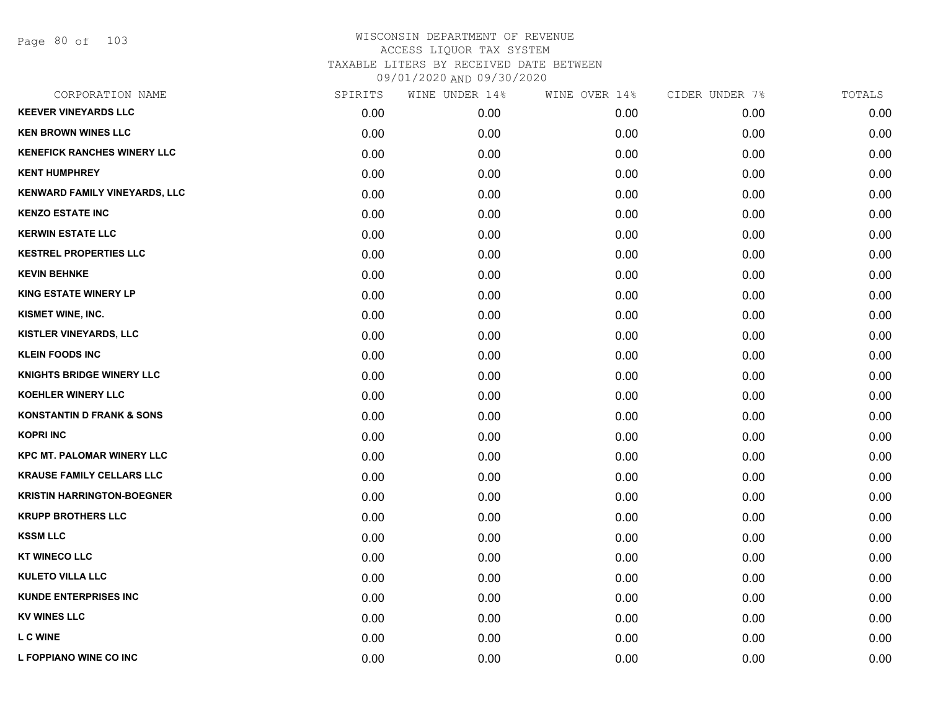Page 80 of 103

| CORPORATION NAME                     | SPIRITS | WINE UNDER 14% | WINE OVER 14% | CIDER UNDER 7% | TOTALS |
|--------------------------------------|---------|----------------|---------------|----------------|--------|
| <b>KEEVER VINEYARDS LLC</b>          | 0.00    | 0.00           | 0.00          | 0.00           | 0.00   |
| <b>KEN BROWN WINES LLC</b>           | 0.00    | 0.00           | 0.00          | 0.00           | 0.00   |
| <b>KENEFICK RANCHES WINERY LLC</b>   | 0.00    | 0.00           | 0.00          | 0.00           | 0.00   |
| <b>KENT HUMPHREY</b>                 | 0.00    | 0.00           | 0.00          | 0.00           | 0.00   |
| KENWARD FAMILY VINEYARDS, LLC        | 0.00    | 0.00           | 0.00          | 0.00           | 0.00   |
| <b>KENZO ESTATE INC</b>              | 0.00    | 0.00           | 0.00          | 0.00           | 0.00   |
| <b>KERWIN ESTATE LLC</b>             | 0.00    | 0.00           | 0.00          | 0.00           | 0.00   |
| <b>KESTREL PROPERTIES LLC</b>        | 0.00    | 0.00           | 0.00          | 0.00           | 0.00   |
| <b>KEVIN BEHNKE</b>                  | 0.00    | 0.00           | 0.00          | 0.00           | 0.00   |
| <b>KING ESTATE WINERY LP</b>         | 0.00    | 0.00           | 0.00          | 0.00           | 0.00   |
| KISMET WINE, INC.                    | 0.00    | 0.00           | 0.00          | 0.00           | 0.00   |
| KISTLER VINEYARDS, LLC               | 0.00    | 0.00           | 0.00          | 0.00           | 0.00   |
| <b>KLEIN FOODS INC</b>               | 0.00    | 0.00           | 0.00          | 0.00           | 0.00   |
| <b>KNIGHTS BRIDGE WINERY LLC</b>     | 0.00    | 0.00           | 0.00          | 0.00           | 0.00   |
| <b>KOEHLER WINERY LLC</b>            | 0.00    | 0.00           | 0.00          | 0.00           | 0.00   |
| <b>KONSTANTIN D FRANK &amp; SONS</b> | 0.00    | 0.00           | 0.00          | 0.00           | 0.00   |
| <b>KOPRI INC</b>                     | 0.00    | 0.00           | 0.00          | 0.00           | 0.00   |
| <b>KPC MT. PALOMAR WINERY LLC</b>    | 0.00    | 0.00           | 0.00          | 0.00           | 0.00   |
| <b>KRAUSE FAMILY CELLARS LLC</b>     | 0.00    | 0.00           | 0.00          | 0.00           | 0.00   |
| <b>KRISTIN HARRINGTON-BOEGNER</b>    | 0.00    | 0.00           | 0.00          | 0.00           | 0.00   |
| <b>KRUPP BROTHERS LLC</b>            | 0.00    | 0.00           | 0.00          | 0.00           | 0.00   |
| <b>KSSM LLC</b>                      | 0.00    | 0.00           | 0.00          | 0.00           | 0.00   |
| <b>KT WINECO LLC</b>                 | 0.00    | 0.00           | 0.00          | 0.00           | 0.00   |
| <b>KULETO VILLA LLC</b>              | 0.00    | 0.00           | 0.00          | 0.00           | 0.00   |
| <b>KUNDE ENTERPRISES INC</b>         | 0.00    | 0.00           | 0.00          | 0.00           | 0.00   |
| <b>KV WINES LLC</b>                  | 0.00    | 0.00           | 0.00          | 0.00           | 0.00   |
| <b>L C WINE</b>                      | 0.00    | 0.00           | 0.00          | 0.00           | 0.00   |
| L FOPPIANO WINE CO INC               | 0.00    | 0.00           | 0.00          | 0.00           | 0.00   |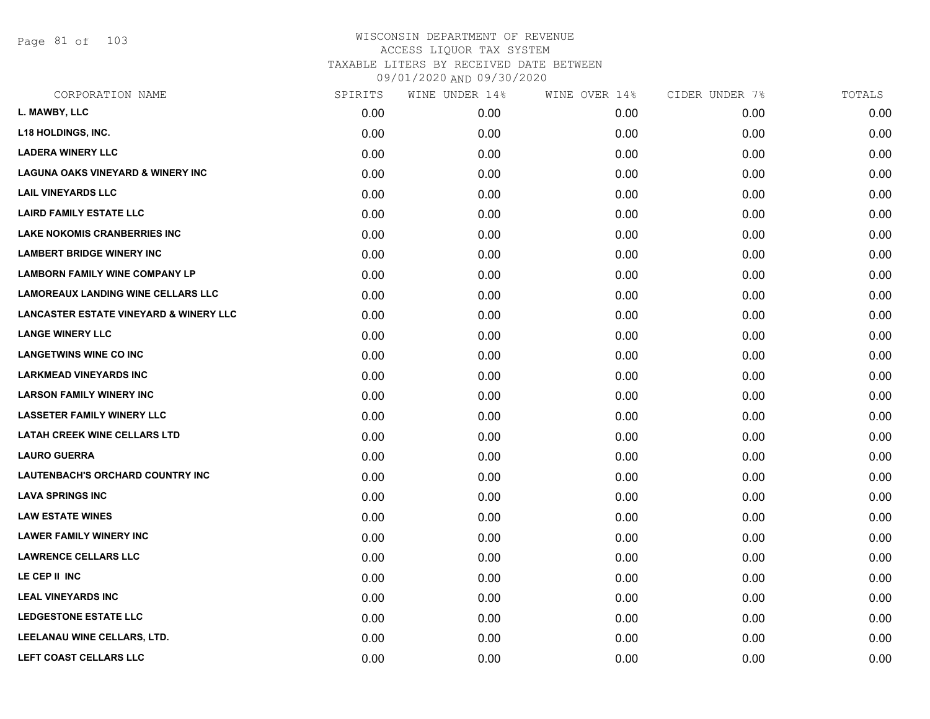Page 81 of 103

| CORPORATION NAME                                  | SPIRITS | WINE UNDER 14% | WINE OVER 14% | CIDER UNDER 7% | TOTALS |
|---------------------------------------------------|---------|----------------|---------------|----------------|--------|
| L. MAWBY, LLC                                     | 0.00    | 0.00           | 0.00          | 0.00           | 0.00   |
| <b>L18 HOLDINGS, INC.</b>                         | 0.00    | 0.00           | 0.00          | 0.00           | 0.00   |
| <b>LADERA WINERY LLC</b>                          | 0.00    | 0.00           | 0.00          | 0.00           | 0.00   |
| <b>LAGUNA OAKS VINEYARD &amp; WINERY INC</b>      | 0.00    | 0.00           | 0.00          | 0.00           | 0.00   |
| <b>LAIL VINEYARDS LLC</b>                         | 0.00    | 0.00           | 0.00          | 0.00           | 0.00   |
| <b>LAIRD FAMILY ESTATE LLC</b>                    | 0.00    | 0.00           | 0.00          | 0.00           | 0.00   |
| <b>LAKE NOKOMIS CRANBERRIES INC</b>               | 0.00    | 0.00           | 0.00          | 0.00           | 0.00   |
| <b>LAMBERT BRIDGE WINERY INC</b>                  | 0.00    | 0.00           | 0.00          | 0.00           | 0.00   |
| <b>LAMBORN FAMILY WINE COMPANY LP</b>             | 0.00    | 0.00           | 0.00          | 0.00           | 0.00   |
| <b>LAMOREAUX LANDING WINE CELLARS LLC</b>         | 0.00    | 0.00           | 0.00          | 0.00           | 0.00   |
| <b>LANCASTER ESTATE VINEYARD &amp; WINERY LLC</b> | 0.00    | 0.00           | 0.00          | 0.00           | 0.00   |
| <b>LANGE WINERY LLC</b>                           | 0.00    | 0.00           | 0.00          | 0.00           | 0.00   |
| <b>LANGETWINS WINE CO INC</b>                     | 0.00    | 0.00           | 0.00          | 0.00           | 0.00   |
| <b>LARKMEAD VINEYARDS INC</b>                     | 0.00    | 0.00           | 0.00          | 0.00           | 0.00   |
| <b>LARSON FAMILY WINERY INC</b>                   | 0.00    | 0.00           | 0.00          | 0.00           | 0.00   |
| <b>LASSETER FAMILY WINERY LLC</b>                 | 0.00    | 0.00           | 0.00          | 0.00           | 0.00   |
| <b>LATAH CREEK WINE CELLARS LTD</b>               | 0.00    | 0.00           | 0.00          | 0.00           | 0.00   |
| <b>LAURO GUERRA</b>                               | 0.00    | 0.00           | 0.00          | 0.00           | 0.00   |
| LAUTENBACH'S ORCHARD COUNTRY INC                  | 0.00    | 0.00           | 0.00          | 0.00           | 0.00   |
| <b>LAVA SPRINGS INC</b>                           | 0.00    | 0.00           | 0.00          | 0.00           | 0.00   |
| <b>LAW ESTATE WINES</b>                           | 0.00    | 0.00           | 0.00          | 0.00           | 0.00   |
| <b>LAWER FAMILY WINERY INC</b>                    | 0.00    | 0.00           | 0.00          | 0.00           | 0.00   |
| <b>LAWRENCE CELLARS LLC</b>                       | 0.00    | 0.00           | 0.00          | 0.00           | 0.00   |
| LE CEP II INC                                     | 0.00    | 0.00           | 0.00          | 0.00           | 0.00   |
| <b>LEAL VINEYARDS INC</b>                         | 0.00    | 0.00           | 0.00          | 0.00           | 0.00   |
| LEDGESTONE ESTATE LLC                             | 0.00    | 0.00           | 0.00          | 0.00           | 0.00   |
| LEELANAU WINE CELLARS, LTD.                       | 0.00    | 0.00           | 0.00          | 0.00           | 0.00   |
| LEFT COAST CELLARS LLC                            | 0.00    | 0.00           | 0.00          | 0.00           | 0.00   |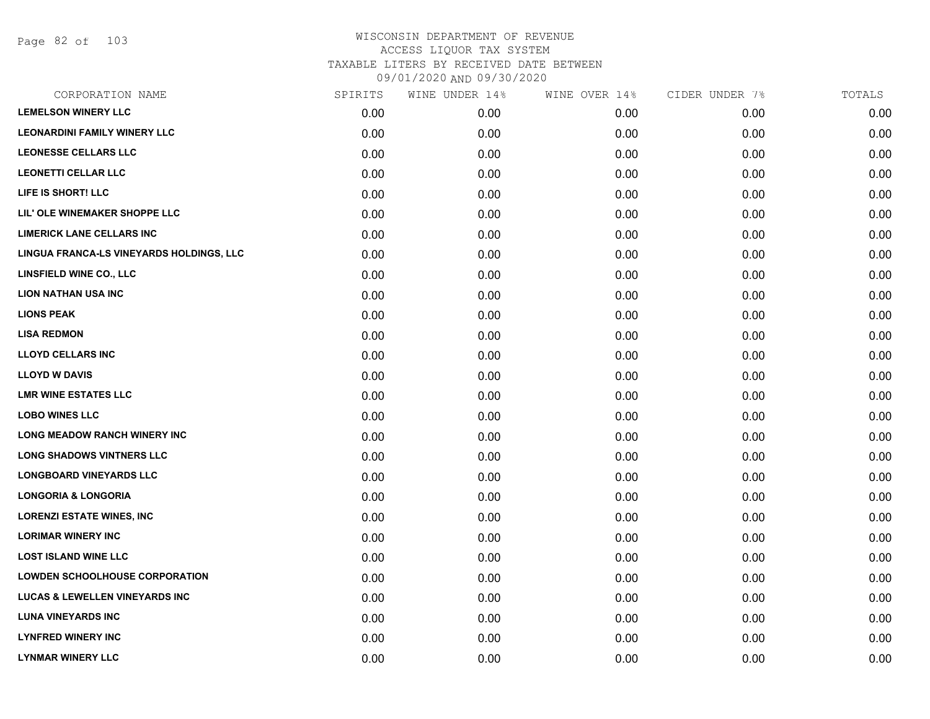Page 82 of 103

| CORPORATION NAME                          | SPIRITS | WINE UNDER 14% | WINE OVER 14% | CIDER UNDER 7% | TOTALS |
|-------------------------------------------|---------|----------------|---------------|----------------|--------|
| <b>LEMELSON WINERY LLC</b>                | 0.00    | 0.00           | 0.00          | 0.00           | 0.00   |
| <b>LEONARDINI FAMILY WINERY LLC</b>       | 0.00    | 0.00           | 0.00          | 0.00           | 0.00   |
| <b>LEONESSE CELLARS LLC</b>               | 0.00    | 0.00           | 0.00          | 0.00           | 0.00   |
| <b>LEONETTI CELLAR LLC</b>                | 0.00    | 0.00           | 0.00          | 0.00           | 0.00   |
| LIFE IS SHORT! LLC                        | 0.00    | 0.00           | 0.00          | 0.00           | 0.00   |
| LIL' OLE WINEMAKER SHOPPE LLC             | 0.00    | 0.00           | 0.00          | 0.00           | 0.00   |
| <b>LIMERICK LANE CELLARS INC</b>          | 0.00    | 0.00           | 0.00          | 0.00           | 0.00   |
| LINGUA FRANCA-LS VINEYARDS HOLDINGS, LLC  | 0.00    | 0.00           | 0.00          | 0.00           | 0.00   |
| LINSFIELD WINE CO., LLC                   | 0.00    | 0.00           | 0.00          | 0.00           | 0.00   |
| <b>LION NATHAN USA INC</b>                | 0.00    | 0.00           | 0.00          | 0.00           | 0.00   |
| <b>LIONS PEAK</b>                         | 0.00    | 0.00           | 0.00          | 0.00           | 0.00   |
| <b>LISA REDMON</b>                        | 0.00    | 0.00           | 0.00          | 0.00           | 0.00   |
| <b>LLOYD CELLARS INC</b>                  | 0.00    | 0.00           | 0.00          | 0.00           | 0.00   |
| <b>LLOYD W DAVIS</b>                      | 0.00    | 0.00           | 0.00          | 0.00           | 0.00   |
| <b>LMR WINE ESTATES LLC</b>               | 0.00    | 0.00           | 0.00          | 0.00           | 0.00   |
| <b>LOBO WINES LLC</b>                     | 0.00    | 0.00           | 0.00          | 0.00           | 0.00   |
| <b>LONG MEADOW RANCH WINERY INC</b>       | 0.00    | 0.00           | 0.00          | 0.00           | 0.00   |
| <b>LONG SHADOWS VINTNERS LLC</b>          | 0.00    | 0.00           | 0.00          | 0.00           | 0.00   |
| <b>LONGBOARD VINEYARDS LLC</b>            | 0.00    | 0.00           | 0.00          | 0.00           | 0.00   |
| <b>LONGORIA &amp; LONGORIA</b>            | 0.00    | 0.00           | 0.00          | 0.00           | 0.00   |
| <b>LORENZI ESTATE WINES, INC</b>          | 0.00    | 0.00           | 0.00          | 0.00           | 0.00   |
| <b>LORIMAR WINERY INC</b>                 | 0.00    | 0.00           | 0.00          | 0.00           | 0.00   |
| <b>LOST ISLAND WINE LLC</b>               | 0.00    | 0.00           | 0.00          | 0.00           | 0.00   |
| <b>LOWDEN SCHOOLHOUSE CORPORATION</b>     | 0.00    | 0.00           | 0.00          | 0.00           | 0.00   |
| <b>LUCAS &amp; LEWELLEN VINEYARDS INC</b> | 0.00    | 0.00           | 0.00          | 0.00           | 0.00   |
| <b>LUNA VINEYARDS INC</b>                 | 0.00    | 0.00           | 0.00          | 0.00           | 0.00   |
| <b>LYNFRED WINERY INC</b>                 | 0.00    | 0.00           | 0.00          | 0.00           | 0.00   |
| <b>LYNMAR WINERY LLC</b>                  | 0.00    | 0.00           | 0.00          | 0.00           | 0.00   |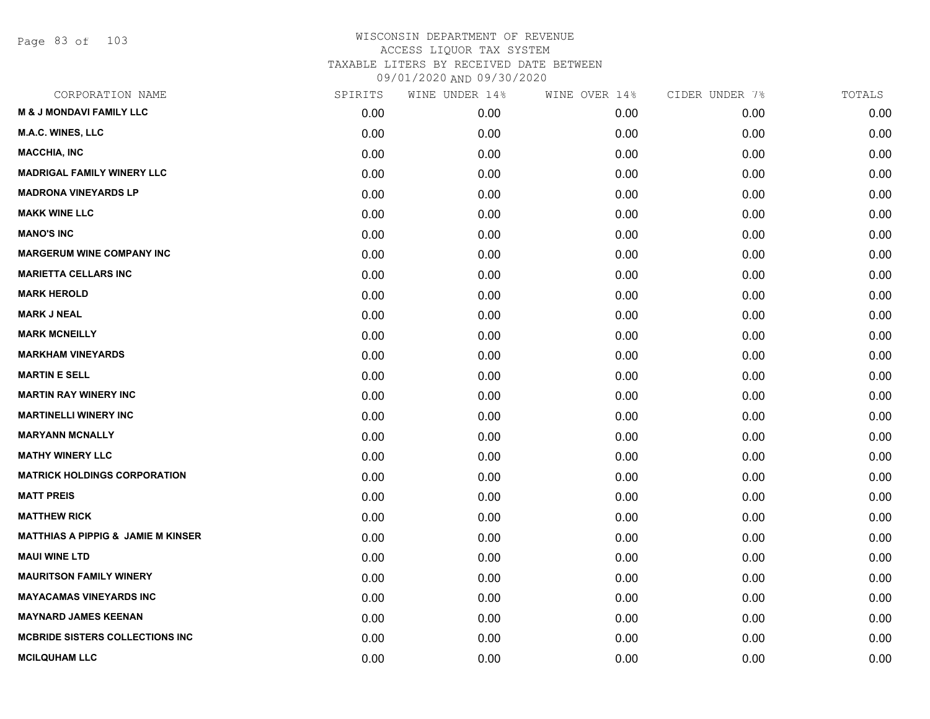Page 83 of 103

| CORPORATION NAME                              | SPIRITS | WINE UNDER 14% | WINE OVER 14% | CIDER UNDER 7% | TOTALS |
|-----------------------------------------------|---------|----------------|---------------|----------------|--------|
| <b>M &amp; J MONDAVI FAMILY LLC</b>           | 0.00    | 0.00           | 0.00          | 0.00           | 0.00   |
| <b>M.A.C. WINES, LLC</b>                      | 0.00    | 0.00           | 0.00          | 0.00           | 0.00   |
| <b>MACCHIA, INC</b>                           | 0.00    | 0.00           | 0.00          | 0.00           | 0.00   |
| <b>MADRIGAL FAMILY WINERY LLC</b>             | 0.00    | 0.00           | 0.00          | 0.00           | 0.00   |
| <b>MADRONA VINEYARDS LP</b>                   | 0.00    | 0.00           | 0.00          | 0.00           | 0.00   |
| <b>MAKK WINE LLC</b>                          | 0.00    | 0.00           | 0.00          | 0.00           | 0.00   |
| <b>MANO'S INC</b>                             | 0.00    | 0.00           | 0.00          | 0.00           | 0.00   |
| <b>MARGERUM WINE COMPANY INC</b>              | 0.00    | 0.00           | 0.00          | 0.00           | 0.00   |
| <b>MARIETTA CELLARS INC</b>                   | 0.00    | 0.00           | 0.00          | 0.00           | 0.00   |
| <b>MARK HEROLD</b>                            | 0.00    | 0.00           | 0.00          | 0.00           | 0.00   |
| <b>MARK J NEAL</b>                            | 0.00    | 0.00           | 0.00          | 0.00           | 0.00   |
| <b>MARK MCNEILLY</b>                          | 0.00    | 0.00           | 0.00          | 0.00           | 0.00   |
| <b>MARKHAM VINEYARDS</b>                      | 0.00    | 0.00           | 0.00          | 0.00           | 0.00   |
| <b>MARTIN E SELL</b>                          | 0.00    | 0.00           | 0.00          | 0.00           | 0.00   |
| <b>MARTIN RAY WINERY INC</b>                  | 0.00    | 0.00           | 0.00          | 0.00           | 0.00   |
| <b>MARTINELLI WINERY INC</b>                  | 0.00    | 0.00           | 0.00          | 0.00           | 0.00   |
| <b>MARYANN MCNALLY</b>                        | 0.00    | 0.00           | 0.00          | 0.00           | 0.00   |
| <b>MATHY WINERY LLC</b>                       | 0.00    | 0.00           | 0.00          | 0.00           | 0.00   |
| <b>MATRICK HOLDINGS CORPORATION</b>           | 0.00    | 0.00           | 0.00          | 0.00           | 0.00   |
| <b>MATT PREIS</b>                             | 0.00    | 0.00           | 0.00          | 0.00           | 0.00   |
| <b>MATTHEW RICK</b>                           | 0.00    | 0.00           | 0.00          | 0.00           | 0.00   |
| <b>MATTHIAS A PIPPIG &amp; JAMIE M KINSER</b> | 0.00    | 0.00           | 0.00          | 0.00           | 0.00   |
| <b>MAUI WINE LTD</b>                          | 0.00    | 0.00           | 0.00          | 0.00           | 0.00   |
| <b>MAURITSON FAMILY WINERY</b>                | 0.00    | 0.00           | 0.00          | 0.00           | 0.00   |
| <b>MAYACAMAS VINEYARDS INC</b>                | 0.00    | 0.00           | 0.00          | 0.00           | 0.00   |
| <b>MAYNARD JAMES KEENAN</b>                   | 0.00    | 0.00           | 0.00          | 0.00           | 0.00   |
| <b>MCBRIDE SISTERS COLLECTIONS INC</b>        | 0.00    | 0.00           | 0.00          | 0.00           | 0.00   |
| <b>MCILQUHAM LLC</b>                          | 0.00    | 0.00           | 0.00          | 0.00           | 0.00   |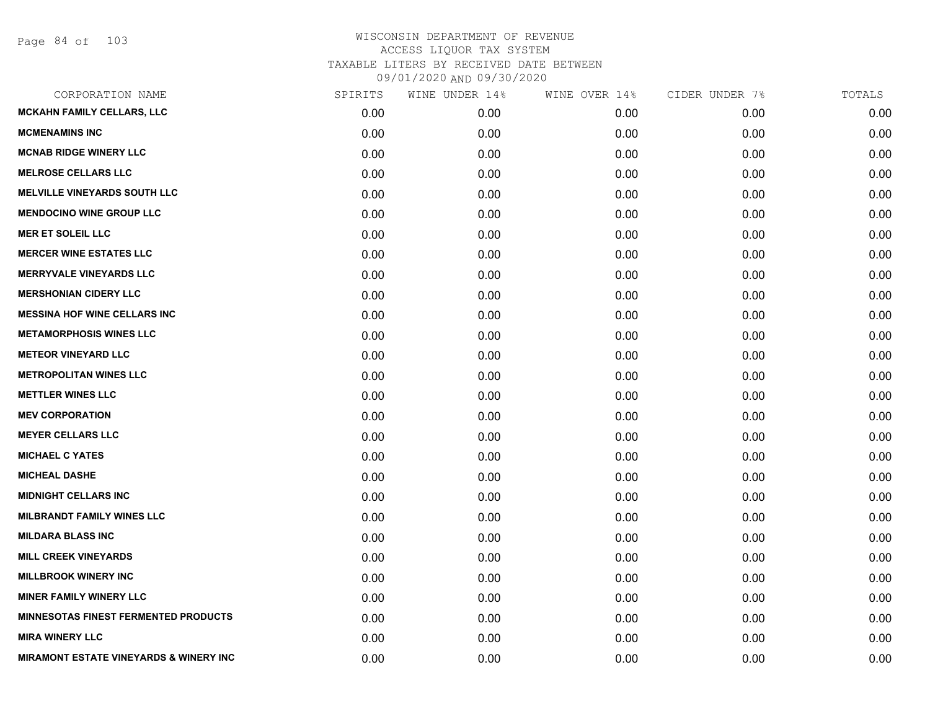| CORPORATION NAME                                  | SPIRITS | WINE UNDER 14% | WINE OVER 14% | CIDER UNDER 7% | TOTALS |
|---------------------------------------------------|---------|----------------|---------------|----------------|--------|
| <b>MCKAHN FAMILY CELLARS, LLC</b>                 | 0.00    | 0.00           | 0.00          | 0.00           | 0.00   |
| <b>MCMENAMINS INC</b>                             | 0.00    | 0.00           | 0.00          | 0.00           | 0.00   |
| <b>MCNAB RIDGE WINERY LLC</b>                     | 0.00    | 0.00           | 0.00          | 0.00           | 0.00   |
| <b>MELROSE CELLARS LLC</b>                        | 0.00    | 0.00           | 0.00          | 0.00           | 0.00   |
| <b>MELVILLE VINEYARDS SOUTH LLC</b>               | 0.00    | 0.00           | 0.00          | 0.00           | 0.00   |
| <b>MENDOCINO WINE GROUP LLC</b>                   | 0.00    | 0.00           | 0.00          | 0.00           | 0.00   |
| <b>MER ET SOLEIL LLC</b>                          | 0.00    | 0.00           | 0.00          | 0.00           | 0.00   |
| <b>MERCER WINE ESTATES LLC</b>                    | 0.00    | 0.00           | 0.00          | 0.00           | 0.00   |
| <b>MERRYVALE VINEYARDS LLC</b>                    | 0.00    | 0.00           | 0.00          | 0.00           | 0.00   |
| <b>MERSHONIAN CIDERY LLC</b>                      | 0.00    | 0.00           | 0.00          | 0.00           | 0.00   |
| <b>MESSINA HOF WINE CELLARS INC</b>               | 0.00    | 0.00           | 0.00          | 0.00           | 0.00   |
| <b>METAMORPHOSIS WINES LLC</b>                    | 0.00    | 0.00           | 0.00          | 0.00           | 0.00   |
| <b>METEOR VINEYARD LLC</b>                        | 0.00    | 0.00           | 0.00          | 0.00           | 0.00   |
| <b>METROPOLITAN WINES LLC</b>                     | 0.00    | 0.00           | 0.00          | 0.00           | 0.00   |
| <b>METTLER WINES LLC</b>                          | 0.00    | 0.00           | 0.00          | 0.00           | 0.00   |
| <b>MEV CORPORATION</b>                            | 0.00    | 0.00           | 0.00          | 0.00           | 0.00   |
| <b>MEYER CELLARS LLC</b>                          | 0.00    | 0.00           | 0.00          | 0.00           | 0.00   |
| <b>MICHAEL C YATES</b>                            | 0.00    | 0.00           | 0.00          | 0.00           | 0.00   |
| <b>MICHEAL DASHE</b>                              | 0.00    | 0.00           | 0.00          | 0.00           | 0.00   |
| <b>MIDNIGHT CELLARS INC</b>                       | 0.00    | 0.00           | 0.00          | 0.00           | 0.00   |
| <b>MILBRANDT FAMILY WINES LLC</b>                 | 0.00    | 0.00           | 0.00          | 0.00           | 0.00   |
| <b>MILDARA BLASS INC</b>                          | 0.00    | 0.00           | 0.00          | 0.00           | 0.00   |
| <b>MILL CREEK VINEYARDS</b>                       | 0.00    | 0.00           | 0.00          | 0.00           | 0.00   |
| <b>MILLBROOK WINERY INC</b>                       | 0.00    | 0.00           | 0.00          | 0.00           | 0.00   |
| <b>MINER FAMILY WINERY LLC</b>                    | 0.00    | 0.00           | 0.00          | 0.00           | 0.00   |
| <b>MINNESOTAS FINEST FERMENTED PRODUCTS</b>       | 0.00    | 0.00           | 0.00          | 0.00           | 0.00   |
| <b>MIRA WINERY LLC</b>                            | 0.00    | 0.00           | 0.00          | 0.00           | 0.00   |
| <b>MIRAMONT ESTATE VINEYARDS &amp; WINERY INC</b> | 0.00    | 0.00           | 0.00          | 0.00           | 0.00   |
|                                                   |         |                |               |                |        |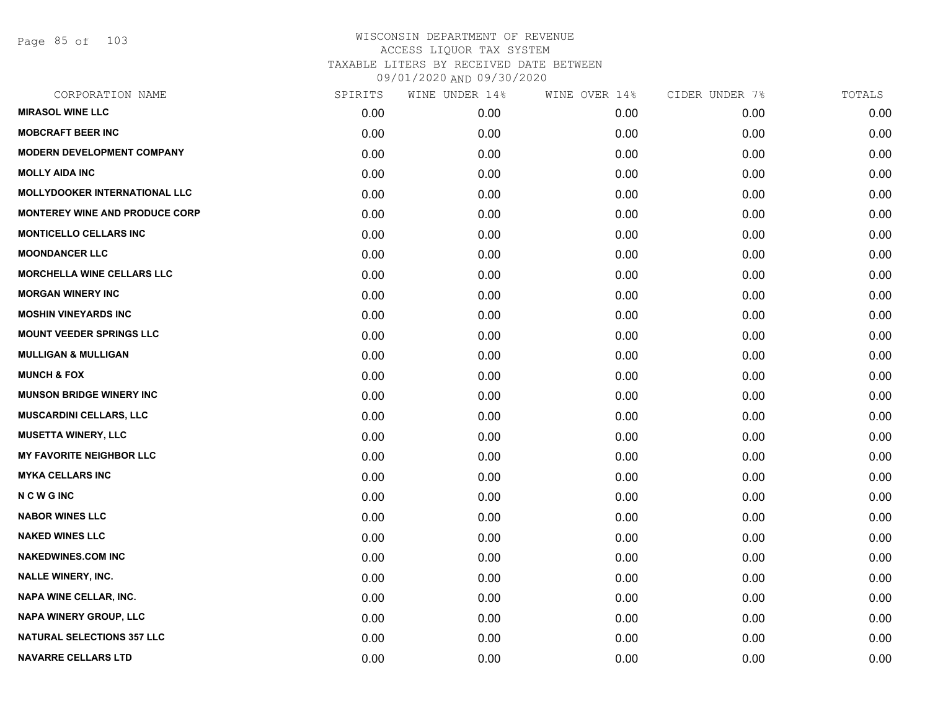Page 85 of 103

| CORPORATION NAME                      | SPIRITS | WINE UNDER 14% | WINE OVER 14% | CIDER UNDER 7% | TOTALS |
|---------------------------------------|---------|----------------|---------------|----------------|--------|
| <b>MIRASOL WINE LLC</b>               | 0.00    | 0.00           | 0.00          | 0.00           | 0.00   |
| <b>MOBCRAFT BEER INC</b>              | 0.00    | 0.00           | 0.00          | 0.00           | 0.00   |
| <b>MODERN DEVELOPMENT COMPANY</b>     | 0.00    | 0.00           | 0.00          | 0.00           | 0.00   |
| <b>MOLLY AIDA INC</b>                 | 0.00    | 0.00           | 0.00          | 0.00           | 0.00   |
| <b>MOLLYDOOKER INTERNATIONAL LLC</b>  | 0.00    | 0.00           | 0.00          | 0.00           | 0.00   |
| <b>MONTEREY WINE AND PRODUCE CORP</b> | 0.00    | 0.00           | 0.00          | 0.00           | 0.00   |
| <b>MONTICELLO CELLARS INC</b>         | 0.00    | 0.00           | 0.00          | 0.00           | 0.00   |
| <b>MOONDANCER LLC</b>                 | 0.00    | 0.00           | 0.00          | 0.00           | 0.00   |
| <b>MORCHELLA WINE CELLARS LLC</b>     | 0.00    | 0.00           | 0.00          | 0.00           | 0.00   |
| <b>MORGAN WINERY INC</b>              | 0.00    | 0.00           | 0.00          | 0.00           | 0.00   |
| <b>MOSHIN VINEYARDS INC</b>           | 0.00    | 0.00           | 0.00          | 0.00           | 0.00   |
| <b>MOUNT VEEDER SPRINGS LLC</b>       | 0.00    | 0.00           | 0.00          | 0.00           | 0.00   |
| <b>MULLIGAN &amp; MULLIGAN</b>        | 0.00    | 0.00           | 0.00          | 0.00           | 0.00   |
| <b>MUNCH &amp; FOX</b>                | 0.00    | 0.00           | 0.00          | 0.00           | 0.00   |
| <b>MUNSON BRIDGE WINERY INC</b>       | 0.00    | 0.00           | 0.00          | 0.00           | 0.00   |
| <b>MUSCARDINI CELLARS, LLC</b>        | 0.00    | 0.00           | 0.00          | 0.00           | 0.00   |
| <b>MUSETTA WINERY, LLC</b>            | 0.00    | 0.00           | 0.00          | 0.00           | 0.00   |
| <b>MY FAVORITE NEIGHBOR LLC</b>       | 0.00    | 0.00           | 0.00          | 0.00           | 0.00   |
| <b>MYKA CELLARS INC</b>               | 0.00    | 0.00           | 0.00          | 0.00           | 0.00   |
| <b>NCWGINC</b>                        | 0.00    | 0.00           | 0.00          | 0.00           | 0.00   |
| <b>NABOR WINES LLC</b>                | 0.00    | 0.00           | 0.00          | 0.00           | 0.00   |
| <b>NAKED WINES LLC</b>                | 0.00    | 0.00           | 0.00          | 0.00           | 0.00   |
| <b>NAKEDWINES.COM INC</b>             | 0.00    | 0.00           | 0.00          | 0.00           | 0.00   |
| <b>NALLE WINERY, INC.</b>             | 0.00    | 0.00           | 0.00          | 0.00           | 0.00   |
| <b>NAPA WINE CELLAR, INC.</b>         | 0.00    | 0.00           | 0.00          | 0.00           | 0.00   |
| NAPA WINERY GROUP, LLC                | 0.00    | 0.00           | 0.00          | 0.00           | 0.00   |
| <b>NATURAL SELECTIONS 357 LLC</b>     | 0.00    | 0.00           | 0.00          | 0.00           | 0.00   |
| <b>NAVARRE CELLARS LTD</b>            | 0.00    | 0.00           | 0.00          | 0.00           | 0.00   |
|                                       |         |                |               |                |        |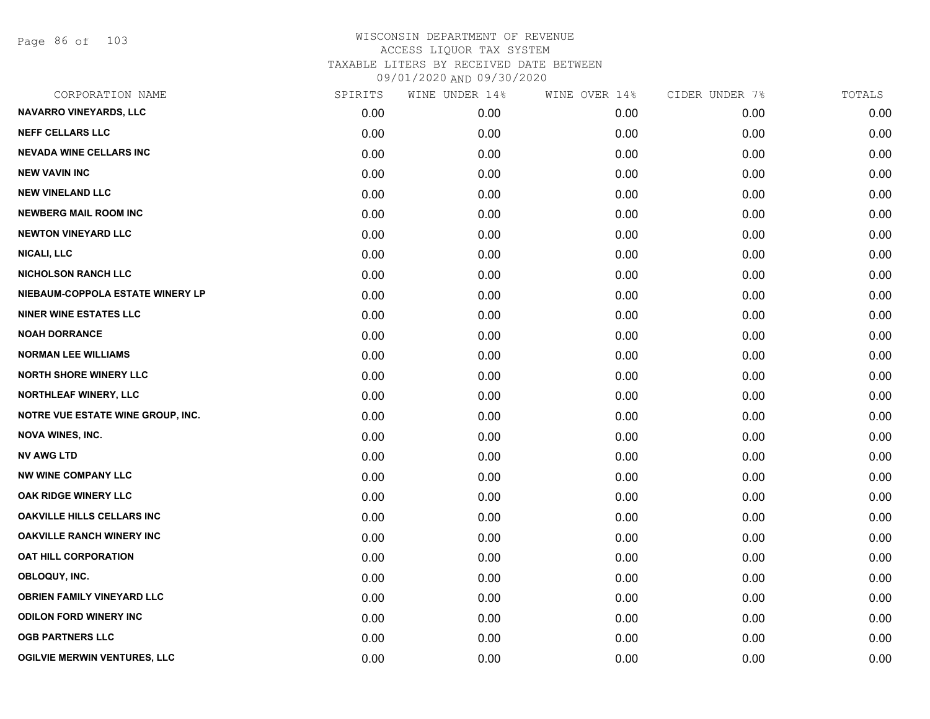Page 86 of 103

| CORPORATION NAME                    | SPIRITS | WINE UNDER 14% | WINE OVER 14% | CIDER UNDER 7% | TOTALS |
|-------------------------------------|---------|----------------|---------------|----------------|--------|
| <b>NAVARRO VINEYARDS, LLC</b>       | 0.00    | 0.00           | 0.00          | 0.00           | 0.00   |
| <b>NEFF CELLARS LLC</b>             | 0.00    | 0.00           | 0.00          | 0.00           | 0.00   |
| <b>NEVADA WINE CELLARS INC</b>      | 0.00    | 0.00           | 0.00          | 0.00           | 0.00   |
| <b>NEW VAVIN INC</b>                | 0.00    | 0.00           | 0.00          | 0.00           | 0.00   |
| <b>NEW VINELAND LLC</b>             | 0.00    | 0.00           | 0.00          | 0.00           | 0.00   |
| <b>NEWBERG MAIL ROOM INC</b>        | 0.00    | 0.00           | 0.00          | 0.00           | 0.00   |
| <b>NEWTON VINEYARD LLC</b>          | 0.00    | 0.00           | 0.00          | 0.00           | 0.00   |
| <b>NICALI, LLC</b>                  | 0.00    | 0.00           | 0.00          | 0.00           | 0.00   |
| <b>NICHOLSON RANCH LLC</b>          | 0.00    | 0.00           | 0.00          | 0.00           | 0.00   |
| NIEBAUM-COPPOLA ESTATE WINERY LP    | 0.00    | 0.00           | 0.00          | 0.00           | 0.00   |
| <b>NINER WINE ESTATES LLC</b>       | 0.00    | 0.00           | 0.00          | 0.00           | 0.00   |
| <b>NOAH DORRANCE</b>                | 0.00    | 0.00           | 0.00          | 0.00           | 0.00   |
| <b>NORMAN LEE WILLIAMS</b>          | 0.00    | 0.00           | 0.00          | 0.00           | 0.00   |
| <b>NORTH SHORE WINERY LLC</b>       | 0.00    | 0.00           | 0.00          | 0.00           | 0.00   |
| NORTHLEAF WINERY, LLC               | 0.00    | 0.00           | 0.00          | 0.00           | 0.00   |
| NOTRE VUE ESTATE WINE GROUP, INC.   | 0.00    | 0.00           | 0.00          | 0.00           | 0.00   |
| <b>NOVA WINES, INC.</b>             | 0.00    | 0.00           | 0.00          | 0.00           | 0.00   |
| <b>NV AWG LTD</b>                   | 0.00    | 0.00           | 0.00          | 0.00           | 0.00   |
| <b>NW WINE COMPANY LLC</b>          | 0.00    | 0.00           | 0.00          | 0.00           | 0.00   |
| OAK RIDGE WINERY LLC                | 0.00    | 0.00           | 0.00          | 0.00           | 0.00   |
| <b>OAKVILLE HILLS CELLARS INC</b>   | 0.00    | 0.00           | 0.00          | 0.00           | 0.00   |
| <b>OAKVILLE RANCH WINERY INC</b>    | 0.00    | 0.00           | 0.00          | 0.00           | 0.00   |
| <b>OAT HILL CORPORATION</b>         | 0.00    | 0.00           | 0.00          | 0.00           | 0.00   |
| OBLOQUY, INC.                       | 0.00    | 0.00           | 0.00          | 0.00           | 0.00   |
| <b>OBRIEN FAMILY VINEYARD LLC</b>   | 0.00    | 0.00           | 0.00          | 0.00           | 0.00   |
| <b>ODILON FORD WINERY INC</b>       | 0.00    | 0.00           | 0.00          | 0.00           | 0.00   |
| <b>OGB PARTNERS LLC</b>             | 0.00    | 0.00           | 0.00          | 0.00           | 0.00   |
| <b>OGILVIE MERWIN VENTURES, LLC</b> | 0.00    | 0.00           | 0.00          | 0.00           | 0.00   |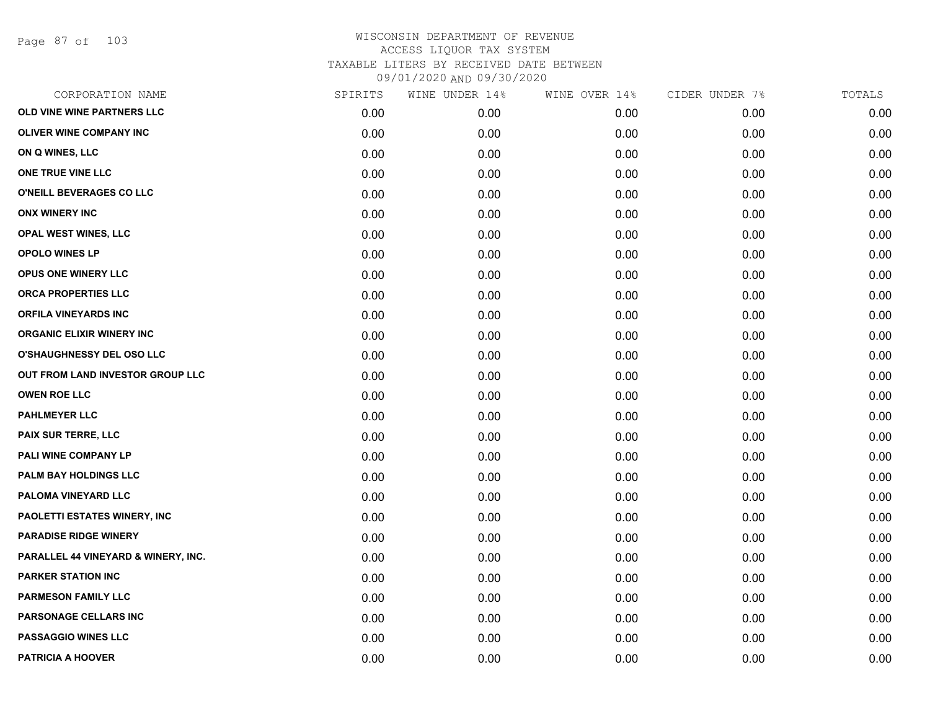Page 87 of 103

| CORPORATION NAME                    | SPIRITS | WINE UNDER 14% | WINE OVER 14% | CIDER UNDER 7% | TOTALS |
|-------------------------------------|---------|----------------|---------------|----------------|--------|
| OLD VINE WINE PARTNERS LLC          | 0.00    | 0.00           | 0.00          | 0.00           | 0.00   |
| OLIVER WINE COMPANY INC             | 0.00    | 0.00           | 0.00          | 0.00           | 0.00   |
| ON Q WINES, LLC                     | 0.00    | 0.00           | 0.00          | 0.00           | 0.00   |
| ONE TRUE VINE LLC                   | 0.00    | 0.00           | 0.00          | 0.00           | 0.00   |
| O'NEILL BEVERAGES CO LLC            | 0.00    | 0.00           | 0.00          | 0.00           | 0.00   |
| <b>ONX WINERY INC</b>               | 0.00    | 0.00           | 0.00          | 0.00           | 0.00   |
| <b>OPAL WEST WINES, LLC</b>         | 0.00    | 0.00           | 0.00          | 0.00           | 0.00   |
| <b>OPOLO WINES LP</b>               | 0.00    | 0.00           | 0.00          | 0.00           | 0.00   |
| OPUS ONE WINERY LLC                 | 0.00    | 0.00           | 0.00          | 0.00           | 0.00   |
| ORCA PROPERTIES LLC                 | 0.00    | 0.00           | 0.00          | 0.00           | 0.00   |
| <b>ORFILA VINEYARDS INC</b>         | 0.00    | 0.00           | 0.00          | 0.00           | 0.00   |
| <b>ORGANIC ELIXIR WINERY INC</b>    | 0.00    | 0.00           | 0.00          | 0.00           | 0.00   |
| O'SHAUGHNESSY DEL OSO LLC           | 0.00    | 0.00           | 0.00          | 0.00           | 0.00   |
| OUT FROM LAND INVESTOR GROUP LLC    | 0.00    | 0.00           | 0.00          | 0.00           | 0.00   |
| <b>OWEN ROE LLC</b>                 | 0.00    | 0.00           | 0.00          | 0.00           | 0.00   |
| <b>PAHLMEYER LLC</b>                | 0.00    | 0.00           | 0.00          | 0.00           | 0.00   |
| PAIX SUR TERRE, LLC                 | 0.00    | 0.00           | 0.00          | 0.00           | 0.00   |
| PALI WINE COMPANY LP                | 0.00    | 0.00           | 0.00          | 0.00           | 0.00   |
| <b>PALM BAY HOLDINGS LLC</b>        | 0.00    | 0.00           | 0.00          | 0.00           | 0.00   |
| PALOMA VINEYARD LLC                 | 0.00    | 0.00           | 0.00          | 0.00           | 0.00   |
| <b>PAOLETTI ESTATES WINERY, INC</b> | 0.00    | 0.00           | 0.00          | 0.00           | 0.00   |
| <b>PARADISE RIDGE WINERY</b>        | 0.00    | 0.00           | 0.00          | 0.00           | 0.00   |
| PARALLEL 44 VINEYARD & WINERY, INC. | 0.00    | 0.00           | 0.00          | 0.00           | 0.00   |
| PARKER STATION INC                  | 0.00    | 0.00           | 0.00          | 0.00           | 0.00   |
| PARMESON FAMILY LLC                 | 0.00    | 0.00           | 0.00          | 0.00           | 0.00   |
| PARSONAGE CELLARS INC               | 0.00    | 0.00           | 0.00          | 0.00           | 0.00   |
| <b>PASSAGGIO WINES LLC</b>          | 0.00    | 0.00           | 0.00          | 0.00           | 0.00   |
| <b>PATRICIA A HOOVER</b>            | 0.00    | 0.00           | 0.00          | 0.00           | 0.00   |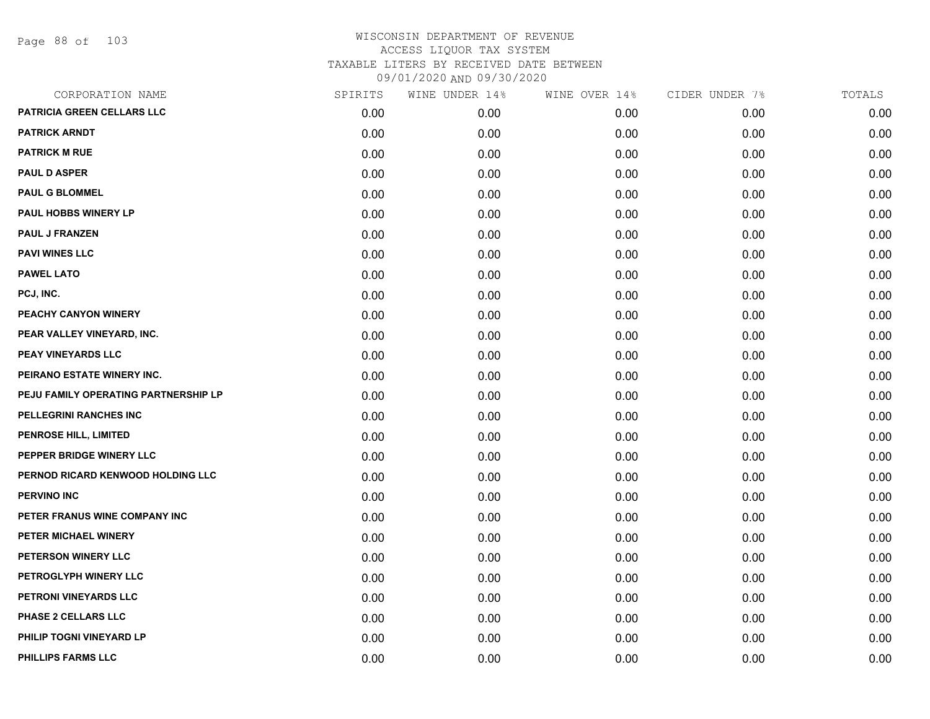Page 88 of 103

| CORPORATION NAME                     | SPIRITS | WINE UNDER 14% | WINE OVER 14% | CIDER UNDER 7% | TOTALS |
|--------------------------------------|---------|----------------|---------------|----------------|--------|
| PATRICIA GREEN CELLARS LLC           | 0.00    | 0.00           | 0.00          | 0.00           | 0.00   |
| <b>PATRICK ARNDT</b>                 | 0.00    | 0.00           | 0.00          | 0.00           | 0.00   |
| <b>PATRICK M RUE</b>                 | 0.00    | 0.00           | 0.00          | 0.00           | 0.00   |
| <b>PAUL D ASPER</b>                  | 0.00    | 0.00           | 0.00          | 0.00           | 0.00   |
| <b>PAUL G BLOMMEL</b>                | 0.00    | 0.00           | 0.00          | 0.00           | 0.00   |
| PAUL HOBBS WINERY LP                 | 0.00    | 0.00           | 0.00          | 0.00           | 0.00   |
| <b>PAUL J FRANZEN</b>                | 0.00    | 0.00           | 0.00          | 0.00           | 0.00   |
| <b>PAVI WINES LLC</b>                | 0.00    | 0.00           | 0.00          | 0.00           | 0.00   |
| <b>PAWEL LATO</b>                    | 0.00    | 0.00           | 0.00          | 0.00           | 0.00   |
| PCJ, INC.                            | 0.00    | 0.00           | 0.00          | 0.00           | 0.00   |
| PEACHY CANYON WINERY                 | 0.00    | 0.00           | 0.00          | 0.00           | 0.00   |
| PEAR VALLEY VINEYARD, INC.           | 0.00    | 0.00           | 0.00          | 0.00           | 0.00   |
| PEAY VINEYARDS LLC                   | 0.00    | 0.00           | 0.00          | 0.00           | 0.00   |
| PEIRANO ESTATE WINERY INC.           | 0.00    | 0.00           | 0.00          | 0.00           | 0.00   |
| PEJU FAMILY OPERATING PARTNERSHIP LP | 0.00    | 0.00           | 0.00          | 0.00           | 0.00   |
| PELLEGRINI RANCHES INC               | 0.00    | 0.00           | 0.00          | 0.00           | 0.00   |
| PENROSE HILL, LIMITED                | 0.00    | 0.00           | 0.00          | 0.00           | 0.00   |
| PEPPER BRIDGE WINERY LLC             | 0.00    | 0.00           | 0.00          | 0.00           | 0.00   |
| PERNOD RICARD KENWOOD HOLDING LLC    | 0.00    | 0.00           | 0.00          | 0.00           | 0.00   |
| <b>PERVINO INC</b>                   | 0.00    | 0.00           | 0.00          | 0.00           | 0.00   |
| PETER FRANUS WINE COMPANY INC        | 0.00    | 0.00           | 0.00          | 0.00           | 0.00   |
| PETER MICHAEL WINERY                 | 0.00    | 0.00           | 0.00          | 0.00           | 0.00   |
| PETERSON WINERY LLC                  | 0.00    | 0.00           | 0.00          | 0.00           | 0.00   |
| PETROGLYPH WINERY LLC                | 0.00    | 0.00           | 0.00          | 0.00           | 0.00   |
| PETRONI VINEYARDS LLC                | 0.00    | 0.00           | 0.00          | 0.00           | 0.00   |
| PHASE 2 CELLARS LLC                  | 0.00    | 0.00           | 0.00          | 0.00           | 0.00   |
| PHILIP TOGNI VINEYARD LP             | 0.00    | 0.00           | 0.00          | 0.00           | 0.00   |
| <b>PHILLIPS FARMS LLC</b>            | 0.00    | 0.00           | 0.00          | 0.00           | 0.00   |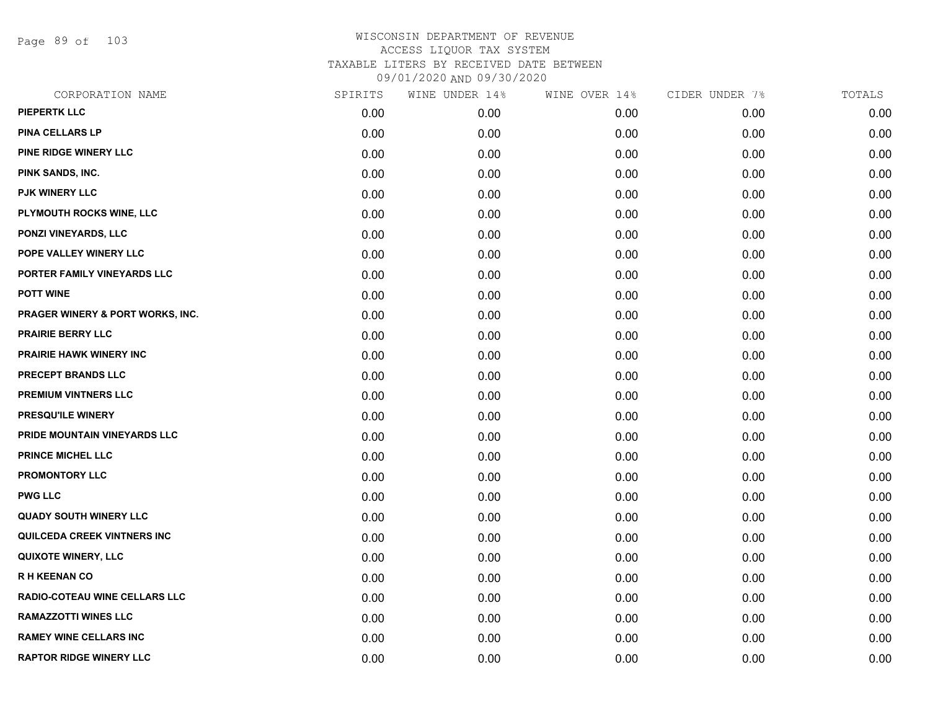Page 89 of 103

| CORPORATION NAME                 | SPIRITS | WINE UNDER 14% | WINE OVER 14% | CIDER UNDER 7% | TOTALS |
|----------------------------------|---------|----------------|---------------|----------------|--------|
| <b>PIEPERTK LLC</b>              | 0.00    | 0.00           | 0.00          | 0.00           | 0.00   |
| PINA CELLARS LP                  | 0.00    | 0.00           | 0.00          | 0.00           | 0.00   |
| PINE RIDGE WINERY LLC            | 0.00    | 0.00           | 0.00          | 0.00           | 0.00   |
| PINK SANDS, INC.                 | 0.00    | 0.00           | 0.00          | 0.00           | 0.00   |
| <b>PJK WINERY LLC</b>            | 0.00    | 0.00           | 0.00          | 0.00           | 0.00   |
| PLYMOUTH ROCKS WINE, LLC         | 0.00    | 0.00           | 0.00          | 0.00           | 0.00   |
| PONZI VINEYARDS, LLC             | 0.00    | 0.00           | 0.00          | 0.00           | 0.00   |
| POPE VALLEY WINERY LLC           | 0.00    | 0.00           | 0.00          | 0.00           | 0.00   |
| PORTER FAMILY VINEYARDS LLC      | 0.00    | 0.00           | 0.00          | 0.00           | 0.00   |
| <b>POTT WINE</b>                 | 0.00    | 0.00           | 0.00          | 0.00           | 0.00   |
| PRAGER WINERY & PORT WORKS, INC. | 0.00    | 0.00           | 0.00          | 0.00           | 0.00   |
| <b>PRAIRIE BERRY LLC</b>         | 0.00    | 0.00           | 0.00          | 0.00           | 0.00   |
| <b>PRAIRIE HAWK WINERY INC</b>   | 0.00    | 0.00           | 0.00          | 0.00           | 0.00   |
| PRECEPT BRANDS LLC               | 0.00    | 0.00           | 0.00          | 0.00           | 0.00   |
| PREMIUM VINTNERS LLC             | 0.00    | 0.00           | 0.00          | 0.00           | 0.00   |
| PRESQU'ILE WINERY                | 0.00    | 0.00           | 0.00          | 0.00           | 0.00   |
| PRIDE MOUNTAIN VINEYARDS LLC     | 0.00    | 0.00           | 0.00          | 0.00           | 0.00   |
| <b>PRINCE MICHEL LLC</b>         | 0.00    | 0.00           | 0.00          | 0.00           | 0.00   |
| <b>PROMONTORY LLC</b>            | 0.00    | 0.00           | 0.00          | 0.00           | 0.00   |
| <b>PWG LLC</b>                   | 0.00    | 0.00           | 0.00          | 0.00           | 0.00   |
| <b>QUADY SOUTH WINERY LLC</b>    | 0.00    | 0.00           | 0.00          | 0.00           | 0.00   |
| QUILCEDA CREEK VINTNERS INC      | 0.00    | 0.00           | 0.00          | 0.00           | 0.00   |
| <b>QUIXOTE WINERY, LLC</b>       | 0.00    | 0.00           | 0.00          | 0.00           | 0.00   |
| <b>RH KEENAN CO</b>              | 0.00    | 0.00           | 0.00          | 0.00           | 0.00   |
| RADIO-COTEAU WINE CELLARS LLC    | 0.00    | 0.00           | 0.00          | 0.00           | 0.00   |
| <b>RAMAZZOTTI WINES LLC</b>      | 0.00    | 0.00           | 0.00          | 0.00           | 0.00   |
| <b>RAMEY WINE CELLARS INC</b>    | 0.00    | 0.00           | 0.00          | 0.00           | 0.00   |
| <b>RAPTOR RIDGE WINERY LLC</b>   | 0.00    | 0.00           | 0.00          | 0.00           | 0.00   |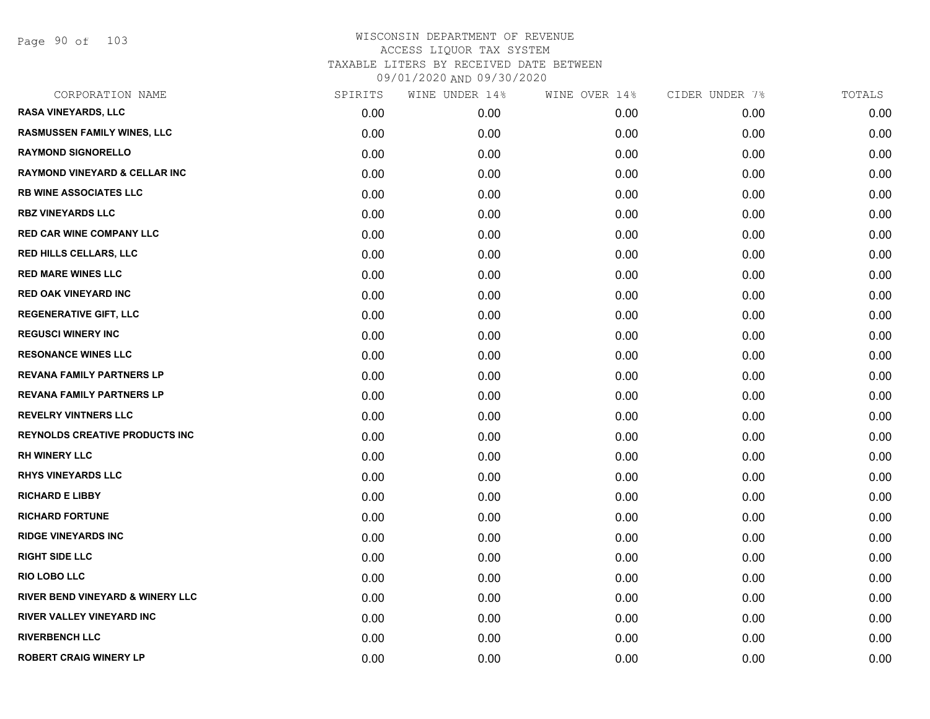Page 90 of 103

| CORPORATION NAME                            | SPIRITS | WINE UNDER 14% | WINE OVER 14% | CIDER UNDER 7% | TOTALS |
|---------------------------------------------|---------|----------------|---------------|----------------|--------|
| <b>RASA VINEYARDS, LLC</b>                  | 0.00    | 0.00           | 0.00          | 0.00           | 0.00   |
| <b>RASMUSSEN FAMILY WINES, LLC</b>          | 0.00    | 0.00           | 0.00          | 0.00           | 0.00   |
| <b>RAYMOND SIGNORELLO</b>                   | 0.00    | 0.00           | 0.00          | 0.00           | 0.00   |
| <b>RAYMOND VINEYARD &amp; CELLAR INC</b>    | 0.00    | 0.00           | 0.00          | 0.00           | 0.00   |
| <b>RB WINE ASSOCIATES LLC</b>               | 0.00    | 0.00           | 0.00          | 0.00           | 0.00   |
| <b>RBZ VINEYARDS LLC</b>                    | 0.00    | 0.00           | 0.00          | 0.00           | 0.00   |
| <b>RED CAR WINE COMPANY LLC</b>             | 0.00    | 0.00           | 0.00          | 0.00           | 0.00   |
| <b>RED HILLS CELLARS, LLC</b>               | 0.00    | 0.00           | 0.00          | 0.00           | 0.00   |
| <b>RED MARE WINES LLC</b>                   | 0.00    | 0.00           | 0.00          | 0.00           | 0.00   |
| <b>RED OAK VINEYARD INC</b>                 | 0.00    | 0.00           | 0.00          | 0.00           | 0.00   |
| <b>REGENERATIVE GIFT, LLC</b>               | 0.00    | 0.00           | 0.00          | 0.00           | 0.00   |
| <b>REGUSCI WINERY INC</b>                   | 0.00    | 0.00           | 0.00          | 0.00           | 0.00   |
| <b>RESONANCE WINES LLC</b>                  | 0.00    | 0.00           | 0.00          | 0.00           | 0.00   |
| <b>REVANA FAMILY PARTNERS LP</b>            | 0.00    | 0.00           | 0.00          | 0.00           | 0.00   |
| <b>REVANA FAMILY PARTNERS LP</b>            | 0.00    | 0.00           | 0.00          | 0.00           | 0.00   |
| <b>REVELRY VINTNERS LLC</b>                 | 0.00    | 0.00           | 0.00          | 0.00           | 0.00   |
| <b>REYNOLDS CREATIVE PRODUCTS INC</b>       | 0.00    | 0.00           | 0.00          | 0.00           | 0.00   |
| <b>RH WINERY LLC</b>                        | 0.00    | 0.00           | 0.00          | 0.00           | 0.00   |
| <b>RHYS VINEYARDS LLC</b>                   | 0.00    | 0.00           | 0.00          | 0.00           | 0.00   |
| <b>RICHARD E LIBBY</b>                      | 0.00    | 0.00           | 0.00          | 0.00           | 0.00   |
| <b>RICHARD FORTUNE</b>                      | 0.00    | 0.00           | 0.00          | 0.00           | 0.00   |
| <b>RIDGE VINEYARDS INC</b>                  | 0.00    | 0.00           | 0.00          | 0.00           | 0.00   |
| <b>RIGHT SIDE LLC</b>                       | 0.00    | 0.00           | 0.00          | 0.00           | 0.00   |
| <b>RIO LOBO LLC</b>                         | 0.00    | 0.00           | 0.00          | 0.00           | 0.00   |
| <b>RIVER BEND VINEYARD &amp; WINERY LLC</b> | 0.00    | 0.00           | 0.00          | 0.00           | 0.00   |
| RIVER VALLEY VINEYARD INC                   | 0.00    | 0.00           | 0.00          | 0.00           | 0.00   |
| <b>RIVERBENCH LLC</b>                       | 0.00    | 0.00           | 0.00          | 0.00           | 0.00   |
| <b>ROBERT CRAIG WINERY LP</b>               | 0.00    | 0.00           | 0.00          | 0.00           | 0.00   |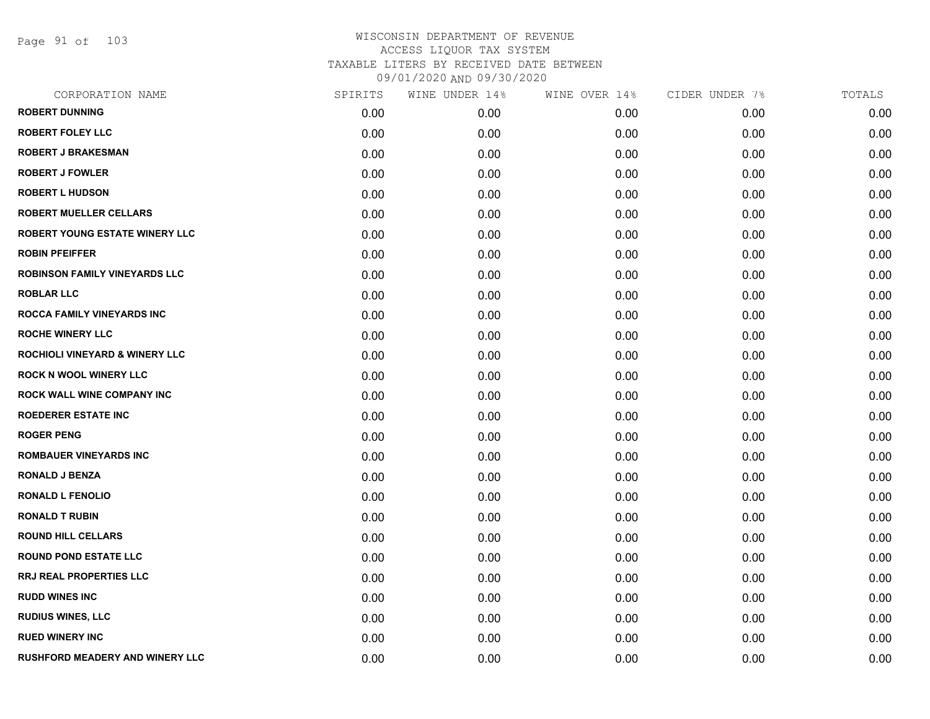Page 91 of 103

| CORPORATION NAME                          | SPIRITS | WINE UNDER 14% | WINE OVER 14% | CIDER UNDER 7% | TOTALS |
|-------------------------------------------|---------|----------------|---------------|----------------|--------|
| <b>ROBERT DUNNING</b>                     | 0.00    | 0.00           | 0.00          | 0.00           | 0.00   |
| <b>ROBERT FOLEY LLC</b>                   | 0.00    | 0.00           | 0.00          | 0.00           | 0.00   |
| <b>ROBERT J BRAKESMAN</b>                 | 0.00    | 0.00           | 0.00          | 0.00           | 0.00   |
| <b>ROBERT J FOWLER</b>                    | 0.00    | 0.00           | 0.00          | 0.00           | 0.00   |
| <b>ROBERT L HUDSON</b>                    | 0.00    | 0.00           | 0.00          | 0.00           | 0.00   |
| <b>ROBERT MUELLER CELLARS</b>             | 0.00    | 0.00           | 0.00          | 0.00           | 0.00   |
| <b>ROBERT YOUNG ESTATE WINERY LLC</b>     | 0.00    | 0.00           | 0.00          | 0.00           | 0.00   |
| <b>ROBIN PFEIFFER</b>                     | 0.00    | 0.00           | 0.00          | 0.00           | 0.00   |
| <b>ROBINSON FAMILY VINEYARDS LLC</b>      | 0.00    | 0.00           | 0.00          | 0.00           | 0.00   |
| <b>ROBLAR LLC</b>                         | 0.00    | 0.00           | 0.00          | 0.00           | 0.00   |
| ROCCA FAMILY VINEYARDS INC                | 0.00    | 0.00           | 0.00          | 0.00           | 0.00   |
| <b>ROCHE WINERY LLC</b>                   | 0.00    | 0.00           | 0.00          | 0.00           | 0.00   |
| <b>ROCHIOLI VINEYARD &amp; WINERY LLC</b> | 0.00    | 0.00           | 0.00          | 0.00           | 0.00   |
| <b>ROCK N WOOL WINERY LLC</b>             | 0.00    | 0.00           | 0.00          | 0.00           | 0.00   |
| <b>ROCK WALL WINE COMPANY INC</b>         | 0.00    | 0.00           | 0.00          | 0.00           | 0.00   |
| <b>ROEDERER ESTATE INC</b>                | 0.00    | 0.00           | 0.00          | 0.00           | 0.00   |
| <b>ROGER PENG</b>                         | 0.00    | 0.00           | 0.00          | 0.00           | 0.00   |
| <b>ROMBAUER VINEYARDS INC</b>             | 0.00    | 0.00           | 0.00          | 0.00           | 0.00   |
| <b>RONALD J BENZA</b>                     | 0.00    | 0.00           | 0.00          | 0.00           | 0.00   |
| <b>RONALD L FENOLIO</b>                   | 0.00    | 0.00           | 0.00          | 0.00           | 0.00   |
| <b>RONALD T RUBIN</b>                     | 0.00    | 0.00           | 0.00          | 0.00           | 0.00   |
| <b>ROUND HILL CELLARS</b>                 | 0.00    | 0.00           | 0.00          | 0.00           | 0.00   |
| <b>ROUND POND ESTATE LLC</b>              | 0.00    | 0.00           | 0.00          | 0.00           | 0.00   |
| <b>RRJ REAL PROPERTIES LLC</b>            | 0.00    | 0.00           | 0.00          | 0.00           | 0.00   |
| <b>RUDD WINES INC</b>                     | 0.00    | 0.00           | 0.00          | 0.00           | 0.00   |
| <b>RUDIUS WINES, LLC</b>                  | 0.00    | 0.00           | 0.00          | 0.00           | 0.00   |
| <b>RUED WINERY INC</b>                    | 0.00    | 0.00           | 0.00          | 0.00           | 0.00   |
| RUSHFORD MEADERY AND WINERY LLC           | 0.00    | 0.00           | 0.00          | 0.00           | 0.00   |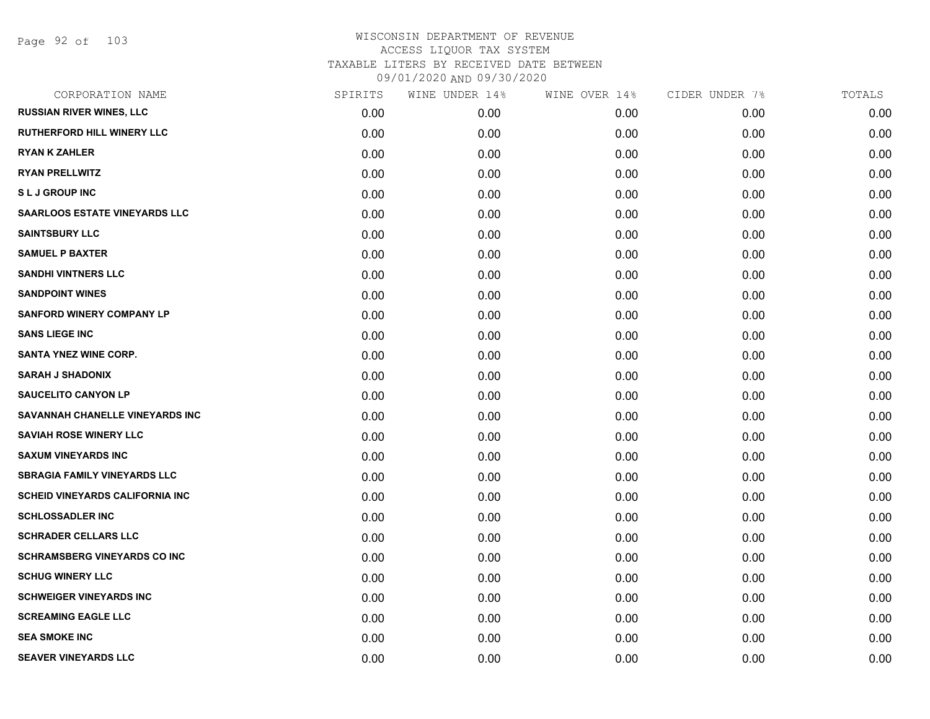Page 92 of 103

| CORPORATION NAME                       | SPIRITS | WINE UNDER 14% | WINE OVER 14% | CIDER UNDER 7% | TOTALS |
|----------------------------------------|---------|----------------|---------------|----------------|--------|
| <b>RUSSIAN RIVER WINES, LLC</b>        | 0.00    | 0.00           | 0.00          | 0.00           | 0.00   |
| <b>RUTHERFORD HILL WINERY LLC</b>      | 0.00    | 0.00           | 0.00          | 0.00           | 0.00   |
| <b>RYAN K ZAHLER</b>                   | 0.00    | 0.00           | 0.00          | 0.00           | 0.00   |
| <b>RYAN PRELLWITZ</b>                  | 0.00    | 0.00           | 0.00          | 0.00           | 0.00   |
| <b>SLJ GROUP INC</b>                   | 0.00    | 0.00           | 0.00          | 0.00           | 0.00   |
| <b>SAARLOOS ESTATE VINEYARDS LLC</b>   | 0.00    | 0.00           | 0.00          | 0.00           | 0.00   |
| <b>SAINTSBURY LLC</b>                  | 0.00    | 0.00           | 0.00          | 0.00           | 0.00   |
| <b>SAMUEL P BAXTER</b>                 | 0.00    | 0.00           | 0.00          | 0.00           | 0.00   |
| <b>SANDHI VINTNERS LLC</b>             | 0.00    | 0.00           | 0.00          | 0.00           | 0.00   |
| <b>SANDPOINT WINES</b>                 | 0.00    | 0.00           | 0.00          | 0.00           | 0.00   |
| <b>SANFORD WINERY COMPANY LP</b>       | 0.00    | 0.00           | 0.00          | 0.00           | 0.00   |
| <b>SANS LIEGE INC</b>                  | 0.00    | 0.00           | 0.00          | 0.00           | 0.00   |
| <b>SANTA YNEZ WINE CORP.</b>           | 0.00    | 0.00           | 0.00          | 0.00           | 0.00   |
| <b>SARAH J SHADONIX</b>                | 0.00    | 0.00           | 0.00          | 0.00           | 0.00   |
| <b>SAUCELITO CANYON LP</b>             | 0.00    | 0.00           | 0.00          | 0.00           | 0.00   |
| SAVANNAH CHANELLE VINEYARDS INC        | 0.00    | 0.00           | 0.00          | 0.00           | 0.00   |
| <b>SAVIAH ROSE WINERY LLC</b>          | 0.00    | 0.00           | 0.00          | 0.00           | 0.00   |
| <b>SAXUM VINEYARDS INC</b>             | 0.00    | 0.00           | 0.00          | 0.00           | 0.00   |
| <b>SBRAGIA FAMILY VINEYARDS LLC</b>    | 0.00    | 0.00           | 0.00          | 0.00           | 0.00   |
| <b>SCHEID VINEYARDS CALIFORNIA INC</b> | 0.00    | 0.00           | 0.00          | 0.00           | 0.00   |
| <b>SCHLOSSADLER INC</b>                | 0.00    | 0.00           | 0.00          | 0.00           | 0.00   |
| <b>SCHRADER CELLARS LLC</b>            | 0.00    | 0.00           | 0.00          | 0.00           | 0.00   |
| <b>SCHRAMSBERG VINEYARDS CO INC</b>    | 0.00    | 0.00           | 0.00          | 0.00           | 0.00   |
| <b>SCHUG WINERY LLC</b>                | 0.00    | 0.00           | 0.00          | 0.00           | 0.00   |
| <b>SCHWEIGER VINEYARDS INC</b>         | 0.00    | 0.00           | 0.00          | 0.00           | 0.00   |
| <b>SCREAMING EAGLE LLC</b>             | 0.00    | 0.00           | 0.00          | 0.00           | 0.00   |
| <b>SEA SMOKE INC</b>                   | 0.00    | 0.00           | 0.00          | 0.00           | 0.00   |
| <b>SEAVER VINEYARDS LLC</b>            | 0.00    | 0.00           | 0.00          | 0.00           | 0.00   |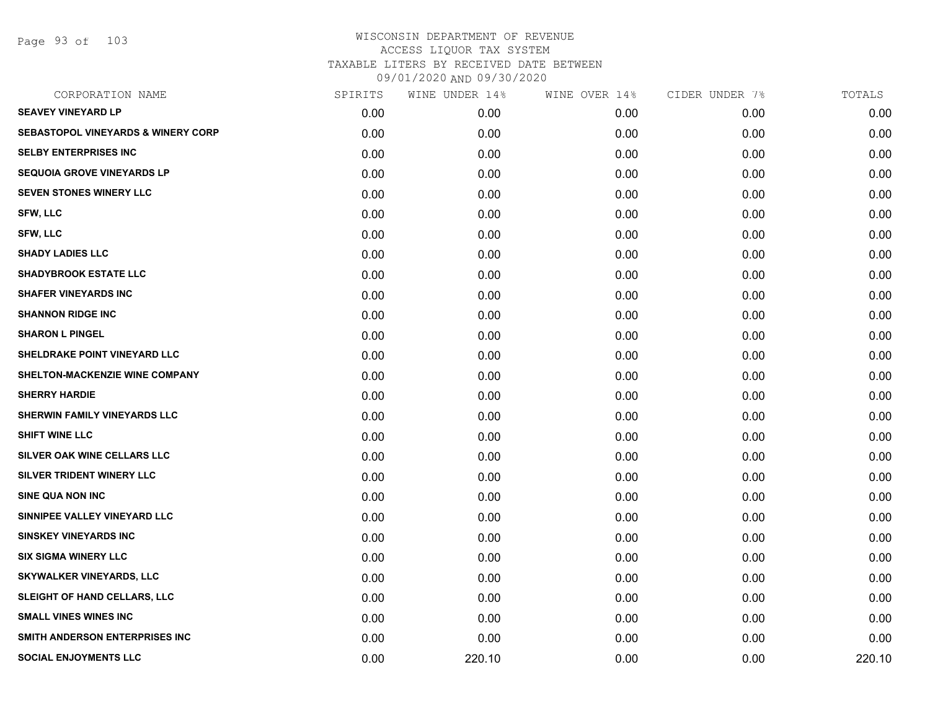Page 93 of 103

| CORPORATION NAME                              | SPIRITS | WINE UNDER 14% | WINE OVER 14% | CIDER UNDER 7% | TOTALS |
|-----------------------------------------------|---------|----------------|---------------|----------------|--------|
| <b>SEAVEY VINEYARD LP</b>                     | 0.00    | 0.00           | 0.00          | 0.00           | 0.00   |
| <b>SEBASTOPOL VINEYARDS &amp; WINERY CORP</b> | 0.00    | 0.00           | 0.00          | 0.00           | 0.00   |
| <b>SELBY ENTERPRISES INC</b>                  | 0.00    | 0.00           | 0.00          | 0.00           | 0.00   |
| <b>SEQUOIA GROVE VINEYARDS LP</b>             | 0.00    | 0.00           | 0.00          | 0.00           | 0.00   |
| <b>SEVEN STONES WINERY LLC</b>                | 0.00    | 0.00           | 0.00          | 0.00           | 0.00   |
| SFW, LLC                                      | 0.00    | 0.00           | 0.00          | 0.00           | 0.00   |
| SFW, LLC                                      | 0.00    | 0.00           | 0.00          | 0.00           | 0.00   |
| <b>SHADY LADIES LLC</b>                       | 0.00    | 0.00           | 0.00          | 0.00           | 0.00   |
| <b>SHADYBROOK ESTATE LLC</b>                  | 0.00    | 0.00           | 0.00          | 0.00           | 0.00   |
| <b>SHAFER VINEYARDS INC</b>                   | 0.00    | 0.00           | 0.00          | 0.00           | 0.00   |
| <b>SHANNON RIDGE INC</b>                      | 0.00    | 0.00           | 0.00          | 0.00           | 0.00   |
| <b>SHARON L PINGEL</b>                        | 0.00    | 0.00           | 0.00          | 0.00           | 0.00   |
| SHELDRAKE POINT VINEYARD LLC                  | 0.00    | 0.00           | 0.00          | 0.00           | 0.00   |
| SHELTON-MACKENZIE WINE COMPANY                | 0.00    | 0.00           | 0.00          | 0.00           | 0.00   |
| <b>SHERRY HARDIE</b>                          | 0.00    | 0.00           | 0.00          | 0.00           | 0.00   |
| <b>SHERWIN FAMILY VINEYARDS LLC</b>           | 0.00    | 0.00           | 0.00          | 0.00           | 0.00   |
| <b>SHIFT WINE LLC</b>                         | 0.00    | 0.00           | 0.00          | 0.00           | 0.00   |
| SILVER OAK WINE CELLARS LLC                   | 0.00    | 0.00           | 0.00          | 0.00           | 0.00   |
| SILVER TRIDENT WINERY LLC                     | 0.00    | 0.00           | 0.00          | 0.00           | 0.00   |
| SINE QUA NON INC                              | 0.00    | 0.00           | 0.00          | 0.00           | 0.00   |
| SINNIPEE VALLEY VINEYARD LLC                  | 0.00    | 0.00           | 0.00          | 0.00           | 0.00   |
| <b>SINSKEY VINEYARDS INC</b>                  | 0.00    | 0.00           | 0.00          | 0.00           | 0.00   |
| <b>SIX SIGMA WINERY LLC</b>                   | 0.00    | 0.00           | 0.00          | 0.00           | 0.00   |
| <b>SKYWALKER VINEYARDS, LLC</b>               | 0.00    | 0.00           | 0.00          | 0.00           | 0.00   |
| SLEIGHT OF HAND CELLARS, LLC                  | 0.00    | 0.00           | 0.00          | 0.00           | 0.00   |
| <b>SMALL VINES WINES INC</b>                  | 0.00    | 0.00           | 0.00          | 0.00           | 0.00   |
| SMITH ANDERSON ENTERPRISES INC                | 0.00    | 0.00           | 0.00          | 0.00           | 0.00   |
| <b>SOCIAL ENJOYMENTS LLC</b>                  | 0.00    | 220.10         | 0.00          | 0.00           | 220.10 |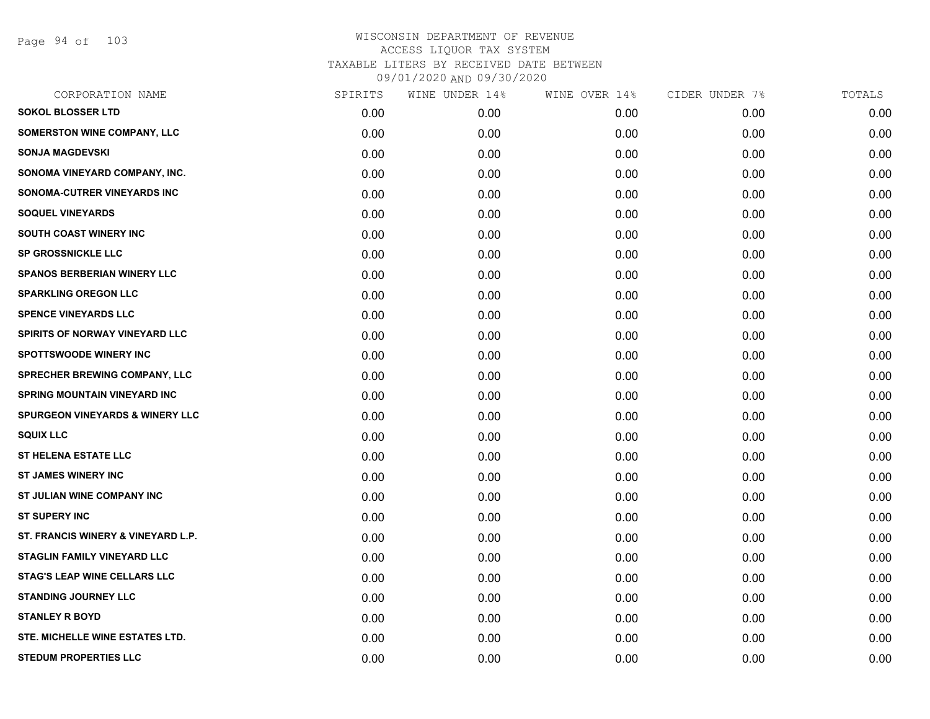Page 94 of 103

| CORPORATION NAME                           | SPIRITS | WINE UNDER 14% | WINE OVER 14% | CIDER UNDER 7% | TOTALS |
|--------------------------------------------|---------|----------------|---------------|----------------|--------|
| <b>SOKOL BLOSSER LTD</b>                   | 0.00    | 0.00           | 0.00          | 0.00           | 0.00   |
| <b>SOMERSTON WINE COMPANY, LLC</b>         | 0.00    | 0.00           | 0.00          | 0.00           | 0.00   |
| <b>SONJA MAGDEVSKI</b>                     | 0.00    | 0.00           | 0.00          | 0.00           | 0.00   |
| SONOMA VINEYARD COMPANY, INC.              | 0.00    | 0.00           | 0.00          | 0.00           | 0.00   |
| SONOMA-CUTRER VINEYARDS INC                | 0.00    | 0.00           | 0.00          | 0.00           | 0.00   |
| <b>SOQUEL VINEYARDS</b>                    | 0.00    | 0.00           | 0.00          | 0.00           | 0.00   |
| <b>SOUTH COAST WINERY INC</b>              | 0.00    | 0.00           | 0.00          | 0.00           | 0.00   |
| <b>SP GROSSNICKLE LLC</b>                  | 0.00    | 0.00           | 0.00          | 0.00           | 0.00   |
| <b>SPANOS BERBERIAN WINERY LLC</b>         | 0.00    | 0.00           | 0.00          | 0.00           | 0.00   |
| <b>SPARKLING OREGON LLC</b>                | 0.00    | 0.00           | 0.00          | 0.00           | 0.00   |
| <b>SPENCE VINEYARDS LLC</b>                | 0.00    | 0.00           | 0.00          | 0.00           | 0.00   |
| <b>SPIRITS OF NORWAY VINEYARD LLC</b>      | 0.00    | 0.00           | 0.00          | 0.00           | 0.00   |
| <b>SPOTTSWOODE WINERY INC</b>              | 0.00    | 0.00           | 0.00          | 0.00           | 0.00   |
| <b>SPRECHER BREWING COMPANY, LLC</b>       | 0.00    | 0.00           | 0.00          | 0.00           | 0.00   |
| <b>SPRING MOUNTAIN VINEYARD INC</b>        | 0.00    | 0.00           | 0.00          | 0.00           | 0.00   |
| <b>SPURGEON VINEYARDS &amp; WINERY LLC</b> | 0.00    | 0.00           | 0.00          | 0.00           | 0.00   |
| <b>SQUIX LLC</b>                           | 0.00    | 0.00           | 0.00          | 0.00           | 0.00   |
| <b>ST HELENA ESTATE LLC</b>                | 0.00    | 0.00           | 0.00          | 0.00           | 0.00   |
| <b>ST JAMES WINERY INC</b>                 | 0.00    | 0.00           | 0.00          | 0.00           | 0.00   |
| ST JULIAN WINE COMPANY INC                 | 0.00    | 0.00           | 0.00          | 0.00           | 0.00   |
| <b>ST SUPERY INC</b>                       | 0.00    | 0.00           | 0.00          | 0.00           | 0.00   |
| ST. FRANCIS WINERY & VINEYARD L.P.         | 0.00    | 0.00           | 0.00          | 0.00           | 0.00   |
| STAGLIN FAMILY VINEYARD LLC                | 0.00    | 0.00           | 0.00          | 0.00           | 0.00   |
| <b>STAG'S LEAP WINE CELLARS LLC</b>        | 0.00    | 0.00           | 0.00          | 0.00           | 0.00   |
| <b>STANDING JOURNEY LLC</b>                | 0.00    | 0.00           | 0.00          | 0.00           | 0.00   |
| <b>STANLEY R BOYD</b>                      | 0.00    | 0.00           | 0.00          | 0.00           | 0.00   |
| <b>STE. MICHELLE WINE ESTATES LTD.</b>     | 0.00    | 0.00           | 0.00          | 0.00           | 0.00   |
| <b>STEDUM PROPERTIES LLC</b>               | 0.00    | 0.00           | 0.00          | 0.00           | 0.00   |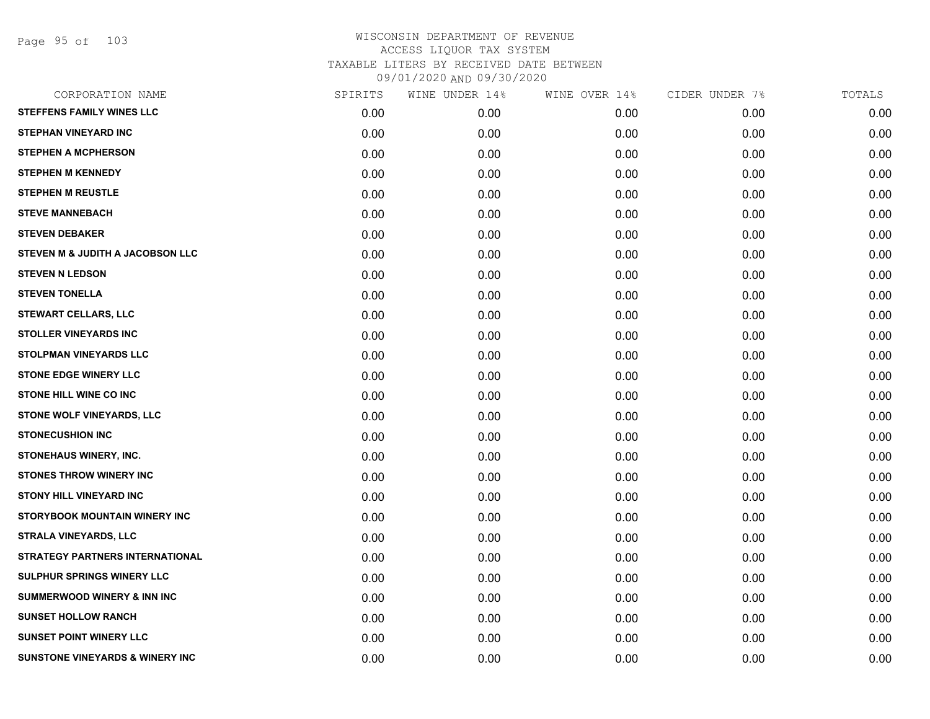Page 95 of 103

| CORPORATION NAME                           | SPIRITS | WINE UNDER 14% | WINE OVER 14% | CIDER UNDER 7% | TOTALS |
|--------------------------------------------|---------|----------------|---------------|----------------|--------|
| <b>STEFFENS FAMILY WINES LLC</b>           | 0.00    | 0.00           | 0.00          | 0.00           | 0.00   |
| <b>STEPHAN VINEYARD INC</b>                | 0.00    | 0.00           | 0.00          | 0.00           | 0.00   |
| <b>STEPHEN A MCPHERSON</b>                 | 0.00    | 0.00           | 0.00          | 0.00           | 0.00   |
| <b>STEPHEN M KENNEDY</b>                   | 0.00    | 0.00           | 0.00          | 0.00           | 0.00   |
| <b>STEPHEN M REUSTLE</b>                   | 0.00    | 0.00           | 0.00          | 0.00           | 0.00   |
| <b>STEVE MANNEBACH</b>                     | 0.00    | 0.00           | 0.00          | 0.00           | 0.00   |
| <b>STEVEN DEBAKER</b>                      | 0.00    | 0.00           | 0.00          | 0.00           | 0.00   |
| STEVEN M & JUDITH A JACOBSON LLC           | 0.00    | 0.00           | 0.00          | 0.00           | 0.00   |
| <b>STEVEN N LEDSON</b>                     | 0.00    | 0.00           | 0.00          | 0.00           | 0.00   |
| <b>STEVEN TONELLA</b>                      | 0.00    | 0.00           | 0.00          | 0.00           | 0.00   |
| <b>STEWART CELLARS, LLC</b>                | 0.00    | 0.00           | 0.00          | 0.00           | 0.00   |
| <b>STOLLER VINEYARDS INC</b>               | 0.00    | 0.00           | 0.00          | 0.00           | 0.00   |
| STOLPMAN VINEYARDS LLC                     | 0.00    | 0.00           | 0.00          | 0.00           | 0.00   |
| <b>STONE EDGE WINERY LLC</b>               | 0.00    | 0.00           | 0.00          | 0.00           | 0.00   |
| STONE HILL WINE CO INC                     | 0.00    | 0.00           | 0.00          | 0.00           | 0.00   |
| STONE WOLF VINEYARDS, LLC                  | 0.00    | 0.00           | 0.00          | 0.00           | 0.00   |
| <b>STONECUSHION INC</b>                    | 0.00    | 0.00           | 0.00          | 0.00           | 0.00   |
| STONEHAUS WINERY, INC.                     | 0.00    | 0.00           | 0.00          | 0.00           | 0.00   |
| <b>STONES THROW WINERY INC</b>             | 0.00    | 0.00           | 0.00          | 0.00           | 0.00   |
| <b>STONY HILL VINEYARD INC</b>             | 0.00    | 0.00           | 0.00          | 0.00           | 0.00   |
| STORYBOOK MOUNTAIN WINERY INC              | 0.00    | 0.00           | 0.00          | 0.00           | 0.00   |
| STRALA VINEYARDS, LLC                      | 0.00    | 0.00           | 0.00          | 0.00           | 0.00   |
| <b>STRATEGY PARTNERS INTERNATIONAL</b>     | 0.00    | 0.00           | 0.00          | 0.00           | 0.00   |
| <b>SULPHUR SPRINGS WINERY LLC</b>          | 0.00    | 0.00           | 0.00          | 0.00           | 0.00   |
| <b>SUMMERWOOD WINERY &amp; INN INC</b>     | 0.00    | 0.00           | 0.00          | 0.00           | 0.00   |
| <b>SUNSET HOLLOW RANCH</b>                 | 0.00    | 0.00           | 0.00          | 0.00           | 0.00   |
| <b>SUNSET POINT WINERY LLC</b>             | 0.00    | 0.00           | 0.00          | 0.00           | 0.00   |
| <b>SUNSTONE VINEYARDS &amp; WINERY INC</b> | 0.00    | 0.00           | 0.00          | 0.00           | 0.00   |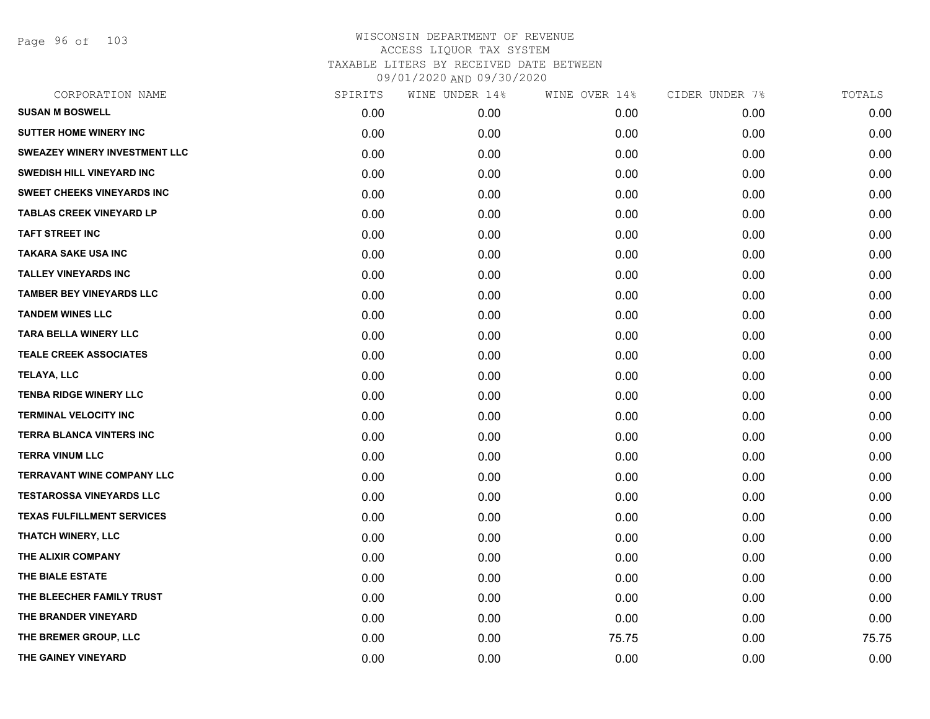Page 96 of 103

| CORPORATION NAME                  | SPIRITS | WINE UNDER 14% | WINE OVER 14% | CIDER UNDER 7% | TOTALS |
|-----------------------------------|---------|----------------|---------------|----------------|--------|
| <b>SUSAN M BOSWELL</b>            | 0.00    | 0.00           | 0.00          | 0.00           | 0.00   |
| <b>SUTTER HOME WINERY INC</b>     | 0.00    | 0.00           | 0.00          | 0.00           | 0.00   |
| SWEAZEY WINERY INVESTMENT LLC     | 0.00    | 0.00           | 0.00          | 0.00           | 0.00   |
| <b>SWEDISH HILL VINEYARD INC</b>  | 0.00    | 0.00           | 0.00          | 0.00           | 0.00   |
| SWEET CHEEKS VINEYARDS INC        | 0.00    | 0.00           | 0.00          | 0.00           | 0.00   |
| <b>TABLAS CREEK VINEYARD LP</b>   | 0.00    | 0.00           | 0.00          | 0.00           | 0.00   |
| <b>TAFT STREET INC</b>            | 0.00    | 0.00           | 0.00          | 0.00           | 0.00   |
| <b>TAKARA SAKE USA INC</b>        | 0.00    | 0.00           | 0.00          | 0.00           | 0.00   |
| <b>TALLEY VINEYARDS INC</b>       | 0.00    | 0.00           | 0.00          | 0.00           | 0.00   |
| <b>TAMBER BEY VINEYARDS LLC</b>   | 0.00    | 0.00           | 0.00          | 0.00           | 0.00   |
| <b>TANDEM WINES LLC</b>           | 0.00    | 0.00           | 0.00          | 0.00           | 0.00   |
| <b>TARA BELLA WINERY LLC</b>      | 0.00    | 0.00           | 0.00          | 0.00           | 0.00   |
| <b>TEALE CREEK ASSOCIATES</b>     | 0.00    | 0.00           | 0.00          | 0.00           | 0.00   |
| TELAYA, LLC                       | 0.00    | 0.00           | 0.00          | 0.00           | 0.00   |
| <b>TENBA RIDGE WINERY LLC</b>     | 0.00    | 0.00           | 0.00          | 0.00           | 0.00   |
| <b>TERMINAL VELOCITY INC</b>      | 0.00    | 0.00           | 0.00          | 0.00           | 0.00   |
| <b>TERRA BLANCA VINTERS INC</b>   | 0.00    | 0.00           | 0.00          | 0.00           | 0.00   |
| <b>TERRA VINUM LLC</b>            | 0.00    | 0.00           | 0.00          | 0.00           | 0.00   |
| TERRAVANT WINE COMPANY LLC        | 0.00    | 0.00           | 0.00          | 0.00           | 0.00   |
| <b>TESTAROSSA VINEYARDS LLC</b>   | 0.00    | 0.00           | 0.00          | 0.00           | 0.00   |
| <b>TEXAS FULFILLMENT SERVICES</b> | 0.00    | 0.00           | 0.00          | 0.00           | 0.00   |
| THATCH WINERY, LLC                | 0.00    | 0.00           | 0.00          | 0.00           | 0.00   |
| THE ALIXIR COMPANY                | 0.00    | 0.00           | 0.00          | 0.00           | 0.00   |
| THE BIALE ESTATE                  | 0.00    | 0.00           | 0.00          | 0.00           | 0.00   |
| THE BLEECHER FAMILY TRUST         | 0.00    | 0.00           | 0.00          | 0.00           | 0.00   |
| THE BRANDER VINEYARD              | 0.00    | 0.00           | 0.00          | 0.00           | 0.00   |
| THE BREMER GROUP, LLC             | 0.00    | 0.00           | 75.75         | 0.00           | 75.75  |
| THE GAINEY VINEYARD               | 0.00    | 0.00           | 0.00          | 0.00           | 0.00   |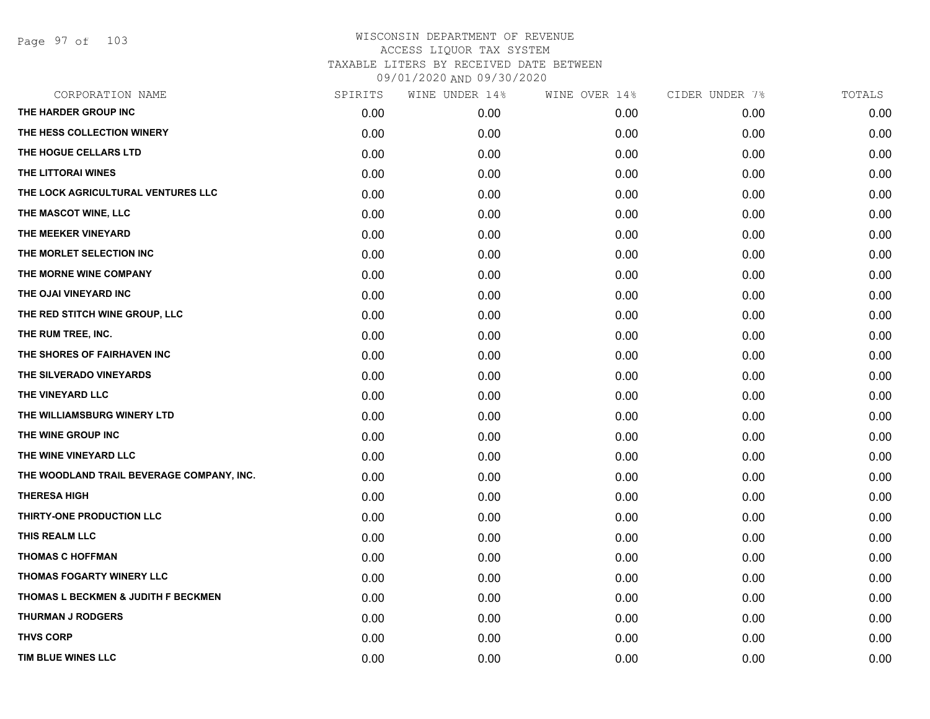Page 97 of 103

| CORPORATION NAME                          | SPIRITS | WINE UNDER 14% | WINE OVER 14% | CIDER UNDER 7% | TOTALS |
|-------------------------------------------|---------|----------------|---------------|----------------|--------|
| THE HARDER GROUP INC                      | 0.00    | 0.00           | 0.00          | 0.00           | 0.00   |
| THE HESS COLLECTION WINERY                | 0.00    | 0.00           | 0.00          | 0.00           | 0.00   |
| THE HOGUE CELLARS LTD                     | 0.00    | 0.00           | 0.00          | 0.00           | 0.00   |
| THE LITTORAI WINES                        | 0.00    | 0.00           | 0.00          | 0.00           | 0.00   |
| THE LOCK AGRICULTURAL VENTURES LLC        | 0.00    | 0.00           | 0.00          | 0.00           | 0.00   |
| THE MASCOT WINE, LLC                      | 0.00    | 0.00           | 0.00          | 0.00           | 0.00   |
| THE MEEKER VINEYARD                       | 0.00    | 0.00           | 0.00          | 0.00           | 0.00   |
| THE MORLET SELECTION INC                  | 0.00    | 0.00           | 0.00          | 0.00           | 0.00   |
| THE MORNE WINE COMPANY                    | 0.00    | 0.00           | 0.00          | 0.00           | 0.00   |
| THE OJAI VINEYARD INC                     | 0.00    | 0.00           | 0.00          | 0.00           | 0.00   |
| THE RED STITCH WINE GROUP, LLC            | 0.00    | 0.00           | 0.00          | 0.00           | 0.00   |
| THE RUM TREE, INC.                        | 0.00    | 0.00           | 0.00          | 0.00           | 0.00   |
| THE SHORES OF FAIRHAVEN INC               | 0.00    | 0.00           | 0.00          | 0.00           | 0.00   |
| THE SILVERADO VINEYARDS                   | 0.00    | 0.00           | 0.00          | 0.00           | 0.00   |
| THE VINEYARD LLC                          | 0.00    | 0.00           | 0.00          | 0.00           | 0.00   |
| THE WILLIAMSBURG WINERY LTD               | 0.00    | 0.00           | 0.00          | 0.00           | 0.00   |
| THE WINE GROUP INC                        | 0.00    | 0.00           | 0.00          | 0.00           | 0.00   |
| THE WINE VINEYARD LLC                     | 0.00    | 0.00           | 0.00          | 0.00           | 0.00   |
| THE WOODLAND TRAIL BEVERAGE COMPANY, INC. | 0.00    | 0.00           | 0.00          | 0.00           | 0.00   |
| <b>THERESA HIGH</b>                       | 0.00    | 0.00           | 0.00          | 0.00           | 0.00   |
| THIRTY-ONE PRODUCTION LLC                 | 0.00    | 0.00           | 0.00          | 0.00           | 0.00   |
| THIS REALM LLC                            | 0.00    | 0.00           | 0.00          | 0.00           | 0.00   |
| <b>THOMAS C HOFFMAN</b>                   | 0.00    | 0.00           | 0.00          | 0.00           | 0.00   |
| <b>THOMAS FOGARTY WINERY LLC</b>          | 0.00    | 0.00           | 0.00          | 0.00           | 0.00   |
| THOMAS L BECKMEN & JUDITH F BECKMEN       | 0.00    | 0.00           | 0.00          | 0.00           | 0.00   |
| <b>THURMAN J RODGERS</b>                  | 0.00    | 0.00           | 0.00          | 0.00           | 0.00   |
| <b>THVS CORP</b>                          | 0.00    | 0.00           | 0.00          | 0.00           | 0.00   |
| TIM BLUE WINES LLC                        | 0.00    | 0.00           | 0.00          | 0.00           | 0.00   |
|                                           |         |                |               |                |        |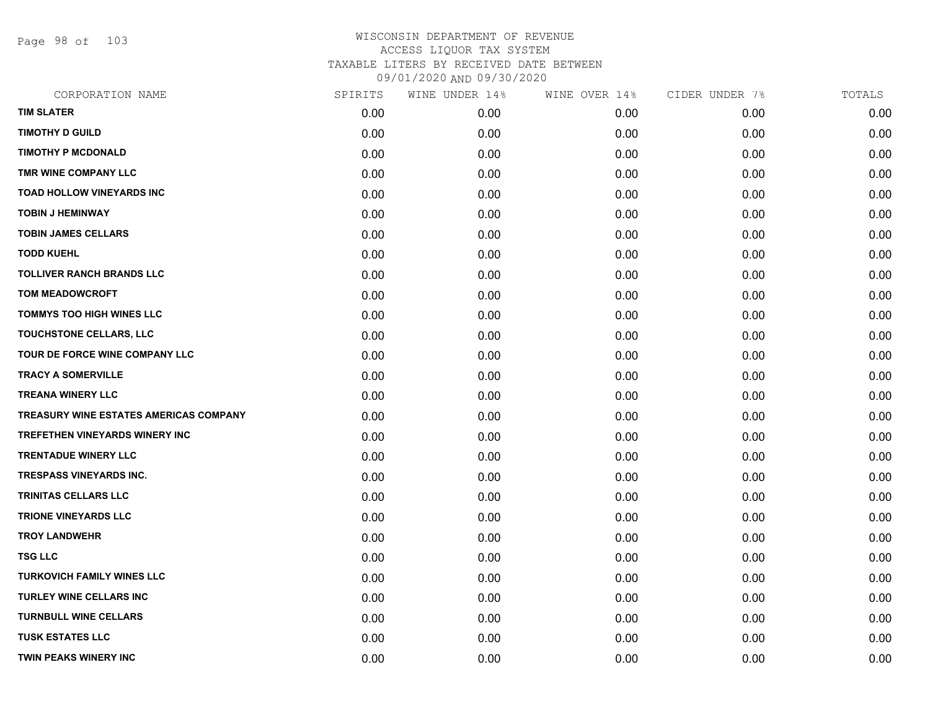Page 98 of 103

| CORPORATION NAME                       | SPIRITS | WINE UNDER 14% | WINE OVER 14% | CIDER UNDER 7% | TOTALS |
|----------------------------------------|---------|----------------|---------------|----------------|--------|
| <b>TIM SLATER</b>                      | 0.00    | 0.00           | 0.00          | 0.00           | 0.00   |
| <b>TIMOTHY D GUILD</b>                 | 0.00    | 0.00           | 0.00          | 0.00           | 0.00   |
| <b>TIMOTHY P MCDONALD</b>              | 0.00    | 0.00           | 0.00          | 0.00           | 0.00   |
| TMR WINE COMPANY LLC                   | 0.00    | 0.00           | 0.00          | 0.00           | 0.00   |
| <b>TOAD HOLLOW VINEYARDS INC</b>       | 0.00    | 0.00           | 0.00          | 0.00           | 0.00   |
| <b>TOBIN J HEMINWAY</b>                | 0.00    | 0.00           | 0.00          | 0.00           | 0.00   |
| <b>TOBIN JAMES CELLARS</b>             | 0.00    | 0.00           | 0.00          | 0.00           | 0.00   |
| <b>TODD KUEHL</b>                      | 0.00    | 0.00           | 0.00          | 0.00           | 0.00   |
| <b>TOLLIVER RANCH BRANDS LLC</b>       | 0.00    | 0.00           | 0.00          | 0.00           | 0.00   |
| <b>TOM MEADOWCROFT</b>                 | 0.00    | 0.00           | 0.00          | 0.00           | 0.00   |
| TOMMYS TOO HIGH WINES LLC              | 0.00    | 0.00           | 0.00          | 0.00           | 0.00   |
| TOUCHSTONE CELLARS, LLC                | 0.00    | 0.00           | 0.00          | 0.00           | 0.00   |
| TOUR DE FORCE WINE COMPANY LLC         | 0.00    | 0.00           | 0.00          | 0.00           | 0.00   |
| <b>TRACY A SOMERVILLE</b>              | 0.00    | 0.00           | 0.00          | 0.00           | 0.00   |
| <b>TREANA WINERY LLC</b>               | 0.00    | 0.00           | 0.00          | 0.00           | 0.00   |
| TREASURY WINE ESTATES AMERICAS COMPANY | 0.00    | 0.00           | 0.00          | 0.00           | 0.00   |
| <b>TREFETHEN VINEYARDS WINERY INC</b>  | 0.00    | 0.00           | 0.00          | 0.00           | 0.00   |
| <b>TRENTADUE WINERY LLC</b>            | 0.00    | 0.00           | 0.00          | 0.00           | 0.00   |
| <b>TRESPASS VINEYARDS INC.</b>         | 0.00    | 0.00           | 0.00          | 0.00           | 0.00   |
| <b>TRINITAS CELLARS LLC</b>            | 0.00    | 0.00           | 0.00          | 0.00           | 0.00   |
| <b>TRIONE VINEYARDS LLC</b>            | 0.00    | 0.00           | 0.00          | 0.00           | 0.00   |
| <b>TROY LANDWEHR</b>                   | 0.00    | 0.00           | 0.00          | 0.00           | 0.00   |
| <b>TSG LLC</b>                         | 0.00    | 0.00           | 0.00          | 0.00           | 0.00   |
| <b>TURKOVICH FAMILY WINES LLC</b>      | 0.00    | 0.00           | 0.00          | 0.00           | 0.00   |
| <b>TURLEY WINE CELLARS INC</b>         | 0.00    | 0.00           | 0.00          | 0.00           | 0.00   |
| <b>TURNBULL WINE CELLARS</b>           | 0.00    | 0.00           | 0.00          | 0.00           | 0.00   |
| <b>TUSK ESTATES LLC</b>                | 0.00    | 0.00           | 0.00          | 0.00           | 0.00   |
| <b>TWIN PEAKS WINERY INC</b>           | 0.00    | 0.00           | 0.00          | 0.00           | 0.00   |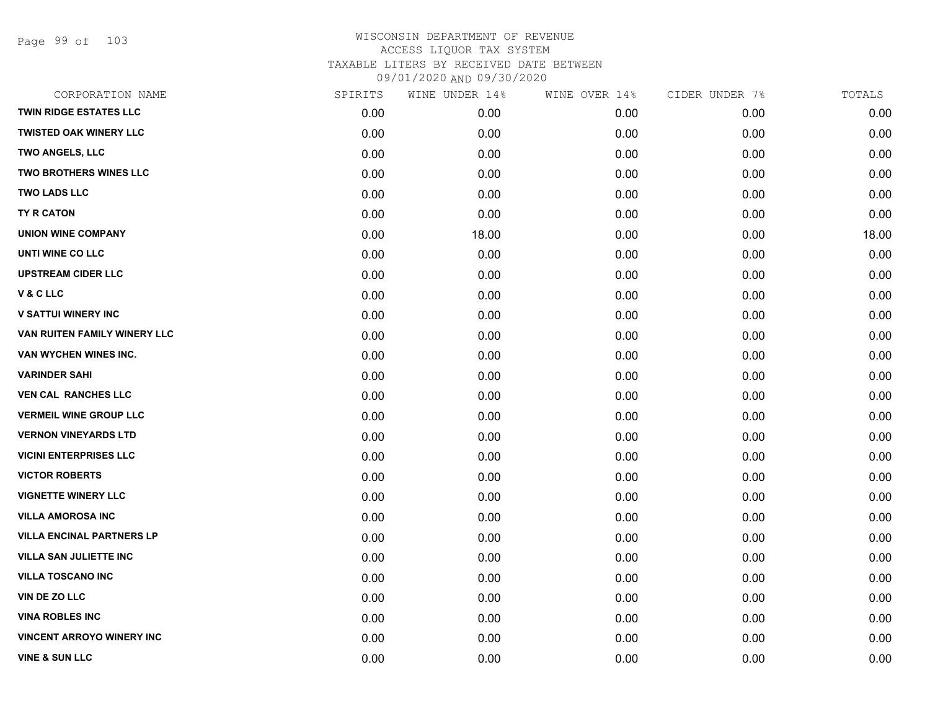Page 99 of 103

| CORPORATION NAME                 | SPIRITS | WINE UNDER 14% | WINE OVER 14% | CIDER UNDER 7% | TOTALS |
|----------------------------------|---------|----------------|---------------|----------------|--------|
| <b>TWIN RIDGE ESTATES LLC</b>    | 0.00    | 0.00           | 0.00          | 0.00           | 0.00   |
| <b>TWISTED OAK WINERY LLC</b>    | 0.00    | 0.00           | 0.00          | 0.00           | 0.00   |
| <b>TWO ANGELS, LLC</b>           | 0.00    | 0.00           | 0.00          | 0.00           | 0.00   |
| <b>TWO BROTHERS WINES LLC</b>    | 0.00    | 0.00           | 0.00          | 0.00           | 0.00   |
| <b>TWO LADS LLC</b>              | 0.00    | 0.00           | 0.00          | 0.00           | 0.00   |
| <b>TY R CATON</b>                | 0.00    | 0.00           | 0.00          | 0.00           | 0.00   |
| <b>UNION WINE COMPANY</b>        | 0.00    | 18.00          | 0.00          | 0.00           | 18.00  |
| UNTI WINE CO LLC                 | 0.00    | 0.00           | 0.00          | 0.00           | 0.00   |
| <b>UPSTREAM CIDER LLC</b>        | 0.00    | 0.00           | 0.00          | 0.00           | 0.00   |
| V & C LLC                        | 0.00    | 0.00           | 0.00          | 0.00           | 0.00   |
| <b>V SATTUI WINERY INC</b>       | 0.00    | 0.00           | 0.00          | 0.00           | 0.00   |
| VAN RUITEN FAMILY WINERY LLC     | 0.00    | 0.00           | 0.00          | 0.00           | 0.00   |
| VAN WYCHEN WINES INC.            | 0.00    | 0.00           | 0.00          | 0.00           | 0.00   |
| <b>VARINDER SAHI</b>             | 0.00    | 0.00           | 0.00          | 0.00           | 0.00   |
| <b>VEN CAL RANCHES LLC</b>       | 0.00    | 0.00           | 0.00          | 0.00           | 0.00   |
| <b>VERMEIL WINE GROUP LLC</b>    | 0.00    | 0.00           | 0.00          | 0.00           | 0.00   |
| <b>VERNON VINEYARDS LTD</b>      | 0.00    | 0.00           | 0.00          | 0.00           | 0.00   |
| <b>VICINI ENTERPRISES LLC</b>    | 0.00    | 0.00           | 0.00          | 0.00           | 0.00   |
| <b>VICTOR ROBERTS</b>            | 0.00    | 0.00           | 0.00          | 0.00           | 0.00   |
| <b>VIGNETTE WINERY LLC</b>       | 0.00    | 0.00           | 0.00          | 0.00           | 0.00   |
| <b>VILLA AMOROSA INC</b>         | 0.00    | 0.00           | 0.00          | 0.00           | 0.00   |
| <b>VILLA ENCINAL PARTNERS LP</b> | 0.00    | 0.00           | 0.00          | 0.00           | 0.00   |
| <b>VILLA SAN JULIETTE INC</b>    | 0.00    | 0.00           | 0.00          | 0.00           | 0.00   |
| <b>VILLA TOSCANO INC</b>         | 0.00    | 0.00           | 0.00          | 0.00           | 0.00   |
| VIN DE ZO LLC                    | 0.00    | 0.00           | 0.00          | 0.00           | 0.00   |
| <b>VINA ROBLES INC</b>           | 0.00    | 0.00           | 0.00          | 0.00           | 0.00   |
| <b>VINCENT ARROYO WINERY INC</b> | 0.00    | 0.00           | 0.00          | 0.00           | 0.00   |
| <b>VINE &amp; SUN LLC</b>        | 0.00    | 0.00           | 0.00          | 0.00           | 0.00   |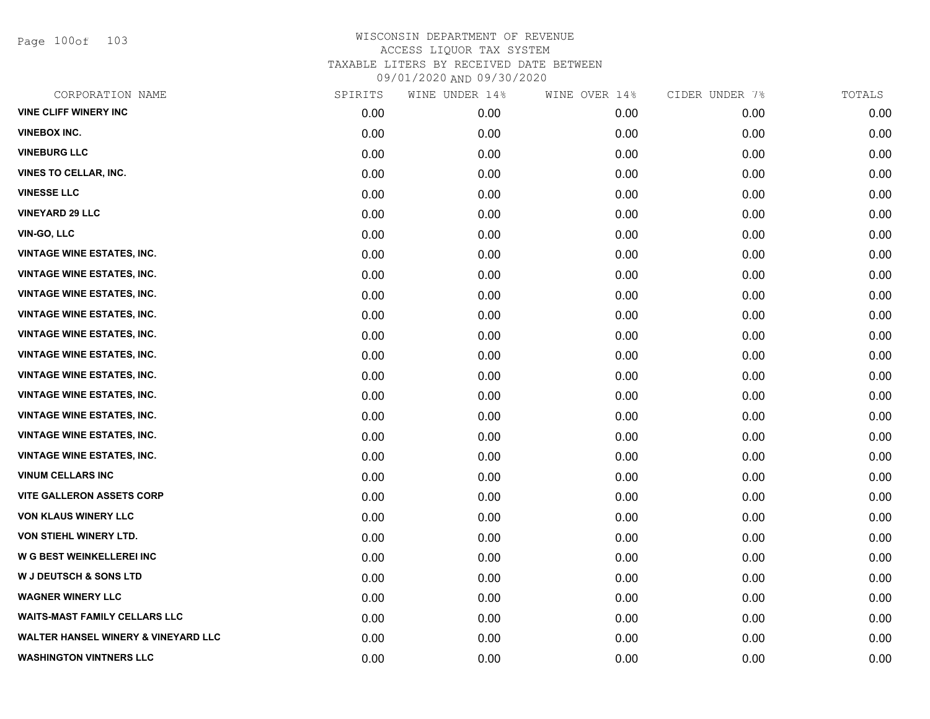Page 100of 103

| CORPORATION NAME                               | SPIRITS | WINE UNDER 14% | WINE OVER 14% | CIDER UNDER 7% | TOTALS |
|------------------------------------------------|---------|----------------|---------------|----------------|--------|
| <b>VINE CLIFF WINERY INC</b>                   | 0.00    | 0.00           | 0.00          | 0.00           | 0.00   |
| <b>VINEBOX INC.</b>                            | 0.00    | 0.00           | 0.00          | 0.00           | 0.00   |
| <b>VINEBURG LLC</b>                            | 0.00    | 0.00           | 0.00          | 0.00           | 0.00   |
| <b>VINES TO CELLAR, INC.</b>                   | 0.00    | 0.00           | 0.00          | 0.00           | 0.00   |
| <b>VINESSE LLC</b>                             | 0.00    | 0.00           | 0.00          | 0.00           | 0.00   |
| <b>VINEYARD 29 LLC</b>                         | 0.00    | 0.00           | 0.00          | 0.00           | 0.00   |
| VIN-GO, LLC                                    | 0.00    | 0.00           | 0.00          | 0.00           | 0.00   |
| <b>VINTAGE WINE ESTATES, INC.</b>              | 0.00    | 0.00           | 0.00          | 0.00           | 0.00   |
| <b>VINTAGE WINE ESTATES, INC.</b>              | 0.00    | 0.00           | 0.00          | 0.00           | 0.00   |
| <b>VINTAGE WINE ESTATES, INC.</b>              | 0.00    | 0.00           | 0.00          | 0.00           | 0.00   |
| <b>VINTAGE WINE ESTATES, INC.</b>              | 0.00    | 0.00           | 0.00          | 0.00           | 0.00   |
| <b>VINTAGE WINE ESTATES, INC.</b>              | 0.00    | 0.00           | 0.00          | 0.00           | 0.00   |
| <b>VINTAGE WINE ESTATES, INC.</b>              | 0.00    | 0.00           | 0.00          | 0.00           | 0.00   |
| <b>VINTAGE WINE ESTATES, INC.</b>              | 0.00    | 0.00           | 0.00          | 0.00           | 0.00   |
| <b>VINTAGE WINE ESTATES, INC.</b>              | 0.00    | 0.00           | 0.00          | 0.00           | 0.00   |
| <b>VINTAGE WINE ESTATES, INC.</b>              | 0.00    | 0.00           | 0.00          | 0.00           | 0.00   |
| <b>VINTAGE WINE ESTATES, INC.</b>              | 0.00    | 0.00           | 0.00          | 0.00           | 0.00   |
| <b>VINTAGE WINE ESTATES, INC.</b>              | 0.00    | 0.00           | 0.00          | 0.00           | 0.00   |
| <b>VINUM CELLARS INC</b>                       | 0.00    | 0.00           | 0.00          | 0.00           | 0.00   |
| <b>VITE GALLERON ASSETS CORP</b>               | 0.00    | 0.00           | 0.00          | 0.00           | 0.00   |
| <b>VON KLAUS WINERY LLC</b>                    | 0.00    | 0.00           | 0.00          | 0.00           | 0.00   |
| VON STIEHL WINERY LTD.                         | 0.00    | 0.00           | 0.00          | 0.00           | 0.00   |
| W G BEST WEINKELLEREI INC                      | 0.00    | 0.00           | 0.00          | 0.00           | 0.00   |
| <b>W J DEUTSCH &amp; SONS LTD</b>              | 0.00    | 0.00           | 0.00          | 0.00           | 0.00   |
| <b>WAGNER WINERY LLC</b>                       | 0.00    | 0.00           | 0.00          | 0.00           | 0.00   |
| <b>WAITS-MAST FAMILY CELLARS LLC</b>           | 0.00    | 0.00           | 0.00          | 0.00           | 0.00   |
| <b>WALTER HANSEL WINERY &amp; VINEYARD LLC</b> | 0.00    | 0.00           | 0.00          | 0.00           | 0.00   |
| <b>WASHINGTON VINTNERS LLC</b>                 | 0.00    | 0.00           | 0.00          | 0.00           | 0.00   |
|                                                |         |                |               |                |        |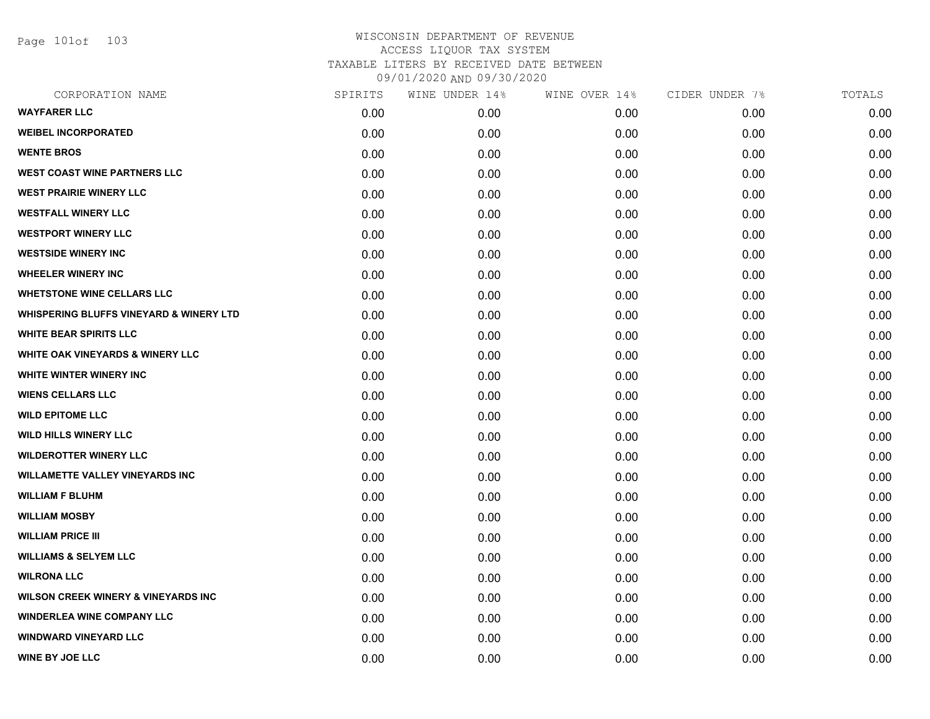Page 101of 103

| CORPORATION NAME                                   | SPIRITS | WINE UNDER 14% | WINE OVER 14% | CIDER UNDER 7% | TOTALS |
|----------------------------------------------------|---------|----------------|---------------|----------------|--------|
| <b>WAYFARER LLC</b>                                | 0.00    | 0.00           | 0.00          | 0.00           | 0.00   |
| <b>WEIBEL INCORPORATED</b>                         | 0.00    | 0.00           | 0.00          | 0.00           | 0.00   |
| <b>WENTE BROS</b>                                  | 0.00    | 0.00           | 0.00          | 0.00           | 0.00   |
| <b>WEST COAST WINE PARTNERS LLC</b>                | 0.00    | 0.00           | 0.00          | 0.00           | 0.00   |
| <b>WEST PRAIRIE WINERY LLC</b>                     | 0.00    | 0.00           | 0.00          | 0.00           | 0.00   |
| <b>WESTFALL WINERY LLC</b>                         | 0.00    | 0.00           | 0.00          | 0.00           | 0.00   |
| <b>WESTPORT WINERY LLC</b>                         | 0.00    | 0.00           | 0.00          | 0.00           | 0.00   |
| <b>WESTSIDE WINERY INC</b>                         | 0.00    | 0.00           | 0.00          | 0.00           | 0.00   |
| <b>WHEELER WINERY INC</b>                          | 0.00    | 0.00           | 0.00          | 0.00           | 0.00   |
| <b>WHETSTONE WINE CELLARS LLC</b>                  | 0.00    | 0.00           | 0.00          | 0.00           | 0.00   |
| <b>WHISPERING BLUFFS VINEYARD &amp; WINERY LTD</b> | 0.00    | 0.00           | 0.00          | 0.00           | 0.00   |
| <b>WHITE BEAR SPIRITS LLC</b>                      | 0.00    | 0.00           | 0.00          | 0.00           | 0.00   |
| <b>WHITE OAK VINEYARDS &amp; WINERY LLC</b>        | 0.00    | 0.00           | 0.00          | 0.00           | 0.00   |
| <b>WHITE WINTER WINERY INC.</b>                    | 0.00    | 0.00           | 0.00          | 0.00           | 0.00   |
| <b>WIENS CELLARS LLC</b>                           | 0.00    | 0.00           | 0.00          | 0.00           | 0.00   |
| <b>WILD EPITOME LLC</b>                            | 0.00    | 0.00           | 0.00          | 0.00           | 0.00   |
| <b>WILD HILLS WINERY LLC</b>                       | 0.00    | 0.00           | 0.00          | 0.00           | 0.00   |
| <b>WILDEROTTER WINERY LLC</b>                      | 0.00    | 0.00           | 0.00          | 0.00           | 0.00   |
| <b>WILLAMETTE VALLEY VINEYARDS INC</b>             | 0.00    | 0.00           | 0.00          | 0.00           | 0.00   |
| <b>WILLIAM F BLUHM</b>                             | 0.00    | 0.00           | 0.00          | 0.00           | 0.00   |
| <b>WILLIAM MOSBY</b>                               | 0.00    | 0.00           | 0.00          | 0.00           | 0.00   |
| <b>WILLIAM PRICE III</b>                           | 0.00    | 0.00           | 0.00          | 0.00           | 0.00   |
| <b>WILLIAMS &amp; SELYEM LLC</b>                   | 0.00    | 0.00           | 0.00          | 0.00           | 0.00   |
| <b>WILRONA LLC</b>                                 | 0.00    | 0.00           | 0.00          | 0.00           | 0.00   |
| <b>WILSON CREEK WINERY &amp; VINEYARDS INC</b>     | 0.00    | 0.00           | 0.00          | 0.00           | 0.00   |
| <b>WINDERLEA WINE COMPANY LLC</b>                  | 0.00    | 0.00           | 0.00          | 0.00           | 0.00   |
| <b>WINDWARD VINEYARD LLC</b>                       | 0.00    | 0.00           | 0.00          | 0.00           | 0.00   |
| <b>WINE BY JOE LLC</b>                             | 0.00    | 0.00           | 0.00          | 0.00           | 0.00   |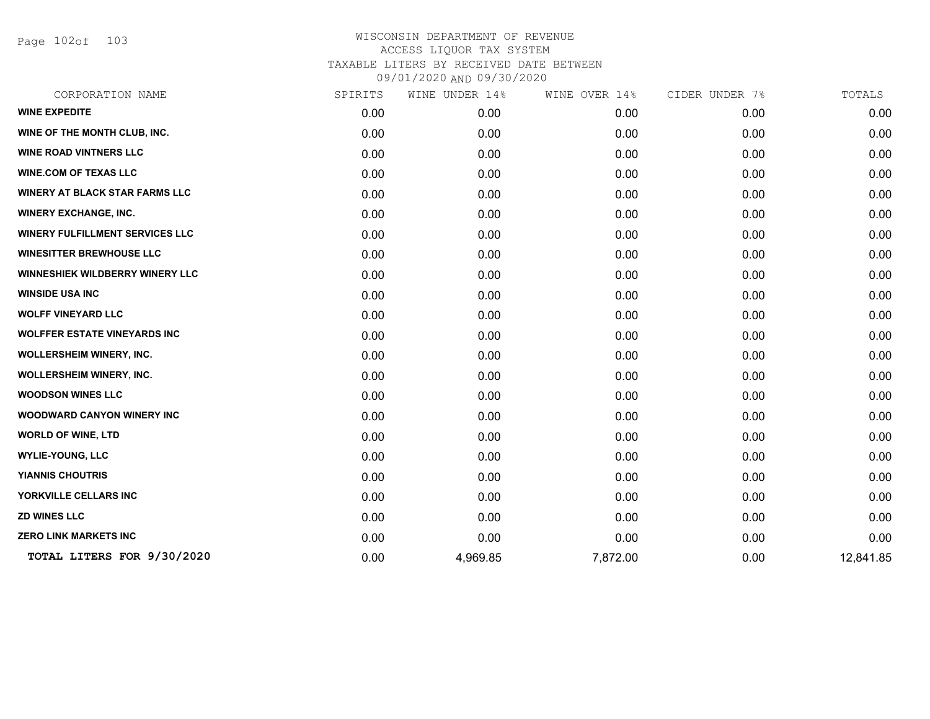Page 102of 103

| CORPORATION NAME                       | SPIRITS | WINE UNDER 14% | WINE OVER 14% | CIDER UNDER 7% | TOTALS    |
|----------------------------------------|---------|----------------|---------------|----------------|-----------|
| <b>WINE EXPEDITE</b>                   | 0.00    | 0.00           | 0.00          | 0.00           | 0.00      |
| WINE OF THE MONTH CLUB, INC.           | 0.00    | 0.00           | 0.00          | 0.00           | 0.00      |
| <b>WINE ROAD VINTNERS LLC</b>          | 0.00    | 0.00           | 0.00          | 0.00           | 0.00      |
| <b>WINE.COM OF TEXAS LLC</b>           | 0.00    | 0.00           | 0.00          | 0.00           | 0.00      |
| <b>WINERY AT BLACK STAR FARMS LLC</b>  | 0.00    | 0.00           | 0.00          | 0.00           | 0.00      |
| <b>WINERY EXCHANGE, INC.</b>           | 0.00    | 0.00           | 0.00          | 0.00           | 0.00      |
| WINERY FULFILLMENT SERVICES LLC        | 0.00    | 0.00           | 0.00          | 0.00           | 0.00      |
| <b>WINESITTER BREWHOUSE LLC</b>        | 0.00    | 0.00           | 0.00          | 0.00           | 0.00      |
| <b>WINNESHIEK WILDBERRY WINERY LLC</b> | 0.00    | 0.00           | 0.00          | 0.00           | 0.00      |
| <b>WINSIDE USA INC</b>                 | 0.00    | 0.00           | 0.00          | 0.00           | 0.00      |
| <b>WOLFF VINEYARD LLC</b>              | 0.00    | 0.00           | 0.00          | 0.00           | 0.00      |
| <b>WOLFFER ESTATE VINEYARDS INC</b>    | 0.00    | 0.00           | 0.00          | 0.00           | 0.00      |
| <b>WOLLERSHEIM WINERY, INC.</b>        | 0.00    | 0.00           | 0.00          | 0.00           | 0.00      |
| <b>WOLLERSHEIM WINERY, INC.</b>        | 0.00    | 0.00           | 0.00          | 0.00           | 0.00      |
| <b>WOODSON WINES LLC</b>               | 0.00    | 0.00           | 0.00          | 0.00           | 0.00      |
| <b>WOODWARD CANYON WINERY INC</b>      | 0.00    | 0.00           | 0.00          | 0.00           | 0.00      |
| <b>WORLD OF WINE, LTD</b>              | 0.00    | 0.00           | 0.00          | 0.00           | 0.00      |
| <b>WYLIE-YOUNG, LLC</b>                | 0.00    | 0.00           | 0.00          | 0.00           | 0.00      |
| <b>YIANNIS CHOUTRIS</b>                | 0.00    | 0.00           | 0.00          | 0.00           | 0.00      |
| YORKVILLE CELLARS INC                  | 0.00    | 0.00           | 0.00          | 0.00           | 0.00      |
| <b>ZD WINES LLC</b>                    | 0.00    | 0.00           | 0.00          | 0.00           | 0.00      |
| <b>ZERO LINK MARKETS INC</b>           | 0.00    | 0.00           | 0.00          | 0.00           | 0.00      |
| TOTAL LITERS FOR 9/30/2020             | 0.00    | 4,969.85       | 7,872.00      | 0.00           | 12,841.85 |